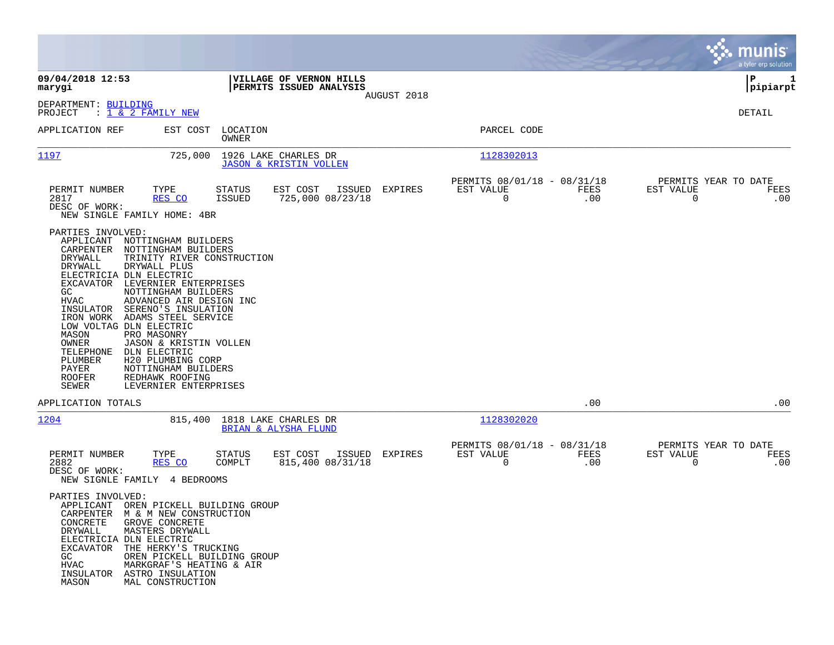|                                                                                                                                                                                                                                                     |                                                                                                                                                                                                                                                                                                                                                                    |                         |                                                           |             |                                                         |             |                                                     | munis<br>a tyler erp solution |
|-----------------------------------------------------------------------------------------------------------------------------------------------------------------------------------------------------------------------------------------------------|--------------------------------------------------------------------------------------------------------------------------------------------------------------------------------------------------------------------------------------------------------------------------------------------------------------------------------------------------------------------|-------------------------|-----------------------------------------------------------|-------------|---------------------------------------------------------|-------------|-----------------------------------------------------|-------------------------------|
| 09/04/2018 12:53<br>marygi                                                                                                                                                                                                                          |                                                                                                                                                                                                                                                                                                                                                                    |                         | VILLAGE OF VERNON HILLS<br>PERMITS ISSUED ANALYSIS        |             |                                                         |             |                                                     | IΡ<br>1<br> pipiarpt          |
| DEPARTMENT: BUILDING<br>PROJECT                                                                                                                                                                                                                     | : 1 & 2 FAMILY NEW                                                                                                                                                                                                                                                                                                                                                 |                         |                                                           | AUGUST 2018 |                                                         |             |                                                     | DETAIL                        |
| APPLICATION REF                                                                                                                                                                                                                                     | EST COST                                                                                                                                                                                                                                                                                                                                                           | LOCATION<br>OWNER       |                                                           |             | PARCEL CODE                                             |             |                                                     |                               |
| 1197                                                                                                                                                                                                                                                | 725,000                                                                                                                                                                                                                                                                                                                                                            |                         | 1926 LAKE CHARLES DR<br><b>JASON &amp; KRISTIN VOLLEN</b> |             | 1128302013                                              |             |                                                     |                               |
| PERMIT NUMBER<br>2817<br>DESC OF WORK:                                                                                                                                                                                                              | TYPE<br>RES CO<br>NEW SINGLE FAMILY HOME: 4BR                                                                                                                                                                                                                                                                                                                      | STATUS<br>ISSUED        | EST COST<br>ISSUED<br>725,000 08/23/18                    | EXPIRES     | PERMITS 08/01/18 - 08/31/18<br>EST VALUE<br>$\mathbf 0$ | FEES<br>.00 | PERMITS YEAR TO DATE<br>EST VALUE<br>$\overline{0}$ | FEES<br>.00                   |
| PARTIES INVOLVED:<br>APPLICANT<br>CARPENTER<br>DRYWALL<br>DRYWALL<br>ELECTRICIA DLN ELECTRIC<br>EXCAVATOR<br>GC.<br>HVAC<br>INSULATOR<br>IRON WORK<br>LOW VOLTAG DLN ELECTRIC<br>MASON<br>OWNER<br>TELEPHONE<br>PLUMBER<br>PAYER<br>ROOFER<br>SEWER | NOTTINGHAM BUILDERS<br>NOTTINGHAM BUILDERS<br>TRINITY RIVER CONSTRUCTION<br>DRYWALL PLUS<br>LEVERNIER ENTERPRISES<br>NOTTINGHAM BUILDERS<br>ADVANCED AIR DESIGN INC<br>SERENO'S INSULATION<br>ADAMS STEEL SERVICE<br>PRO MASONRY<br>JASON & KRISTIN VOLLEN<br>DLN ELECTRIC<br>H20 PLUMBING CORP<br>NOTTINGHAM BUILDERS<br>REDHAWK ROOFING<br>LEVERNIER ENTERPRISES |                         |                                                           |             |                                                         |             |                                                     |                               |
| APPLICATION TOTALS                                                                                                                                                                                                                                  |                                                                                                                                                                                                                                                                                                                                                                    |                         |                                                           |             |                                                         | .00         |                                                     | .00                           |
| 1204                                                                                                                                                                                                                                                |                                                                                                                                                                                                                                                                                                                                                                    |                         | 815,400 1818 LAKE CHARLES DR<br>BRIAN & ALYSHA FLUND      |             | 1128302020                                              |             |                                                     |                               |
| PERMIT NUMBER<br>2882<br>DESC OF WORK:                                                                                                                                                                                                              | TYPE<br>RES CO<br>NEW SIGNLE FAMILY 4 BEDROOMS                                                                                                                                                                                                                                                                                                                     | <b>STATUS</b><br>COMPLT | EST COST<br>ISSUED<br>815,400 08/31/18                    | EXPIRES     | PERMITS 08/01/18 - 08/31/18<br>EST VALUE<br>$\mathbf 0$ | FEES<br>.00 | PERMITS YEAR TO DATE<br>EST VALUE<br>0              | FEES<br>.00                   |
| PARTIES INVOLVED:<br>CONCRETE<br>DRYWALL<br>ELECTRICIA DLN ELECTRIC<br>EXCAVATOR<br>GC<br>HVAC<br>INSULATOR<br>MASON                                                                                                                                | APPLICANT OREN PICKELL BUILDING GROUP<br>CARPENTER M & M NEW CONSTRUCTION<br>GROVE CONCRETE<br>MASTERS DRYWALL<br>THE HERKY'S TRUCKING<br>OREN PICKELL BUILDING GROUP<br>MARKGRAF'S HEATING & AIR<br>ASTRO INSULATION<br>MAL CONSTRUCTION                                                                                                                          |                         |                                                           |             |                                                         |             |                                                     |                               |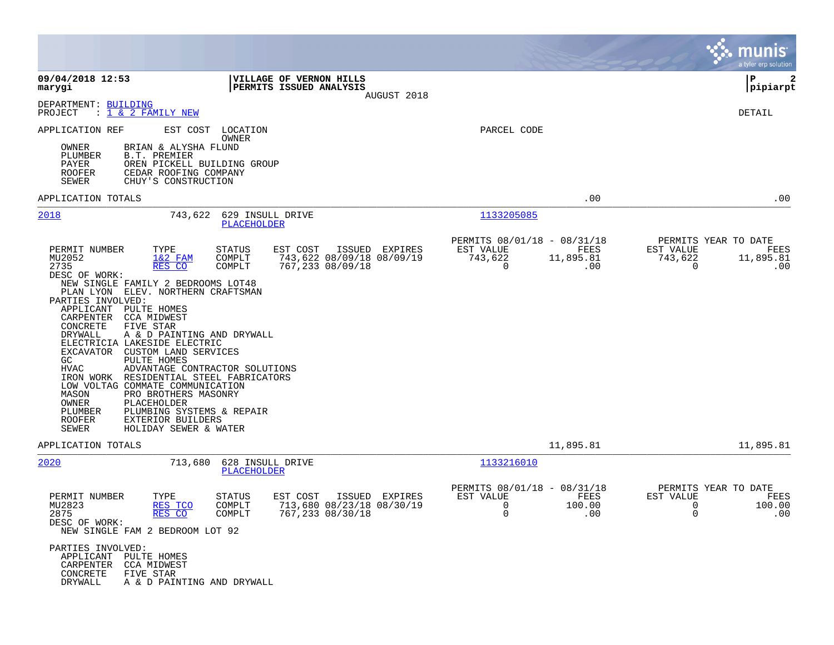|                                                                                                                                                                                                                                                                                                                                                                                                                                                                                                                                                                                 |                                                                                                                                                                                                                                    |                                                                                                       | munis<br>a tyler erp solution                                                                               |
|---------------------------------------------------------------------------------------------------------------------------------------------------------------------------------------------------------------------------------------------------------------------------------------------------------------------------------------------------------------------------------------------------------------------------------------------------------------------------------------------------------------------------------------------------------------------------------|------------------------------------------------------------------------------------------------------------------------------------------------------------------------------------------------------------------------------------|-------------------------------------------------------------------------------------------------------|-------------------------------------------------------------------------------------------------------------|
| 09/04/2018 12:53<br>marygi                                                                                                                                                                                                                                                                                                                                                                                                                                                                                                                                                      | VILLAGE OF VERNON HILLS<br>PERMITS ISSUED ANALYSIS                                                                                                                                                                                 | AUGUST 2018                                                                                           | $\mathbf{2}$<br>P<br> pipiarpt                                                                              |
| DEPARTMENT: BUILDING<br>PROJECT<br>$: 1 \& 2$ FAMILY NEW                                                                                                                                                                                                                                                                                                                                                                                                                                                                                                                        |                                                                                                                                                                                                                                    |                                                                                                       | DETAIL                                                                                                      |
| APPLICATION REF<br>OWNER<br>BRIAN & ALYSHA FLUND<br>PLUMBER<br><b>B.T. PREMIER</b><br>PAYER<br>ROOFER<br>CEDAR ROOFING COMPANY<br><b>SEWER</b><br>CHUY'S CONSTRUCTION                                                                                                                                                                                                                                                                                                                                                                                                           | EST COST<br>LOCATION<br>OWNER<br>OREN PICKELL BUILDING GROUP                                                                                                                                                                       | PARCEL CODE                                                                                           |                                                                                                             |
| APPLICATION TOTALS                                                                                                                                                                                                                                                                                                                                                                                                                                                                                                                                                              |                                                                                                                                                                                                                                    |                                                                                                       | .00<br>.00                                                                                                  |
| 2018<br>PERMIT NUMBER<br>TYPE<br>MU2052<br>$1&2$ FAM<br>2735<br>RES CO<br>DESC OF WORK:<br>NEW SINGLE FAMILY 2 BEDROOMS LOT48<br>PLAN LYON ELEV. NORTHERN CRAFTSMAN<br>PARTIES INVOLVED:<br>APPLICANT<br>PULTE HOMES<br>CARPENTER<br>CCA MIDWEST<br>CONCRETE<br>FIVE STAR<br>DRYWALL<br>ELECTRICIA LAKESIDE ELECTRIC<br>EXCAVATOR<br>CUSTOM LAND SERVICES<br>PULTE HOMES<br>GC<br>HVAC<br>IRON WORK RESIDENTIAL STEEL FABRICATORS<br>LOW VOLTAG COMMATE COMMUNICATION<br>MASON<br>PRO BROTHERS MASONRY<br>OWNER<br>PLACEHOLDER<br>PLUMBER<br><b>ROOFER</b><br>EXTERIOR BUILDERS | 743,622<br>629 INSULL DRIVE<br>PLACEHOLDER<br>STATUS<br>EST COST<br>COMPLT<br>743,622 08/09/18 08/09/19<br>767,233 08/09/18<br>COMPLT<br>A & D PAINTING AND DRYWALL<br>ADVANTAGE CONTRACTOR SOLUTIONS<br>PLUMBING SYSTEMS & REPAIR | 1133205085<br>PERMITS 08/01/18 - 08/31/18<br>ISSUED EXPIRES<br>EST VALUE<br>743,622<br>11,895.81<br>0 | PERMITS YEAR TO DATE<br>FEES<br>EST VALUE<br>FEES<br>743,622<br>11,895.81<br>$\mathbf 0$<br>.00<br>.00      |
| SEWER<br>HOLIDAY SEWER & WATER                                                                                                                                                                                                                                                                                                                                                                                                                                                                                                                                                  |                                                                                                                                                                                                                                    |                                                                                                       |                                                                                                             |
| APPLICATION TOTALS                                                                                                                                                                                                                                                                                                                                                                                                                                                                                                                                                              |                                                                                                                                                                                                                                    | 11,895.81                                                                                             | 11,895.81                                                                                                   |
| 2020<br>TYPE<br>PERMIT NUMBER<br>MU2823<br>RES TCO<br>2875<br>RES CO<br>DESC OF WORK:<br>NEW SINGLE FAM 2 BEDROOM LOT 92<br>PARTIES INVOLVED:                                                                                                                                                                                                                                                                                                                                                                                                                                   | 713,680<br>628 INSULL DRIVE<br>PLACEHOLDER<br>EST COST<br>STATUS<br>713,680 08/23/18 08/30/19<br>COMPLT<br>767,233 08/30/18<br>COMPLT                                                                                              | 1133216010<br>PERMITS 08/01/18 - 08/31/18<br>ISSUED EXPIRES<br>EST VALUE<br>0<br>100.00<br>0          | PERMITS YEAR TO DATE<br>FEES<br>EST VALUE<br>FEES<br>$\Omega$<br>100.00<br>$\ldots$<br>$\Omega$<br>$\ldots$ |
| APPLICANT PULTE HOMES<br>CARPENTER CCA MIDWEST<br>CONCRETE<br>FIVE STAR<br>DRYWALL                                                                                                                                                                                                                                                                                                                                                                                                                                                                                              | A & D PAINTING AND DRYWALL                                                                                                                                                                                                         |                                                                                                       |                                                                                                             |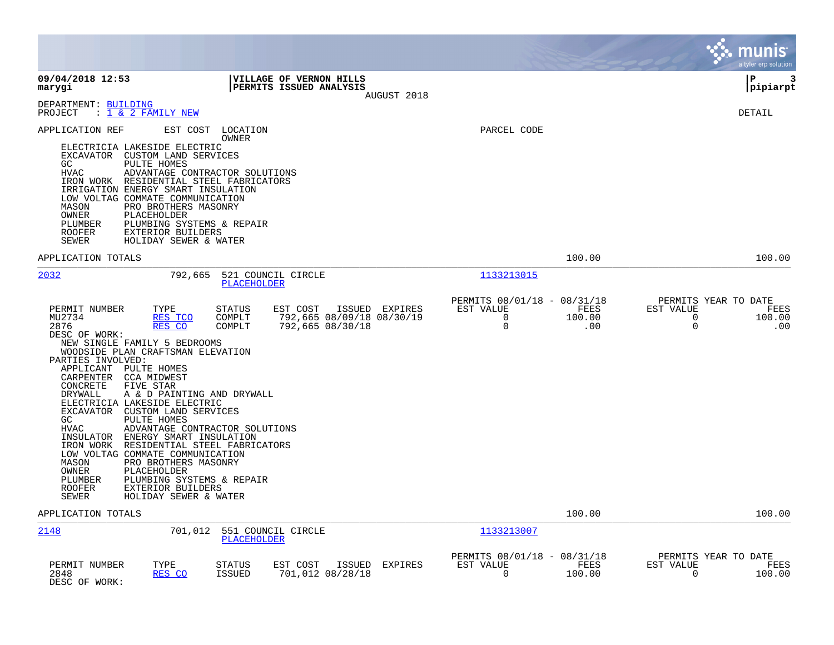|                                                                                                                                                                                                                                                                                                                                                                                                                                                                                                                                                                                                                                                                                                                                        |                                                                                                                  |                                                                     |                       | munis<br>a tyler erp solution                                                         |
|----------------------------------------------------------------------------------------------------------------------------------------------------------------------------------------------------------------------------------------------------------------------------------------------------------------------------------------------------------------------------------------------------------------------------------------------------------------------------------------------------------------------------------------------------------------------------------------------------------------------------------------------------------------------------------------------------------------------------------------|------------------------------------------------------------------------------------------------------------------|---------------------------------------------------------------------|-----------------------|---------------------------------------------------------------------------------------|
| 09/04/2018 12:53<br>marygi                                                                                                                                                                                                                                                                                                                                                                                                                                                                                                                                                                                                                                                                                                             | VILLAGE OF VERNON HILLS<br>PERMITS ISSUED ANALYSIS<br>AUGUST 2018                                                |                                                                     |                       | l P<br>3<br> pipiarpt                                                                 |
| DEPARTMENT: BUILDING<br>$\therefore$ 1 & 2 FAMILY NEW<br>PROJECT                                                                                                                                                                                                                                                                                                                                                                                                                                                                                                                                                                                                                                                                       |                                                                                                                  |                                                                     |                       | DETAIL                                                                                |
| APPLICATION REF<br>EST COST<br>ELECTRICIA LAKESIDE ELECTRIC<br>EXCAVATOR CUSTOM LAND SERVICES<br>GC<br>PULTE HOMES<br><b>HVAC</b><br>ADVANTAGE CONTRACTOR SOLUTIONS<br>IRON WORK RESIDENTIAL STEEL FABRICATORS<br>IRRIGATION ENERGY SMART INSULATION<br>LOW VOLTAG COMMATE COMMUNICATION<br>MASON<br>PRO BROTHERS MASONRY<br>OWNER<br>PLACEHOLDER<br>PLUMBING SYSTEMS & REPAIR<br>PLUMBER<br><b>ROOFER</b><br>EXTERIOR BUILDERS<br>SEWER<br>HOLIDAY SEWER & WATER                                                                                                                                                                                                                                                                      | LOCATION<br>OWNER                                                                                                | PARCEL CODE                                                         |                       |                                                                                       |
| APPLICATION TOTALS                                                                                                                                                                                                                                                                                                                                                                                                                                                                                                                                                                                                                                                                                                                     |                                                                                                                  |                                                                     | 100.00                | 100.00                                                                                |
| 2032<br>792,665                                                                                                                                                                                                                                                                                                                                                                                                                                                                                                                                                                                                                                                                                                                        | 521 COUNCIL CIRCLE<br>PLACEHOLDER                                                                                | 1133213015                                                          |                       |                                                                                       |
| PERMIT NUMBER<br>TYPE<br>MU2734<br>RES TCO<br>2876<br>RES CO<br>DESC OF WORK:<br>NEW SINGLE FAMILY 5 BEDROOMS<br>WOODSIDE PLAN CRAFTSMAN ELEVATION<br>PARTIES INVOLVED:<br>APPLICANT PULTE HOMES<br>CARPENTER CCA MIDWEST<br>FIVE STAR<br>CONCRETE<br>A & D PAINTING AND DRYWALL<br>DRYWALL<br>ELECTRICIA LAKESIDE ELECTRIC<br>EXCAVATOR CUSTOM LAND SERVICES<br>GC<br>PULTE HOMES<br><b>HVAC</b><br>ADVANTAGE CONTRACTOR SOLUTIONS<br>ENERGY SMART INSULATION<br>INSULATOR<br>IRON WORK<br>RESIDENTIAL STEEL FABRICATORS<br>LOW VOLTAG COMMATE COMMUNICATION<br>PRO BROTHERS MASONRY<br>MASON<br>OWNER<br>PLACEHOLDER<br>PLUMBING SYSTEMS & REPAIR<br>PLUMBER<br>EXTERIOR BUILDERS<br><b>ROOFER</b><br>SEWER<br>HOLIDAY SEWER & WATER | EST COST<br><b>STATUS</b><br>ISSUED EXPIRES<br>792,665 08/09/18 08/30/19<br>COMPLT<br>COMPLT<br>792,665 08/30/18 | PERMITS 08/01/18 - 08/31/18<br>EST VALUE<br>$\Omega$<br>$\mathbf 0$ | FEES<br>100.00<br>.00 | PERMITS YEAR TO DATE<br>EST VALUE<br>FEES<br>$\Omega$<br>100.00<br>$\mathbf 0$<br>.00 |
| APPLICATION TOTALS                                                                                                                                                                                                                                                                                                                                                                                                                                                                                                                                                                                                                                                                                                                     |                                                                                                                  |                                                                     | 100.00                | 100.00                                                                                |
| 2148<br>701,012                                                                                                                                                                                                                                                                                                                                                                                                                                                                                                                                                                                                                                                                                                                        | 551 COUNCIL CIRCLE<br><b>PLACEHOLDER</b>                                                                         | 1133213007                                                          |                       |                                                                                       |
| PERMIT NUMBER<br>TYPE<br>2848<br>RES CO<br>DESC OF WORK:                                                                                                                                                                                                                                                                                                                                                                                                                                                                                                                                                                                                                                                                               | EST COST<br>ISSUED<br>EXPIRES<br>STATUS<br><b>ISSUED</b><br>701,012 08/28/18                                     | PERMITS 08/01/18 - 08/31/18<br>EST VALUE<br>0                       | FEES<br>100.00        | PERMITS YEAR TO DATE<br>EST VALUE<br>FEES<br>$\Omega$<br>100.00                       |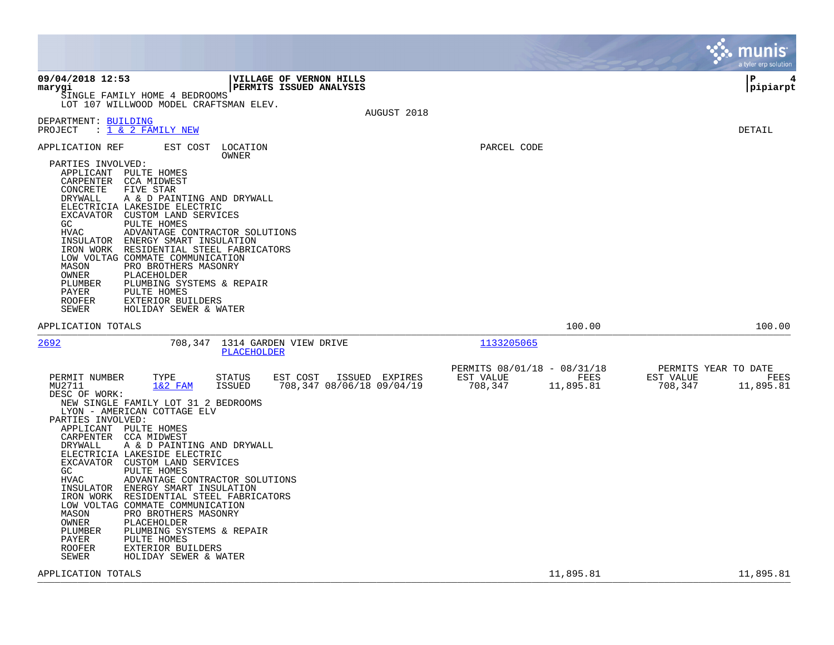|                                                                                                                                                                                                                                                                                                                                                                                                                                                                                                                                                                                                                                                                                                                                                                                                        |                                                                          | munis<br>a tyler erp solution                                     |
|--------------------------------------------------------------------------------------------------------------------------------------------------------------------------------------------------------------------------------------------------------------------------------------------------------------------------------------------------------------------------------------------------------------------------------------------------------------------------------------------------------------------------------------------------------------------------------------------------------------------------------------------------------------------------------------------------------------------------------------------------------------------------------------------------------|--------------------------------------------------------------------------|-------------------------------------------------------------------|
| 09/04/2018 12:53<br><b>VILLAGE OF VERNON HILLS</b><br>PERMITS ISSUED ANALYSIS<br>marygi<br>SINGLE FAMILY HOME 4 BEDROOMS<br>LOT 107 WILLWOOD MODEL CRAFTSMAN ELEV.<br>AUGUST 2018                                                                                                                                                                                                                                                                                                                                                                                                                                                                                                                                                                                                                      |                                                                          | l P<br> pipiarpt                                                  |
| DEPARTMENT: BUILDING<br>: 1 & 2 FAMILY NEW<br>PROJECT                                                                                                                                                                                                                                                                                                                                                                                                                                                                                                                                                                                                                                                                                                                                                  |                                                                          | DETAIL                                                            |
| APPLICATION REF<br>EST COST<br>LOCATION<br>OWNER<br>PARTIES INVOLVED:<br>APPLICANT PULTE HOMES<br>CARPENTER<br>CCA MIDWEST<br>CONCRETE<br>FIVE STAR<br>DRYWALL<br>A & D PAINTING AND DRYWALL<br>ELECTRICIA LAKESIDE ELECTRIC<br>EXCAVATOR CUSTOM LAND SERVICES<br>GC<br>PULTE HOMES<br><b>HVAC</b><br>ADVANTAGE CONTRACTOR SOLUTIONS<br>INSULATOR ENERGY SMART INSULATION<br>IRON WORK RESIDENTIAL STEEL FABRICATORS<br>LOW VOLTAG COMMATE COMMUNICATION<br>MASON<br>PRO BROTHERS MASONRY<br>OWNER<br>PLACEHOLDER<br>PLUMBER<br>PLUMBING SYSTEMS & REPAIR<br>PAYER<br>PULTE HOMES<br><b>ROOFER</b><br><b>EXTERIOR BUILDERS</b><br>HOLIDAY SEWER & WATER                                                                                                                                                | PARCEL CODE                                                              |                                                                   |
| SEWER<br>APPLICATION TOTALS                                                                                                                                                                                                                                                                                                                                                                                                                                                                                                                                                                                                                                                                                                                                                                            | 100.00                                                                   | 100.00                                                            |
| 2692<br>708,347<br>1314 GARDEN VIEW DRIVE<br>PLACEHOLDER                                                                                                                                                                                                                                                                                                                                                                                                                                                                                                                                                                                                                                                                                                                                               | 1133205065                                                               |                                                                   |
| PERMIT NUMBER<br>TYPE<br><b>STATUS</b><br>EST COST<br>ISSUED EXPIRES<br>$1&2$ FAM<br><b>ISSUED</b><br>708,347 08/06/18 09/04/19<br>MU2711<br>DESC OF WORK:<br>NEW SINGLE FAMILY LOT 31 2 BEDROOMS<br>LYON - AMERICAN COTTAGE ELV<br>PARTIES INVOLVED:<br>APPLICANT PULTE HOMES<br>CARPENTER<br>CCA MIDWEST<br>DRYWALL<br>A & D PAINTING AND DRYWALL<br>ELECTRICIA LAKESIDE ELECTRIC<br>EXCAVATOR CUSTOM LAND SERVICES<br>GC.<br>PULTE HOMES<br>HVAC<br>ADVANTAGE CONTRACTOR SOLUTIONS<br>INSULATOR ENERGY SMART INSULATION<br>RESIDENTIAL STEEL FABRICATORS<br>IRON WORK<br>LOW VOLTAG COMMATE COMMUNICATION<br>MASON<br>PRO BROTHERS MASONRY<br>OWNER<br>PLACEHOLDER<br>PLUMBING SYSTEMS & REPAIR<br>PLUMBER<br>PAYER<br>PULTE HOMES<br>EXTERIOR BUILDERS<br>ROOFER<br>SEWER<br>HOLIDAY SEWER & WATER | PERMITS 08/01/18 - 08/31/18<br>EST VALUE<br>FEES<br>708,347<br>11,895.81 | PERMITS YEAR TO DATE<br>EST VALUE<br>FEES<br>708,347<br>11,895.81 |
| APPLICATION TOTALS                                                                                                                                                                                                                                                                                                                                                                                                                                                                                                                                                                                                                                                                                                                                                                                     | 11,895.81                                                                | 11,895.81                                                         |

**Contract**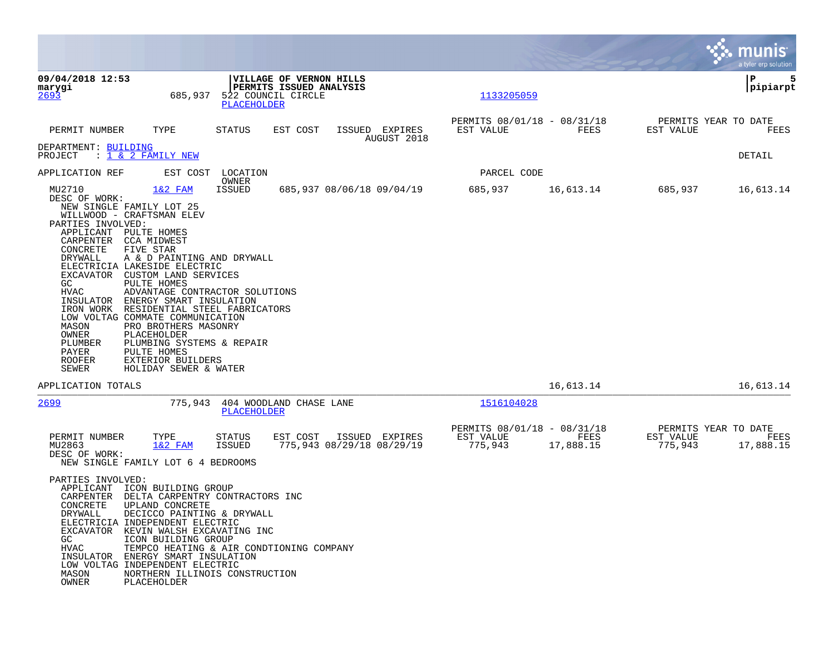|                                                                                                                                                   |                                                                                                                                                                                                                                                                                                                                                                                                                                                                                                                                         |                                               |                                                    |                                             |                                                     |                   |                                              | munis<br>a tyler erp solution |
|---------------------------------------------------------------------------------------------------------------------------------------------------|-----------------------------------------------------------------------------------------------------------------------------------------------------------------------------------------------------------------------------------------------------------------------------------------------------------------------------------------------------------------------------------------------------------------------------------------------------------------------------------------------------------------------------------------|-----------------------------------------------|----------------------------------------------------|---------------------------------------------|-----------------------------------------------------|-------------------|----------------------------------------------|-------------------------------|
| 09/04/2018 12:53<br>marygi<br>2693                                                                                                                | 685,937                                                                                                                                                                                                                                                                                                                                                                                                                                                                                                                                 | 522 COUNCIL CIRCLE<br><b>PLACEHOLDER</b>      | VILLAGE OF VERNON HILLS<br>PERMITS ISSUED ANALYSIS |                                             | 1133205059                                          |                   |                                              | l P<br>5<br> pipiarpt         |
| PERMIT NUMBER                                                                                                                                     | TYPE                                                                                                                                                                                                                                                                                                                                                                                                                                                                                                                                    | STATUS                                        | EST COST                                           | ISSUED EXPIRES<br>AUGUST 2018               | PERMITS 08/01/18 - 08/31/18<br>EST VALUE            | FEES              | PERMITS YEAR TO DATE<br>EST VALUE            | FEES                          |
| DEPARTMENT: BUILDING<br>PROJECT                                                                                                                   | : 1 & 2 FAMILY NEW                                                                                                                                                                                                                                                                                                                                                                                                                                                                                                                      |                                               |                                                    |                                             |                                                     |                   |                                              | DETAIL                        |
| APPLICATION REF                                                                                                                                   |                                                                                                                                                                                                                                                                                                                                                                                                                                                                                                                                         | EST COST LOCATION<br>OWNER                    |                                                    |                                             | PARCEL CODE                                         |                   |                                              |                               |
| MU2710<br>DESC OF WORK:<br>PARTIES INVOLVED:<br>CONCRETE<br>DRYWALL<br>GC<br>HVAC<br>MASON<br>OWNER<br>PLUMBER<br>PAYER<br><b>ROOFER</b><br>SEWER | $1&2$ FAM<br>NEW SINGLE FAMILY LOT 25<br>WILLWOOD - CRAFTSMAN ELEV<br>APPLICANT PULTE HOMES<br>CARPENTER CCA MIDWEST<br>FIVE STAR<br>A & D PAINTING AND DRYWALL<br>ELECTRICIA LAKESIDE ELECTRIC<br>EXCAVATOR CUSTOM LAND SERVICES<br>PULTE HOMES<br>ADVANTAGE CONTRACTOR SOLUTIONS<br>INSULATOR ENERGY SMART INSULATION<br>IRON WORK RESIDENTIAL STEEL FABRICATORS<br>LOW VOLTAG COMMATE COMMUNICATION<br>PRO BROTHERS MASONRY<br>PLACEHOLDER<br>PLUMBING SYSTEMS & REPAIR<br>PULTE HOMES<br>EXTERIOR BUILDERS<br>HOLIDAY SEWER & WATER | ISSUED                                        |                                                    | 685,937 08/06/18 09/04/19                   | 685,937                                             | 16,613.14         | 685,937                                      | 16,613.14                     |
| APPLICATION TOTALS                                                                                                                                |                                                                                                                                                                                                                                                                                                                                                                                                                                                                                                                                         |                                               |                                                    |                                             |                                                     | 16,613.14         |                                              | 16,613.14                     |
| 2699                                                                                                                                              | 775,943                                                                                                                                                                                                                                                                                                                                                                                                                                                                                                                                 | 404 WOODLAND CHASE LANE<br><b>PLACEHOLDER</b> |                                                    |                                             | 1516104028                                          |                   |                                              |                               |
| PERMIT NUMBER<br>MU2863<br>DESC OF WORK:                                                                                                          | TYPE<br>$1&2$ FAM<br>NEW SINGLE FAMILY LOT 6 4 BEDROOMS                                                                                                                                                                                                                                                                                                                                                                                                                                                                                 | STATUS<br>ISSUED                              | EST COST                                           | ISSUED EXPIRES<br>775,943 08/29/18 08/29/19 | PERMITS 08/01/18 - 08/31/18<br>EST VALUE<br>775,943 | FEES<br>17,888.15 | PERMITS YEAR TO DATE<br>EST VALUE<br>775,943 | FEES<br>17,888.15             |
| PARTIES INVOLVED:<br>CONCRETE<br>DRYWALL<br>GC<br>HVAC<br>MASON<br>OWNER                                                                          | APPLICANT ICON BUILDING GROUP<br>CARPENTER DELTA CARPENTRY CONTRACTORS INC<br>UPLAND CONCRETE<br>DECICCO PAINTING & DRYWALL<br>ELECTRICIA INDEPENDENT ELECTRIC<br>EXCAVATOR KEVIN WALSH EXCAVATING INC<br>ICON BUILDING GROUP<br>TEMPCO HEATING & AIR CONDTIONING COMPANY<br>INSULATOR ENERGY SMART INSULATION<br>LOW VOLTAG INDEPENDENT ELECTRIC<br>NORTHERN ILLINOIS CONSTRUCTION<br>PLACEHOLDER                                                                                                                                      |                                               |                                                    |                                             |                                                     |                   |                                              |                               |

**Contract**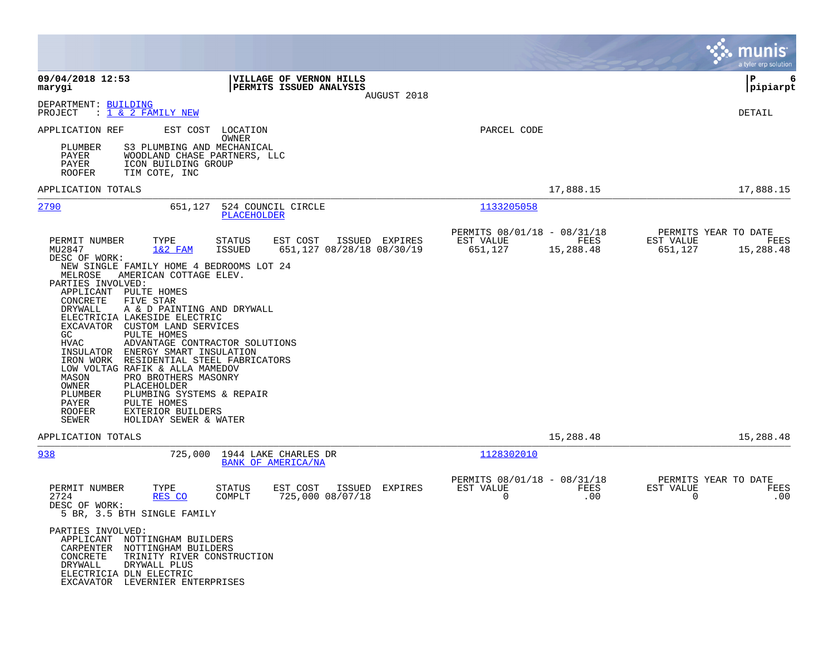|                                                                                                                                                                                                                                                                                                                                                                                                                                                                                                                                                                                                                |                                                                                 |                                                                    |                   | munis<br>a tyler erp solution                                     |
|----------------------------------------------------------------------------------------------------------------------------------------------------------------------------------------------------------------------------------------------------------------------------------------------------------------------------------------------------------------------------------------------------------------------------------------------------------------------------------------------------------------------------------------------------------------------------------------------------------------|---------------------------------------------------------------------------------|--------------------------------------------------------------------|-------------------|-------------------------------------------------------------------|
| 09/04/2018 12:53<br>marygi                                                                                                                                                                                                                                                                                                                                                                                                                                                                                                                                                                                     | <b>VILLAGE OF VERNON HILLS</b><br><b>PERMITS ISSUED ANALYSIS</b>                | AUGUST 2018                                                        |                   | ∣P<br>6<br> pipiarpt                                              |
| DEPARTMENT: BUILDING<br>: 1 & 2 FAMILY NEW<br>PROJECT                                                                                                                                                                                                                                                                                                                                                                                                                                                                                                                                                          |                                                                                 |                                                                    |                   | DETAIL                                                            |
| APPLICATION REF<br>EST COST<br>S3 PLUMBING AND MECHANICAL<br>PLUMBER<br>PAYER<br>WOODLAND CHASE PARTNERS, LLC<br>PAYER<br>ICON BUILDING GROUP<br><b>ROOFER</b><br>TIM COTE, INC                                                                                                                                                                                                                                                                                                                                                                                                                                | LOCATION<br>OWNER                                                               | PARCEL CODE                                                        |                   |                                                                   |
| APPLICATION TOTALS                                                                                                                                                                                                                                                                                                                                                                                                                                                                                                                                                                                             |                                                                                 |                                                                    | 17,888.15         | 17,888.15                                                         |
| 2790<br>651,127                                                                                                                                                                                                                                                                                                                                                                                                                                                                                                                                                                                                | 524 COUNCIL CIRCLE<br><b>PLACEHOLDER</b>                                        | 1133205058                                                         |                   |                                                                   |
| PERMIT NUMBER<br>TYPE<br>MU2847<br>$1&2$ FAM<br>DESC OF WORK:<br>NEW SINGLE FAMILY HOME 4 BEDROOMS LOT 24                                                                                                                                                                                                                                                                                                                                                                                                                                                                                                      | STATUS<br>EST COST ISSUED EXPIRES<br><b>ISSUED</b><br>651,127 08/28/18 08/30/19 | PERMITS 08/01/18 - 08/31/18<br>EST VALUE<br>651,127                | FEES<br>15,288.48 | PERMITS YEAR TO DATE<br>EST VALUE<br>FEES<br>651,127<br>15,288.48 |
| MELROSE<br>AMERICAN COTTAGE ELEV.<br>PARTIES INVOLVED:<br>APPLICANT PULTE HOMES<br>CONCRETE<br>FIVE STAR<br><b>DRYWALL</b><br>A & D PAINTING AND DRYWALL<br>ELECTRICIA LAKESIDE ELECTRIC<br>EXCAVATOR CUSTOM LAND SERVICES<br>GC.<br>PULTE HOMES<br>HVAC<br>ADVANTAGE CONTRACTOR SOLUTIONS<br>INSULATOR ENERGY SMART INSULATION<br>IRON WORK RESIDENTIAL STEEL FABRICATORS<br>LOW VOLTAG RAFIK & ALLA MAMEDOV<br>PRO BROTHERS MASONRY<br>MASON<br>OWNER<br>PLACEHOLDER<br>PLUMBER<br>PLUMBING SYSTEMS & REPAIR<br>PULTE HOMES<br>PAYER<br><b>ROOFER</b><br>EXTERIOR BUILDERS<br>SEWER<br>HOLIDAY SEWER & WATER |                                                                                 |                                                                    |                   |                                                                   |
| APPLICATION TOTALS                                                                                                                                                                                                                                                                                                                                                                                                                                                                                                                                                                                             |                                                                                 |                                                                    | 15,288.48         | 15,288.48                                                         |
| 938                                                                                                                                                                                                                                                                                                                                                                                                                                                                                                                                                                                                            | 725,000 1944 LAKE CHARLES DR<br>BANK OF AMERICA/NA                              | 1128302010                                                         |                   |                                                                   |
| PERMIT NUMBER<br>TYPE<br>2724<br>RES CO<br>DESC OF WORK:<br>5 BR, 3.5 BTH SINGLE FAMILY                                                                                                                                                                                                                                                                                                                                                                                                                                                                                                                        | EST COST<br>ISSUED<br>STATUS<br>725,000 08/07/18<br>COMPLT                      | PERMITS 08/01/18 - 08/31/18<br>EST VALUE<br>EXPIRES<br>$\mathbf 0$ | FEES<br>.00       | PERMITS YEAR TO DATE<br>EST VALUE<br>FEES<br>$\mathbf 0$<br>.00   |
| PARTIES INVOLVED:<br>APPLICANT NOTTINGHAM BUILDERS<br>CARPENTER NOTTINGHAM BUILDERS<br>CONCRETE<br>TRINITY RIVER CONSTRUCTION<br>DRYWALL<br>DRYWALL PLUS<br>ELECTRICIA DLN ELECTRIC<br>EXCAVATOR LEVERNIER ENTERPRISES                                                                                                                                                                                                                                                                                                                                                                                         |                                                                                 |                                                                    |                   |                                                                   |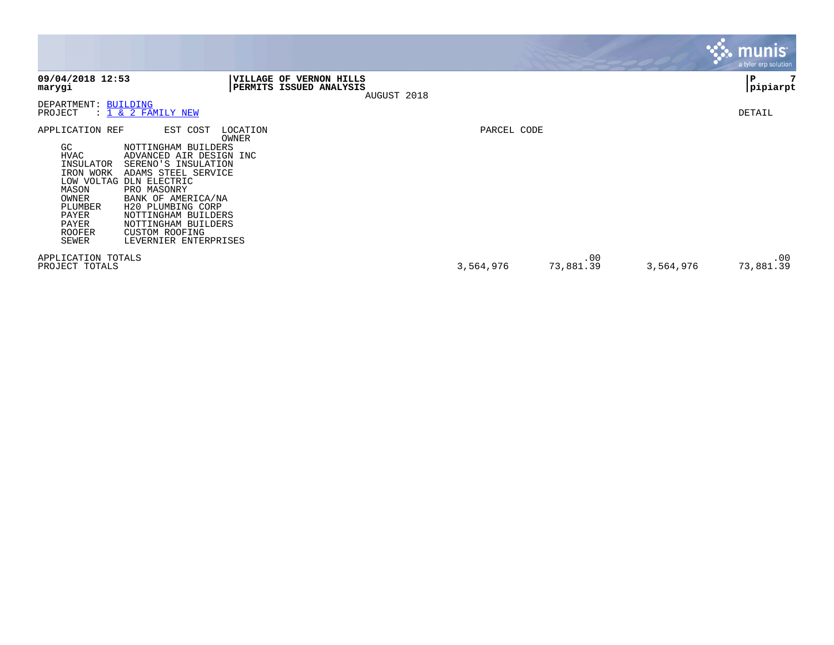|                                                                                                                                                             |                                                                                                                                                                                                                                                                                         |                                                                      |             |                  |           | munis <sup>®</sup><br>a tyler erp solution |
|-------------------------------------------------------------------------------------------------------------------------------------------------------------|-----------------------------------------------------------------------------------------------------------------------------------------------------------------------------------------------------------------------------------------------------------------------------------------|----------------------------------------------------------------------|-------------|------------------|-----------|--------------------------------------------|
| 09/04/2018 12:53<br>marygi                                                                                                                                  | <b>VILLAGE OF</b>                                                                                                                                                                                                                                                                       | <b>VERNON HILLS</b><br><b>PERMITS ISSUED ANALYSIS</b><br>AUGUST 2018 |             |                  |           | P<br>pipiarpt                              |
| DEPARTMENT: BUILDING<br>PROJECT                                                                                                                             | : 1 & 2 FAMILY NEW                                                                                                                                                                                                                                                                      |                                                                      |             |                  |           | DETAIL                                     |
| APPLICATION REF<br>GC<br>HVAC<br>INSULATOR<br>IRON WORK<br>LOW VOLTAG DLN ELECTRIC<br>MASON<br>OWNER<br>PLUMBER<br>PAYER<br>PAYER<br><b>ROOFER</b><br>SEWER | EST COST<br>LOCATION<br>OWNER<br>NOTTINGHAM BUILDERS<br>ADVANCED AIR DESIGN INC<br>SERENO'S INSULATION<br>ADAMS STEEL SERVICE<br>PRO MASONRY<br>BANK OF AMERICA/NA<br>H20 PLUMBING CORP<br>NOTTINGHAM BUILDERS<br>NOTTINGHAM BUILDERS<br><b>CUSTOM ROOFING</b><br>LEVERNIER ENTERPRISES |                                                                      | PARCEL CODE |                  |           |                                            |
| APPLICATION TOTALS<br>PROJECT TOTALS                                                                                                                        |                                                                                                                                                                                                                                                                                         |                                                                      | 3,564,976   | .00<br>73,881.39 | 3,564,976 | .00<br>73,881.39                           |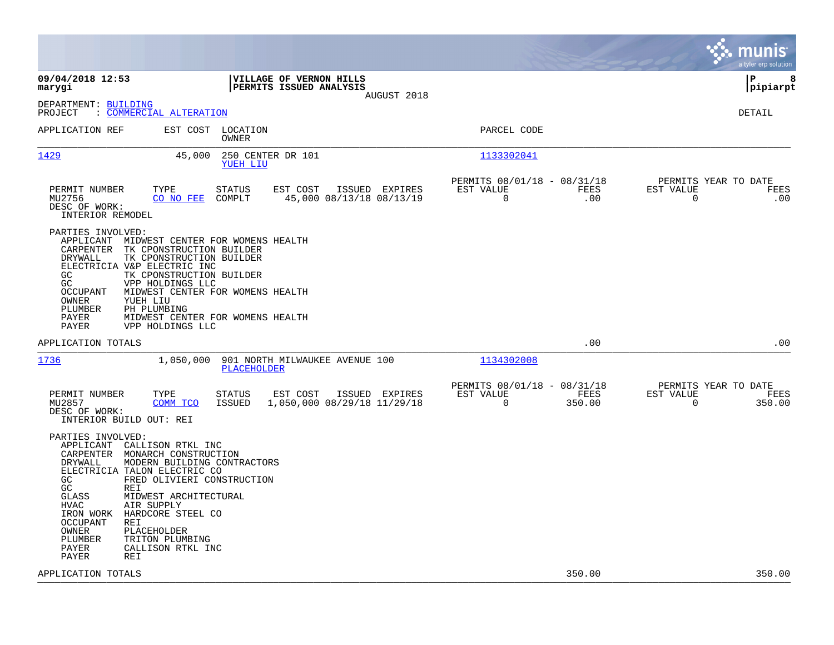|                                                                                                                                        |                                                                                                                                                                                                                                                                                                           |                                |                                                    |                |                                                         |                |                                                     | munis<br>a tyler erp solution |
|----------------------------------------------------------------------------------------------------------------------------------------|-----------------------------------------------------------------------------------------------------------------------------------------------------------------------------------------------------------------------------------------------------------------------------------------------------------|--------------------------------|----------------------------------------------------|----------------|---------------------------------------------------------|----------------|-----------------------------------------------------|-------------------------------|
| 09/04/2018 12:53<br>marygi                                                                                                             |                                                                                                                                                                                                                                                                                                           |                                | VILLAGE OF VERNON HILLS<br>PERMITS ISSUED ANALYSIS | AUGUST 2018    |                                                         |                | lР                                                  | 8<br> pipiarpt                |
| DEPARTMENT: BUILDING<br>PROJECT                                                                                                        | : COMMERCIAL ALTERATION                                                                                                                                                                                                                                                                                   |                                |                                                    |                |                                                         |                | DETAIL                                              |                               |
| APPLICATION REF                                                                                                                        |                                                                                                                                                                                                                                                                                                           | EST COST LOCATION<br>OWNER     |                                                    |                | PARCEL CODE                                             |                |                                                     |                               |
| 1429                                                                                                                                   | 45,000                                                                                                                                                                                                                                                                                                    | 250 CENTER DR 101<br>YUEH LIU  |                                                    |                | 1133302041                                              |                |                                                     |                               |
| PERMIT NUMBER<br>MU2756<br>DESC OF WORK:<br>INTERIOR REMODEL                                                                           | TYPE<br>CO NO FEE                                                                                                                                                                                                                                                                                         | <b>STATUS</b><br>COMPLT        | EST COST<br>45,000 08/13/18 08/13/19               | ISSUED EXPIRES | PERMITS 08/01/18 - 08/31/18<br>EST VALUE<br>$\mathbf 0$ | FEES<br>.00    | PERMITS YEAR TO DATE<br>EST VALUE<br>$\Omega$       | FEES<br>.00                   |
| PARTIES INVOLVED:<br>CARPENTER<br>DRYWALL<br>GC.<br>GC<br><b>OCCUPANT</b><br>OWNER<br>PLUMBER<br>PAYER<br>PAYER                        | APPLICANT MIDWEST CENTER FOR WOMENS HEALTH<br>TK CPONSTRUCTION BUILDER<br>TK CPONSTRUCTION BUILDER<br>ELECTRICIA V&P ELECTRIC INC<br>TK CPONSTRUCTION BUILDER<br>VPP HOLDINGS LLC<br>MIDWEST CENTER FOR WOMENS HEALTH<br>YUEH LIU<br>PH PLUMBING<br>MIDWEST CENTER FOR WOMENS HEALTH<br>VPP HOLDINGS LLC  |                                |                                                    |                |                                                         |                |                                                     |                               |
| APPLICATION TOTALS                                                                                                                     |                                                                                                                                                                                                                                                                                                           |                                |                                                    |                |                                                         | .00            |                                                     | .00                           |
| 1736                                                                                                                                   | 1,050,000                                                                                                                                                                                                                                                                                                 | PLACEHOLDER                    | 901 NORTH MILWAUKEE AVENUE 100                     |                | 1134302008                                              |                |                                                     |                               |
| PERMIT NUMBER<br>MU2857<br>DESC OF WORK:                                                                                               | TYPE<br>COMM TCO<br>INTERIOR BUILD OUT: REI                                                                                                                                                                                                                                                               | <b>STATUS</b><br><b>ISSUED</b> | EST COST<br>1,050,000 08/29/18 11/29/18            | ISSUED EXPIRES | PERMITS 08/01/18 - 08/31/18<br>EST VALUE<br>$\mathbf 0$ | FEES<br>350.00 | PERMITS YEAR TO DATE<br>EST VALUE<br>$\overline{0}$ | FEES<br>350.00                |
| PARTIES INVOLVED:<br>DRYWALL<br>GC<br>GC<br>GLASS<br><b>HVAC</b><br>IRON WORK<br><b>OCCUPANT</b><br>OWNER<br>PLUMBER<br>PAYER<br>PAYER | APPLICANT CALLISON RTKL INC<br>CARPENTER MONARCH CONSTRUCTION<br>MODERN BUILDING CONTRACTORS<br>ELECTRICIA TALON ELECTRIC CO<br>FRED OLIVIERI CONSTRUCTION<br>REI<br>MIDWEST ARCHITECTURAL<br>AIR SUPPLY<br>HARDCORE STEEL CO<br><b>REI</b><br>PLACEHOLDER<br>TRITON PLUMBING<br>CALLISON RTKL INC<br>REI |                                |                                                    |                |                                                         |                |                                                     |                               |
| APPLICATION TOTALS                                                                                                                     |                                                                                                                                                                                                                                                                                                           |                                |                                                    |                |                                                         | 350.00         |                                                     | 350.00                        |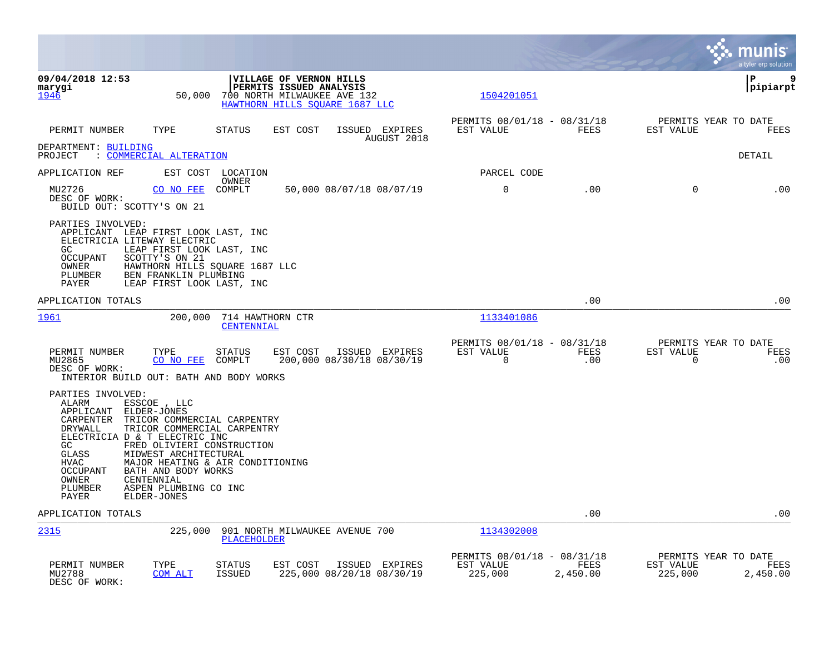|                                                                                                                                                                                                                                                                                                                                                                                                                                                             |                                                                         | munis<br>a tyler erp solution                                    |
|-------------------------------------------------------------------------------------------------------------------------------------------------------------------------------------------------------------------------------------------------------------------------------------------------------------------------------------------------------------------------------------------------------------------------------------------------------------|-------------------------------------------------------------------------|------------------------------------------------------------------|
| VILLAGE OF VERNON HILLS<br>09/04/2018 12:53<br>marygi<br>PERMITS ISSUED ANALYSIS<br>1946<br>50,000<br>700 NORTH MILWAUKEE AVE 132<br>HAWTHORN HILLS SOUARE 1687 LLC                                                                                                                                                                                                                                                                                         | 1504201051                                                              | P<br>9<br> pipiarpt                                              |
| TYPE<br><b>STATUS</b><br>EST COST<br>PERMIT NUMBER<br>ISSUED EXPIRES<br>AUGUST 2018                                                                                                                                                                                                                                                                                                                                                                         | PERMITS 08/01/18 - 08/31/18<br>FEES<br>EST VALUE                        | PERMITS YEAR TO DATE<br>EST VALUE<br>FEES                        |
| DEPARTMENT: BUILDING<br>: COMMERCIAL ALTERATION<br>PROJECT                                                                                                                                                                                                                                                                                                                                                                                                  |                                                                         | DETAIL                                                           |
| APPLICATION REF<br>EST COST LOCATION                                                                                                                                                                                                                                                                                                                                                                                                                        | PARCEL CODE                                                             |                                                                  |
| OWNER<br>50,000 08/07/18 08/07/19<br>MU2726<br>CO NO FEE<br>COMPLT<br>DESC OF WORK:<br>BUILD OUT: SCOTTY'S ON 21                                                                                                                                                                                                                                                                                                                                            | 0<br>.00                                                                | $\Omega$<br>.00                                                  |
| PARTIES INVOLVED:<br>APPLICANT LEAP FIRST LOOK LAST, INC<br>ELECTRICIA LITEWAY ELECTRIC<br>GC.<br>LEAP FIRST LOOK LAST, INC<br><b>OCCUPANT</b><br>SCOTTY'S ON 21<br>HAWTHORN HILLS SQUARE 1687 LLC<br>OWNER<br>PLUMBER<br>BEN FRANKLIN PLUMBING<br><b>PAYER</b><br>LEAP FIRST LOOK LAST, INC                                                                                                                                                                |                                                                         |                                                                  |
| APPLICATION TOTALS                                                                                                                                                                                                                                                                                                                                                                                                                                          | .00                                                                     | .00                                                              |
| <u> 1961</u><br>200,000<br>714 HAWTHORN CTR<br>CENTENNIAL                                                                                                                                                                                                                                                                                                                                                                                                   | 1133401086                                                              |                                                                  |
| PERMIT NUMBER<br>TYPE<br><b>STATUS</b><br>EST COST<br>ISSUED EXPIRES<br>200,000 08/30/18 08/30/19<br>MU2865<br>CO NO FEE<br>COMPLT<br>DESC OF WORK:<br>INTERIOR BUILD OUT: BATH AND BODY WORKS                                                                                                                                                                                                                                                              | PERMITS 08/01/18 - 08/31/18<br>EST VALUE<br>FEES<br>$\mathbf 0$<br>.00  | PERMITS YEAR TO DATE<br>EST VALUE<br>FEES<br>$\mathbf 0$<br>.00  |
| PARTIES INVOLVED:<br>ALARM<br>ESSCOE , LLC<br>APPLICANT<br>ELDER-JONES<br>CARPENTER<br>TRICOR COMMERCIAL CARPENTRY<br><b>DRYWALL</b><br>TRICOR COMMERCIAL CARPENTRY<br>ELECTRICIA D & T ELECTRIC INC<br>FRED OLIVIERI CONSTRUCTION<br>GC.<br>MIDWEST ARCHITECTURAL<br>GLASS<br>MAJOR HEATING & AIR CONDITIONING<br><b>HVAC</b><br><b>OCCUPANT</b><br>BATH AND BODY WORKS<br>OWNER<br>CENTENNIAL<br>ASPEN PLUMBING CO INC<br>PLUMBER<br>PAYER<br>ELDER-JONES |                                                                         |                                                                  |
| APPLICATION TOTALS                                                                                                                                                                                                                                                                                                                                                                                                                                          | .00                                                                     | .00                                                              |
| 2315<br>225,000<br>901 NORTH MILWAUKEE AVENUE 700<br>PLACEHOLDER                                                                                                                                                                                                                                                                                                                                                                                            | 1134302008                                                              |                                                                  |
| PERMIT NUMBER<br>TYPE<br>STATUS<br>EST COST<br>ISSUED EXPIRES<br>225,000 08/20/18 08/30/19<br>MU2788<br>COM ALT<br><b>ISSUED</b><br>DESC OF WORK:                                                                                                                                                                                                                                                                                                           | PERMITS 08/01/18 - 08/31/18<br>EST VALUE<br>FEES<br>225,000<br>2,450.00 | PERMITS YEAR TO DATE<br>EST VALUE<br>FEES<br>225,000<br>2,450.00 |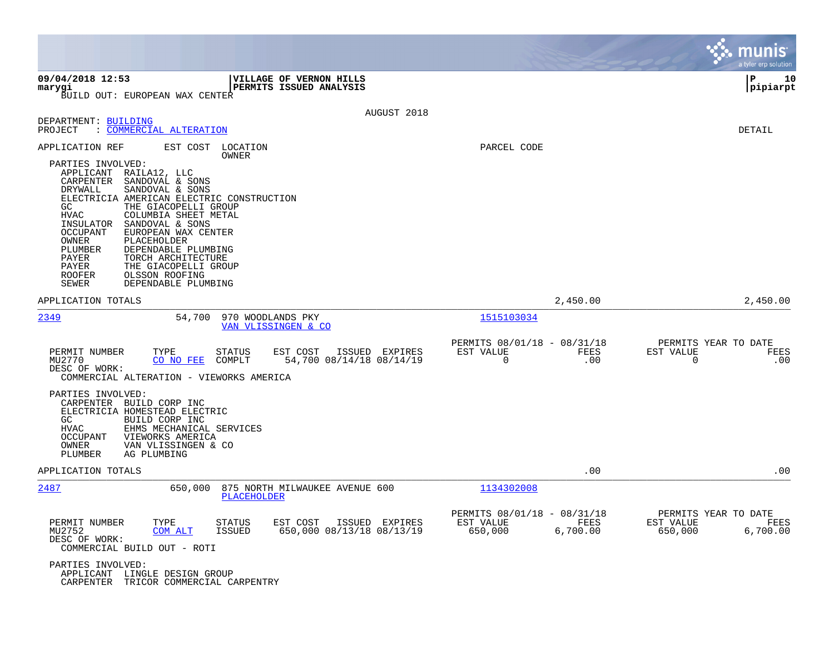|                                                                                                                                                                                                                                                                                                                                                                                                                                                                                          |                                                                         | munis<br>a tyler erp solution                                      |
|------------------------------------------------------------------------------------------------------------------------------------------------------------------------------------------------------------------------------------------------------------------------------------------------------------------------------------------------------------------------------------------------------------------------------------------------------------------------------------------|-------------------------------------------------------------------------|--------------------------------------------------------------------|
| 09/04/2018 12:53<br><b> VILLAGE OF VERNON HILLS</b><br>PERMITS ISSUED ANALYSIS<br>marygi<br>BUILD OUT: EUROPEAN WAX CENTER                                                                                                                                                                                                                                                                                                                                                               |                                                                         | l P<br>10<br> pipiarpt                                             |
| AUGUST 2018                                                                                                                                                                                                                                                                                                                                                                                                                                                                              |                                                                         |                                                                    |
| DEPARTMENT: BUILDING<br>: COMMERCIAL ALTERATION<br>PROJECT                                                                                                                                                                                                                                                                                                                                                                                                                               |                                                                         | DETAIL                                                             |
| APPLICATION REF<br>EST COST<br>LOCATION<br>OWNER                                                                                                                                                                                                                                                                                                                                                                                                                                         | PARCEL CODE                                                             |                                                                    |
| PARTIES INVOLVED:<br>APPLICANT RAILA12, LLC<br>CARPENTER<br>SANDOVAL & SONS<br>SANDOVAL & SONS<br>DRYWALL<br>ELECTRICIA AMERICAN ELECTRIC CONSTRUCTION<br>GC<br>THE GIACOPELLI GROUP<br><b>HVAC</b><br>COLUMBIA SHEET METAL<br>INSULATOR SANDOVAL & SONS<br>OCCUPANT<br>EUROPEAN WAX CENTER<br>OWNER<br>PLACEHOLDER<br>PLUMBER<br>DEPENDABLE PLUMBING<br>PAYER<br>TORCH ARCHITECTURE<br>PAYER<br>THE GIACOPELLI GROUP<br><b>ROOFER</b><br>OLSSON ROOFING<br>SEWER<br>DEPENDABLE PLUMBING |                                                                         |                                                                    |
| APPLICATION TOTALS                                                                                                                                                                                                                                                                                                                                                                                                                                                                       | 2,450.00                                                                | 2,450.00                                                           |
| 2349<br>54,700<br>970 WOODLANDS PKY<br>VAN VLISSINGEN & CO                                                                                                                                                                                                                                                                                                                                                                                                                               | 1515103034                                                              |                                                                    |
| PERMIT NUMBER<br>ISSUED EXPIRES<br>TYPE<br>STATUS<br>EST COST<br>54,700 08/14/18 08/14/19<br>MU2770<br>CO NO FEE<br>COMPLT<br>DESC OF WORK:<br>COMMERCIAL ALTERATION - VIEWORKS AMERICA                                                                                                                                                                                                                                                                                                  | PERMITS 08/01/18 - 08/31/18<br>EST VALUE<br>FEES<br>$\mathbf 0$<br>.00  | PERMITS YEAR TO DATE<br>EST VALUE<br>FEES<br>.00<br>$\overline{0}$ |
| PARTIES INVOLVED:<br>CARPENTER BUILD CORP INC<br>ELECTRICIA HOMESTEAD ELECTRIC<br>GC.<br>BUILD CORP INC<br>HVAC<br>EHMS MECHANICAL SERVICES<br>OCCUPANT<br>VIEWORKS AMERICA<br>OWNER<br>VAN VLISSINGEN & CO<br>PLUMBER<br>AG PLUMBING                                                                                                                                                                                                                                                    |                                                                         |                                                                    |
| APPLICATION TOTALS                                                                                                                                                                                                                                                                                                                                                                                                                                                                       | .00                                                                     | .00                                                                |
| 2487<br>875 NORTH MILWAUKEE AVENUE 600<br>650,000<br>PLACEHOLDER                                                                                                                                                                                                                                                                                                                                                                                                                         | 1134302008                                                              |                                                                    |
| EST COST<br>ISSUED EXPIRES<br>PERMIT NUMBER<br>TYPE<br>STATUS<br>650,000 08/13/18 08/13/19<br>MU2752<br>ISSUED<br>COM ALT<br>DESC OF WORK:<br>COMMERCIAL BUILD OUT - ROTI<br>PARTIES INVOLVED:<br>APPLICANT LINGLE DESIGN GROUP<br>CARPENTER TRICOR COMMERCIAL CARPENTRY                                                                                                                                                                                                                 | PERMITS 08/01/18 - 08/31/18<br>EST VALUE<br>FEES<br>6,700.00<br>650,000 | PERMITS YEAR TO DATE<br>EST VALUE<br>FEES<br>650,000<br>6,700.00   |

and the contract of the contract of the contract of the contract of the contract of the contract of the contract of

the property of the control of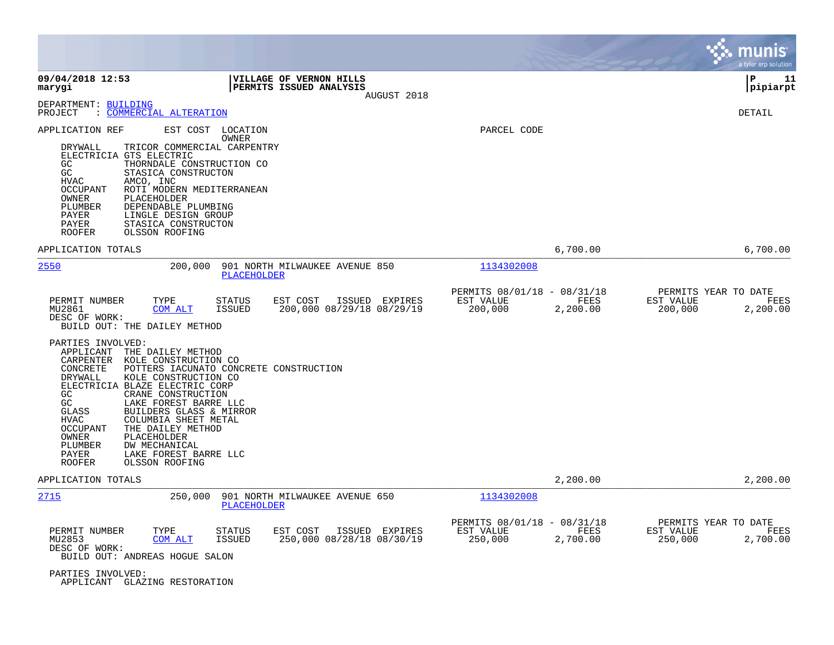|                                                                                                                                                                                                                                                                                                                                                                                                                                                                                                                            |                                                                   |                                                     |                  | munis<br>a tyler erp solution                                    |
|----------------------------------------------------------------------------------------------------------------------------------------------------------------------------------------------------------------------------------------------------------------------------------------------------------------------------------------------------------------------------------------------------------------------------------------------------------------------------------------------------------------------------|-------------------------------------------------------------------|-----------------------------------------------------|------------------|------------------------------------------------------------------|
| 09/04/2018 12:53<br>marygi                                                                                                                                                                                                                                                                                                                                                                                                                                                                                                 | VILLAGE OF VERNON HILLS<br>PERMITS ISSUED ANALYSIS<br>AUGUST 2018 |                                                     |                  | ΙP<br>11<br> pipiarpt                                            |
| DEPARTMENT: BUILDING<br>COMMERCIAL ALTERATION<br>PROJECT<br>$\mathbb{R}^n$                                                                                                                                                                                                                                                                                                                                                                                                                                                 |                                                                   |                                                     |                  | DETAIL                                                           |
| APPLICATION REF<br>EST COST LOCATION<br>OWNER<br>DRYWALL<br>TRICOR COMMERCIAL CARPENTRY<br>ELECTRICIA GTS ELECTRIC<br>GC<br>THORNDALE CONSTRUCTION CO<br>GC<br>STASICA CONSTRUCTON<br><b>HVAC</b><br>AMCO, INC<br>ROTI MODERN MEDITERRANEAN<br>OCCUPANT<br>OWNER<br>PLACEHOLDER<br>DEPENDABLE PLUMBING<br>PLUMBER<br>PAYER<br>LINGLE DESIGN GROUP<br>PAYER<br>STASICA CONSTRUCTON<br>OLSSON ROOFING<br><b>ROOFER</b>                                                                                                       |                                                                   | PARCEL CODE                                         |                  |                                                                  |
| APPLICATION TOTALS                                                                                                                                                                                                                                                                                                                                                                                                                                                                                                         |                                                                   |                                                     | 6,700.00         | 6,700.00                                                         |
| 2550<br>200,000                                                                                                                                                                                                                                                                                                                                                                                                                                                                                                            | 901 NORTH MILWAUKEE AVENUE 850<br>PLACEHOLDER                     | 1134302008                                          |                  |                                                                  |
| PERMIT NUMBER<br>TYPE<br>STATUS<br>MU2861<br>COM ALT<br><b>ISSUED</b><br>DESC OF WORK:<br>BUILD OUT: THE DAILEY METHOD                                                                                                                                                                                                                                                                                                                                                                                                     | EST COST<br>ISSUED EXPIRES<br>200,000 08/29/18 08/29/19           | PERMITS 08/01/18 - 08/31/18<br>EST VALUE<br>200,000 | FEES<br>2,200.00 | PERMITS YEAR TO DATE<br>EST VALUE<br>FEES<br>200,000<br>2,200.00 |
| PARTIES INVOLVED:<br>APPLICANT<br>THE DAILEY METHOD<br>CARPENTER<br>KOLE CONSTRUCTION CO<br>CONCRETE<br>POTTERS IACUNATO CONCRETE CONSTRUCTION<br>KOLE CONSTRUCTION CO<br>DRYWALL<br>ELECTRICIA BLAZE ELECTRIC CORP<br>GC<br>CRANE CONSTRUCTION<br>GC<br>LAKE FOREST BARRE LLC<br><b>GLASS</b><br>BUILDERS GLASS & MIRROR<br>COLUMBIA SHEET METAL<br>HVAC<br><b>OCCUPANT</b><br>THE DAILEY METHOD<br>OWNER<br>PLACEHOLDER<br>PLUMBER<br>DW MECHANICAL<br>PAYER<br>LAKE FOREST BARRE LLC<br><b>ROOFER</b><br>OLSSON ROOFING |                                                                   |                                                     |                  |                                                                  |
| APPLICATION TOTALS                                                                                                                                                                                                                                                                                                                                                                                                                                                                                                         |                                                                   |                                                     | 2,200.00         | 2,200.00                                                         |
| 2715<br>250,000                                                                                                                                                                                                                                                                                                                                                                                                                                                                                                            | 901 NORTH MILWAUKEE AVENUE 650<br>PLACEHOLDER                     | 1134302008                                          |                  |                                                                  |
| PERMIT NUMBER<br>TYPE<br><b>STATUS</b><br>MU2853<br>COM ALT<br><b>ISSUED</b><br>DESC OF WORK:<br>BUILD OUT: ANDREAS HOGUE SALON                                                                                                                                                                                                                                                                                                                                                                                            | EST COST<br>ISSUED EXPIRES<br>250,000 08/28/18 08/30/19           | PERMITS 08/01/18 - 08/31/18<br>EST VALUE<br>250,000 | FEES<br>2,700.00 | PERMITS YEAR TO DATE<br>EST VALUE<br>FEES<br>250,000<br>2,700.00 |
| PARTIES INVOLVED:<br>APPLICANT GLAZING RESTORATION                                                                                                                                                                                                                                                                                                                                                                                                                                                                         |                                                                   |                                                     |                  |                                                                  |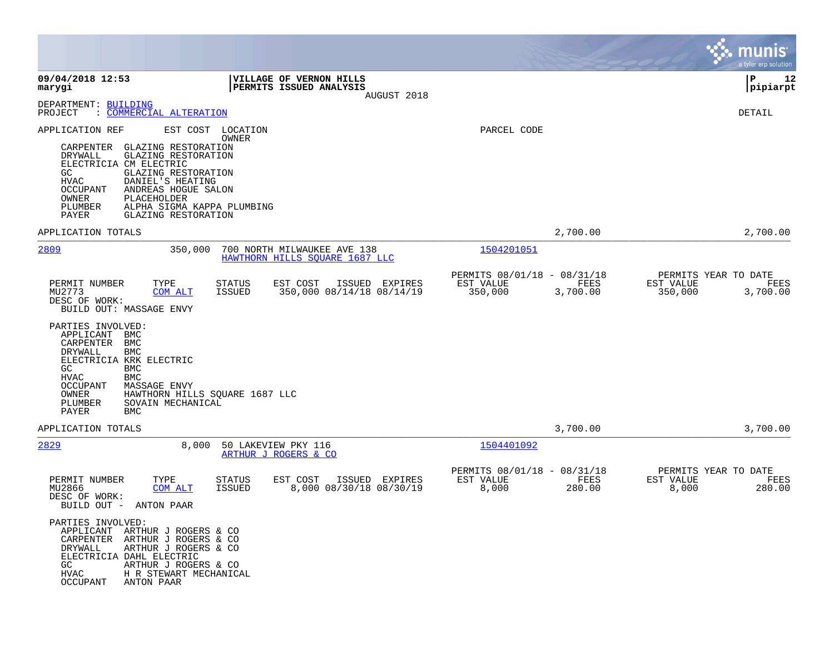|                                                                                                                                                                                                                                                                                                                                                                                                                                                                                   |                                                                         | munis<br>a tyler erp solution                                    |
|-----------------------------------------------------------------------------------------------------------------------------------------------------------------------------------------------------------------------------------------------------------------------------------------------------------------------------------------------------------------------------------------------------------------------------------------------------------------------------------|-------------------------------------------------------------------------|------------------------------------------------------------------|
| 09/04/2018 12:53<br>VILLAGE OF VERNON HILLS<br>marygi<br>PERMITS ISSUED ANALYSIS<br>AUGUST 2018                                                                                                                                                                                                                                                                                                                                                                                   |                                                                         | l P<br>12<br> pipiarpt                                           |
| DEPARTMENT: BUILDING<br>: COMMERCIAL ALTERATION<br>PROJECT                                                                                                                                                                                                                                                                                                                                                                                                                        |                                                                         | DETAIL                                                           |
| APPLICATION REF<br>EST COST LOCATION<br>OWNER<br>CARPENTER<br>GLAZING RESTORATION<br><b>GLAZING RESTORATION</b><br>DRYWALL<br>ELECTRICIA CM ELECTRIC<br>GC<br><b>GLAZING RESTORATION</b><br>DANIEL'S HEATING<br>HVAC<br>OCCUPANT<br>ANDREAS HOGUE SALON<br>PLACEHOLDER<br>OWNER<br>ALPHA SIGMA KAPPA PLUMBING<br>PLUMBER<br>PAYER<br>GLAZING RESTORATION                                                                                                                          | PARCEL CODE                                                             |                                                                  |
| APPLICATION TOTALS                                                                                                                                                                                                                                                                                                                                                                                                                                                                | 2,700.00                                                                | 2,700.00                                                         |
| 2809<br>350,000<br>700 NORTH MILWAUKEE AVE 138<br>HAWTHORN HILLS SQUARE 1687 LLC                                                                                                                                                                                                                                                                                                                                                                                                  | 1504201051                                                              |                                                                  |
| PERMIT NUMBER<br>TYPE<br><b>STATUS</b><br>EST COST<br>ISSUED EXPIRES<br>350,000 08/14/18 08/14/19<br>MU2773<br>COM ALT<br><b>ISSUED</b><br>DESC OF WORK:<br>BUILD OUT: MASSAGE ENVY<br>PARTIES INVOLVED:<br>APPLICANT<br><b>BMC</b><br>CARPENTER<br><b>BMC</b><br><b>BMC</b><br>DRYWALL<br>ELECTRICIA KRK ELECTRIC<br>GC<br><b>BMC</b><br><b>HVAC</b><br><b>BMC</b><br><b>OCCUPANT</b><br>MASSAGE ENVY<br>OWNER<br>HAWTHORN HILLS SQUARE 1687 LLC<br>SOVAIN MECHANICAL<br>PLUMBER | PERMITS 08/01/18 - 08/31/18<br>EST VALUE<br>FEES<br>350,000<br>3,700.00 | PERMITS YEAR TO DATE<br>EST VALUE<br>FEES<br>350,000<br>3,700.00 |
| PAYER<br><b>BMC</b><br>APPLICATION TOTALS                                                                                                                                                                                                                                                                                                                                                                                                                                         | 3,700.00                                                                | 3,700.00                                                         |
| 2829<br>8,000<br>50 LAKEVIEW PKY 116<br>ARTHUR J ROGERS & CO                                                                                                                                                                                                                                                                                                                                                                                                                      | 1504401092                                                              |                                                                  |
| PERMIT NUMBER<br>TYPE<br>EST COST<br>ISSUED EXPIRES<br>STATUS<br>MU2866<br>COM ALT<br><b>ISSUED</b><br>8,000 08/30/18 08/30/19<br>DESC OF WORK:<br>BUILD OUT -<br>ANTON PAAR                                                                                                                                                                                                                                                                                                      | PERMITS 08/01/18 - 08/31/18<br>EST VALUE<br>FEES<br>8,000<br>280.00     | PERMITS YEAR TO DATE<br>EST VALUE<br>FEES<br>8,000<br>280.00     |
| PARTIES INVOLVED:<br>APPLICANT ARTHUR J ROGERS & CO<br>CARPENTER<br>ARTHUR J ROGERS & CO<br>DRYWALL<br>ARTHUR J ROGERS & CO<br>ELECTRICIA DAHL ELECTRIC<br>GC.<br>ARTHUR J ROGERS & CO<br><b>HVAC</b><br>H R STEWART MECHANICAL<br>OCCUPANT<br>ANTON PAAR                                                                                                                                                                                                                         |                                                                         |                                                                  |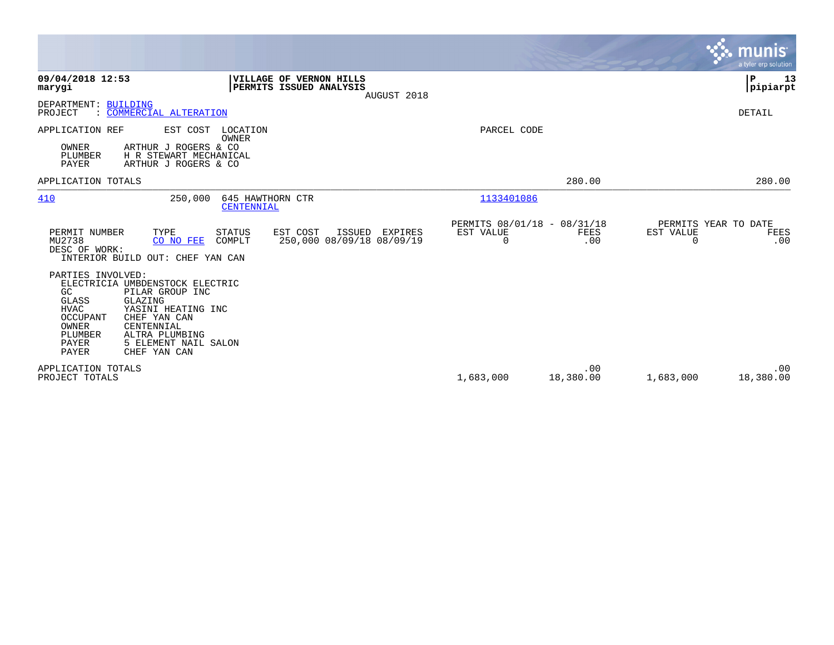|                                                                                                                                                                                                                                                                                                       |                                               |                  | munis<br>a tyler erp solution                         |
|-------------------------------------------------------------------------------------------------------------------------------------------------------------------------------------------------------------------------------------------------------------------------------------------------------|-----------------------------------------------|------------------|-------------------------------------------------------|
| 09/04/2018 12:53<br><b>VILLAGE OF VERNON HILLS</b><br>PERMITS ISSUED ANALYSIS<br>marygi<br>AUGUST 2018                                                                                                                                                                                                |                                               |                  | P<br>13<br> pipiarpt                                  |
| DEPARTMENT: BUILDING<br>: COMMERCIAL ALTERATION<br>PROJECT                                                                                                                                                                                                                                            |                                               |                  | DETAIL                                                |
| APPLICATION REF<br>EST COST<br>LOCATION<br>OWNER<br>OWNER<br>ARTHUR J ROGERS & CO<br>H R STEWART MECHANICAL<br>PLUMBER<br>PAYER<br>ARTHUR J ROGERS & CO                                                                                                                                               | PARCEL CODE                                   |                  |                                                       |
| APPLICATION TOTALS                                                                                                                                                                                                                                                                                    |                                               | 280.00           | 280.00                                                |
| 410<br>250,000<br>645 HAWTHORN CTR<br>CENTENNIAL                                                                                                                                                                                                                                                      | 1133401086                                    |                  |                                                       |
| PERMIT NUMBER<br>TYPE<br><b>STATUS</b><br>EST COST<br>ISSUED<br>EXPIRES<br>MU2738<br>250,000 08/09/18 08/09/19<br>CO NO FEE<br>COMPLT<br>DESC OF WORK:<br>INTERIOR BUILD OUT: CHEF YAN CAN                                                                                                            | PERMITS 08/01/18 - 08/31/18<br>EST VALUE<br>0 | FEES<br>.00      | PERMITS YEAR TO DATE<br>EST VALUE<br>FEES<br>0<br>.00 |
| PARTIES INVOLVED:<br>ELECTRICIA UMBDENSTOCK ELECTRIC<br>GC<br>PILAR GROUP INC<br>GLAZING<br><b>GLASS</b><br><b>HVAC</b><br>YASINI HEATING INC<br><b>OCCUPANT</b><br>CHEF YAN CAN<br>OWNER<br>CENTENNIAL<br>PLUMBER<br>ALTRA PLUMBING<br>5 ELEMENT NAIL SALON<br>PAYER<br><b>PAYER</b><br>CHEF YAN CAN |                                               |                  |                                                       |
| APPLICATION TOTALS<br>PROJECT TOTALS                                                                                                                                                                                                                                                                  | 1,683,000                                     | .00<br>18,380.00 | .00<br>18,380.00<br>1,683,000                         |

the property of the control of

and the contract of the contract of the contract of the contract of the contract of the contract of the contract of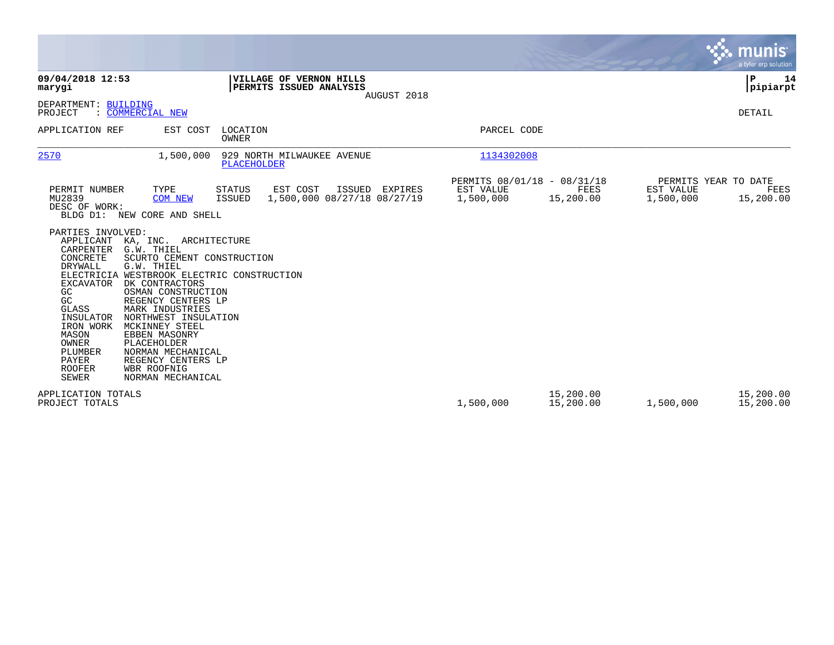|                                                                                                                                                                                                                                                                                                                                                                                                                                                                                                                                                                                          |                                                                               |                                                       | munis<br>a tyler erp solution                                                            |
|------------------------------------------------------------------------------------------------------------------------------------------------------------------------------------------------------------------------------------------------------------------------------------------------------------------------------------------------------------------------------------------------------------------------------------------------------------------------------------------------------------------------------------------------------------------------------------------|-------------------------------------------------------------------------------|-------------------------------------------------------|------------------------------------------------------------------------------------------|
| 09/04/2018 12:53<br>marygi                                                                                                                                                                                                                                                                                                                                                                                                                                                                                                                                                               | VILLAGE OF VERNON HILLS<br>PERMITS ISSUED ANALYSIS<br>AUGUST 2018             |                                                       | ΙP<br>14<br> pipiarpt                                                                    |
| DEPARTMENT: BUILDING<br>: COMMERCIAL NEW<br>PROJECT                                                                                                                                                                                                                                                                                                                                                                                                                                                                                                                                      |                                                                               |                                                       | DETAIL                                                                                   |
| EST COST<br>APPLICATION REF                                                                                                                                                                                                                                                                                                                                                                                                                                                                                                                                                              | LOCATION<br><b>OWNER</b>                                                      | PARCEL CODE                                           |                                                                                          |
| 2570<br>1,500,000                                                                                                                                                                                                                                                                                                                                                                                                                                                                                                                                                                        | 929 NORTH MILWAUKEE AVENUE<br>PLACEHOLDER                                     | 1134302008                                            |                                                                                          |
| TYPE<br>PERMIT NUMBER<br>MU2839<br><b>COM NEW</b><br>DESC OF WORK:<br>BLDG D1: NEW CORE AND SHELL                                                                                                                                                                                                                                                                                                                                                                                                                                                                                        | ISSUED EXPIRES<br>STATUS<br>EST COST<br>1,500,000 08/27/18 08/27/19<br>ISSUED | PERMITS 08/01/18 - 08/31/18<br>EST VALUE<br>1,500,000 | PERMITS YEAR TO DATE<br>FEES<br>EST VALUE<br>FEES<br>15,200.00<br>1,500,000<br>15,200.00 |
| PARTIES INVOLVED:<br>APPLICANT KA, INC. ARCHITECTURE<br>CARPENTER G.W. THIEL<br>CONCRETE<br>SCURTO CEMENT CONSTRUCTION<br>DRYWALL<br>G.W. THIEL<br>ELECTRICIA WESTBROOK ELECTRIC CONSTRUCTION<br><b>EXCAVATOR</b><br>DK CONTRACTORS<br>OSMAN CONSTRUCTION<br>GC<br>GC<br>REGENCY CENTERS LP<br>MARK INDUSTRIES<br><b>GLASS</b><br>INSULATOR<br>NORTHWEST INSULATION<br>IRON WORK<br>MCKINNEY STEEL<br>MASON<br>EBBEN MASONRY<br>OWNER<br>PLACEHOLDER<br>PLUMBER<br>NORMAN MECHANICAL<br><b>PAYER</b><br>REGENCY CENTERS LP<br><b>ROOFER</b><br>WBR ROOFNIG<br>SEWER<br>NORMAN MECHANICAL |                                                                               |                                                       |                                                                                          |
| APPLICATION TOTALS<br>PROJECT TOTALS                                                                                                                                                                                                                                                                                                                                                                                                                                                                                                                                                     |                                                                               | 15,200.00<br>1,500,000                                | 15,200.00<br>15,200.00<br>1,500,000<br>15,200.00                                         |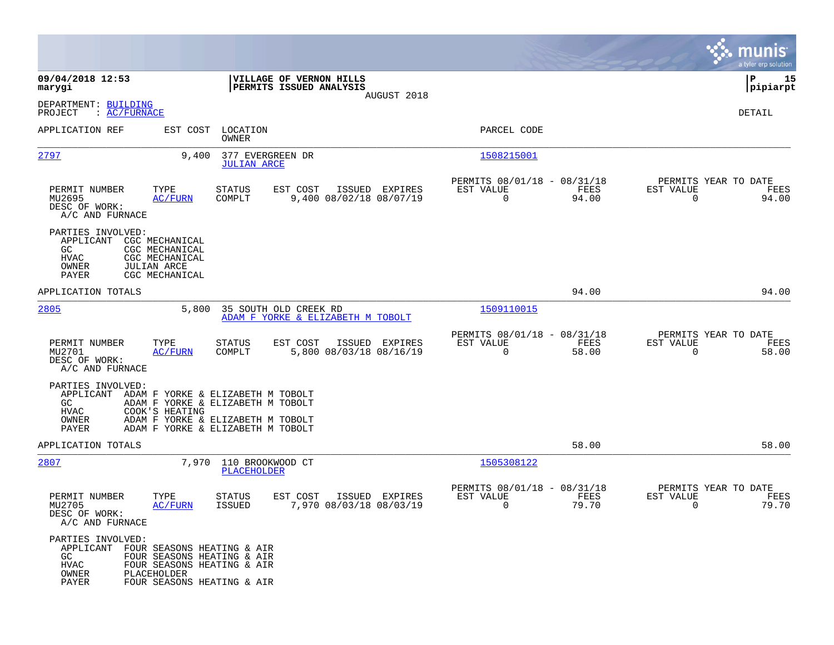|                                                                                           |                                                                                                       |                                                                                                                                                  |                                                    |                |                                                         |               |                                                  | munis<br>a tyler erp solution |
|-------------------------------------------------------------------------------------------|-------------------------------------------------------------------------------------------------------|--------------------------------------------------------------------------------------------------------------------------------------------------|----------------------------------------------------|----------------|---------------------------------------------------------|---------------|--------------------------------------------------|-------------------------------|
| 09/04/2018 12:53<br>marygi                                                                |                                                                                                       |                                                                                                                                                  | VILLAGE OF VERNON HILLS<br>PERMITS ISSUED ANALYSIS |                |                                                         |               |                                                  | 15<br>IΡ<br> pipiarpt         |
| DEPARTMENT: BUILDING<br>: AC/FURNACE<br>PROJECT                                           |                                                                                                       |                                                                                                                                                  |                                                    | AUGUST 2018    |                                                         |               |                                                  | DETAIL                        |
| APPLICATION REF                                                                           | EST COST                                                                                              | LOCATION<br><b>OWNER</b>                                                                                                                         |                                                    |                | PARCEL CODE                                             |               |                                                  |                               |
| <u> 2797</u>                                                                              | 9.400                                                                                                 | 377 EVERGREEN DR<br><b>JULIAN ARCE</b>                                                                                                           |                                                    |                | 1508215001                                              |               |                                                  |                               |
| PERMIT NUMBER<br>MU2695<br>DESC OF WORK:<br>A/C AND FURNACE                               | TYPE<br><b>AC/FURN</b>                                                                                | <b>STATUS</b><br>COMPLT                                                                                                                          | EST COST<br>9,400 08/02/18 08/07/19                | ISSUED EXPIRES | PERMITS 08/01/18 - 08/31/18<br>EST VALUE<br>$\mathbf 0$ | FEES<br>94.00 | PERMITS YEAR TO DATE<br>EST VALUE<br>$\mathbf 0$ | FEES<br>94.00                 |
| PARTIES INVOLVED:<br>APPLICANT<br>GC.<br>HVAC<br>OWNER<br>PAYER                           | CGC MECHANICAL<br>CGC MECHANICAL<br>CGC MECHANICAL<br><b>JULIAN ARCE</b><br>CGC MECHANICAL            |                                                                                                                                                  |                                                    |                |                                                         |               |                                                  |                               |
| APPLICATION TOTALS                                                                        |                                                                                                       |                                                                                                                                                  |                                                    |                |                                                         | 94.00         |                                                  | 94.00                         |
| 2805                                                                                      | 5,800                                                                                                 | 35 SOUTH OLD CREEK RD                                                                                                                            | ADAM F YORKE & ELIZABETH M TOBOLT                  |                | 1509110015                                              |               |                                                  |                               |
| PERMIT NUMBER<br>MU2701<br>DESC OF WORK:<br>A/C AND FURNACE                               | TYPE<br><b>AC/FURN</b>                                                                                | <b>STATUS</b><br>COMPLT                                                                                                                          | EST COST<br>5,800 08/03/18 08/16/19                | ISSUED EXPIRES | PERMITS 08/01/18 - 08/31/18<br>EST VALUE<br>0           | FEES<br>58.00 | PERMITS YEAR TO DATE<br>EST VALUE<br>$\Omega$    | FEES<br>58.00                 |
| PARTIES INVOLVED:<br>APPLICANT<br>GC<br>HVAC<br>OWNER<br>PAYER                            | COOK'S HEATING                                                                                        | ADAM F YORKE & ELIZABETH M TOBOLT<br>ADAM F YORKE & ELIZABETH M TOBOLT<br>ADAM F YORKE & ELIZABETH M TOBOLT<br>ADAM F YORKE & ELIZABETH M TOBOLT |                                                    |                |                                                         |               |                                                  |                               |
| APPLICATION TOTALS                                                                        |                                                                                                       |                                                                                                                                                  |                                                    |                |                                                         | 58.00         |                                                  | 58.00                         |
| 2807                                                                                      |                                                                                                       | 7,970 110 BROOKWOOD CT<br>PLACEHOLDER                                                                                                            |                                                    |                | 1505308122                                              |               |                                                  |                               |
| PERMIT NUMBER<br>MU2705<br>DESC OF WORK:<br>A/C AND FURNACE                               | TYPE<br><b>AC/FURN</b>                                                                                | STATUS<br><b>ISSUED</b>                                                                                                                          | EST COST<br>7,970 08/03/18 08/03/19                | ISSUED EXPIRES | PERMITS 08/01/18 - 08/31/18<br>EST VALUE<br>0           | FEES<br>79.70 | PERMITS YEAR TO DATE<br>EST VALUE<br>0           | FEES<br>79.70                 |
| PARTIES INVOLVED:<br>APPLICANT FOUR SEASONS HEATING & AIR<br>GC<br>HVAC<br>OWNER<br>PAYER | FOUR SEASONS HEATING & AIR<br>FOUR SEASONS HEATING & AIR<br>PLACEHOLDER<br>FOUR SEASONS HEATING & AIR |                                                                                                                                                  |                                                    |                |                                                         |               |                                                  |                               |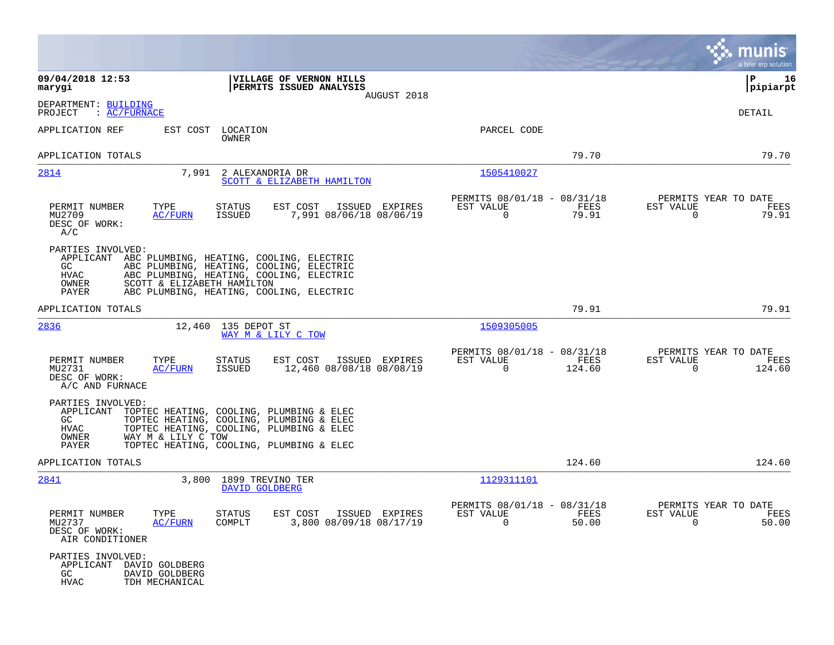|                                                                                                           |                                                                                                                                                                                                                      |                                                                         | munis<br>a tyler erp solution                                      |
|-----------------------------------------------------------------------------------------------------------|----------------------------------------------------------------------------------------------------------------------------------------------------------------------------------------------------------------------|-------------------------------------------------------------------------|--------------------------------------------------------------------|
| 09/04/2018 12:53<br>marygi                                                                                | VILLAGE OF VERNON HILLS<br>PERMITS ISSUED ANALYSIS<br>AUGUST 2018                                                                                                                                                    |                                                                         | 16<br>IΡ<br> pipiarpt                                              |
| DEPARTMENT: BUILDING<br>PROJECT<br>: <u>AC/FURNACE</u>                                                    |                                                                                                                                                                                                                      |                                                                         | DETAIL                                                             |
| APPLICATION REF                                                                                           | EST COST LOCATION<br>OWNER                                                                                                                                                                                           | PARCEL CODE                                                             |                                                                    |
| APPLICATION TOTALS                                                                                        |                                                                                                                                                                                                                      | 79.70                                                                   | 79.70                                                              |
| 2814                                                                                                      | 7,991 2 ALEXANDRIA DR<br>SCOTT & ELIZABETH HAMILTON                                                                                                                                                                  | 1505410027                                                              |                                                                    |
| TYPE<br>PERMIT NUMBER<br>MU2709<br><u>AC/FURN</u><br>DESC OF WORK:<br>A/C                                 | EST COST<br>STATUS<br>ISSUED EXPIRES<br>ISSUED<br>7,991 08/06/18 08/06/19                                                                                                                                            | PERMITS 08/01/18 - 08/31/18<br>EST VALUE<br>FEES<br>0<br>79.91          | PERMITS YEAR TO DATE<br>EST VALUE<br>FEES<br>79.91<br>0            |
| PARTIES INVOLVED:<br>GC.<br>HVAC<br>OWNER<br>PAYER                                                        | APPLICANT ABC PLUMBING, HEATING, COOLING, ELECTRIC<br>ABC PLUMBING, HEATING, COOLING, ELECTRIC<br>ABC PLUMBING, HEATING, COOLING, ELECTRIC<br>SCOTT & ELIZABETH HAMILTON<br>ABC PLUMBING, HEATING, COOLING, ELECTRIC |                                                                         |                                                                    |
| APPLICATION TOTALS                                                                                        |                                                                                                                                                                                                                      | 79.91                                                                   | 79.91                                                              |
| 2836                                                                                                      | 12,460 135 DEPOT ST<br>WAY M & LILY C TOW                                                                                                                                                                            | 1509305005                                                              |                                                                    |
| PERMIT NUMBER<br>TYPE<br>MU2731<br>AC/FURN<br>DESC OF WORK:<br>A/C AND FURNACE                            | EST COST<br>ISSUED EXPIRES<br>STATUS<br>ISSUED<br>12,460 08/08/18 08/08/19                                                                                                                                           | PERMITS 08/01/18 - 08/31/18<br>EST VALUE<br>FEES<br>0<br>124.60         | PERMITS YEAR TO DATE<br>EST VALUE<br>FEES<br>$\mathbf 0$<br>124.60 |
| PARTIES INVOLVED:<br>APPLICANT<br>GC<br>HVAC<br>WAY M & LILY C TOW<br>OWNER<br>PAYER                      | TOPTEC HEATING, COOLING, PLUMBING & ELEC<br>TOPTEC HEATING, COOLING, PLUMBING & ELEC<br>TOPTEC HEATING, COOLING, PLUMBING & ELEC<br>TOPTEC HEATING, COOLING, PLUMBING & ELEC                                         |                                                                         |                                                                    |
| APPLICATION TOTALS                                                                                        |                                                                                                                                                                                                                      | 124.60                                                                  | 124.60                                                             |
| 2841                                                                                                      | 3,800<br>1899 TREVINO TER<br>DAVID GOLDBERG                                                                                                                                                                          | 1129311101                                                              |                                                                    |
| PERMIT NUMBER<br>TYPE<br>MU2737<br>AC/FURN<br>DESC OF WORK:<br>AIR CONDITIONER                            | STATUS<br>EST COST ISSUED EXPIRES<br>3,800 08/09/18 08/17/19<br>COMPLT                                                                                                                                               | PERMITS 08/01/18 - 08/31/18<br>FEES<br>ES.I. AUTOE<br>$\Omega$<br>50.00 | PERMITS YEAR TO DATE<br>EST VALUE<br>FEES<br>$\Omega$<br>50.00     |
| PARTIES INVOLVED:<br>APPLICANT<br>DAVID GOLDBERG<br>GC<br>DAVID GOLDBERG<br><b>HVAC</b><br>TDH MECHANICAL |                                                                                                                                                                                                                      |                                                                         |                                                                    |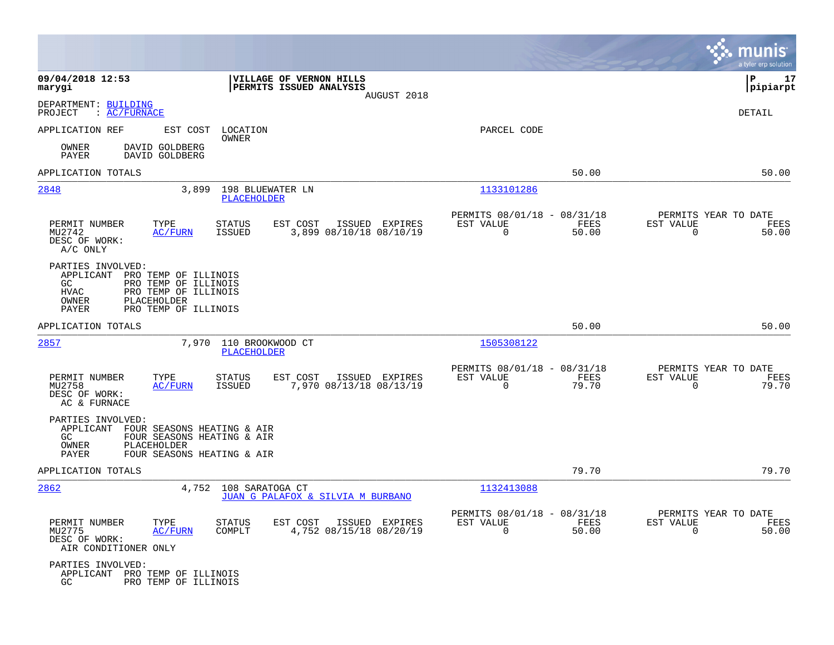|                                                                                                                                                                            |                                                                                  |                                                                             | munis<br>a tyler erp solution                                     |
|----------------------------------------------------------------------------------------------------------------------------------------------------------------------------|----------------------------------------------------------------------------------|-----------------------------------------------------------------------------|-------------------------------------------------------------------|
| 09/04/2018 12:53<br>marygi                                                                                                                                                 | VILLAGE OF VERNON HILLS<br>PERMITS ISSUED ANALYSIS<br>AUGUST 2018                |                                                                             | P<br>17<br> pipiarpt                                              |
| DEPARTMENT: BUILDING<br>PROJECT<br>: <u>AC/FURNACE</u>                                                                                                                     |                                                                                  |                                                                             | DETAIL                                                            |
| APPLICATION REF<br>EST COST                                                                                                                                                | LOCATION<br>OWNER                                                                | PARCEL CODE                                                                 |                                                                   |
| DAVID GOLDBERG<br>OWNER<br>PAYER<br>DAVID GOLDBERG                                                                                                                         |                                                                                  |                                                                             |                                                                   |
| APPLICATION TOTALS                                                                                                                                                         |                                                                                  | 50.00                                                                       | 50.00                                                             |
| 2848<br>3,899                                                                                                                                                              | 198 BLUEWATER LN<br>PLACEHOLDER                                                  | 1133101286                                                                  |                                                                   |
| PERMIT NUMBER<br>TYPE<br>MU2742<br>AC/FURN<br>DESC OF WORK:<br>A/C ONLY                                                                                                    | EST COST<br>ISSUED EXPIRES<br>STATUS<br>ISSUED<br>3,899 08/10/18 08/10/19        | PERMITS 08/01/18 - 08/31/18<br>EST VALUE<br>FEES<br>$\Omega$<br>50.00       | PERMITS YEAR TO DATE<br>EST VALUE<br>FEES<br>$\mathbf 0$<br>50.00 |
| PARTIES INVOLVED:<br>APPLICANT PRO TEMP OF ILLINOIS<br>GC<br>PRO TEMP OF ILLINOIS<br>PRO TEMP OF ILLINOIS<br>HVAC<br>PLACEHOLDER<br>OWNER<br>PRO TEMP OF ILLINOIS<br>PAYER |                                                                                  |                                                                             |                                                                   |
| APPLICATION TOTALS                                                                                                                                                         |                                                                                  | 50.00                                                                       | 50.00                                                             |
| 2857                                                                                                                                                                       | 7,970 110 BROOKWOOD CT<br>PLACEHOLDER                                            | 1505308122                                                                  |                                                                   |
| PERMIT NUMBER<br>TYPE<br>MU2758<br><b>AC/FURN</b><br>DESC OF WORK:<br>AC & FURNACE                                                                                         | EST COST<br>ISSUED EXPIRES<br>STATUS<br>7,970 08/13/18 08/13/19<br>ISSUED        | PERMITS 08/01/18 - 08/31/18<br>EST VALUE<br>FEES<br>$\mathbf 0$<br>79.70    | PERMITS YEAR TO DATE<br>EST VALUE<br>FEES<br>$\Omega$<br>79.70    |
| PARTIES INVOLVED:<br>APPLICANT FOUR SEASONS HEATING & AIR<br>FOUR SEASONS HEATING & AIR<br>GC.<br>OWNER<br>PLACEHOLDER<br>PAYER<br>FOUR SEASONS HEATING & AIR              |                                                                                  |                                                                             |                                                                   |
| APPLICATION TOTALS                                                                                                                                                         |                                                                                  | 79.70                                                                       | 79.70                                                             |
| 2862                                                                                                                                                                       | 4,752 108 SARATOGA CT<br>JUAN G PALAFOX & SILVIA M BURBANO                       | 1132413088                                                                  |                                                                   |
| PERMIT NUMBER<br>TYPE<br>MU2775<br>AC/FURN<br>DESC OF WORK:<br>AIR CONDITIONER ONLY                                                                                        | <b>STATUS</b><br>EST COST<br>ISSUED EXPIRES<br>COMPLT<br>4,752 08/15/18 08/20/19 | PERMITS 08/01/18 - 08/31/18<br>EST VALUE<br>FEES<br>50.00<br>$\overline{0}$ | PERMITS YEAR TO DATE<br>EST VALUE<br>FEES<br>$\Omega$<br>50.00    |
| PARTIES INVOLVED:<br>APPLICANT PRO TEMP OF ILLINOIS<br>GC.<br>PRO TEMP OF ILLINOIS                                                                                         |                                                                                  |                                                                             |                                                                   |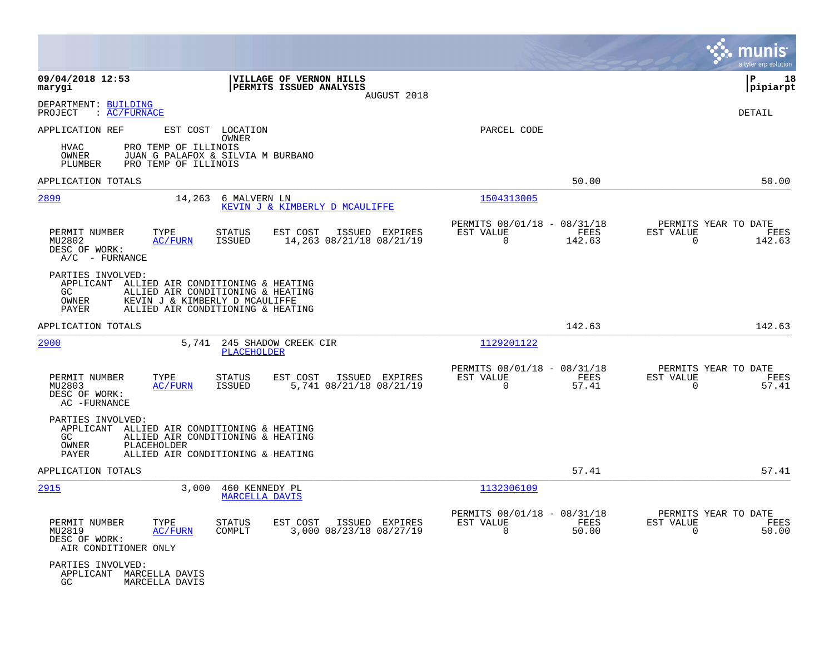|                                                                  |                                                                                                                                                         |                                  |                                                    |                |                                                         |                |                                                     | munis<br>a tyler erp solution |
|------------------------------------------------------------------|---------------------------------------------------------------------------------------------------------------------------------------------------------|----------------------------------|----------------------------------------------------|----------------|---------------------------------------------------------|----------------|-----------------------------------------------------|-------------------------------|
| 09/04/2018 12:53<br>marygi                                       |                                                                                                                                                         |                                  | VILLAGE OF VERNON HILLS<br>PERMITS ISSUED ANALYSIS | AUGUST 2018    |                                                         |                |                                                     | l P<br>18<br>pipiarpt         |
| DEPARTMENT: BUILDING<br>PROJECT                                  | : <u>AC/FURNACE</u>                                                                                                                                     |                                  |                                                    |                |                                                         |                |                                                     | DETAIL                        |
| APPLICATION REF<br>HVAC<br>OWNER<br>PLUMBER                      | PRO TEMP OF ILLINOIS<br>JUAN G PALAFOX & SILVIA M BURBANO<br>PRO TEMP OF ILLINOIS                                                                       | EST COST LOCATION<br>OWNER       |                                                    |                | PARCEL CODE                                             |                |                                                     |                               |
| APPLICATION TOTALS                                               |                                                                                                                                                         |                                  |                                                    |                |                                                         | 50.00          |                                                     | 50.00                         |
| 2899                                                             |                                                                                                                                                         | 14,263 6 MALVERN LN              | KEVIN J & KIMBERLY D MCAULIFFE                     |                | 1504313005                                              |                |                                                     |                               |
| PERMIT NUMBER<br>MU2802<br>DESC OF WORK:<br>$A/C$ - FURNANCE     | TYPE<br>AC/FURN                                                                                                                                         | <b>STATUS</b><br>ISSUED          | EST COST<br>14,263 08/21/18 08/21/19               | ISSUED EXPIRES | PERMITS 08/01/18 - 08/31/18<br>EST VALUE<br>$\mathbf 0$ | FEES<br>142.63 | PERMITS YEAR TO DATE<br>EST VALUE<br>$\mathbf 0$    | FEES<br>142.63                |
| PARTIES INVOLVED:<br>GC.<br>OWNER<br><b>PAYER</b>                | APPLICANT ALLIED AIR CONDITIONING & HEATING<br>ALLIED AIR CONDITIONING & HEATING<br>KEVIN J & KIMBERLY D MCAULIFFE<br>ALLIED AIR CONDITIONING & HEATING |                                  |                                                    |                |                                                         |                |                                                     |                               |
| APPLICATION TOTALS                                               |                                                                                                                                                         |                                  |                                                    |                |                                                         | 142.63         |                                                     | 142.63                        |
| 2900                                                             |                                                                                                                                                         | PLACEHOLDER                      | 5,741 245 SHADOW CREEK CIR                         |                | 1129201122                                              |                |                                                     |                               |
| PERMIT NUMBER<br>MU2803<br>DESC OF WORK:<br>AC -FURNANCE         | TYPE<br>AC/FURN                                                                                                                                         | STATUS<br>ISSUED                 | EST COST<br>5,741 08/21/18 08/21/19                | ISSUED EXPIRES | PERMITS 08/01/18 - 08/31/18<br>EST VALUE<br>$\Omega$    | FEES<br>57.41  | PERMITS YEAR TO DATE<br>EST VALUE<br>$\Omega$       | FEES<br>57.41                 |
| PARTIES INVOLVED:<br>GC.<br>OWNER<br>PAYER                       | APPLICANT ALLIED AIR CONDITIONING & HEATING<br>ALLIED AIR CONDITIONING & HEATING<br>PLACEHOLDER<br>ALLIED AIR CONDITIONING & HEATING                    |                                  |                                                    |                |                                                         |                |                                                     |                               |
| APPLICATION TOTALS                                               |                                                                                                                                                         |                                  |                                                    |                |                                                         | 57.41          |                                                     | 57.41                         |
| 2915                                                             | 3,000                                                                                                                                                   | 460 KENNEDY PL<br>MARCELLA DAVIS |                                                    |                | 1132306109                                              |                |                                                     |                               |
| PERMIT NUMBER<br>MU2819<br>DESC OF WORK:<br>AIR CONDITIONER ONLY | TYPE<br>AC/FURN                                                                                                                                         | <b>STATUS</b><br>COMPLT          | EST COST<br>3,000 08/23/18 08/27/19                | ISSUED EXPIRES | PERMITS 08/01/18 - 08/31/18<br>EST VALUE<br>$\Omega$    | FEES<br>50.00  | PERMITS YEAR TO DATE<br>EST VALUE<br>$\overline{0}$ | FEES<br>50.00                 |
| PARTIES INVOLVED:<br>GC.                                         | APPLICANT MARCELLA DAVIS<br>MARCELLA DAVIS                                                                                                              |                                  |                                                    |                |                                                         |                |                                                     |                               |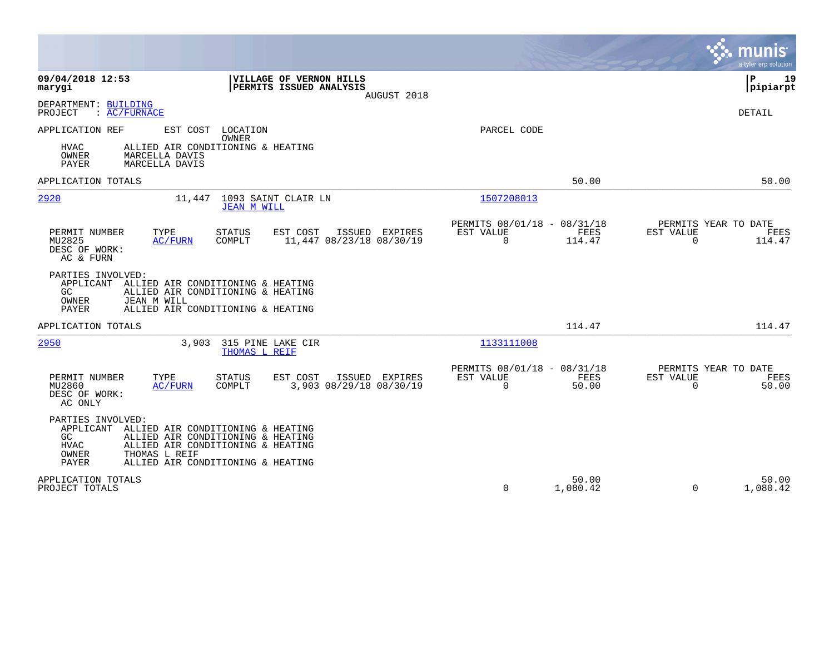|                                                                                                                                                                                              |                                                                        | munis<br>a tyler erp solution                                   |
|----------------------------------------------------------------------------------------------------------------------------------------------------------------------------------------------|------------------------------------------------------------------------|-----------------------------------------------------------------|
| VILLAGE OF VERNON HILLS<br>09/04/2018 12:53<br>PERMITS ISSUED ANALYSIS<br>marygi<br>AUGUST 2018                                                                                              |                                                                        | 19<br>ΙP<br> pipiarpt                                           |
| DEPARTMENT: BUILDING<br>: AC/FURNACE<br>PROJECT                                                                                                                                              |                                                                        | DETAIL                                                          |
| APPLICATION REF<br>EST COST LOCATION<br><b>OWNER</b><br>ALLIED AIR CONDITIONING & HEATING<br>HVAC<br>OWNER<br>MARCELLA DAVIS<br><b>PAYER</b><br>MARCELLA DAVIS                               | PARCEL CODE                                                            |                                                                 |
| APPLICATION TOTALS                                                                                                                                                                           | 50.00                                                                  | 50.00                                                           |
| 2920<br>11,447 1093 SAINT CLAIR LN<br><b>JEAN M WILL</b>                                                                                                                                     | 1507208013                                                             |                                                                 |
| PERMIT NUMBER<br>TYPE<br>EST COST<br><b>STATUS</b><br>ISSUED EXPIRES<br>MU2825<br>11,447 08/23/18 08/30/19<br>AC/FURN<br>COMPLT<br>DESC OF WORK:<br>AC & FURN                                | PERMITS 08/01/18 - 08/31/18<br>EST VALUE<br>FEES<br>114.47<br>$\Omega$ | PERMITS YEAR TO DATE<br>EST VALUE<br>FEES<br>$\Omega$<br>114.47 |
| PARTIES INVOLVED:<br>APPLICANT ALLIED AIR CONDITIONING & HEATING<br>GC<br>ALLIED AIR CONDITIONING & HEATING<br>OWNER<br>JEAN M WILL<br><b>PAYER</b><br>ALLIED AIR CONDITIONING & HEATING     |                                                                        |                                                                 |
| APPLICATION TOTALS                                                                                                                                                                           | 114.47                                                                 | 114.47                                                          |
| 2950<br>3,903 315 PINE LAKE CIR<br>THOMAS L REIF                                                                                                                                             | 1133111008                                                             |                                                                 |
| PERMIT NUMBER<br>TYPE<br><b>STATUS</b><br>EST COST<br>ISSUED EXPIRES<br>3,903 08/29/18 08/30/19<br>MU2860<br>AC/FURN<br>COMPLT<br>DESC OF WORK:<br>AC ONLY                                   | PERMITS 08/01/18 - 08/31/18<br>EST VALUE<br>FEES<br>$\Omega$<br>50.00  | PERMITS YEAR TO DATE<br>EST VALUE<br>FEES<br>$\Omega$<br>50.00  |
| PARTIES INVOLVED:<br>APPLICANT<br>ALLIED AIR CONDITIONING & HEATING<br>GC<br>ALLIED AIR CONDITIONING & HEATING<br><b>HVAC</b><br>ALLIED AIR CONDITIONING & HEATING<br>OWNER<br>THOMAS L REIF |                                                                        |                                                                 |
| ALLIED AIR CONDITIONING & HEATING<br>PAYER                                                                                                                                                   |                                                                        |                                                                 |
| APPLICATION TOTALS<br>PROJECT TOTALS                                                                                                                                                         | 50.00<br>0<br>1,080.42                                                 | 50.00<br>$\Omega$<br>1,080.42                                   |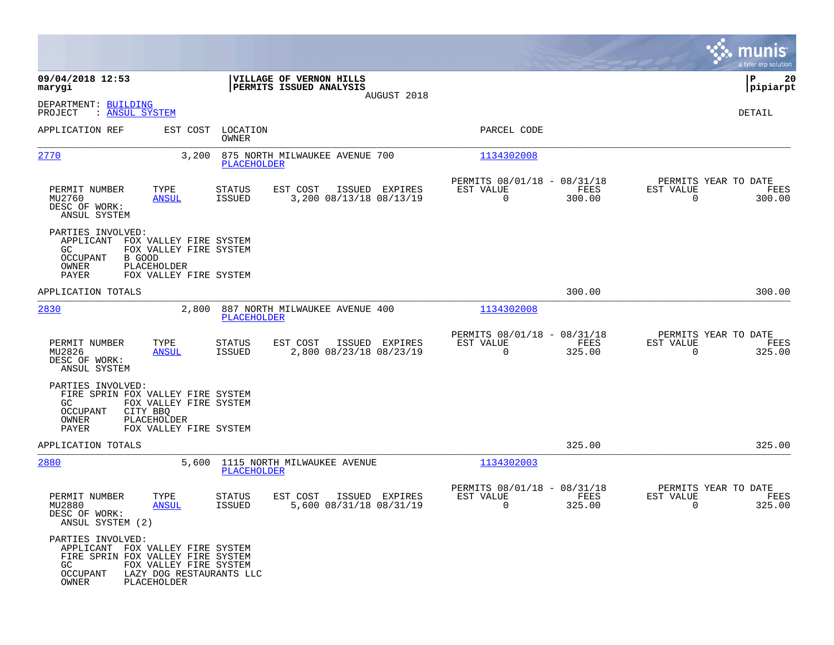|                                                                                                                       |                                                                           |                                |                                                                   |                                                         |                |                                               | munis<br>a tyler erp solution |
|-----------------------------------------------------------------------------------------------------------------------|---------------------------------------------------------------------------|--------------------------------|-------------------------------------------------------------------|---------------------------------------------------------|----------------|-----------------------------------------------|-------------------------------|
| 09/04/2018 12:53<br>marygi                                                                                            |                                                                           |                                | VILLAGE OF VERNON HILLS<br>PERMITS ISSUED ANALYSIS<br>AUGUST 2018 |                                                         |                |                                               | 20<br>P<br> pipiarpt          |
| DEPARTMENT: BUILDING<br>PROJECT<br>: ANSUL SYSTEM                                                                     |                                                                           |                                |                                                                   |                                                         |                |                                               | DETAIL                        |
| APPLICATION REF                                                                                                       | EST COST                                                                  | LOCATION<br>OWNER              |                                                                   | PARCEL CODE                                             |                |                                               |                               |
| 2770                                                                                                                  | 3,200                                                                     | PLACEHOLDER                    | 875 NORTH MILWAUKEE AVENUE 700                                    | 1134302008                                              |                |                                               |                               |
| PERMIT NUMBER<br>MU2760<br>DESC OF WORK:<br>ANSUL SYSTEM                                                              | TYPE<br><b>ANSUL</b>                                                      | STATUS<br>ISSUED               | EST COST<br>ISSUED EXPIRES<br>3,200 08/13/18 08/13/19             | PERMITS 08/01/18 - 08/31/18<br>EST VALUE<br>$\mathbf 0$ | FEES<br>300.00 | PERMITS YEAR TO DATE<br>EST VALUE<br>$\Omega$ | FEES<br>300.00                |
| PARTIES INVOLVED:<br>APPLICANT FOX VALLEY FIRE SYSTEM<br>GC.<br>OCCUPANT<br>OWNER<br>PAYER                            | FOX VALLEY FIRE SYSTEM<br>B GOOD<br>PLACEHOLDER<br>FOX VALLEY FIRE SYSTEM |                                |                                                                   |                                                         |                |                                               |                               |
| APPLICATION TOTALS                                                                                                    |                                                                           |                                |                                                                   |                                                         | 300.00         |                                               | 300.00                        |
| 2830                                                                                                                  | 2,800                                                                     | PLACEHOLDER                    | 887 NORTH MILWAUKEE AVENUE 400                                    | 1134302008                                              |                |                                               |                               |
| PERMIT NUMBER<br>MU2826<br>DESC OF WORK:<br>ANSUL SYSTEM                                                              | TYPE<br><b>ANSUL</b>                                                      | <b>STATUS</b><br><b>ISSUED</b> | EST COST<br>ISSUED EXPIRES<br>2,800 08/23/18 08/23/19             | PERMITS 08/01/18 - 08/31/18<br>EST VALUE<br>$\Omega$    | FEES<br>325.00 | PERMITS YEAR TO DATE<br>EST VALUE<br>$\Omega$ | FEES<br>325.00                |
| PARTIES INVOLVED:<br>FIRE SPRIN FOX VALLEY FIRE SYSTEM<br>GC.<br>OCCUPANT<br>OWNER                                    | FOX VALLEY FIRE SYSTEM<br>CITY BBO<br>PLACEHOLDER                         |                                |                                                                   |                                                         |                |                                               |                               |
| PAYER                                                                                                                 | FOX VALLEY FIRE SYSTEM                                                    |                                |                                                                   |                                                         |                |                                               |                               |
| APPLICATION TOTALS<br>2880                                                                                            | 5,600                                                                     | PLACEHOLDER                    | 1115 NORTH MILWAUKEE AVENUE                                       | 1134302003                                              | 325.00         |                                               | 325.00                        |
| PERMIT NUMBER<br>MU2880<br>DESC OF WORK:<br>ANSUL SYSTEM (2)                                                          | TYPE<br><b>ANSUL</b>                                                      | STATUS<br>ISSUED               | ISSUED EXPIRES<br>EST COST<br>5,600 08/31/18 08/31/19             | PERMITS 08/01/18 - 08/31/18<br>EST VALUE<br>0           | FEES<br>325.00 | PERMITS YEAR TO DATE<br>EST VALUE<br>0        | FEES<br>325.00                |
| PARTIES INVOLVED:<br>APPLICANT FOX VALLEY FIRE SYSTEM<br>FIRE SPRIN FOX VALLEY FIRE SYSTEM<br>GC<br>OCCUPANT<br>OWNER | FOX VALLEY FIRE SYSTEM<br>LAZY DOG RESTAURANTS LLC<br>PLACEHOLDER         |                                |                                                                   |                                                         |                |                                               |                               |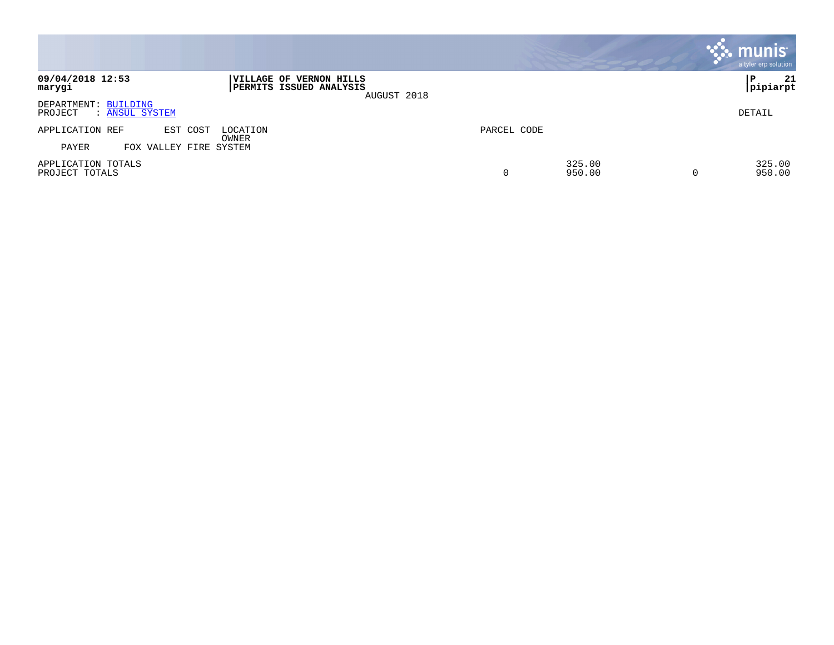|                                                   |                                                                   |             |                  | $\overline{\mathbf{c}}$ munis<br>a tyler erp solution |
|---------------------------------------------------|-------------------------------------------------------------------|-------------|------------------|-------------------------------------------------------|
| 09/04/2018 12:53<br>marygi                        | VILLAGE OF VERNON HILLS<br>PERMITS ISSUED ANALYSIS<br>AUGUST 2018 |             |                  | 21<br>∣P<br>pipiarpt                                  |
| DEPARTMENT: BUILDING<br>PROJECT<br>: ANSUL SYSTEM |                                                                   |             |                  | DETAIL                                                |
| APPLICATION REF<br>EST COST                       | LOCATION<br>OWNER                                                 | PARCEL CODE |                  |                                                       |
| PAYER<br>VALLEY FIRE SYSTEM<br>FOX                |                                                                   |             |                  |                                                       |
| APPLICATION TOTALS<br>PROJECT TOTALS              |                                                                   | 0           | 325.00<br>950.00 | 325.00<br>950.00                                      |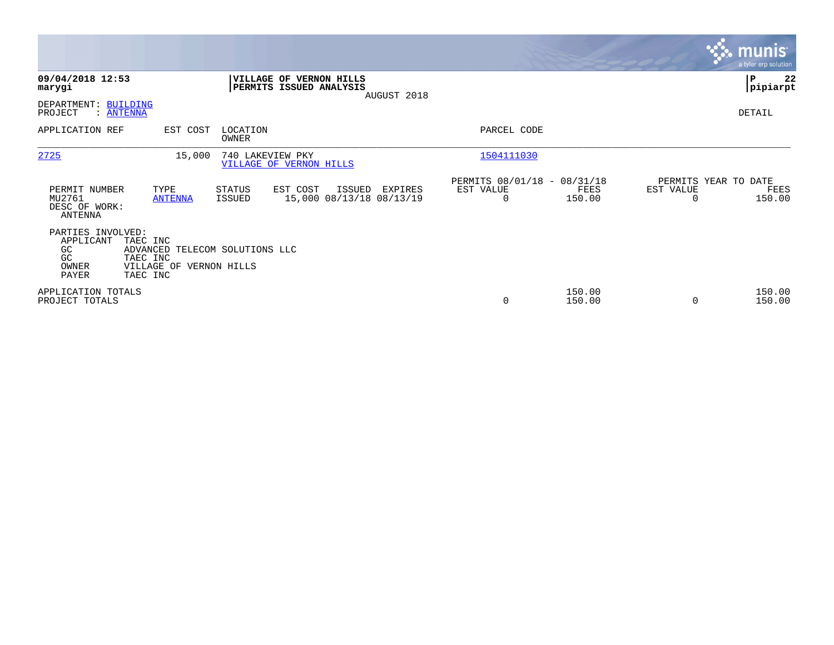|                                                               |                                                                                               |                   |                                                    |             |                                                         |                  |                                   | <b>munis</b><br>a tyler erp solution |
|---------------------------------------------------------------|-----------------------------------------------------------------------------------------------|-------------------|----------------------------------------------------|-------------|---------------------------------------------------------|------------------|-----------------------------------|--------------------------------------|
| 09/04/2018 12:53<br>marygi                                    |                                                                                               |                   | VILLAGE OF VERNON HILLS<br>PERMITS ISSUED ANALYSIS | AUGUST 2018 |                                                         |                  |                                   | ∣P<br>22<br> pipiarpt                |
| DEPARTMENT: BUILDING<br>PROJECT                               | : <u>ANTENNA</u>                                                                              |                   |                                                    |             |                                                         |                  |                                   | DETAIL                               |
| APPLICATION REF                                               | EST COST                                                                                      | LOCATION<br>OWNER |                                                    |             | PARCEL CODE                                             |                  |                                   |                                      |
| 2725                                                          | 15,000                                                                                        |                   | 740 LAKEVIEW PKY<br><b>VILLAGE OF VERNON HILLS</b> |             | 1504111030                                              |                  |                                   |                                      |
| PERMIT NUMBER<br>MU2761<br>DESC OF WORK:<br>ANTENNA           | TYPE<br><b>ANTENNA</b>                                                                        | STATUS<br>ISSUED  | EST COST<br>ISSUED<br>15,000 08/13/18 08/13/19     | EXPIRES     | PERMITS 08/01/18 - 08/31/18<br>EST VALUE<br>$\mathbf 0$ | FEES<br>150.00   | PERMITS YEAR TO DATE<br>EST VALUE | FEES<br>150.00                       |
| PARTIES INVOLVED:<br>APPLICANT<br>GC<br>GC.<br>OWNER<br>PAYER | TAEC INC<br>ADVANCED TELECOM SOLUTIONS LLC<br>TAEC INC<br>VILLAGE OF VERNON HILLS<br>TAEC INC |                   |                                                    |             |                                                         |                  |                                   |                                      |
| APPLICATION TOTALS<br>PROJECT TOTALS                          |                                                                                               |                   |                                                    |             | $\mathbf 0$                                             | 150.00<br>150.00 |                                   | 150.00<br>150.00                     |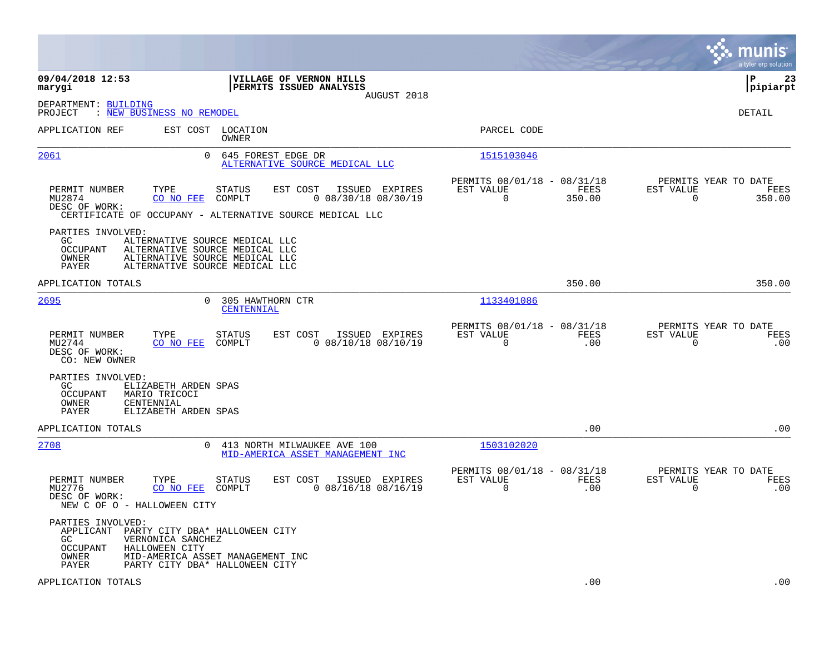|                                                                                                                                                  |                                                                                                                                            |                                                                            | munis<br>a tyler erp solution                                |
|--------------------------------------------------------------------------------------------------------------------------------------------------|--------------------------------------------------------------------------------------------------------------------------------------------|----------------------------------------------------------------------------|--------------------------------------------------------------|
| 09/04/2018 12:53<br>marygi                                                                                                                       | VILLAGE OF VERNON HILLS<br>PERMITS ISSUED ANALYSIS<br>AUGUST 2018                                                                          |                                                                            | l P<br>23<br> pipiarpt                                       |
| DEPARTMENT: BUILDING<br>: NEW BUSINESS NO REMODEL<br>PROJECT                                                                                     |                                                                                                                                            |                                                                            | <b>DETAIL</b>                                                |
| APPLICATION REF                                                                                                                                  | EST COST LOCATION<br>OWNER                                                                                                                 | PARCEL CODE                                                                |                                                              |
| 2061                                                                                                                                             | $\Omega$<br>645 FOREST EDGE DR<br>ALTERNATIVE SOURCE MEDICAL LLC                                                                           | 1515103046                                                                 |                                                              |
| PERMIT NUMBER<br>TYPE<br>MU2874<br>CO NO FEE<br>DESC OF WORK:                                                                                    | <b>STATUS</b><br>EST COST<br>ISSUED EXPIRES<br>$0$ 08/30/18 08/30/19<br>COMPLT<br>CERTIFICATE OF OCCUPANY - ALTERNATIVE SOURCE MEDICAL LLC | PERMITS 08/01/18 - 08/31/18<br>EST VALUE<br>FEES<br>$\mathbf 0$<br>350.00  | PERMITS YEAR TO DATE<br>EST VALUE<br>FEES<br>0<br>350.00     |
| PARTIES INVOLVED:<br>GC.<br><b>OCCUPANT</b><br>OWNER<br><b>PAYER</b>                                                                             | ALTERNATIVE SOURCE MEDICAL LLC<br>ALTERNATIVE SOURCE MEDICAL LLC<br>ALTERNATIVE SOURCE MEDICAL LLC<br>ALTERNATIVE SOURCE MEDICAL LLC       |                                                                            |                                                              |
| APPLICATION TOTALS                                                                                                                               |                                                                                                                                            | 350.00                                                                     | 350.00                                                       |
| 2695                                                                                                                                             | 0<br>305 HAWTHORN CTR<br>CENTENNIAL                                                                                                        | 1133401086                                                                 |                                                              |
| PERMIT NUMBER<br>TYPE<br>MU2744<br>CO NO FEE<br>DESC OF WORK:<br>CO: NEW OWNER                                                                   | <b>STATUS</b><br>EST COST<br>ISSUED EXPIRES<br>COMPLT<br>$0$ 08/10/18 08/10/19                                                             | PERMITS 08/01/18 - 08/31/18<br>EST VALUE<br>FEES<br>$\Omega$<br>.00        | PERMITS YEAR TO DATE<br>EST VALUE<br>FEES<br>$\Omega$<br>.00 |
| PARTIES INVOLVED:<br>GC.<br>ELIZABETH ARDEN SPAS<br><b>OCCUPANT</b><br>MARIO TRICOCI<br>OWNER<br>CENTENNIAL<br>PAYER<br>ELIZABETH ARDEN SPAS     |                                                                                                                                            |                                                                            |                                                              |
| APPLICATION TOTALS                                                                                                                               |                                                                                                                                            | .00                                                                        | .00                                                          |
| 2708                                                                                                                                             | 413 NORTH MILWAUKEE AVE 100<br>0<br>MID-AMERICA ASSET MANAGEMENT INC                                                                       | 1503102020                                                                 |                                                              |
| PERMIT NUMBER<br>TYPE<br>MU2776<br>CO NO FEE<br>DESC OF WORK:<br>NEW C OF O - HALLOWEEN CITY                                                     | STATUS<br>EST COST<br>ISSUED EXPIRES<br>COMPLT<br>$0$ 08/16/18 08/16/19                                                                    | PERMITS 08/01/18 - 08/31/18<br>EST VALUE<br><b>FEES</b><br>$\Omega$<br>.00 | PERMITS YEAR TO DATE<br>EST VALUE<br>FEES<br>$\Omega$<br>.00 |
| PARTIES INVOLVED:<br>APPLICANT PARTY CITY DBA* HALLOWEEN CITY<br>GC.<br>VERNONICA SANCHEZ<br><b>OCCUPANT</b><br>HALLOWEEN CITY<br>OWNER<br>PAYER | MID-AMERICA ASSET MANAGEMENT INC<br>PARTY CITY DBA* HALLOWEEN CITY                                                                         |                                                                            |                                                              |
| APPLICATION TOTALS                                                                                                                               |                                                                                                                                            | .00                                                                        | .00                                                          |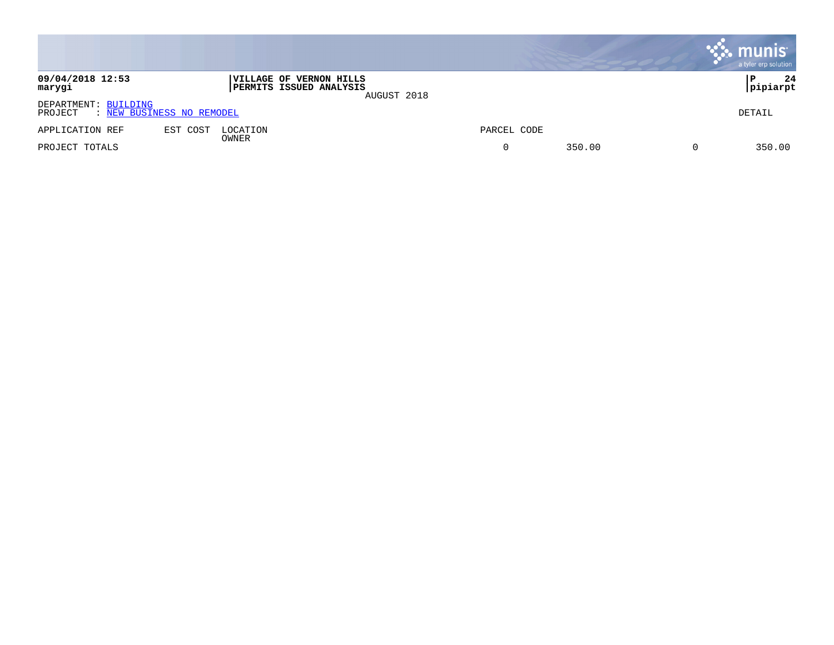|                                                              |          |                                                                   |             |             |        | . munis <sup>.</sup><br>a tyler erp solution |
|--------------------------------------------------------------|----------|-------------------------------------------------------------------|-------------|-------------|--------|----------------------------------------------|
| 09/04/2018 12:53<br>marygi                                   |          | <b> VILLAGE OF VERNON HILLS</b><br><b>PERMITS ISSUED ANALYSIS</b> | AUGUST 2018 |             |        | 24<br>P<br>pipiarpt                          |
| DEPARTMENT: BUILDING<br>: NEW BUSINESS NO REMODEL<br>PROJECT |          |                                                                   |             |             |        | DETAIL                                       |
| APPLICATION REF                                              | EST COST | LOCATION                                                          |             | PARCEL CODE |        |                                              |
| PROJECT TOTALS                                               |          | OWNER                                                             |             |             | 350.00 | 350.00                                       |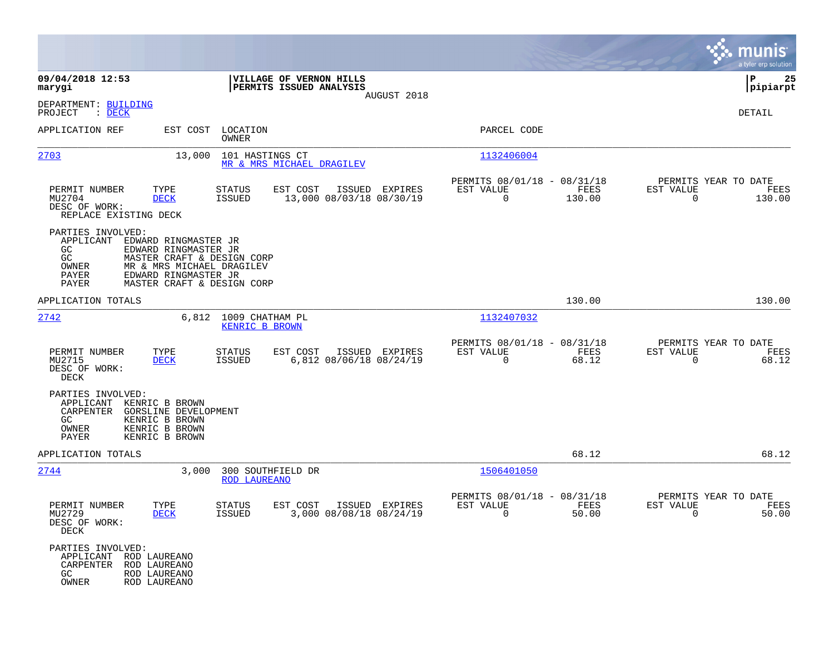|                                                                                                                                              |                                                                                                                                       |                                                        |             |                                                            |                |                                                              | munis<br>a tyler erp solution |
|----------------------------------------------------------------------------------------------------------------------------------------------|---------------------------------------------------------------------------------------------------------------------------------------|--------------------------------------------------------|-------------|------------------------------------------------------------|----------------|--------------------------------------------------------------|-------------------------------|
| 09/04/2018 12:53<br>marygi                                                                                                                   |                                                                                                                                       | VILLAGE OF VERNON HILLS<br>PERMITS ISSUED ANALYSIS     |             |                                                            |                |                                                              | 25<br>IΡ<br> pipiarpt         |
| DEPARTMENT: BUILDING<br>PROJECT<br>$\therefore$ DECK                                                                                         |                                                                                                                                       |                                                        | AUGUST 2018 |                                                            |                |                                                              | DETAIL                        |
| APPLICATION REF                                                                                                                              | EST COST LOCATION<br>OWNER                                                                                                            |                                                        |             | PARCEL CODE                                                |                |                                                              |                               |
| 2703                                                                                                                                         | 101 HASTINGS CT<br>13,000                                                                                                             | MR & MRS MICHAEL DRAGILEV                              |             | 1132406004                                                 |                |                                                              |                               |
| PERMIT NUMBER<br>TYPE<br>MU2704<br><b>DECK</b><br>DESC OF WORK:<br>REPLACE EXISTING DECK                                                     | STATUS<br>ISSUED                                                                                                                      | ISSUED EXPIRES<br>EST COST<br>13,000 08/03/18 08/30/19 |             | PERMITS 08/01/18 - 08/31/18<br>EST VALUE<br>$\overline{0}$ | FEES<br>130.00 | PERMITS YEAR TO DATE<br>EST VALUE<br>$\Omega$                | FEES<br>130.00                |
| PARTIES INVOLVED:<br>APPLICANT EDWARD RINGMASTER JR<br>GC.<br>GC<br>OWNER<br>PAYER<br>PAYER                                                  | EDWARD RINGMASTER JR<br>MASTER CRAFT & DESIGN CORP<br>MR & MRS MICHAEL DRAGILEV<br>EDWARD RINGMASTER JR<br>MASTER CRAFT & DESIGN CORP |                                                        |             |                                                            |                |                                                              |                               |
| APPLICATION TOTALS                                                                                                                           |                                                                                                                                       |                                                        |             |                                                            | 130.00         |                                                              | 130.00                        |
| 2742                                                                                                                                         | 6,812 1009 CHATHAM PL<br><b>KENRIC B BROWN</b>                                                                                        |                                                        |             | 1132407032                                                 |                |                                                              |                               |
| TYPE<br>PERMIT NUMBER<br>MU2715<br><b>DECK</b><br>DESC OF WORK:<br>DECK                                                                      | <b>STATUS</b><br>ISSUED                                                                                                               | EST COST<br>ISSUED EXPIRES<br>6,812 08/06/18 08/24/19  |             | PERMITS 08/01/18 - 08/31/18<br>EST VALUE<br>$\Omega$       | FEES<br>68.12  | PERMITS YEAR TO DATE<br>EST VALUE<br>$\overline{0}$          | FEES<br>68.12                 |
| PARTIES INVOLVED:<br>APPLICANT<br>KENRIC B BROWN<br>CARPENTER<br>KENRIC B BROWN<br>GC.<br>KENRIC B BROWN<br>OWNER<br>PAYER<br>KENRIC B BROWN | <b>GORSLINE DEVELOPMENT</b>                                                                                                           |                                                        |             |                                                            |                |                                                              |                               |
| APPLICATION TOTALS                                                                                                                           |                                                                                                                                       |                                                        |             |                                                            | 68.12          |                                                              | 68.12                         |
| 2744                                                                                                                                         | 3,000<br>300 SOUTHFIELD DR<br><b>ROD LAUREANO</b>                                                                                     |                                                        |             | 1506401050                                                 |                |                                                              |                               |
| PERMIT NUMBER<br>TYPE<br>MU2729<br><b>DECK</b><br>DESC OF WORK:<br>DECK                                                                      | <b>STATUS</b><br>ISSUED                                                                                                               | EST COST<br>ISSUED EXPIRES<br>3,000 08/08/18 08/24/19  |             | PERMITS 08/01/18 - 08/31/18<br>EST VALUE<br>$\overline{0}$ | FEES<br>50.00  | PERMITS YEAR TO DATE<br>EST VALUE<br>$\overline{\mathbf{0}}$ | FEES<br>50.00                 |
| PARTIES INVOLVED:<br>APPLICANT ROD LAUREANO<br>CARPENTER ROD LAUREANO<br>GC<br>ROD LAUREANO<br>OWNER<br>ROD LAUREANO                         |                                                                                                                                       |                                                        |             |                                                            |                |                                                              |                               |

**Contract**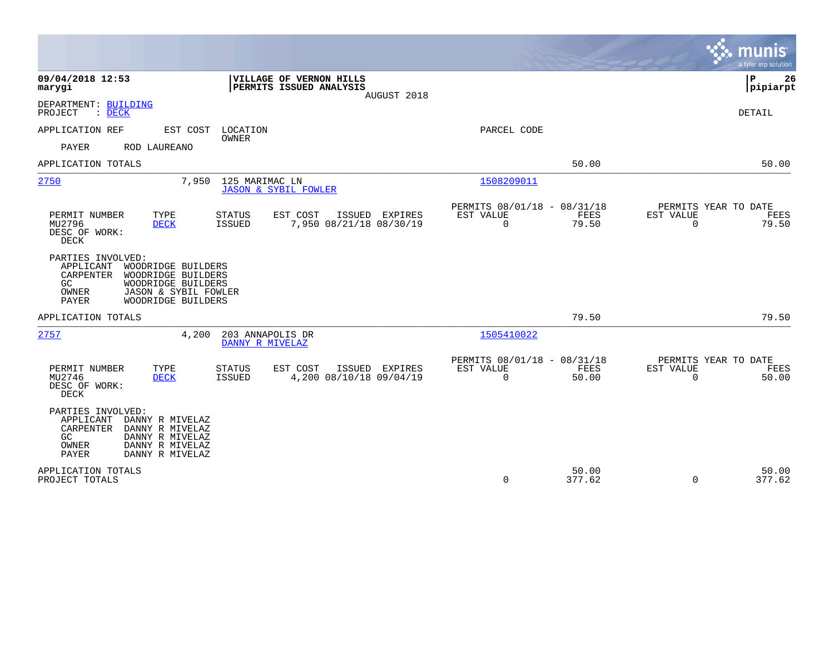|                                                                                                                                                                                            |                                                                              | munis<br>a tyler erp solution                                  |
|--------------------------------------------------------------------------------------------------------------------------------------------------------------------------------------------|------------------------------------------------------------------------------|----------------------------------------------------------------|
| 09/04/2018 12:53<br>VILLAGE OF VERNON HILLS<br>PERMITS ISSUED ANALYSIS<br>marygi<br>AUGUST 2018                                                                                            |                                                                              | P<br>26<br> pipiarpt                                           |
| DEPARTMENT: BUILDING<br>PROJECT<br>: DECK                                                                                                                                                  |                                                                              | <b>DETAIL</b>                                                  |
| APPLICATION REF<br>EST COST<br>LOCATION<br>OWNER                                                                                                                                           | PARCEL CODE                                                                  |                                                                |
| PAYER<br>ROD LAUREANO                                                                                                                                                                      |                                                                              |                                                                |
| APPLICATION TOTALS                                                                                                                                                                         | 50.00                                                                        | 50.00                                                          |
| 2750<br>7,950<br>125 MARIMAC LN<br><b>JASON &amp; SYBIL FOWLER</b>                                                                                                                         | 1508209011                                                                   |                                                                |
| TYPE<br>PERMIT NUMBER<br><b>STATUS</b><br>EST COST<br>ISSUED EXPIRES<br>7,950 08/21/18 08/30/19<br>MU2796<br><b>DECK</b><br><b>ISSUED</b><br>DESC OF WORK:<br>DECK                         | PERMITS 08/01/18 - 08/31/18<br>EST VALUE<br>FEES<br>79.50<br>$\mathbf 0$     | PERMITS YEAR TO DATE<br>EST VALUE<br>FEES<br>79.50<br>$\Omega$ |
| PARTIES INVOLVED:<br>APPLICANT<br>WOODRIDGE BUILDERS<br>CARPENTER<br>WOODRIDGE BUILDERS<br>GC<br>WOODRIDGE BUILDERS<br>OWNER<br>JASON & SYBIL FOWLER<br><b>PAYER</b><br>WOODRIDGE BUILDERS |                                                                              |                                                                |
| APPLICATION TOTALS                                                                                                                                                                         | 79.50                                                                        | 79.50                                                          |
| 2757<br>203 ANNAPOLIS DR<br>4,200<br>DANNY R MIVELAZ                                                                                                                                       | 1505410022                                                                   |                                                                |
| EST COST<br>ISSUED EXPIRES<br>PERMIT NUMBER<br>TYPE<br>STATUS<br>4,200 08/10/18 09/04/19<br>MU2746<br><b>DECK</b><br><b>ISSUED</b><br>DESC OF WORK:<br>DECK                                | PERMITS 08/01/18 - 08/31/18<br><b>FEES</b><br>EST VALUE<br>$\Omega$<br>50.00 | PERMITS YEAR TO DATE<br>EST VALUE<br>FEES<br>$\Omega$<br>50.00 |
| PARTIES INVOLVED:<br>APPLICANT<br>DANNY R MIVELAZ<br>CARPENTER<br>DANNY R MIVELAZ<br>DANNY R MIVELAZ<br>GC.<br>OWNER<br>DANNY R MIVELAZ<br>PAYER<br>DANNY R MIVELAZ                        |                                                                              |                                                                |
| APPLICATION TOTALS<br>PROJECT TOTALS                                                                                                                                                       | 50.00<br>$\mathbf 0$<br>377.62                                               | 50.00<br>377.62<br>$\Omega$                                    |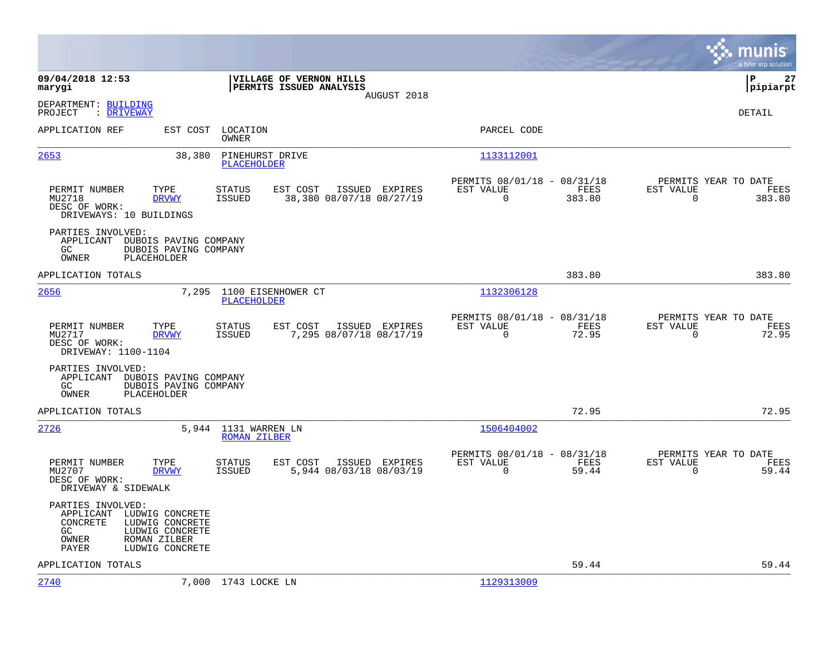|                                                                                                                                                              |                                                                                   |                                                                           | munis<br>a tyler erp solution                                         |
|--------------------------------------------------------------------------------------------------------------------------------------------------------------|-----------------------------------------------------------------------------------|---------------------------------------------------------------------------|-----------------------------------------------------------------------|
| 09/04/2018 12:53<br>marygi                                                                                                                                   | VILLAGE OF VERNON HILLS<br>PERMITS ISSUED ANALYSIS<br>AUGUST 2018                 |                                                                           | l P<br>27<br> pipiarpt                                                |
| DEPARTMENT: BUILDING<br>: DRIVEWAY<br>PROJECT                                                                                                                |                                                                                   |                                                                           | <b>DETAIL</b>                                                         |
| APPLICATION REF<br>EST COST                                                                                                                                  | LOCATION<br>OWNER                                                                 | PARCEL CODE                                                               |                                                                       |
| 2653                                                                                                                                                         | 38,380<br>PINEHURST DRIVE<br><b>PLACEHOLDER</b>                                   | 1133112001                                                                |                                                                       |
| PERMIT NUMBER<br>TYPE<br>MU2718<br><b>DRVWY</b><br>DESC OF WORK:<br>DRIVEWAYS: 10 BUILDINGS                                                                  | <b>STATUS</b><br>EST COST<br>ISSUED EXPIRES<br>38,380 08/07/18 08/27/19<br>ISSUED | PERMITS 08/01/18 - 08/31/18<br>EST VALUE<br>FEES<br>$\mathbf 0$<br>383.80 | PERMITS YEAR TO DATE<br>EST VALUE<br>FEES<br>$\overline{0}$<br>383.80 |
| PARTIES INVOLVED:<br>APPLICANT DUBOIS PAVING COMPANY<br>GC<br>DUBOIS PAVING COMPANY<br>PLACEHOLDER<br>OWNER                                                  |                                                                                   |                                                                           |                                                                       |
| APPLICATION TOTALS                                                                                                                                           |                                                                                   | 383.80                                                                    | 383.80                                                                |
| 2656                                                                                                                                                         | 7,295<br>1100 EISENHOWER CT<br><b>PLACEHOLDER</b>                                 | 1132306128                                                                |                                                                       |
| PERMIT NUMBER<br>TYPE<br>MU2717<br><b>DRVWY</b><br>DESC OF WORK:<br>DRIVEWAY: 1100-1104                                                                      | EST COST<br><b>STATUS</b><br>ISSUED EXPIRES<br>ISSUED<br>7,295 08/07/18 08/17/19  | PERMITS 08/01/18 - 08/31/18<br>EST VALUE<br>FEES<br>0<br>72.95            | PERMITS YEAR TO DATE<br>EST VALUE<br>FEES<br>$\overline{0}$<br>72.95  |
| PARTIES INVOLVED:<br>APPLICANT DUBOIS PAVING COMPANY<br>GC.<br>DUBOIS PAVING COMPANY<br>OWNER<br>PLACEHOLDER                                                 |                                                                                   |                                                                           |                                                                       |
| APPLICATION TOTALS                                                                                                                                           |                                                                                   | 72.95                                                                     | 72.95                                                                 |
| 2726                                                                                                                                                         | 5,944<br>1131 WARREN LN<br><b>ROMAN ZILBER</b>                                    | 1506404002                                                                |                                                                       |
| TYPE<br>PERMIT NUMBER<br>MU2707<br><b>DRVWY</b><br>DESC OF WORK:<br>DRIVEWAY & SIDEWALK                                                                      | <b>STATUS</b><br>EST COST<br>ISSUED EXPIRES<br>5,944 08/03/18 08/03/19<br>ISSUED  | PERMITS 08/01/18 - 08/31/18<br>FEES<br>EST VALUE<br>$\mathbf 0$<br>59.44  | PERMITS YEAR TO DATE<br>EST VALUE<br>FEES<br>$\overline{0}$<br>59.44  |
| PARTIES INVOLVED:<br>APPLICANT LUDWIG CONCRETE<br>CONCRETE<br>LUDWIG CONCRETE<br>GC.<br>LUDWIG CONCRETE<br>ROMAN ZILBER<br>OWNER<br>PAYER<br>LUDWIG CONCRETE |                                                                                   |                                                                           |                                                                       |
| APPLICATION TOTALS                                                                                                                                           |                                                                                   | 59.44                                                                     | 59.44                                                                 |
| 2740                                                                                                                                                         | 7,000 1743 LOCKE LN                                                               | 1129313009                                                                |                                                                       |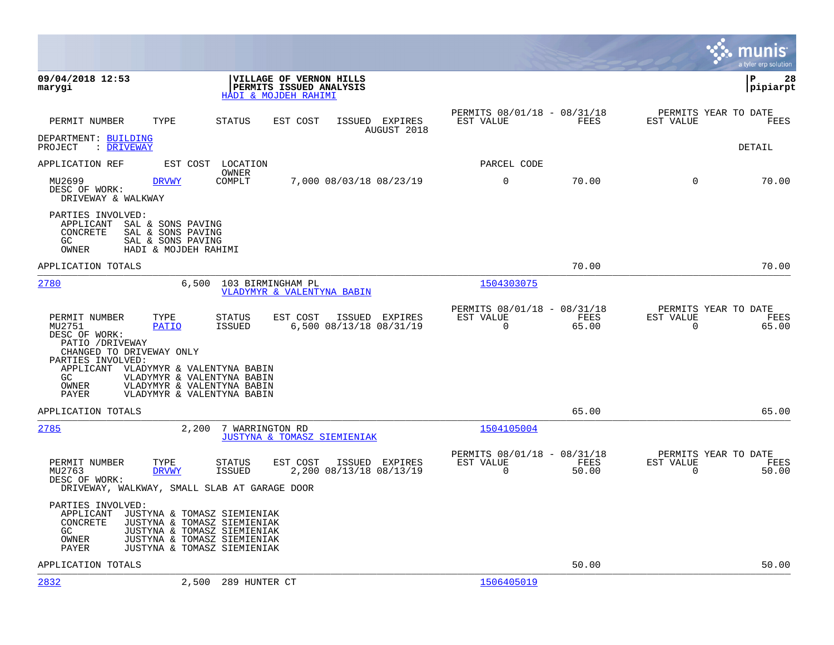|                                                                                                                                                    |                                                                                                                                                         |                               |                                                      |               | munis<br>a tyler erp solution                 |                 |
|----------------------------------------------------------------------------------------------------------------------------------------------------|---------------------------------------------------------------------------------------------------------------------------------------------------------|-------------------------------|------------------------------------------------------|---------------|-----------------------------------------------|-----------------|
| 09/04/2018 12:53<br>marygi                                                                                                                         | VILLAGE OF VERNON HILLS<br>PERMITS ISSUED ANALYSIS<br>HADI & MOJDEH RAHIMI                                                                              |                               |                                                      |               | l P                                           | 28<br> pipiarpt |
| PERMIT NUMBER<br>TYPE                                                                                                                              | STATUS<br>EST COST                                                                                                                                      | ISSUED EXPIRES<br>AUGUST 2018 | PERMITS 08/01/18 - 08/31/18<br>EST VALUE             | FEES          | PERMITS YEAR TO DATE<br>EST VALUE             | FEES            |
| DEPARTMENT: BUILDING<br>PROJECT<br>: DRIVEWAY                                                                                                      |                                                                                                                                                         |                               |                                                      |               | DETAIL                                        |                 |
| APPLICATION REF                                                                                                                                    | EST COST<br>LOCATION                                                                                                                                    |                               | PARCEL CODE                                          |               |                                               |                 |
| MU2699<br><b>DRVWY</b><br>DESC OF WORK:<br>DRIVEWAY & WALKWAY                                                                                      | OWNER<br>COMPLT<br>7,000 08/03/18 08/23/19                                                                                                              |                               | $\mathbf 0$                                          | 70.00         | $\Omega$                                      | 70.00           |
| PARTIES INVOLVED:<br>APPLICANT<br>SAL & SONS PAVING<br>CONCRETE<br>SAL & SONS PAVING<br>SAL & SONS PAVING<br>GC<br>HADI & MOJDEH RAHIMI<br>OWNER   |                                                                                                                                                         |                               |                                                      |               |                                               |                 |
| APPLICATION TOTALS                                                                                                                                 |                                                                                                                                                         |                               |                                                      | 70.00         |                                               | 70.00           |
| 2780                                                                                                                                               | 6,500<br>103 BIRMINGHAM PL<br>VLADYMYR & VALENTYNA BABIN                                                                                                |                               | 1504303075                                           |               |                                               |                 |
| PERMIT NUMBER<br>TYPE<br>MU2751<br><b>PATIO</b><br>DESC OF WORK:<br>PATIO / DRIVEWAY<br>CHANGED TO DRIVEWAY ONLY<br>PARTIES INVOLVED:<br>APPLICANT | EST COST<br>STATUS<br><b>ISSUED</b><br>6,500 08/13/18 08/31/19<br>VLADYMYR & VALENTYNA BABIN                                                            | ISSUED EXPIRES                | PERMITS 08/01/18 - 08/31/18<br>EST VALUE<br>$\Omega$ | FEES<br>65.00 | PERMITS YEAR TO DATE<br>EST VALUE<br>$\Omega$ | FEES<br>65.00   |
| GC<br>OWNER<br>PAYER                                                                                                                               | VLADYMYR & VALENTYNA BABIN<br>VLADYMYR & VALENTYNA BABIN<br>VLADYMYR & VALENTYNA BABIN                                                                  |                               |                                                      |               |                                               |                 |
| APPLICATION TOTALS                                                                                                                                 |                                                                                                                                                         |                               |                                                      | 65.00         |                                               | 65.00           |
| 2785                                                                                                                                               | 2,200<br>7 WARRINGTON RD<br>JUSTYNA & TOMASZ SIEMIENIAK                                                                                                 |                               | 1504105004                                           |               |                                               |                 |
| PERMIT NUMBER<br>TYPE<br>MU2763<br><b>DRVWY</b><br>DESC OF WORK:                                                                                   | STATUS<br>EST COST<br><b>ISSUED</b><br>2,200 08/13/18 08/13/19<br>DRIVEWAY, WALKWAY, SMALL SLAB AT GARAGE DOOR                                          | ISSUED EXPIRES                | PERMITS 08/01/18 - 08/31/18<br>EST VALUE<br>$\Omega$ | FEES<br>50.00 | PERMITS YEAR TO DATE<br>EST VALUE<br>$\Omega$ | FEES<br>50.00   |
| PARTIES INVOLVED:<br>APPLICANT<br>CONCRETE<br>GC.<br>OWNER<br>PAYER                                                                                | JUSTYNA & TOMASZ SIEMIENIAK<br>JUSTYNA & TOMASZ SIEMIENIAK<br>JUSTYNA & TOMASZ SIEMIENIAK<br>JUSTYNA & TOMASZ SIEMIENIAK<br>JUSTYNA & TOMASZ SIEMIENIAK |                               |                                                      |               |                                               |                 |
| APPLICATION TOTALS                                                                                                                                 |                                                                                                                                                         |                               |                                                      | 50.00         |                                               | 50.00           |
| 2832                                                                                                                                               | 2,500<br>289 HUNTER CT                                                                                                                                  |                               | 1506405019                                           |               |                                               |                 |

**College**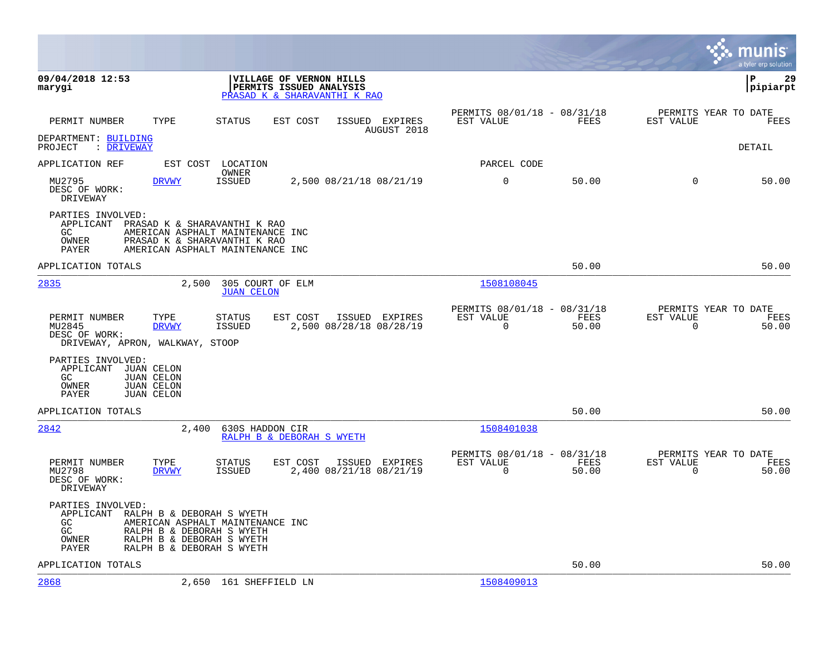|                                                                                                                                      |                                                                                                                                                      |                                           |                                                         |               |                                                  | munis<br>a tyler erp solution |
|--------------------------------------------------------------------------------------------------------------------------------------|------------------------------------------------------------------------------------------------------------------------------------------------------|-------------------------------------------|---------------------------------------------------------|---------------|--------------------------------------------------|-------------------------------|
| 09/04/2018 12:53<br>marygi                                                                                                           | VILLAGE OF VERNON HILLS<br>PERMITS ISSUED ANALYSIS<br>PRASAD K & SHARAVANTHI K RAO                                                                   |                                           |                                                         |               |                                                  | 29<br>l P<br> pipiarpt        |
| PERMIT NUMBER<br>TYPE                                                                                                                | STATUS<br>EST COST                                                                                                                                   | ISSUED EXPIRES<br>AUGUST 2018             | PERMITS 08/01/18 - 08/31/18<br>EST VALUE                | FEES          | PERMITS YEAR TO DATE<br>EST VALUE                | FEES                          |
| DEPARTMENT: BUILDING<br>PROJECT<br>: DRIVEWAY                                                                                        |                                                                                                                                                      |                                           |                                                         |               |                                                  | DETAIL                        |
| APPLICATION REF<br>EST COST                                                                                                          | LOCATION                                                                                                                                             |                                           | PARCEL CODE                                             |               |                                                  |                               |
| MU2795<br><b>DRVWY</b><br>DESC OF WORK:<br>DRIVEWAY                                                                                  | OWNER<br><b>ISSUED</b>                                                                                                                               | 2,500 08/21/18 08/21/19                   | $\mathbf 0$                                             | 50.00         | $\Omega$                                         | 50.00                         |
| PARTIES INVOLVED:<br>APPLICANT<br>GC.<br>OWNER<br>PAYER                                                                              | PRASAD K & SHARAVANTHI K RAO<br>AMERICAN ASPHALT MAINTENANCE INC<br>PRASAD K & SHARAVANTHI K RAO<br>AMERICAN ASPHALT MAINTENANCE INC                 |                                           |                                                         |               |                                                  |                               |
| APPLICATION TOTALS                                                                                                                   |                                                                                                                                                      |                                           |                                                         | 50.00         |                                                  | 50.00                         |
| 2835                                                                                                                                 | 2,500<br>305 COURT OF ELM<br><b>JUAN CELON</b>                                                                                                       |                                           | 1508108045                                              |               |                                                  |                               |
| PERMIT NUMBER<br>TYPE<br>MU2845<br><b>DRVWY</b><br>DESC OF WORK:<br>DRIVEWAY, APRON, WALKWAY, STOOP                                  | STATUS<br>EST COST<br><b>ISSUED</b>                                                                                                                  | ISSUED EXPIRES<br>2,500 08/28/18 08/28/19 | PERMITS 08/01/18 - 08/31/18<br>EST VALUE<br>$\mathbf 0$ | FEES<br>50.00 | PERMITS YEAR TO DATE<br>EST VALUE<br>$\Omega$    | FEES<br>50.00                 |
| PARTIES INVOLVED:<br>APPLICANT<br>JUAN CELON<br><b>JUAN CELON</b><br>GC.<br>OWNER<br><b>JUAN CELON</b><br><b>JUAN CELON</b><br>PAYER |                                                                                                                                                      |                                           |                                                         |               |                                                  |                               |
| APPLICATION TOTALS                                                                                                                   |                                                                                                                                                      |                                           |                                                         | 50.00         |                                                  | 50.00                         |
| 2842                                                                                                                                 | 630S HADDON CIR<br>2,400<br>RALPH B & DEBORAH S WYETH                                                                                                |                                           | 1508401038                                              |               |                                                  |                               |
| PERMIT NUMBER<br>TYPE<br>MU2798<br><b>DRVWY</b><br>DESC OF WORK:<br>DRIVEWAY                                                         | <b>STATUS</b><br>EST COST<br><b>ISSUED</b>                                                                                                           | ISSUED EXPIRES<br>2,400 08/21/18 08/21/19 | PERMITS 08/01/18 - 08/31/18<br>EST VALUE<br>$\mathbf 0$ | FEES<br>50.00 | PERMITS YEAR TO DATE<br>EST VALUE<br>$\mathbf 0$ | FEES<br>50.00                 |
| PARTIES INVOLVED:<br>APPLICANT<br>GC.<br>$\rm GC$<br>OWNER<br>PAYER                                                                  | RALPH B & DEBORAH S WYETH<br>AMERICAN ASPHALT MAINTENANCE INC<br>RALPH B & DEBORAH S WYETH<br>RALPH B & DEBORAH S WYETH<br>RALPH B & DEBORAH S WYETH |                                           |                                                         |               |                                                  |                               |
| APPLICATION TOTALS                                                                                                                   |                                                                                                                                                      |                                           |                                                         | 50.00         |                                                  | 50.00                         |
| 2868                                                                                                                                 | 2,650 161 SHEFFIELD LN                                                                                                                               |                                           | 1508409013                                              |               |                                                  |                               |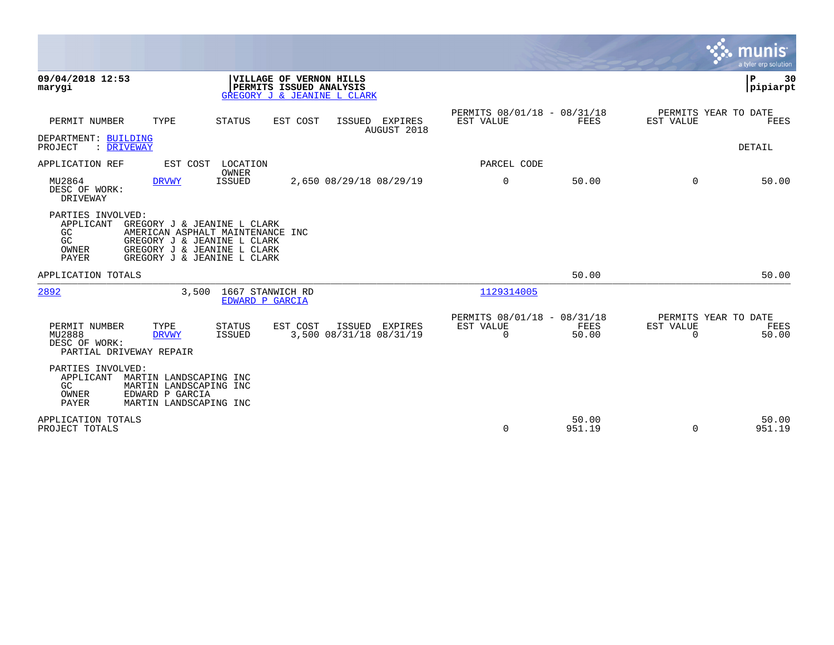|                                                                                                                                                                                                                              |                                                                       | munis<br>a tyler erp solution                                                |
|------------------------------------------------------------------------------------------------------------------------------------------------------------------------------------------------------------------------------|-----------------------------------------------------------------------|------------------------------------------------------------------------------|
| 09/04/2018 12:53<br><b>VILLAGE OF VERNON HILLS</b><br>PERMITS ISSUED ANALYSIS<br>marygi<br><b>GREGORY J &amp; JEANINE L CLARK</b>                                                                                            |                                                                       | ΙP<br>30<br> pipiarpt                                                        |
| PERMIT NUMBER<br>TYPE<br><b>STATUS</b><br>EST COST<br>ISSUED EXPIRES<br>AUGUST 2018                                                                                                                                          | PERMITS 08/01/18 - 08/31/18<br>EST VALUE<br>FEES                      | PERMITS YEAR TO DATE<br>EST VALUE<br>FEES                                    |
| DEPARTMENT: BUILDING<br>PROJECT<br>: DRIVEWAY                                                                                                                                                                                |                                                                       | DETAIL                                                                       |
| EST COST LOCATION<br>APPLICATION REF                                                                                                                                                                                         | PARCEL CODE                                                           |                                                                              |
| OWNER<br>MU2864<br><b>ISSUED</b><br>2,650 08/29/18 08/29/19<br><b>DRVWY</b><br>DESC OF WORK:<br><b>DRIVEWAY</b>                                                                                                              | $\mathbf 0$<br>50.00                                                  | $\Omega$<br>50.00                                                            |
| PARTIES INVOLVED:<br>APPLICANT<br>GREGORY J & JEANINE L CLARK<br>GC<br>AMERICAN ASPHALT MAINTENANCE INC<br>GC<br>GREGORY J & JEANINE L CLARK<br>GREGORY J & JEANINE L CLARK<br>OWNER<br>PAYER<br>GREGORY J & JEANINE L CLARK |                                                                       |                                                                              |
| APPLICATION TOTALS                                                                                                                                                                                                           | 50.00                                                                 | 50.00                                                                        |
| 2892<br>1667 STANWICH RD<br>3,500<br>EDWARD P GARCIA                                                                                                                                                                         | 1129314005                                                            |                                                                              |
| PERMIT NUMBER<br>EST COST<br>ISSUED EXPIRES<br>TYPE<br><b>STATUS</b><br>MU2888<br>3,500 08/31/18 08/31/19<br><b>DRVWY</b><br>ISSUED<br>DESC OF WORK:<br>PARTIAL DRIVEWAY REPAIR                                              | PERMITS 08/01/18 - 08/31/18<br>EST VALUE<br><b>FEES</b><br>0<br>50.00 | PERMITS YEAR TO DATE<br><b>EST VALUE</b><br><b>FEES</b><br>$\Omega$<br>50.00 |
| PARTIES INVOLVED:<br>APPLICANT<br>MARTIN LANDSCAPING INC<br>GC<br>MARTIN LANDSCAPING INC<br>OWNER<br>EDWARD P GARCIA<br>PAYER<br>MARTIN LANDSCAPING INC                                                                      |                                                                       |                                                                              |
| APPLICATION TOTALS<br>PROJECT TOTALS                                                                                                                                                                                         | 50.00<br>$\Omega$<br>951.19                                           | 50.00<br>951.19<br>$\Omega$                                                  |

the property of the control of

and the contract of the contract of the contract of the contract of the contract of the contract of the contract of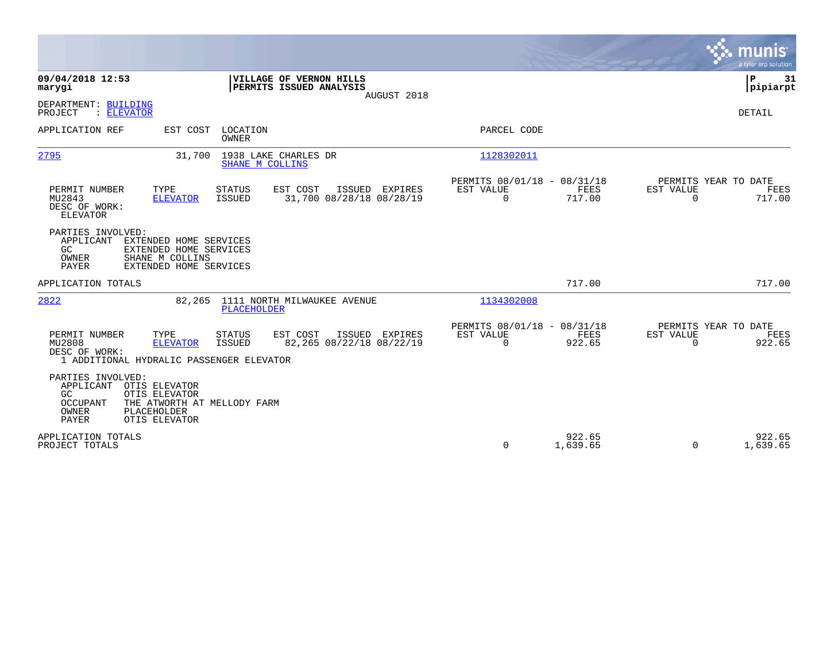|                                                                                                                                                                                                      |                                                                        | munis<br>a tyler erp solution                                   |
|------------------------------------------------------------------------------------------------------------------------------------------------------------------------------------------------------|------------------------------------------------------------------------|-----------------------------------------------------------------|
| 09/04/2018 12:53<br>VILLAGE OF VERNON HILLS<br>marygi<br>PERMITS ISSUED ANALYSIS<br>AUGUST 2018                                                                                                      |                                                                        | P<br>31<br> pipiarpt                                            |
| DEPARTMENT: BUILDING<br>PROJECT<br>: ELEVATOR                                                                                                                                                        |                                                                        | DETAIL                                                          |
| APPLICATION REF<br>LOCATION<br>EST COST<br>OWNER                                                                                                                                                     | PARCEL CODE                                                            |                                                                 |
| 1938 LAKE CHARLES DR<br>2795<br>31,700<br>SHANE M COLLINS                                                                                                                                            | 1128302011                                                             |                                                                 |
| PERMIT NUMBER<br>TYPE<br><b>STATUS</b><br>EST COST<br>ISSUED EXPIRES<br>31,700 08/28/18 08/28/19<br>MU2843<br><b>ELEVATOR</b><br>ISSUED<br>DESC OF WORK:<br><b>ELEVATOR</b>                          | PERMITS 08/01/18 - 08/31/18<br>EST VALUE<br>FEES<br>$\Omega$<br>717.00 | PERMITS YEAR TO DATE<br>EST VALUE<br>FEES<br>717.00<br>$\Omega$ |
| PARTIES INVOLVED:<br>APPLICANT<br>EXTENDED HOME SERVICES<br>GC.<br>EXTENDED HOME SERVICES<br>OWNER<br>SHANE M COLLINS<br>PAYER<br>EXTENDED HOME SERVICES                                             |                                                                        |                                                                 |
| APPLICATION TOTALS                                                                                                                                                                                   | 717.00                                                                 | 717.00                                                          |
| 2822<br>1111 NORTH MILWAUKEE AVENUE<br>82,265<br><b>PLACEHOLDER</b>                                                                                                                                  | 1134302008                                                             |                                                                 |
| PERMIT NUMBER<br>TYPE<br><b>STATUS</b><br>EST COST<br>ISSUED EXPIRES<br>MU2808<br>82,265 08/22/18 08/22/19<br><b>ELEVATOR</b><br>ISSUED<br>DESC OF WORK:<br>1 ADDITIONAL HYDRALIC PASSENGER ELEVATOR | PERMITS 08/01/18 - 08/31/18<br>EST VALUE<br>FEES<br>$\Omega$<br>922.65 | PERMITS YEAR TO DATE<br>EST VALUE<br>FEES<br>922.65<br>$\Omega$ |
| PARTIES INVOLVED:<br>APPLICANT<br>OTIS ELEVATOR<br>GC<br>OTIS ELEVATOR<br>OCCUPANT<br>THE ATWORTH AT MELLODY FARM<br>OWNER<br>PLACEHOLDER<br>PAYER<br>OTIS ELEVATOR                                  |                                                                        |                                                                 |
| APPLICATION TOTALS<br>PROJECT TOTALS                                                                                                                                                                 | 922.65<br>$\mathbf 0$<br>1,639.65                                      | 922.65<br>$\Omega$<br>1,639.65                                  |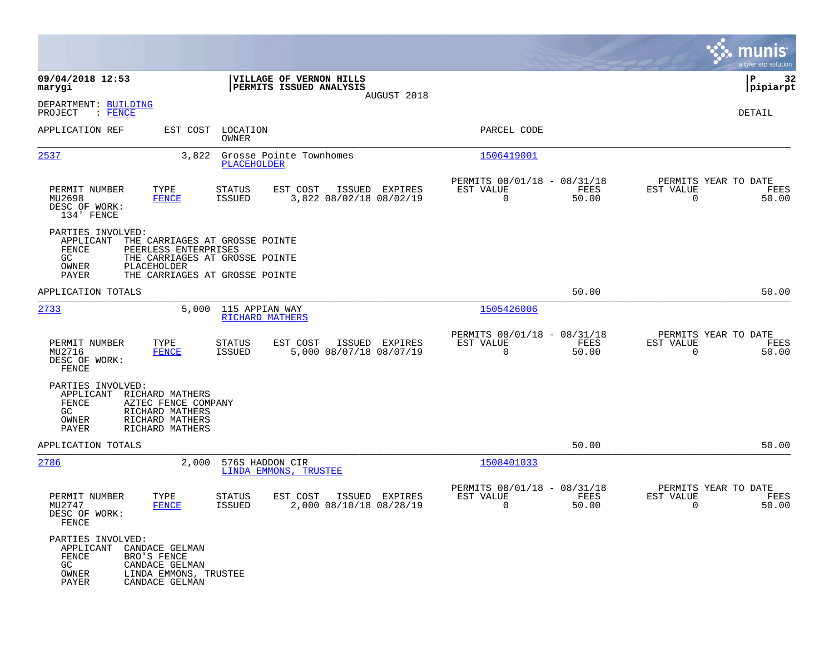|                                                                                |                                                                                                 |                                                                                                    |                         |                |                                                         |               |                                                  | munis<br>a tyler erp solution |
|--------------------------------------------------------------------------------|-------------------------------------------------------------------------------------------------|----------------------------------------------------------------------------------------------------|-------------------------|----------------|---------------------------------------------------------|---------------|--------------------------------------------------|-------------------------------|
| 09/04/2018 12:53<br>marygi                                                     |                                                                                                 | PERMITS ISSUED ANALYSIS                                                                            | VILLAGE OF VERNON HILLS |                |                                                         |               |                                                  | 32<br>IΡ<br> pipiarpt         |
| DEPARTMENT: BUILDING<br>$:$ FENCE<br>PROJECT                                   |                                                                                                 |                                                                                                    |                         | AUGUST 2018    |                                                         |               |                                                  | DETAIL                        |
| APPLICATION REF                                                                | EST COST                                                                                        | LOCATION<br>OWNER                                                                                  |                         |                | PARCEL CODE                                             |               |                                                  |                               |
| 2537                                                                           | 3,822                                                                                           | Grosse Pointe Townhomes<br>PLACEHOLDER                                                             |                         |                | 1506419001                                              |               |                                                  |                               |
| PERMIT NUMBER<br>MU2698<br>DESC OF WORK:<br>134' FENCE                         | TYPE<br><b>FENCE</b>                                                                            | <b>STATUS</b><br>EST COST<br><b>ISSUED</b>                                                         | 3,822 08/02/18 08/02/19 | ISSUED EXPIRES | PERMITS 08/01/18 - 08/31/18<br>EST VALUE<br>$\mathbf 0$ | FEES<br>50.00 | PERMITS YEAR TO DATE<br>EST VALUE<br>$\mathbf 0$ | FEES<br>50.00                 |
| PARTIES INVOLVED:<br>APPLICANT<br>FENCE<br>GC<br>PLACEHOLDER<br>OWNER<br>PAYER | PEERLESS ENTERPRISES                                                                            | THE CARRIAGES AT GROSSE POINTE<br>THE CARRIAGES AT GROSSE POINTE<br>THE CARRIAGES AT GROSSE POINTE |                         |                |                                                         |               |                                                  |                               |
| APPLICATION TOTALS                                                             |                                                                                                 |                                                                                                    |                         |                |                                                         | 50.00         |                                                  | 50.00                         |
| 2733                                                                           | 5,000                                                                                           | 115 APPIAN WAY<br>RICHARD MATHERS                                                                  |                         |                | 1505426006                                              |               |                                                  |                               |
| PERMIT NUMBER<br>MU2716<br>DESC OF WORK:<br>FENCE                              | TYPE<br><b>FENCE</b>                                                                            | <b>STATUS</b><br>EST COST<br><b>ISSUED</b>                                                         | 5,000 08/07/18 08/07/19 | ISSUED EXPIRES | PERMITS 08/01/18 - 08/31/18<br>EST VALUE<br>$\Omega$    | FEES<br>50.00 | PERMITS YEAR TO DATE<br>EST VALUE<br>$\mathbf 0$ | FEES<br>50.00                 |
| PARTIES INVOLVED:<br>APPLICANT<br>FENCE<br>GC<br>OWNER<br>PAYER                | RICHARD MATHERS<br>AZTEC FENCE COMPANY<br>RICHARD MATHERS<br>RICHARD MATHERS<br>RICHARD MATHERS |                                                                                                    |                         |                |                                                         |               |                                                  |                               |
| APPLICATION TOTALS                                                             |                                                                                                 |                                                                                                    |                         |                |                                                         | 50.00         |                                                  | 50.00                         |
| 2786                                                                           | 2,000                                                                                           | 576S HADDON CIR<br>LINDA EMMONS, TRUSTEE                                                           |                         |                | 1508401033                                              |               |                                                  |                               |
| PERMIT NUMBER<br>MU2747<br>DESC OF WORK:<br>FENCE                              | TYPE<br><b>FENCE</b>                                                                            | STATUS<br>EST COST<br><b>ISSUED</b>                                                                | 2,000 08/10/18 08/28/19 | ISSUED EXPIRES | PERMITS 08/01/18 - 08/31/18<br>EST VALUE<br>0           | FEES<br>50.00 | PERMITS YEAR TO DATE<br>EST VALUE<br>0           | FEES<br>50.00                 |
| PARTIES INVOLVED:<br>APPLICANT<br>FENCE<br>BRO'S FENCE<br>GC<br>OWNER<br>PAYER | CANDACE GELMAN<br>CANDACE GELMAN<br>LINDA EMMONS, TRUSTEE<br>CANDACE GELMAN                     |                                                                                                    |                         |                |                                                         |               |                                                  |                               |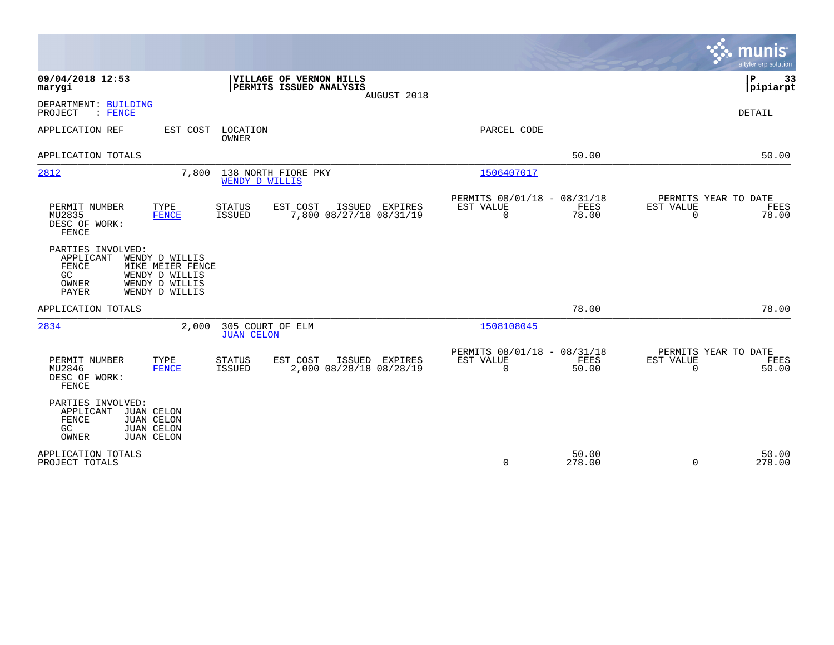|                                                                                                                              |                                                                                          |                                       |                                                    |                |                                                         |                      | munis                                         | a tyler erp solution |
|------------------------------------------------------------------------------------------------------------------------------|------------------------------------------------------------------------------------------|---------------------------------------|----------------------------------------------------|----------------|---------------------------------------------------------|----------------------|-----------------------------------------------|----------------------|
| 09/04/2018 12:53<br>marygi                                                                                                   |                                                                                          |                                       | VILLAGE OF VERNON HILLS<br>PERMITS ISSUED ANALYSIS | AUGUST 2018    |                                                         |                      | P                                             | 33<br> pipiarpt      |
| DEPARTMENT: BUILDING<br>: FENCE<br>PROJECT                                                                                   |                                                                                          |                                       |                                                    |                |                                                         |                      | <b>DETAIL</b>                                 |                      |
| APPLICATION REF                                                                                                              | EST COST                                                                                 | LOCATION<br>OWNER                     |                                                    |                | PARCEL CODE                                             |                      |                                               |                      |
| APPLICATION TOTALS                                                                                                           |                                                                                          |                                       |                                                    |                |                                                         | 50.00                |                                               | 50.00                |
| 2812                                                                                                                         | 7,800                                                                                    | 138 NORTH FIORE PKY<br>WENDY D WILLIS |                                                    |                | 1506407017                                              |                      |                                               |                      |
| PERMIT NUMBER<br>MU2835<br>DESC OF WORK:<br>FENCE                                                                            | TYPE<br><b>FENCE</b>                                                                     | STATUS<br><b>ISSUED</b>               | EST COST<br>ISSUED<br>7,800 08/27/18 08/31/19      | EXPIRES        | PERMITS 08/01/18 - 08/31/18<br>EST VALUE<br>$\mathbf 0$ | <b>FEES</b><br>78.00 | PERMITS YEAR TO DATE<br>EST VALUE<br>$\Omega$ | FEES<br>78.00        |
| PARTIES INVOLVED:<br>APPLICANT<br><b>FENCE</b><br>GC.<br>OWNER<br>PAYER                                                      | WENDY D WILLIS<br>MIKE MEIER FENCE<br>WENDY D WILLIS<br>WENDY D WILLIS<br>WENDY D WILLIS |                                       |                                                    |                |                                                         |                      |                                               |                      |
| APPLICATION TOTALS                                                                                                           |                                                                                          |                                       |                                                    |                |                                                         | 78.00                |                                               | 78.00                |
| 2834                                                                                                                         | 2,000                                                                                    | 305 COURT OF ELM<br><b>JUAN CELON</b> |                                                    |                | 1508108045                                              |                      |                                               |                      |
| PERMIT NUMBER<br>MU2846<br>DESC OF WORK:<br>FENCE                                                                            | TYPE<br>FENCE                                                                            | <b>STATUS</b><br><b>ISSUED</b>        | EST COST<br>2,000 08/28/18 08/28/19                | ISSUED EXPIRES | PERMITS 08/01/18 - 08/31/18<br>EST VALUE<br>$\mathbf 0$ | FEES<br>50.00        | PERMITS YEAR TO DATE<br>EST VALUE<br>$\Omega$ | FEES<br>50.00        |
| PARTIES INVOLVED:<br>JUAN CELON<br>APPLICANT<br>FENCE<br><b>JUAN CELON</b><br>GC<br>JUAN CELON<br>OWNER<br><b>JUAN CELON</b> |                                                                                          |                                       |                                                    |                |                                                         |                      |                                               |                      |
| APPLICATION TOTALS<br>PROJECT TOTALS                                                                                         |                                                                                          |                                       |                                                    |                | $\mathbf 0$                                             | 50.00<br>278.00      | $\Omega$                                      | 50.00<br>278.00      |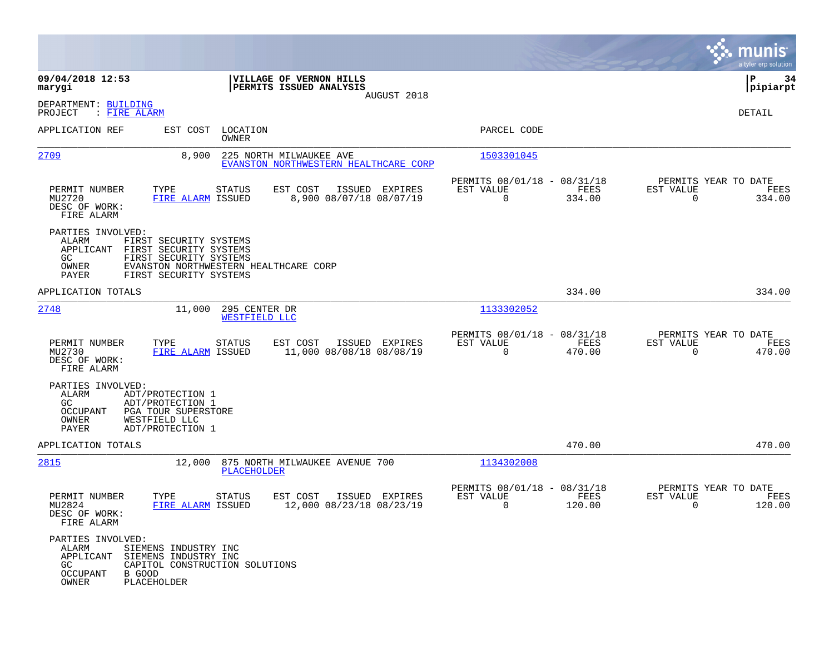|                                                                                                                                                                         |                                                                                              |                                                                           | munis<br>a tyler erp solution                                      |
|-------------------------------------------------------------------------------------------------------------------------------------------------------------------------|----------------------------------------------------------------------------------------------|---------------------------------------------------------------------------|--------------------------------------------------------------------|
| 09/04/2018 12:53<br>marygi                                                                                                                                              | VILLAGE OF VERNON HILLS<br>PERMITS ISSUED ANALYSIS                                           |                                                                           | 34<br>IΡ<br> pipiarpt                                              |
| DEPARTMENT: BUILDING<br>PROJECT<br>: FIRE ALARM                                                                                                                         | AUGUST 2018                                                                                  |                                                                           | DETAIL                                                             |
| APPLICATION REF                                                                                                                                                         | EST COST LOCATION<br><b>OWNER</b>                                                            | PARCEL CODE                                                               |                                                                    |
| <u> 2709</u>                                                                                                                                                            | 8,900<br>225 NORTH MILWAUKEE AVE<br>EVANSTON NORTHWESTERN HEALTHCARE CORP                    | 1503301045                                                                |                                                                    |
| PERMIT NUMBER<br>TYPE<br>MU2720<br>DESC OF WORK:<br>FIRE ALARM                                                                                                          | ISSUED EXPIRES<br>STATUS<br>EST COST<br>8,900 08/07/18 08/07/19<br>FIRE ALARM ISSUED         | PERMITS 08/01/18 - 08/31/18<br>EST VALUE<br>FEES<br>$\mathbf 0$<br>334.00 | PERMITS YEAR TO DATE<br>EST VALUE<br>FEES<br>$\mathbf 0$<br>334.00 |
| PARTIES INVOLVED:<br>ALARM<br>FIRST SECURITY SYSTEMS<br>APPLICANT<br>FIRST SECURITY SYSTEMS<br>FIRST SECURITY SYSTEMS<br>GC<br>OWNER<br>PAYER<br>FIRST SECURITY SYSTEMS | EVANSTON NORTHWESTERN HEALTHCARE CORP                                                        |                                                                           |                                                                    |
| APPLICATION TOTALS                                                                                                                                                      |                                                                                              | 334.00                                                                    | 334.00                                                             |
| 2748                                                                                                                                                                    | 11,000<br>295 CENTER DR<br>WESTFIELD LLC                                                     | 1133302052                                                                |                                                                    |
| PERMIT NUMBER<br>TYPE<br>MU2730<br>DESC OF WORK:<br>FIRE ALARM                                                                                                          | EST COST<br>ISSUED EXPIRES<br><b>STATUS</b><br>11,000 08/08/18 08/08/19<br>FIRE ALARM ISSUED | PERMITS 08/01/18 - 08/31/18<br>EST VALUE<br>FEES<br>$\mathbf 0$<br>470.00 | PERMITS YEAR TO DATE<br>EST VALUE<br>FEES<br>$\Omega$<br>470.00    |
| PARTIES INVOLVED:<br>ALARM<br>ADT/PROTECTION 1<br>GC<br>ADT/PROTECTION 1<br>OCCUPANT<br>PGA TOUR SUPERSTORE<br>OWNER<br>WESTFIELD LLC<br>PAYER<br>ADT/PROTECTION 1      |                                                                                              |                                                                           |                                                                    |
| APPLICATION TOTALS                                                                                                                                                      |                                                                                              | 470.00                                                                    | 470.00                                                             |
| 2815                                                                                                                                                                    | 12,000<br>875 NORTH MILWAUKEE AVENUE 700<br>PLACEHOLDER                                      | 1134302008                                                                |                                                                    |
| PERMIT NUMBER<br>TYPE<br>MU2824<br>DESC OF WORK<br>FIRE ALARM                                                                                                           | EST COST<br>ISSUED EXPIRES<br>STATUS<br>12,000 08/23/18 08/23/19<br>FIRE ALARM ISSUED        | PERMITS 08/01/18 - 08/31/18<br>EST VALUE<br>FEES<br>0<br>120.00           | PERMITS YEAR TO DATE<br>EST VALUE<br>FEES<br>120.00<br>0           |
| PARTIES INVOLVED:<br>SIEMENS INDUSTRY INC<br>ALARM<br>APPLICANT SIEMENS INDUSTRY INC<br>GC<br><b>OCCUPANT</b><br>B GOOD<br>OWNER<br>PLACEHOLDER                         | CAPITOL CONSTRUCTION SOLUTIONS                                                               |                                                                           |                                                                    |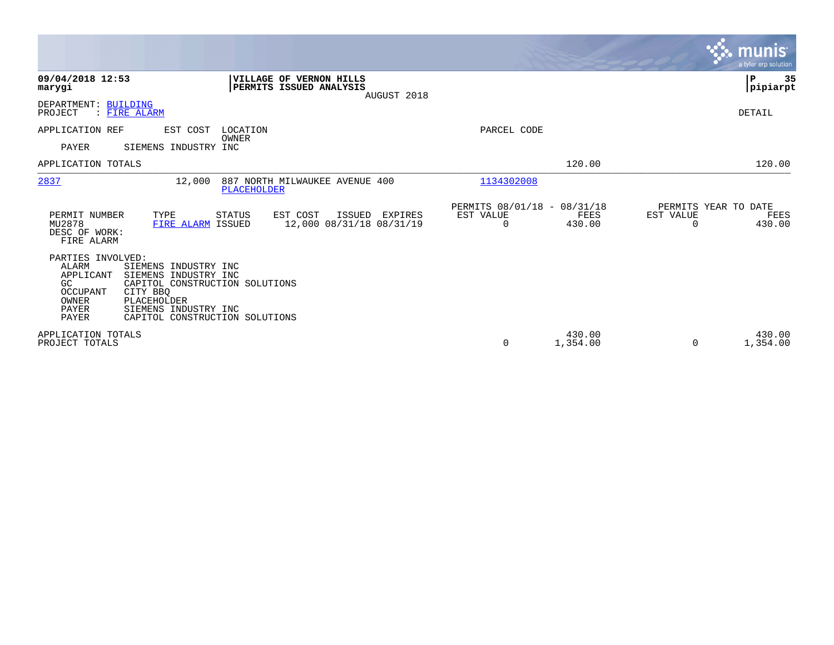|                                                                                                                                                                                                                                                                    |                                                                         |                                                                 | munis<br>a tyler erp solution                                   |
|--------------------------------------------------------------------------------------------------------------------------------------------------------------------------------------------------------------------------------------------------------------------|-------------------------------------------------------------------------|-----------------------------------------------------------------|-----------------------------------------------------------------|
| 09/04/2018 12:53<br>marygi                                                                                                                                                                                                                                         | VILLAGE OF VERNON HILLS<br>PERMITS ISSUED ANALYSIS<br>AUGUST 2018       |                                                                 | P<br>35<br> pipiarpt                                            |
| DEPARTMENT: BUILDING<br>PROJECT<br>: FIRE ALARM                                                                                                                                                                                                                    |                                                                         |                                                                 | DETAIL                                                          |
| APPLICATION REF<br>EST COST<br>PAYER<br>SIEMENS INDUSTRY INC                                                                                                                                                                                                       | LOCATION<br>OWNER                                                       | PARCEL CODE                                                     |                                                                 |
| APPLICATION TOTALS                                                                                                                                                                                                                                                 |                                                                         | 120.00                                                          | 120.00                                                          |
| 2837<br>12,000                                                                                                                                                                                                                                                     | 887 NORTH MILWAUKEE AVENUE 400<br><b>PLACEHOLDER</b>                    | 1134302008                                                      |                                                                 |
| PERMIT NUMBER<br>TYPE<br>MU2878<br>FIRE ALARM ISSUED<br>DESC OF WORK:<br>FIRE ALARM                                                                                                                                                                                | EST COST<br><b>STATUS</b><br>ISSUED EXPIRES<br>12,000 08/31/18 08/31/19 | PERMITS 08/01/18 - 08/31/18<br>EST VALUE<br>FEES<br>430.00<br>0 | PERMITS YEAR TO DATE<br>EST VALUE<br>FEES<br>430.00<br>$\Omega$ |
| PARTIES INVOLVED:<br><b>ALARM</b><br>SIEMENS INDUSTRY INC<br>APPLICANT<br>SIEMENS INDUSTRY INC<br>GC<br>CAPITOL CONSTRUCTION SOLUTIONS<br>OCCUPANT<br>CITY BBQ<br>OWNER<br>PLACEHOLDER<br>PAYER<br>SIEMENS INDUSTRY INC<br>PAYER<br>CAPITOL CONSTRUCTION SOLUTIONS |                                                                         |                                                                 |                                                                 |
| APPLICATION TOTALS<br>PROJECT TOTALS                                                                                                                                                                                                                               |                                                                         | 430.00<br>$\mathbf 0$<br>1,354.00                               | 430.00<br>1,354.00<br>$\Omega$                                  |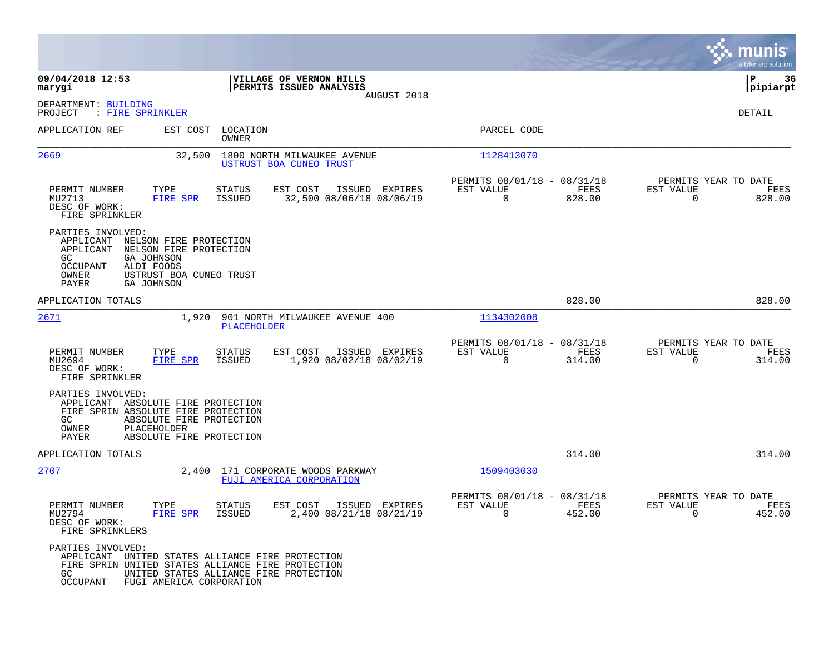|                                                                                                                                         |                                                                                                                                                                   |                                                         |                |                                                      |                       |                                               | munis<br>a tyler erp solution |
|-----------------------------------------------------------------------------------------------------------------------------------------|-------------------------------------------------------------------------------------------------------------------------------------------------------------------|---------------------------------------------------------|----------------|------------------------------------------------------|-----------------------|-----------------------------------------------|-------------------------------|
| 09/04/2018 12:53<br>marygi                                                                                                              |                                                                                                                                                                   | VILLAGE OF VERNON HILLS<br>PERMITS ISSUED ANALYSIS      |                |                                                      |                       |                                               | ∣P<br>36<br>pipiarpt          |
| DEPARTMENT: BUILDING<br>: FIRE SPRINKLER<br>PROJECT                                                                                     |                                                                                                                                                                   |                                                         | AUGUST 2018    |                                                      |                       |                                               | DETAIL                        |
| APPLICATION REF                                                                                                                         | EST COST<br>LOCATION<br>OWNER                                                                                                                                     |                                                         |                | PARCEL CODE                                          |                       |                                               |                               |
| <u>2669</u>                                                                                                                             | 32,500                                                                                                                                                            | 1800 NORTH MILWAUKEE AVENUE<br>USTRUST BOA CUNEO TRUST  |                | 1128413070                                           |                       |                                               |                               |
| PERMIT NUMBER<br>TYPE<br>MU2713<br>DESC OF WORK:<br>FIRE SPRINKLER                                                                      | <b>STATUS</b><br>FIRE SPR<br><b>ISSUED</b>                                                                                                                        | EST COST<br>32,500 08/06/18 08/06/19                    | ISSUED EXPIRES | PERMITS 08/01/18 - 08/31/18<br>EST VALUE<br>$\Omega$ | FEES<br>828.00        | PERMITS YEAR TO DATE<br>EST VALUE<br>$\Omega$ | FEES<br>828.00                |
| PARTIES INVOLVED:<br>APPLICANT<br>APPLICANT<br>GC<br><b>GA JOHNSON</b><br>ALDI FOODS<br>OCCUPANT<br>OWNER<br>PAYER<br><b>GA JOHNSON</b> | NELSON FIRE PROTECTION<br>NELSON FIRE PROTECTION<br>USTRUST BOA CUNEO TRUST                                                                                       |                                                         |                |                                                      |                       |                                               |                               |
| APPLICATION TOTALS                                                                                                                      |                                                                                                                                                                   |                                                         |                |                                                      | 828.00                |                                               | 828.00                        |
| 2671                                                                                                                                    | 1,920<br>PLACEHOLDER                                                                                                                                              | 901 NORTH MILWAUKEE AVENUE 400                          |                | 1134302008                                           |                       |                                               |                               |
| PERMIT NUMBER<br>TYPE<br>MU2694<br>DESC OF WORK:<br>FIRE SPRINKLER                                                                      | <b>STATUS</b><br><b>FIRE SPR</b><br>ISSUED                                                                                                                        | EST COST<br>1,920 08/02/18 08/02/19                     | ISSUED EXPIRES | PERMITS 08/01/18 - 08/31/18<br>EST VALUE<br>0        | <b>FEES</b><br>314.00 | PERMITS YEAR TO DATE<br>EST VALUE<br>$\Omega$ | FEES<br>314.00                |
| PARTIES INVOLVED:<br>APPLICANT ABSOLUTE FIRE PROTECTION<br>FIRE SPRIN ABSOLUTE FIRE PROTECTION<br>GC<br>PLACEHOLDER<br>OWNER<br>PAYER   | ABSOLUTE FIRE PROTECTION<br>ABSOLUTE FIRE PROTECTION                                                                                                              |                                                         |                |                                                      |                       |                                               |                               |
| APPLICATION TOTALS                                                                                                                      |                                                                                                                                                                   |                                                         |                |                                                      | 314.00                |                                               | 314.00                        |
| 2707                                                                                                                                    | 2,400                                                                                                                                                             | 171 CORPORATE WOODS PARKWAY<br>FUJI AMERICA CORPORATION |                | 1509403030                                           |                       |                                               |                               |
| PERMIT NUMBER<br>TYPE<br>MU2794<br>DESC OF WORK:<br>FIRE SPRINKLERS                                                                     | <b>STATUS</b><br>FIRE SPR<br><b>ISSUED</b>                                                                                                                        | EST COST<br>2,400 08/21/18 08/21/19                     | ISSUED EXPIRES | PERMITS 08/01/18 - 08/31/18<br>EST VALUE<br>$\Omega$ | FEES<br>452.00        | PERMITS YEAR TO DATE<br>EST VALUE<br>$\Omega$ | FEES<br>452.00                |
| PARTIES INVOLVED:<br>APPLICANT<br>GC<br>OCCUPANT                                                                                        | UNITED STATES ALLIANCE FIRE PROTECTION<br>FIRE SPRIN UNITED STATES ALLIANCE FIRE PROTECTION<br>UNITED STATES ALLIANCE FIRE PROTECTION<br>FUGI AMERICA CORPORATION |                                                         |                |                                                      |                       |                                               |                               |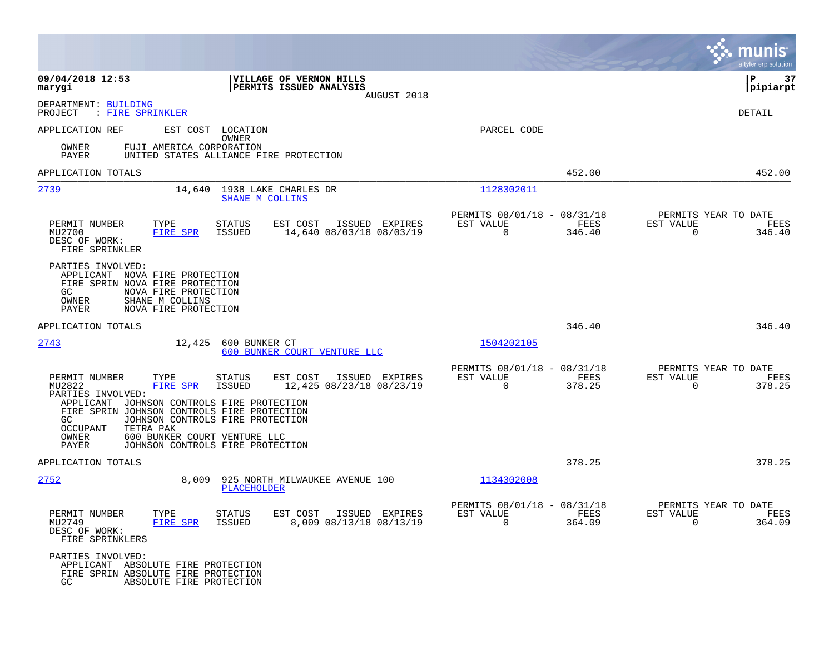|                                                                                                                                                                                    |                                                                            |                                                                        | munis<br>a tyler erp solution                                         |
|------------------------------------------------------------------------------------------------------------------------------------------------------------------------------------|----------------------------------------------------------------------------|------------------------------------------------------------------------|-----------------------------------------------------------------------|
| 09/04/2018 12:53<br>marygi                                                                                                                                                         | VILLAGE OF VERNON HILLS<br><b>PERMITS ISSUED ANALYSIS</b><br>AUGUST 2018   |                                                                        | 37<br>l P<br> pipiarpt                                                |
| DEPARTMENT: BUILDING<br>: FIRE SPRINKLER<br>PROJECT                                                                                                                                |                                                                            |                                                                        | DETAIL                                                                |
| APPLICATION REF                                                                                                                                                                    | EST COST LOCATION<br>OWNER                                                 | PARCEL CODE                                                            |                                                                       |
| OWNER<br>PAYER                                                                                                                                                                     | FUJI AMERICA CORPORATION<br>UNITED STATES ALLIANCE FIRE PROTECTION         |                                                                        |                                                                       |
| APPLICATION TOTALS                                                                                                                                                                 |                                                                            | 452.00                                                                 | 452.00                                                                |
| 2739                                                                                                                                                                               | 14,640 1938 LAKE CHARLES DR<br>SHANE M COLLINS                             | 1128302011                                                             |                                                                       |
| PERMIT NUMBER<br>TYPE<br>MU2700<br>FIRE SPR<br>DESC OF WORK:<br>FIRE SPRINKLER                                                                                                     | STATUS<br>EST COST<br>ISSUED EXPIRES<br>14,640 08/03/18 08/03/19<br>ISSUED | PERMITS 08/01/18 - 08/31/18<br>EST VALUE<br>FEES<br>$\Omega$<br>346.40 | PERMITS YEAR TO DATE<br>EST VALUE<br>FEES<br>$\overline{0}$<br>346.40 |
| PARTIES INVOLVED:<br>APPLICANT NOVA FIRE PROTECTION<br>FIRE SPRIN NOVA FIRE PROTECTION<br>GC.<br>NOVA FIRE PROTECTION<br>OWNER<br>SHANE M COLLINS<br>NOVA FIRE PROTECTION<br>PAYER |                                                                            |                                                                        |                                                                       |
| APPLICATION TOTALS                                                                                                                                                                 |                                                                            | 346.40                                                                 | 346.40                                                                |
| 2743                                                                                                                                                                               | 600 BUNKER CT<br>12,425<br>600 BUNKER COURT VENTURE LLC                    | 1504202105                                                             |                                                                       |
| PERMIT NUMBER<br>TYPE<br>MU2822<br>FIRE SPR<br>PARTIES INVOLVED:                                                                                                                   | EST COST<br>ISSUED EXPIRES<br>STATUS<br>12,425 08/23/18 08/23/19<br>ISSUED | PERMITS 08/01/18 - 08/31/18<br>EST VALUE<br>FEES<br>$\Omega$<br>378.25 | PERMITS YEAR TO DATE<br>EST VALUE<br>FEES<br>378.25<br>$\Omega$       |
| APPLICANT JOHNSON CONTROLS FIRE PROTECTION<br>FIRE SPRIN JOHNSON CONTROLS FIRE PROTECTION<br>GC<br><b>OCCUPANT</b><br>TETRA PAK<br>OWNER                                           | JOHNSON CONTROLS FIRE PROTECTION<br>600 BUNKER COURT VENTURE LLC           |                                                                        |                                                                       |
| PAYER                                                                                                                                                                              | JOHNSON CONTROLS FIRE PROTECTION                                           |                                                                        |                                                                       |
| APPLICATION TOTALS<br>2752                                                                                                                                                         | 8,009<br>925 NORTH MILWAUKEE AVENUE 100<br>PLACEHOLDER                     | 378.25<br>1134302008                                                   | 378.25                                                                |
| PERMIT NUMBER<br>TYPE<br>MU2749<br>FIRE SPR<br>DESC OF WORK:<br>FIRE SPRINKLERS                                                                                                    | STATUS<br>EST COST ISSUED EXPIRES<br>8,009 08/13/18 08/13/19<br>ISSUED     | PERMITS 08/01/18 - 08/31/18<br>EST VALUE<br>FEES<br>$\Omega$<br>364.09 | PERMITS YEAR TO DATE<br>EST VALUE<br>FEES<br>$\Omega$<br>364.09       |
| PARTIES INVOLVED:<br>APPLICANT ABSOLUTE FIRE PROTECTION<br>FIRE SPRIN ABSOLUTE FIRE PROTECTION<br>GC                                                                               | ABSOLUTE FIRE PROTECTION                                                   |                                                                        |                                                                       |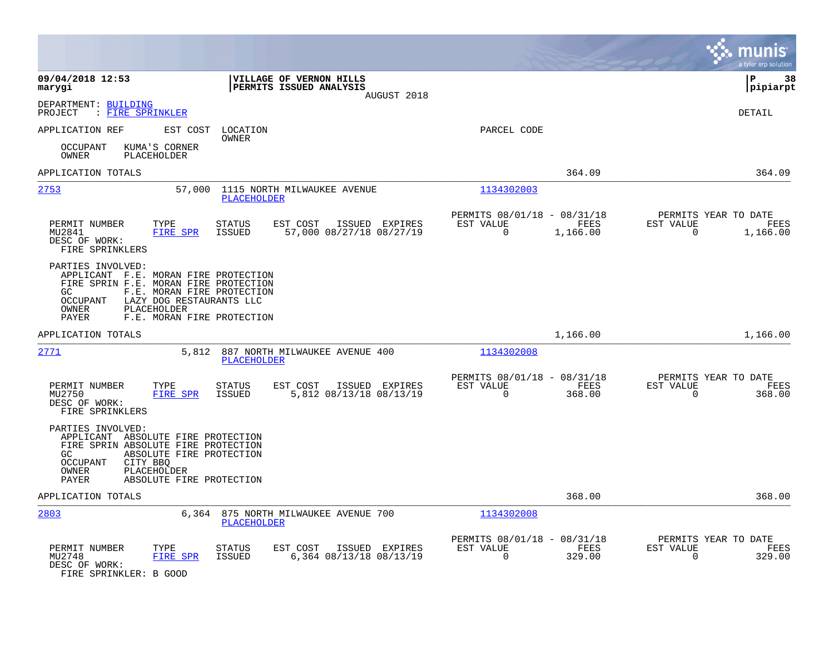|                                                                                                                                                                                                                                                                                                                                                                                                                                                                                                                                                                                                                                                                                                                                        |                                                                                         |                                                                        | a tyler erp solution                                                 |
|----------------------------------------------------------------------------------------------------------------------------------------------------------------------------------------------------------------------------------------------------------------------------------------------------------------------------------------------------------------------------------------------------------------------------------------------------------------------------------------------------------------------------------------------------------------------------------------------------------------------------------------------------------------------------------------------------------------------------------------|-----------------------------------------------------------------------------------------|------------------------------------------------------------------------|----------------------------------------------------------------------|
| 09/04/2018 12:53<br>marygi                                                                                                                                                                                                                                                                                                                                                                                                                                                                                                                                                                                                                                                                                                             | VILLAGE OF VERNON HILLS<br>PERMITS ISSUED ANALYSIS<br>AUGUST 2018                       |                                                                        | ΙP<br>38<br> pipiarpt                                                |
| DEPARTMENT: BUILDING<br>: FIRE SPRINKLER<br>PROJECT                                                                                                                                                                                                                                                                                                                                                                                                                                                                                                                                                                                                                                                                                    |                                                                                         |                                                                        | DETAIL                                                               |
| APPLICATION REF<br>EST COST                                                                                                                                                                                                                                                                                                                                                                                                                                                                                                                                                                                                                                                                                                            | LOCATION<br>OWNER                                                                       | PARCEL CODE                                                            |                                                                      |
| KUMA'S CORNER<br><b>OCCUPANT</b><br><b>OWNER</b><br>PLACEHOLDER                                                                                                                                                                                                                                                                                                                                                                                                                                                                                                                                                                                                                                                                        |                                                                                         |                                                                        |                                                                      |
| APPLICATION TOTALS                                                                                                                                                                                                                                                                                                                                                                                                                                                                                                                                                                                                                                                                                                                     |                                                                                         | 364.09                                                                 | 364.09                                                               |
| 2753<br>57,000                                                                                                                                                                                                                                                                                                                                                                                                                                                                                                                                                                                                                                                                                                                         | 1115 NORTH MILWAUKEE AVENUE<br><b>PLACEHOLDER</b>                                       | 1134302003                                                             |                                                                      |
| PERMIT NUMBER<br>TYPE<br><b>FIRE SPR</b><br>MU2841<br>DESC OF WORK:<br>FIRE SPRINKLERS                                                                                                                                                                                                                                                                                                                                                                                                                                                                                                                                                                                                                                                 | STATUS<br>EST COST<br>ISSUED EXPIRES<br><b>ISSUED</b><br>57,000 08/27/18 08/27/19       | PERMITS 08/01/18 - 08/31/18<br>FEES<br>EST VALUE<br>0<br>1,166.00      | PERMITS YEAR TO DATE<br>EST VALUE<br>FEES<br>$\mathbf 0$<br>1,166.00 |
| PARTIES INVOLVED:<br>APPLICANT F.E. MORAN FIRE PROTECTION<br>FIRE SPRIN F.E. MORAN FIRE PROTECTION<br>F.E. MORAN FIRE PROTECTION<br>GC.<br>$\begin{array}{ll} \multicolumn{3}{l}{{\text{OC}}} \\ \multicolumn{3}{l}{{{\text{OC}}} \\ \multicolumn{3}{l}{{{\text{O}}}} \\ \multicolumn{3}{l}{{{\text{O}}}} \\ \multicolumn{3}{l}{{{\text{O}}}} \\ \multicolumn{3}{l}{{{\text{O}}}} \\ \multicolumn{3}{l}{{{\text{O}}}} \\ \multicolumn{3}{l}{{{\text{O}}}} \\ \multicolumn{3}{l}{{{\text{O}}}} \\ \multicolumn{3}{l}{{{\text{O}}}} \\ \multicolumn{3}{l}{{{\text{O}}}} \\ \multicolumn{3}{l}{{{\text{O}}}} \\ \multicolumn{3}{l}{{{\$<br>LAZY DOG RESTAURANTS LLC<br>PLACEHOLDER<br>OWNER<br><b>PAYER</b><br>F.E. MORAN FIRE PROTECTION |                                                                                         |                                                                        |                                                                      |
| APPLICATION TOTALS                                                                                                                                                                                                                                                                                                                                                                                                                                                                                                                                                                                                                                                                                                                     |                                                                                         | 1,166.00                                                               | 1,166.00                                                             |
| 2771<br>5,812                                                                                                                                                                                                                                                                                                                                                                                                                                                                                                                                                                                                                                                                                                                          | 887 NORTH MILWAUKEE AVENUE 400<br><b>PLACEHOLDER</b>                                    | 1134302008                                                             |                                                                      |
| PERMIT NUMBER<br>TYPE<br><b>FIRE SPR</b><br>MU2750<br>DESC OF WORK:<br>FIRE SPRINKLERS                                                                                                                                                                                                                                                                                                                                                                                                                                                                                                                                                                                                                                                 | STATUS<br>EST COST<br>ISSUED EXPIRES<br><b>ISSUED</b><br>5,812 08/13/18 08/13/19        | PERMITS 08/01/18 - 08/31/18<br>EST VALUE<br>FEES<br>$\Omega$<br>368.00 | PERMITS YEAR TO DATE<br>EST VALUE<br>FEES<br>$\mathbf 0$<br>368.00   |
| PARTIES INVOLVED:<br>APPLICANT ABSOLUTE FIRE PROTECTION<br>FIRE SPRIN ABSOLUTE FIRE PROTECTION<br>GC.<br>ABSOLUTE FIRE PROTECTION<br>OCCUPANT<br>CITY BBQ<br>PLACEHOLDER<br>OWNER<br><b>PAYER</b><br>ABSOLUTE FIRE PROTECTION                                                                                                                                                                                                                                                                                                                                                                                                                                                                                                          |                                                                                         |                                                                        |                                                                      |
| APPLICATION TOTALS                                                                                                                                                                                                                                                                                                                                                                                                                                                                                                                                                                                                                                                                                                                     |                                                                                         | 368.00                                                                 | 368.00                                                               |
| 2803<br>6,364                                                                                                                                                                                                                                                                                                                                                                                                                                                                                                                                                                                                                                                                                                                          | 875 NORTH MILWAUKEE AVENUE 700<br><b>PLACEHOLDER</b>                                    | 1134302008                                                             |                                                                      |
| PERMIT NUMBER<br>TYPE<br>MU2748<br>FIRE SPR<br>DESC OF WORK:<br>FIRE SPRINKLER: B GOOD                                                                                                                                                                                                                                                                                                                                                                                                                                                                                                                                                                                                                                                 | <b>STATUS</b><br>EST COST<br>ISSUED EXPIRES<br>6,364 08/13/18 08/13/19<br><b>ISSUED</b> | PERMITS 08/01/18 - 08/31/18<br>EST VALUE<br>FEES<br>$\Omega$<br>329.00 | PERMITS YEAR TO DATE<br>EST VALUE<br>FEES<br>329.00<br>$\Omega$      |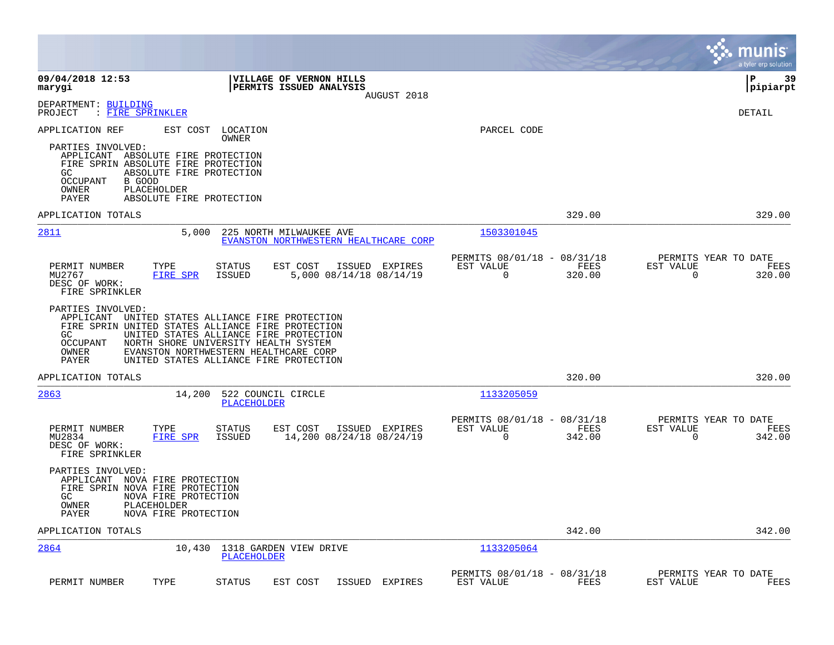|                                                                                                                                                                                                                                                                                                                                                                                                                                                                                                                          |                                                                           | munis<br>a tyler erp solution                                      |
|--------------------------------------------------------------------------------------------------------------------------------------------------------------------------------------------------------------------------------------------------------------------------------------------------------------------------------------------------------------------------------------------------------------------------------------------------------------------------------------------------------------------------|---------------------------------------------------------------------------|--------------------------------------------------------------------|
| 09/04/2018 12:53<br><b>VILLAGE OF VERNON HILLS</b><br><b>PERMITS ISSUED ANALYSIS</b><br>marygi<br>AUGUST 2018                                                                                                                                                                                                                                                                                                                                                                                                            |                                                                           | l P<br>39<br> pipiarpt                                             |
| DEPARTMENT: BUILDING<br>: FIRE SPRINKLER<br>PROJECT                                                                                                                                                                                                                                                                                                                                                                                                                                                                      |                                                                           | DETAIL                                                             |
| APPLICATION REF<br>EST COST<br>LOCATION<br>OWNER<br>PARTIES INVOLVED:<br>APPLICANT ABSOLUTE FIRE PROTECTION<br>FIRE SPRIN ABSOLUTE FIRE PROTECTION<br>GC.<br>ABSOLUTE FIRE PROTECTION<br>OCCUPANT<br>B GOOD<br>OWNER<br>PLACEHOLDER<br>PAYER<br>ABSOLUTE FIRE PROTECTION                                                                                                                                                                                                                                                 | PARCEL CODE                                                               |                                                                    |
| APPLICATION TOTALS                                                                                                                                                                                                                                                                                                                                                                                                                                                                                                       | 329.00                                                                    | 329.00                                                             |
| 2811<br>5,000<br>225 NORTH MILWAUKEE AVE<br>EVANSTON NORTHWESTERN HEALTHCARE CORP                                                                                                                                                                                                                                                                                                                                                                                                                                        | 1503301045                                                                |                                                                    |
| PERMIT NUMBER<br>TYPE<br><b>STATUS</b><br>EST COST<br>ISSUED EXPIRES<br>MU2767<br><b>FIRE SPR</b><br><b>ISSUED</b><br>5,000 08/14/18 08/14/19<br>DESC OF WORK:<br>FIRE SPRINKLER<br>PARTIES INVOLVED:<br>APPLICANT UNITED STATES ALLIANCE FIRE PROTECTION<br>FIRE SPRIN UNITED STATES ALLIANCE FIRE PROTECTION<br>GC.<br>UNITED STATES ALLIANCE FIRE PROTECTION<br>OCCUPANT<br>NORTH SHORE UNIVERSITY HEALTH SYSTEM<br>EVANSTON NORTHWESTERN HEALTHCARE CORP<br>OWNER<br>PAYER<br>UNITED STATES ALLIANCE FIRE PROTECTION | PERMITS 08/01/18 - 08/31/18<br>EST VALUE<br>FEES<br>$\mathbf 0$<br>320.00 | PERMITS YEAR TO DATE<br>EST VALUE<br>FEES<br>$\mathbf 0$<br>320.00 |
| APPLICATION TOTALS                                                                                                                                                                                                                                                                                                                                                                                                                                                                                                       | 320.00                                                                    | 320.00                                                             |
| 2863<br>522 COUNCIL CIRCLE<br>14,200<br><b>PLACEHOLDER</b>                                                                                                                                                                                                                                                                                                                                                                                                                                                               | 1133205059                                                                |                                                                    |
| PERMIT NUMBER<br><b>STATUS</b><br>EST COST<br>ISSUED EXPIRES<br>TYPE<br>MU2834<br>14,200 08/24/18 08/24/19<br>FIRE SPR<br><b>ISSUED</b><br>DESC OF WORK:<br>FIRE SPRINKLER                                                                                                                                                                                                                                                                                                                                               | PERMITS 08/01/18 - 08/31/18<br>EST VALUE<br>FEES<br>$\Omega$<br>342.00    | PERMITS YEAR TO DATE<br>EST VALUE<br>FEES<br>$\Omega$<br>342.00    |
| PARTIES INVOLVED:<br>APPLICANT NOVA FIRE PROTECTION<br>FIRE SPRIN NOVA FIRE PROTECTION<br>GC.<br>NOVA FIRE PROTECTION<br>OWNER<br>PLACEHOLDER<br>NOVA FIRE PROTECTION<br>PAYER                                                                                                                                                                                                                                                                                                                                           |                                                                           |                                                                    |
| APPLICATION TOTALS                                                                                                                                                                                                                                                                                                                                                                                                                                                                                                       | 342.00                                                                    | 342.00                                                             |
| 2864<br>10,430<br>1318 GARDEN VIEW DRIVE<br><b>PLACEHOLDER</b>                                                                                                                                                                                                                                                                                                                                                                                                                                                           | 1133205064                                                                |                                                                    |
| PERMIT NUMBER<br>TYPE<br><b>STATUS</b><br>EST COST<br>ISSUED<br>EXPIRES                                                                                                                                                                                                                                                                                                                                                                                                                                                  | PERMITS 08/01/18 - 08/31/18<br>EST VALUE<br>FEES                          | PERMITS YEAR TO DATE<br>EST VALUE<br>FEES                          |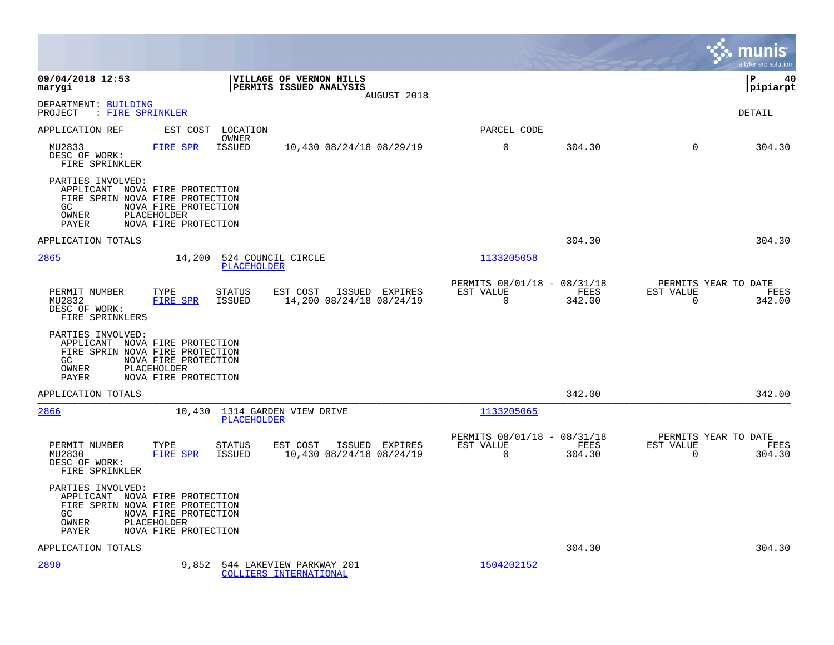|                                                                                                                                                                                    |                                                                        | munis<br>a tyler erp solution                                      |
|------------------------------------------------------------------------------------------------------------------------------------------------------------------------------------|------------------------------------------------------------------------|--------------------------------------------------------------------|
| 09/04/2018 12:53<br>VILLAGE OF VERNON HILLS<br>PERMITS ISSUED ANALYSIS<br>marygi<br>AUGUST 2018                                                                                    |                                                                        | lР<br>40<br> pipiarpt                                              |
| DEPARTMENT: BUILDING<br>: FIRE SPRINKLER<br>PROJECT                                                                                                                                |                                                                        | DETAIL                                                             |
| APPLICATION REF<br>EST COST LOCATION<br>OWNER                                                                                                                                      | PARCEL CODE                                                            |                                                                    |
| MU2833<br>FIRE SPR<br><b>ISSUED</b><br>10,430 08/24/18 08/29/19<br>DESC OF WORK:<br>FIRE SPRINKLER                                                                                 | 0<br>304.30                                                            | $\Omega$<br>304.30                                                 |
| PARTIES INVOLVED:<br>APPLICANT NOVA FIRE PROTECTION<br>FIRE SPRIN NOVA FIRE PROTECTION<br>GC<br>NOVA FIRE PROTECTION<br>OWNER<br>PLACEHOLDER<br>NOVA FIRE PROTECTION<br>PAYER      |                                                                        |                                                                    |
| APPLICATION TOTALS                                                                                                                                                                 | 304.30                                                                 | 304.30                                                             |
| 2865<br>14,200<br>524 COUNCIL CIRCLE<br><b>PLACEHOLDER</b>                                                                                                                         | 1133205058                                                             |                                                                    |
| PERMIT NUMBER<br><b>STATUS</b><br>EST COST<br>ISSUED EXPIRES<br>TYPE<br><b>FIRE SPR</b><br><b>ISSUED</b><br>14,200 08/24/18 08/24/19<br>MU2832<br>DESC OF WORK:<br>FIRE SPRINKLERS | PERMITS 08/01/18 - 08/31/18<br>FEES<br>EST VALUE<br>$\Omega$<br>342.00 | PERMITS YEAR TO DATE<br>EST VALUE<br>FEES<br>$\Omega$<br>342.00    |
| PARTIES INVOLVED:<br>APPLICANT NOVA FIRE PROTECTION<br>FIRE SPRIN NOVA FIRE PROTECTION<br>GC.<br>NOVA FIRE PROTECTION<br>OWNER<br>PLACEHOLDER<br>NOVA FIRE PROTECTION<br>PAYER     |                                                                        |                                                                    |
| APPLICATION TOTALS                                                                                                                                                                 | 342.00                                                                 | 342.00                                                             |
| 2866<br>10,430 1314 GARDEN VIEW DRIVE<br>PLACEHOLDER                                                                                                                               | 1133205065                                                             |                                                                    |
| TYPE<br>PERMIT NUMBER<br><b>STATUS</b><br>EST COST<br>ISSUED EXPIRES<br>MU2830<br><b>FIRE SPR</b><br>ISSUED<br>10,430 08/24/18 08/24/19<br>DESC OF WORK:<br>FIRE SPRINKLER         | PERMITS 08/01/18 - 08/31/18<br>EST VALUE<br>FEES<br>304.30<br>0        | PERMITS YEAR TO DATE<br>EST VALUE<br>FEES<br>$\mathbf 0$<br>304.30 |
| PARTIES INVOLVED:<br>APPLICANT NOVA FIRE PROTECTION<br>FIRE SPRIN NOVA FIRE PROTECTION<br>GC<br>NOVA FIRE PROTECTION<br>OWNER<br>PLACEHOLDER<br>NOVA FIRE PROTECTION<br>PAYER      |                                                                        |                                                                    |
| APPLICATION TOTALS                                                                                                                                                                 | 304.30                                                                 | 304.30                                                             |
| 2890<br>9,852<br>544 LAKEVIEW PARKWAY 201<br>COLLIERS INTERNATIONAL                                                                                                                | 1504202152                                                             |                                                                    |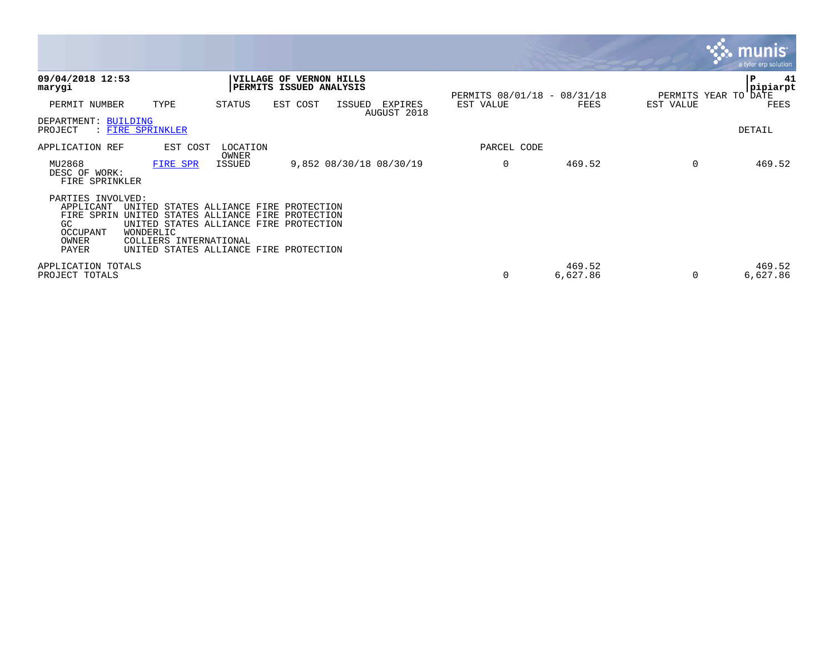|                                                                                  |                                                                                                                                                                                             |                        |                                                    |        |                         |                             |                    |           | $\mathbf{\ddot{\cdot}}\mathbf{\ddot{\cdot}}$ munis<br>a tyler erp solution |
|----------------------------------------------------------------------------------|---------------------------------------------------------------------------------------------------------------------------------------------------------------------------------------------|------------------------|----------------------------------------------------|--------|-------------------------|-----------------------------|--------------------|-----------|----------------------------------------------------------------------------|
| 09/04/2018 12:53<br>marygi                                                       |                                                                                                                                                                                             |                        | VILLAGE OF VERNON HILLS<br>PERMITS ISSUED ANALYSIS |        |                         | PERMITS 08/01/18 - 08/31/18 |                    |           | 41<br> P<br> pipiarpt<br>PERMITS YEAR TO DATE                              |
| PERMIT NUMBER                                                                    | TYPE                                                                                                                                                                                        | STATUS                 | EST COST                                           | ISSUED | EXPIRES<br>AUGUST 2018  | EST VALUE                   | FEES               | EST VALUE | FEES                                                                       |
| DEPARTMENT: BUILDING<br>PROJECT                                                  | : FIRE SPRINKLER                                                                                                                                                                            |                        |                                                    |        |                         |                             |                    |           | DETAIL                                                                     |
| APPLICATION REF                                                                  | EST COST                                                                                                                                                                                    | LOCATION               |                                                    |        |                         | PARCEL CODE                 |                    |           |                                                                            |
| MU2868<br>DESC OF WORK:<br>FIRE SPRINKLER                                        | FIRE SPR                                                                                                                                                                                    | OWNER<br><b>ISSUED</b> |                                                    |        | 9,852 08/30/18 08/30/19 | 0                           | 469.52             | 0         | 469.52                                                                     |
| PARTIES INVOLVED:<br>APPLICANT<br>FIRE SPRIN<br>GC<br>OCCUPANT<br>OWNER<br>PAYER | UNITED STATES ALLIANCE FIRE PROTECTION<br>UNITED STATES ALLIANCE<br>UNITED STATES ALLIANCE FIRE PROTECTION<br>WONDERLIC<br>COLLIERS INTERNATIONAL<br>UNITED STATES ALLIANCE FIRE PROTECTION | FIRE                   | PROTECTION                                         |        |                         |                             |                    |           |                                                                            |
| APPLICATION TOTALS<br>PROJECT TOTALS                                             |                                                                                                                                                                                             |                        |                                                    |        |                         | 0                           | 469.52<br>6,627.86 | 0         | 469.52<br>6,627.86                                                         |

and the contract of the contract of the contract of the contract of the contract of the contract of the contract of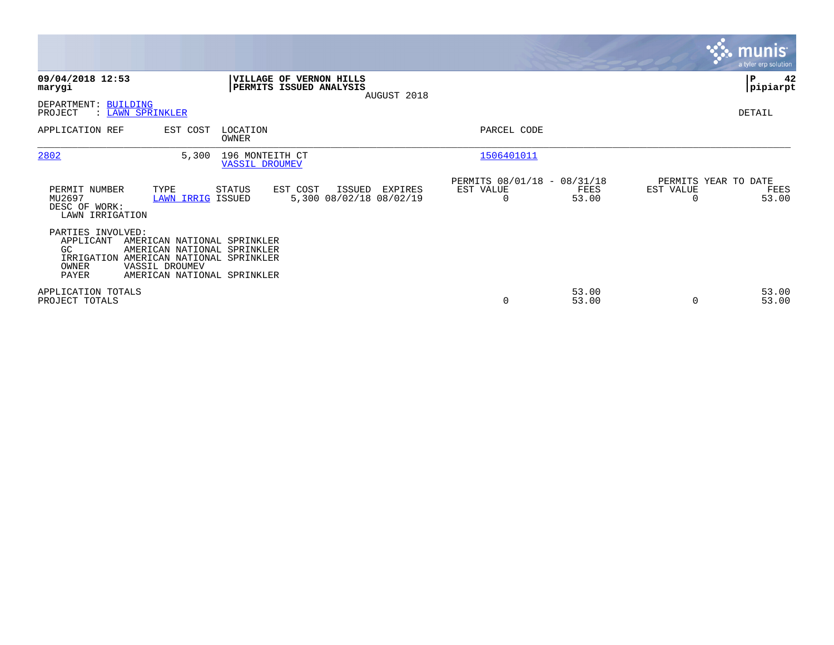|                                                                                                                                                                                                                  |                                                                    |                                                                       | <b>munis</b><br>a tyler erp solution                           |
|------------------------------------------------------------------------------------------------------------------------------------------------------------------------------------------------------------------|--------------------------------------------------------------------|-----------------------------------------------------------------------|----------------------------------------------------------------|
| 09/04/2018 12:53<br>marygi                                                                                                                                                                                       | VILLAGE OF VERNON HILLS<br>PERMITS ISSUED ANALYSIS<br>AUGUST 2018  |                                                                       | P<br>42<br> pipiarpt                                           |
| DEPARTMENT: BUILDING<br>PROJECT<br>: LAWN SPRINKLER                                                                                                                                                              |                                                                    |                                                                       | DETAIL                                                         |
| APPLICATION REF<br>EST COST                                                                                                                                                                                      | LOCATION<br><b>OWNER</b>                                           | PARCEL CODE                                                           |                                                                |
| 2802<br>5,300                                                                                                                                                                                                    | 196 MONTEITH CT<br><b>VASSIL DROUMEV</b>                           | 1506401011                                                            |                                                                |
| PERMIT NUMBER<br>TYPE<br>MU2697<br>LAWN IRRIG ISSUED<br>DESC OF WORK:<br>LAWN IRRIGATION                                                                                                                         | EST COST<br>ISSUED<br>STATUS<br>EXPIRES<br>5,300 08/02/18 08/02/19 | PERMITS 08/01/18 - 08/31/18<br>EST VALUE<br>FEES<br>53.00<br>$\Omega$ | PERMITS YEAR TO DATE<br>EST VALUE<br>FEES<br>53.00<br>$\Omega$ |
| PARTIES INVOLVED:<br>APPLICANT<br>AMERICAN NATIONAL SPRINKLER<br>GC.<br>AMERICAN NATIONAL SPRINKLER<br>IRRIGATION AMERICAN NATIONAL SPRINKLER<br>VASSIL DROUMEV<br>OWNER<br>PAYER<br>AMERICAN NATIONAL SPRINKLER |                                                                    |                                                                       |                                                                |
| APPLICATION TOTALS<br>PROJECT TOTALS                                                                                                                                                                             |                                                                    | 53.00<br>$\mathbf 0$<br>53.00                                         | 53.00<br>53.00<br>0                                            |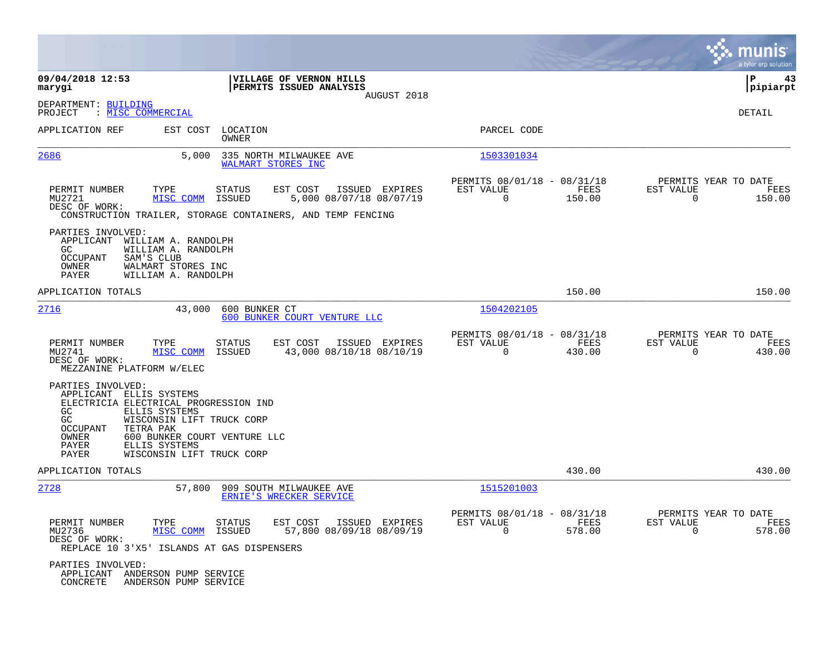|                                                                                                                            |                                                                                                                                                        |                   |                                                                                                                     |                                                         |                |                                                  | munis<br>a tyler erp solution |
|----------------------------------------------------------------------------------------------------------------------------|--------------------------------------------------------------------------------------------------------------------------------------------------------|-------------------|---------------------------------------------------------------------------------------------------------------------|---------------------------------------------------------|----------------|--------------------------------------------------|-------------------------------|
| 09/04/2018 12:53<br>marygi                                                                                                 |                                                                                                                                                        |                   | VILLAGE OF VERNON HILLS<br>PERMITS ISSUED ANALYSIS<br>AUGUST 2018                                                   |                                                         |                |                                                  | 43<br>l P<br> pipiarpt        |
| DEPARTMENT: BUILDING<br>PROJECT                                                                                            | : MISC COMMERCIAL                                                                                                                                      |                   |                                                                                                                     |                                                         |                |                                                  | DETAIL                        |
| APPLICATION REF                                                                                                            | EST COST                                                                                                                                               | LOCATION<br>OWNER |                                                                                                                     | PARCEL CODE                                             |                |                                                  |                               |
| 2686                                                                                                                       | 5,000                                                                                                                                                  |                   | 335 NORTH MILWAUKEE AVE<br>WALMART STORES INC                                                                       | 1503301034                                              |                |                                                  |                               |
| PERMIT NUMBER<br>MU2721<br>DESC OF WORK:                                                                                   | TYPE<br>MISC COMM                                                                                                                                      | STATUS<br>ISSUED  | EST COST<br>ISSUED EXPIRES<br>5,000 08/07/18 08/07/19<br>CONSTRUCTION TRAILER, STORAGE CONTAINERS, AND TEMP FENCING | PERMITS 08/01/18 - 08/31/18<br>EST VALUE<br>$\Omega$    | FEES<br>150.00 | PERMITS YEAR TO DATE<br>EST VALUE<br>$\Omega$    | FEES<br>150.00                |
| PARTIES INVOLVED:<br>APPLICANT<br>GC.<br>OCCUPANT<br>OWNER<br>PAYER                                                        | WILLIAM A. RANDOLPH<br>WILLIAM A. RANDOLPH<br>SAM'S CLUB<br>WALMART STORES INC<br>WILLIAM A. RANDOLPH                                                  |                   |                                                                                                                     |                                                         |                |                                                  |                               |
| APPLICATION TOTALS                                                                                                         |                                                                                                                                                        |                   |                                                                                                                     |                                                         | 150.00         |                                                  | 150.00                        |
| 2716                                                                                                                       | 43,000                                                                                                                                                 | 600 BUNKER CT     | 600 BUNKER COURT VENTURE LLC                                                                                        | 1504202105                                              |                |                                                  |                               |
| PERMIT NUMBER<br>MU2741<br>DESC OF WORK:<br>MEZZANINE PLATFORM W/ELEC                                                      | TYPE<br>MISC COMM                                                                                                                                      | STATUS<br>ISSUED  | EST COST<br>ISSUED EXPIRES<br>43,000 08/10/18 08/10/19                                                              | PERMITS 08/01/18 - 08/31/18<br>EST VALUE<br>$\mathbf 0$ | FEES<br>430.00 | PERMITS YEAR TO DATE<br>EST VALUE<br>$\mathbf 0$ | FEES<br>430.00                |
| PARTIES INVOLVED:<br>APPLICANT<br>ELECTRICIA ELECTRICAL PROGRESSION IND<br>GC<br>GC<br>OCCUPANT<br>OWNER<br>PAYER<br>PAYER | ELLIS SYSTEMS<br>ELLIS SYSTEMS<br>WISCONSIN LIFT TRUCK CORP<br>TETRA PAK<br>600 BUNKER COURT VENTURE LLC<br>ELLIS SYSTEMS<br>WISCONSIN LIFT TRUCK CORP |                   |                                                                                                                     |                                                         |                |                                                  |                               |
| APPLICATION TOTALS                                                                                                         |                                                                                                                                                        |                   |                                                                                                                     |                                                         | 430.00         |                                                  | 430.00                        |
| 2728                                                                                                                       | 57,800                                                                                                                                                 |                   | 909 SOUTH MILWAUKEE AVE<br>ERNIE'S WRECKER SERVICE                                                                  | 1515201003                                              |                |                                                  |                               |
| PERMIT NUMBER<br>MU2736<br>DESC OF WORK:<br>REPLACE 10 3'X5' ISLANDS AT GAS DISPENSERS                                     | TYPE<br>MISC COMM ISSUED                                                                                                                               | STATUS            | EST COST<br>ISSUED EXPIRES<br>57,800 08/09/18 08/09/19                                                              | PERMITS 08/01/18 - 08/31/18<br>EST VALUE<br>$\Omega$    | FEES<br>578.00 | PERMITS YEAR TO DATE<br>EST VALUE<br>$\Omega$    | FEES<br>578.00                |
| PARTIES INVOLVED:<br>APPLICANT ANDERSON PUMP SERVICE<br>CONCRETE                                                           | ANDERSON PUMP SERVICE                                                                                                                                  |                   |                                                                                                                     |                                                         |                |                                                  |                               |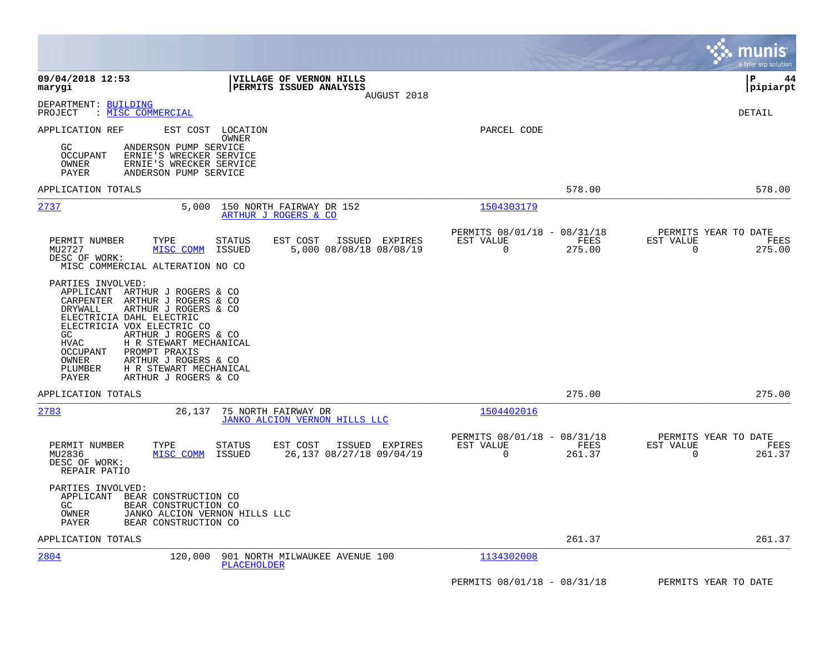|                                                                                                                                                                                                                                                                                                                                                                                               |                                                                           | munis<br>a tyler erp solution                                   |
|-----------------------------------------------------------------------------------------------------------------------------------------------------------------------------------------------------------------------------------------------------------------------------------------------------------------------------------------------------------------------------------------------|---------------------------------------------------------------------------|-----------------------------------------------------------------|
| 09/04/2018 12:53<br><b>VILLAGE OF VERNON HILLS</b><br>PERMITS ISSUED ANALYSIS<br>marygi<br>AUGUST 2018                                                                                                                                                                                                                                                                                        |                                                                           | l P<br>44<br>pipiarpt                                           |
| DEPARTMENT: BUILDING<br>PROJECT<br>: MISC COMMERCIAL                                                                                                                                                                                                                                                                                                                                          |                                                                           | DETAIL                                                          |
| APPLICATION REF<br>EST COST<br>LOCATION<br>OWNER<br>GC.<br>ANDERSON PUMP SERVICE<br>OCCUPANT<br>ERNIE'S WRECKER SERVICE<br>ERNIE'S WRECKER SERVICE<br>OWNER<br>PAYER<br>ANDERSON PUMP SERVICE                                                                                                                                                                                                 | PARCEL CODE                                                               |                                                                 |
| APPLICATION TOTALS                                                                                                                                                                                                                                                                                                                                                                            | 578.00                                                                    | 578.00                                                          |
| 2737<br>150 NORTH FAIRWAY DR 152<br>5,000<br>ARTHUR J ROGERS & CO                                                                                                                                                                                                                                                                                                                             | 1504303179                                                                |                                                                 |
| PERMIT NUMBER<br><b>STATUS</b><br>ISSUED EXPIRES<br>TYPE<br>EST COST<br>MU2727<br>5,000 08/08/18 08/08/19<br>MISC COMM<br>ISSUED<br>DESC OF WORK:<br>MISC COMMERCIAL ALTERATION NO CO                                                                                                                                                                                                         | PERMITS 08/01/18 - 08/31/18<br>EST VALUE<br>FEES<br>$\Omega$<br>275.00    | PERMITS YEAR TO DATE<br>EST VALUE<br>FEES<br>$\Omega$<br>275.00 |
| PARTIES INVOLVED:<br>ARTHUR J ROGERS & CO<br>APPLICANT<br>CARPENTER<br>ARTHUR J ROGERS & CO<br>DRYWALL<br>ARTHUR J ROGERS & CO<br>ELECTRICIA DAHL ELECTRIC<br>ELECTRICIA VOX ELECTRIC CO<br>ARTHUR J ROGERS & CO<br>GC.<br>H R STEWART MECHANICAL<br>HVAC<br>OCCUPANT<br>PROMPT PRAXIS<br>OWNER<br>ARTHUR J ROGERS & CO<br>PLUMBER<br>H R STEWART MECHANICAL<br>PAYER<br>ARTHUR J ROGERS & CO |                                                                           |                                                                 |
| APPLICATION TOTALS                                                                                                                                                                                                                                                                                                                                                                            | 275.00                                                                    | 275.00                                                          |
| 2783<br>26,137<br>75 NORTH FAIRWAY DR<br>JANKO ALCION VERNON HILLS LLC                                                                                                                                                                                                                                                                                                                        | 1504402016                                                                |                                                                 |
| PERMIT NUMBER<br><b>STATUS</b><br>EST COST<br>ISSUED EXPIRES<br>TYPE<br>MU2836<br>ISSUED<br>26,137 08/27/18 09/04/19<br>MISC COMM<br>DESC OF WORK:<br>REPAIR PATIO                                                                                                                                                                                                                            | PERMITS 08/01/18 - 08/31/18<br>EST VALUE<br>FEES<br>$\mathbf 0$<br>261.37 | PERMITS YEAR TO DATE<br>EST VALUE<br>FEES<br>0<br>261.37        |
| PARTIES INVOLVED:<br>APPLICANT<br>BEAR CONSTRUCTION CO<br>GC.<br>BEAR CONSTRUCTION CO<br>OWNER<br>JANKO ALCION VERNON HILLS LLC<br>PAYER<br>BEAR CONSTRUCTION CO                                                                                                                                                                                                                              |                                                                           |                                                                 |
| APPLICATION TOTALS                                                                                                                                                                                                                                                                                                                                                                            | 261.37                                                                    | 261.37                                                          |
| 2804<br>120,000<br>901 NORTH MILWAUKEE AVENUE 100<br>PLACEHOLDER                                                                                                                                                                                                                                                                                                                              | 1134302008                                                                |                                                                 |
|                                                                                                                                                                                                                                                                                                                                                                                               | PERMITS 08/01/18 - 08/31/18                                               | PERMITS YEAR TO DATE                                            |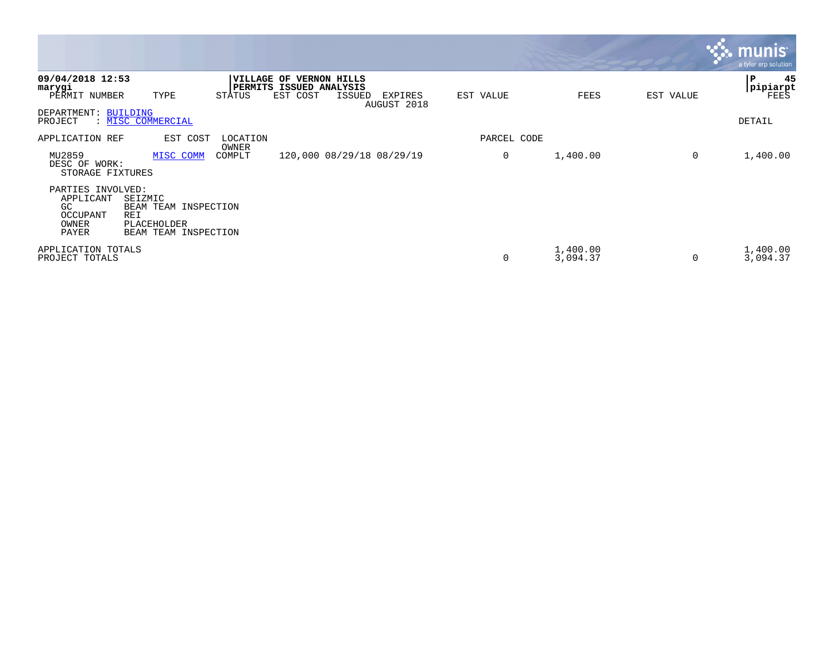|                                                                     |                                                                               |                 |                                                                |               |                        |             |                      |                   | <u>munis</u><br>a tyler erp solution |
|---------------------------------------------------------------------|-------------------------------------------------------------------------------|-----------------|----------------------------------------------------------------|---------------|------------------------|-------------|----------------------|-------------------|--------------------------------------|
| 09/04/2018 12:53<br>marygi<br>PERMIT NUMBER                         | TYPE                                                                          | STATUS          | VILLAGE OF VERNON HILLS<br>PERMITS ISSUED ANALYSIS<br>EST COST | <b>ISSUED</b> | EXPIRES<br>AUGUST 2018 | EST VALUE   |                      | FEES<br>EST VALUE | 45<br>P<br>pipiarpt<br>FEES          |
| DEPARTMENT: BUILDING<br>PROJECT                                     | : MISC COMMERCIAL                                                             |                 |                                                                |               |                        |             |                      |                   | DETAIL                               |
| APPLICATION REF                                                     | EST COST                                                                      | LOCATION        |                                                                |               |                        | PARCEL CODE |                      |                   |                                      |
| MU2859<br>DESC OF WORK:<br>STORAGE FIXTURES                         | MISC COMM                                                                     | OWNER<br>COMPLT | 120,000 08/29/18 08/29/19                                      |               |                        | 0           | 1,400.00             |                   | 0<br>1,400.00                        |
| PARTIES INVOLVED:<br>APPLICANT<br>GC.<br>OCCUPANT<br>OWNER<br>PAYER | SEIZMIC<br>BEAM TEAM INSPECTION<br>REI<br>PLACEHOLDER<br>BEAM TEAM INSPECTION |                 |                                                                |               |                        |             |                      |                   |                                      |
| APPLICATION TOTALS<br>PROJECT TOTALS                                |                                                                               |                 |                                                                |               |                        | 0           | 1,400.00<br>3,094.37 |                   | 1,400.00<br>$\Omega$<br>3,094.37     |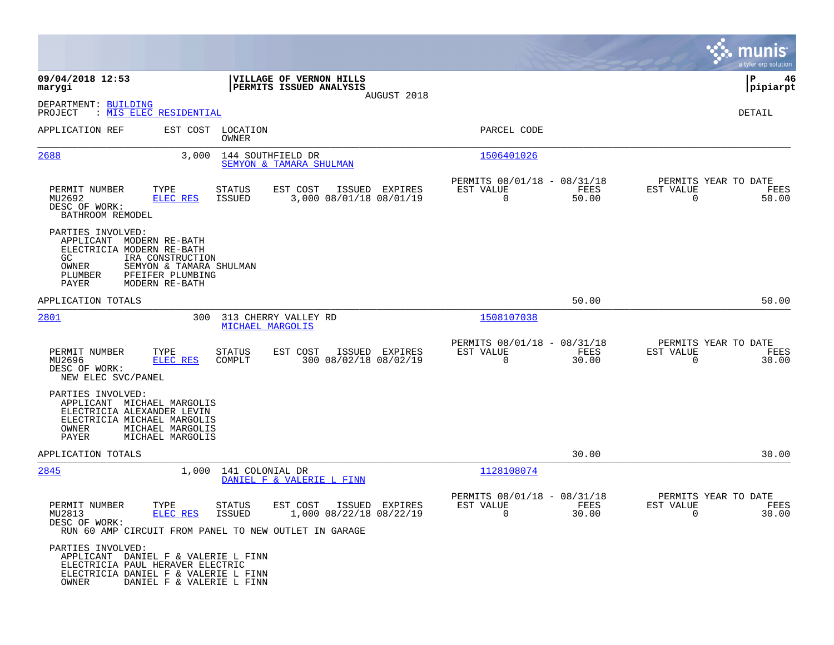|                                                                                                                                               |                                                                                   |                            |                                                                                                        |                |                                                      |               |                                                  | munis<br>a tyler erp solution |
|-----------------------------------------------------------------------------------------------------------------------------------------------|-----------------------------------------------------------------------------------|----------------------------|--------------------------------------------------------------------------------------------------------|----------------|------------------------------------------------------|---------------|--------------------------------------------------|-------------------------------|
| 09/04/2018 12:53<br>marygi                                                                                                                    |                                                                                   |                            | VILLAGE OF VERNON HILLS<br>PERMITS ISSUED ANALYSIS                                                     |                |                                                      |               |                                                  | ΙP<br>46<br> pipiarpt         |
| DEPARTMENT: BUILDING<br>PROJECT                                                                                                               | : MIS ELEC RESIDENTIAL                                                            |                            |                                                                                                        | AUGUST 2018    |                                                      |               |                                                  | DETAIL                        |
| APPLICATION REF                                                                                                                               |                                                                                   | EST COST LOCATION<br>OWNER |                                                                                                        |                | PARCEL CODE                                          |               |                                                  |                               |
| 2688                                                                                                                                          | 3,000                                                                             | 144 SOUTHFIELD DR          | SEMYON & TAMARA SHULMAN                                                                                |                | 1506401026                                           |               |                                                  |                               |
| PERMIT NUMBER<br>MU2692<br>DESC OF WORK:<br>BATHROOM REMODEL                                                                                  | TYPE<br><b>ELEC RES</b>                                                           | <b>STATUS</b><br>ISSUED    | EST COST<br>3,000 08/01/18 08/01/19                                                                    | ISSUED EXPIRES | PERMITS 08/01/18 - 08/31/18<br>EST VALUE<br>$\Omega$ | FEES<br>50.00 | PERMITS YEAR TO DATE<br>EST VALUE<br>$\mathbf 0$ | FEES<br>50.00                 |
| PARTIES INVOLVED:<br>APPLICANT MODERN RE-BATH<br>ELECTRICIA MODERN RE-BATH<br>GC.<br>OWNER<br>PLUMBER<br><b>PAYER</b>                         | IRA CONSTRUCTION<br>SEMYON & TAMARA SHULMAN<br>PFEIFER PLUMBING<br>MODERN RE-BATH |                            |                                                                                                        |                |                                                      |               |                                                  |                               |
| APPLICATION TOTALS                                                                                                                            |                                                                                   |                            |                                                                                                        |                |                                                      | 50.00         |                                                  | 50.00                         |
| 2801                                                                                                                                          | 300                                                                               | MICHAEL MARGOLIS           | 313 CHERRY VALLEY RD                                                                                   |                | 1508107038                                           |               |                                                  |                               |
| PERMIT NUMBER<br>MU2696<br>DESC OF WORK:<br>NEW ELEC SVC/PANEL                                                                                | TYPE<br>ELEC RES                                                                  | STATUS<br>COMPLT           | EST COST<br>300 08/02/18 08/02/19                                                                      | ISSUED EXPIRES | PERMITS 08/01/18 - 08/31/18<br>EST VALUE<br>0        | FEES<br>30.00 | PERMITS YEAR TO DATE<br>EST VALUE<br>$\mathbf 0$ | FEES<br>30.00                 |
| PARTIES INVOLVED:<br>APPLICANT MICHAEL MARGOLIS<br>ELECTRICIA ALEXANDER LEVIN<br>ELECTRICIA MICHAEL MARGOLIS<br>OWNER<br>PAYER                | MICHAEL MARGOLIS<br>MICHAEL MARGOLIS                                              |                            |                                                                                                        |                |                                                      |               |                                                  |                               |
| APPLICATION TOTALS                                                                                                                            |                                                                                   |                            |                                                                                                        |                |                                                      | 30.00         |                                                  | 30.00                         |
| 2845                                                                                                                                          | 1,000                                                                             | 141 COLONIAL DR            | DANIEL F & VALERIE L FINN                                                                              |                | 1128108074                                           |               |                                                  |                               |
| PERMIT NUMBER<br>MU2813<br>DESC OF WORK:                                                                                                      | TYPE<br><b>ELEC RES</b>                                                           | STATUS<br>ISSUED           | EST COST<br>ISSUED<br>1,000 08/22/18 08/22/19<br>RUN 60 AMP CIRCUIT FROM PANEL TO NEW OUTLET IN GARAGE | EXPIRES        | PERMITS 08/01/18 - 08/31/18<br>EST VALUE<br>0        | FEES<br>30.00 | PERMITS YEAR TO DATE<br>EST VALUE<br>0           | FEES<br>30.00                 |
| PARTIES INVOLVED:<br>APPLICANT DANIEL F & VALERIE L FINN<br>ELECTRICIA PAUL HERAVER ELECTRIC<br>ELECTRICIA DANIEL F & VALERIE L FINN<br>OWNER | DANIEL F & VALERIE L FINN                                                         |                            |                                                                                                        |                |                                                      |               |                                                  |                               |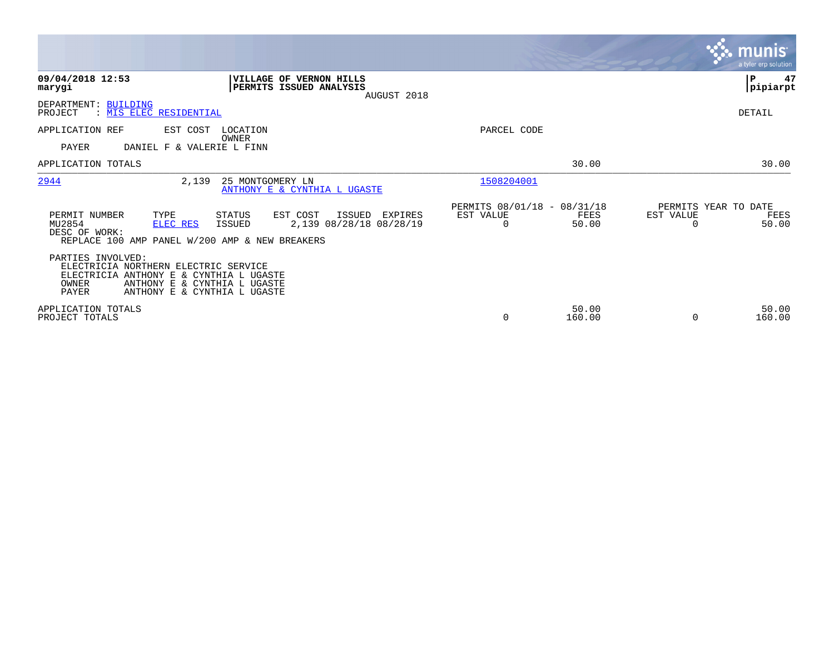|                                                                                                                                                                   |                                                                              |                                               |                 | <b>munis</b><br>a tyler erp solution               |    |
|-------------------------------------------------------------------------------------------------------------------------------------------------------------------|------------------------------------------------------------------------------|-----------------------------------------------|-----------------|----------------------------------------------------|----|
| 09/04/2018 12:53<br>marygi                                                                                                                                        | VILLAGE OF VERNON HILLS<br>PERMITS ISSUED ANALYSIS<br>AUGUST 2018            |                                               |                 | ∣P<br> pipiarpt                                    | 47 |
| DEPARTMENT: BUILDING<br>PROJECT<br>: MIS ELEC RESIDENTIAL                                                                                                         |                                                                              |                                               |                 | DETAIL                                             |    |
| APPLICATION REF<br>EST COST<br>PAYER<br>DANIEL F & VALERIE L FINN                                                                                                 | LOCATION<br>OWNER                                                            | PARCEL CODE                                   |                 |                                                    |    |
| APPLICATION TOTALS                                                                                                                                                |                                                                              |                                               | 30.00           | 30.00                                              |    |
| 2944<br>2,139                                                                                                                                                     | 25 MONTGOMERY LN<br>ANTHONY E & CYNTHIA L UGASTE                             | 1508204001                                    |                 |                                                    |    |
| PERMIT NUMBER<br>TYPE<br>MU2854<br>ELEC RES<br>DESC OF WORK:<br>REPLACE 100 AMP PANEL W/200 AMP & NEW BREAKERS<br>PARTIES INVOLVED:                               | EST COST<br>STATUS<br>ISSUED<br>EXPIRES<br>2,139 08/28/18 08/28/19<br>ISSUED | PERMITS 08/01/18 - 08/31/18<br>EST VALUE<br>0 | FEES<br>50.00   | PERMITS YEAR TO DATE<br>EST VALUE<br>FEES<br>50.00 |    |
| ELECTRICIA NORTHERN ELECTRIC SERVICE<br>ELECTRICIA ANTHONY E & CYNTHIA L UGASTE<br>OWNER<br>ANTHONY E & CYNTHIA L UGASTE<br>PAYER<br>ANTHONY E & CYNTHIA L UGASTE |                                                                              |                                               |                 |                                                    |    |
| APPLICATION TOTALS<br>PROJECT TOTALS                                                                                                                              |                                                                              | $\mathbf 0$                                   | 50.00<br>160.00 | 50.00<br>160.00<br>$\Omega$                        |    |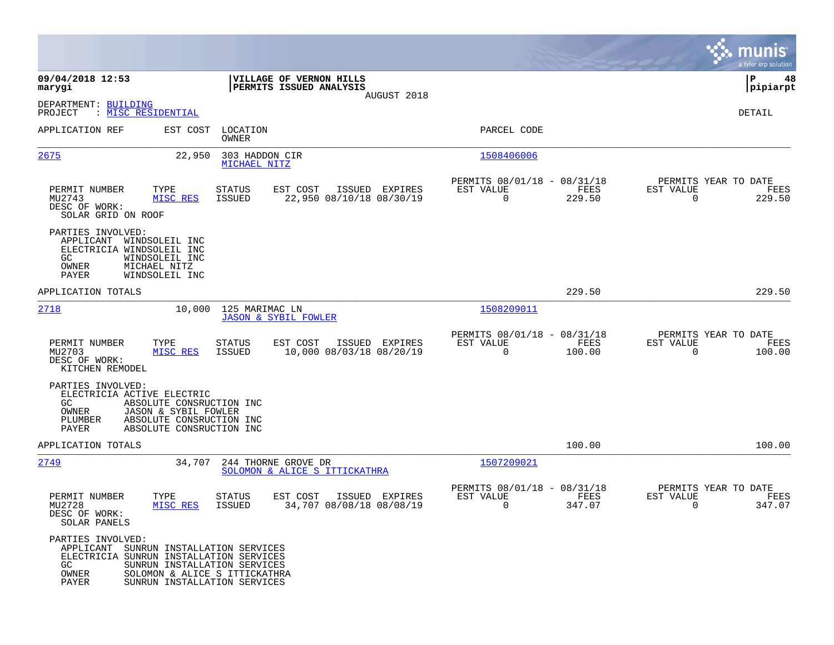|                                                                                                                                                         |                                                                                                          |                                            |                                                            |                |                                               | munis<br>a tyler erp solution |
|---------------------------------------------------------------------------------------------------------------------------------------------------------|----------------------------------------------------------------------------------------------------------|--------------------------------------------|------------------------------------------------------------|----------------|-----------------------------------------------|-------------------------------|
| 09/04/2018 12:53<br>marygi                                                                                                                              | VILLAGE OF VERNON HILLS<br>PERMITS ISSUED ANALYSIS                                                       |                                            |                                                            |                |                                               | ΙP<br>48<br> pipiarpt         |
| DEPARTMENT: BUILDING<br>: MISC RESIDENTIAL<br>PROJECT                                                                                                   |                                                                                                          | AUGUST 2018                                |                                                            |                |                                               | DETAIL                        |
| APPLICATION REF                                                                                                                                         | EST COST<br>LOCATION<br>OWNER                                                                            |                                            | PARCEL CODE                                                |                |                                               |                               |
| 2675                                                                                                                                                    | 22,950<br>303 HADDON CIR<br>MICHAEL NITZ                                                                 |                                            | 1508406006                                                 |                |                                               |                               |
| PERMIT NUMBER<br>TYPE<br>MU2743<br>MISC RES<br>DESC OF WORK:<br>SOLAR GRID ON ROOF                                                                      | <b>STATUS</b><br>EST COST<br>ISSUED                                                                      | ISSUED EXPIRES<br>22,950 08/10/18 08/30/19 | PERMITS 08/01/18 - 08/31/18<br>EST VALUE<br>$\overline{0}$ | FEES<br>229.50 | PERMITS YEAR TO DATE<br>EST VALUE<br>$\Omega$ | FEES<br>229.50                |
| PARTIES INVOLVED:<br>APPLICANT WINDSOLEIL INC<br>ELECTRICIA WINDSOLEIL INC<br>WINDSOLEIL INC<br>GC.<br>MICHAEL NITZ<br>OWNER<br>PAYER<br>WINDSOLEIL INC |                                                                                                          |                                            |                                                            |                |                                               |                               |
| APPLICATION TOTALS                                                                                                                                      |                                                                                                          |                                            |                                                            | 229.50         |                                               | 229.50                        |
| 2718                                                                                                                                                    | 10,000<br>125 MARIMAC LN<br><b>JASON &amp; SYBIL FOWLER</b>                                              |                                            | 1508209011                                                 |                |                                               |                               |
| PERMIT NUMBER<br>TYPE<br>MU2703<br>MISC RES<br>DESC OF WORK:<br>KITCHEN REMODEL                                                                         | STATUS<br>EST COST<br>ISSUED                                                                             | ISSUED EXPIRES<br>10,000 08/03/18 08/20/19 | PERMITS 08/01/18 - 08/31/18<br>EST VALUE<br>$\overline{0}$ | FEES<br>100.00 | PERMITS YEAR TO DATE<br>EST VALUE<br>$\Omega$ | FEES<br>100.00                |
| PARTIES INVOLVED:<br>ELECTRICIA ACTIVE ELECTRIC<br>GC.<br>OWNER<br>PLUMBER<br>PAYER                                                                     | ABSOLUTE CONSRUCTION INC<br>JASON & SYBIL FOWLER<br>ABSOLUTE CONSRUCTION INC<br>ABSOLUTE CONSRUCTION INC |                                            |                                                            |                |                                               |                               |
| APPLICATION TOTALS                                                                                                                                      |                                                                                                          |                                            |                                                            | 100.00         |                                               | 100.00                        |
| 2749                                                                                                                                                    | 34,707<br>244 THORNE GROVE DR<br>SOLOMON & ALICE S ITTICKATHRA                                           |                                            | 1507209021                                                 |                |                                               |                               |
| PERMIT NUMBER<br>TYPE<br>MU2728<br>MISC RES<br>DESC OF WORK:<br>SOLAR PANELS                                                                            | STATUS<br>EST COST<br><b>ISSUED</b>                                                                      | ISSUED EXPIRES<br>34,707 08/08/18 08/08/19 | PERMITS 08/01/18 - 08/31/18<br>EST VALUE<br>0              | FEES<br>347.07 | PERMITS YEAR TO DATE<br>EST VALUE<br>0        | FEES<br>347.07                |
| PARTIES INVOLVED:<br>APPLICANT SUNRUN INSTALLATION SERVICES<br>ELECTRICIA SUNRUN INSTALLATION SERVICES<br>GC<br>OWNER<br>PAYER                          | SUNRUN INSTALLATION SERVICES<br>SOLOMON & ALICE S ITTICKATHRA<br>SUNRUN INSTALLATION SERVICES            |                                            |                                                            |                |                                               |                               |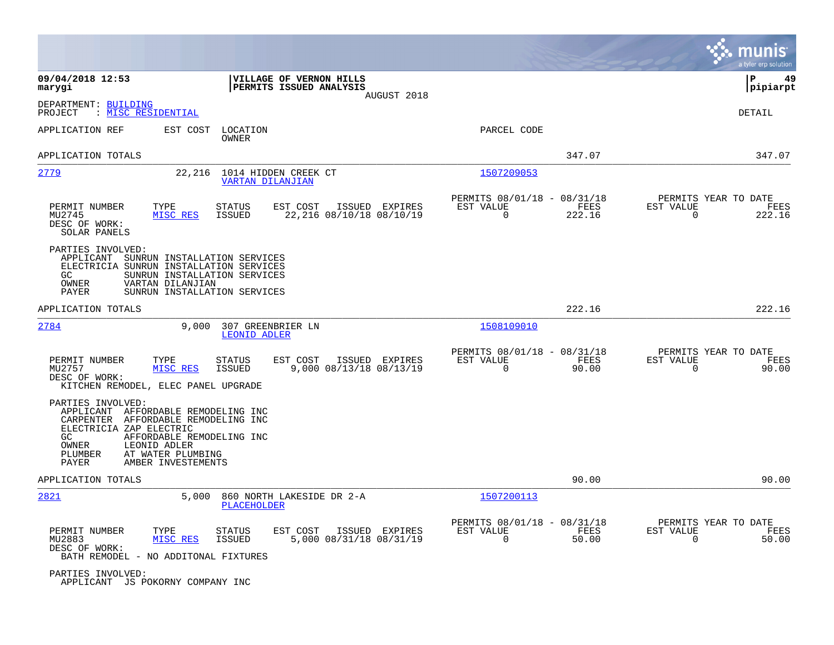|                                                                                 |                                                                                                                                                                       |                                                                   |                                                         |                |                                                  | munis<br>a tyler erp solution |
|---------------------------------------------------------------------------------|-----------------------------------------------------------------------------------------------------------------------------------------------------------------------|-------------------------------------------------------------------|---------------------------------------------------------|----------------|--------------------------------------------------|-------------------------------|
| 09/04/2018 12:53<br>marygi                                                      |                                                                                                                                                                       | VILLAGE OF VERNON HILLS<br>PERMITS ISSUED ANALYSIS<br>AUGUST 2018 |                                                         |                |                                                  | P<br>49<br> pipiarpt          |
| DEPARTMENT: BUILDING<br>: MISC RESIDENTIAL<br>PROJECT                           |                                                                                                                                                                       |                                                                   |                                                         |                |                                                  | <b>DETAIL</b>                 |
| APPLICATION REF                                                                 | EST COST<br>LOCATION<br>OWNER                                                                                                                                         |                                                                   | PARCEL CODE                                             |                |                                                  |                               |
| APPLICATION TOTALS                                                              |                                                                                                                                                                       |                                                                   |                                                         | 347.07         |                                                  | 347.07                        |
| 2779                                                                            | 22,216<br><b>VARTAN DILANJIAN</b>                                                                                                                                     | 1014 HIDDEN CREEK CT                                              | 1507209053                                              |                |                                                  |                               |
| PERMIT NUMBER<br>MU2745<br>DESC OF WORK:<br>SOLAR PANELS                        | TYPE<br>STATUS<br>MISC RES<br><b>ISSUED</b>                                                                                                                           | EST COST<br>ISSUED EXPIRES<br>22, 216 08/10/18 08/10/19           | PERMITS 08/01/18 - 08/31/18<br>EST VALUE<br>$\Omega$    | FEES<br>222.16 | PERMITS YEAR TO DATE<br>EST VALUE<br>$\mathbf 0$ | FEES<br>222.16                |
| PARTIES INVOLVED:<br>GC<br>OWNER<br>PAYER                                       | APPLICANT SUNRUN INSTALLATION SERVICES<br>ELECTRICIA SUNRUN INSTALLATION SERVICES<br>SUNRUN INSTALLATION SERVICES<br>VARTAN DILANJIAN<br>SUNRUN INSTALLATION SERVICES |                                                                   |                                                         |                |                                                  |                               |
| APPLICATION TOTALS                                                              |                                                                                                                                                                       |                                                                   |                                                         | 222.16         |                                                  | 222.16                        |
| 2784                                                                            | 9,000<br><b>LEONID ADLER</b>                                                                                                                                          | 307 GREENBRIER LN                                                 | 1508109010                                              |                |                                                  |                               |
| PERMIT NUMBER<br>MU2757<br>DESC OF WORK:                                        | TYPE<br>STATUS<br>MISC RES<br><b>ISSUED</b><br>KITCHEN REMODEL, ELEC PANEL UPGRADE                                                                                    | EST COST<br>ISSUED EXPIRES<br>9,000 08/13/18 08/13/19             | PERMITS 08/01/18 - 08/31/18<br>EST VALUE<br>$\mathbf 0$ | FEES<br>90.00  | PERMITS YEAR TO DATE<br>EST VALUE<br>$\mathbf 0$ | FEES<br>90.00                 |
| PARTIES INVOLVED:<br>ELECTRICIA ZAP ELECTRIC<br>GC<br>OWNER<br>PLUMBER<br>PAYER | APPLICANT AFFORDABLE REMODELING INC<br>CARPENTER AFFORDABLE REMODELING INC<br>AFFORDABLE REMODELING INC<br>LEONID ADLER<br>AT WATER PLUMBING<br>AMBER INVESTEMENTS    |                                                                   |                                                         |                |                                                  |                               |
| APPLICATION TOTALS                                                              |                                                                                                                                                                       |                                                                   |                                                         | 90.00          |                                                  | 90.00                         |
| 2821                                                                            | 5,000<br>PLACEHOLDER                                                                                                                                                  | 860 NORTH LAKESIDE DR 2-A                                         | 1507200113                                              |                |                                                  |                               |
| PERMIT NUMBER<br>MU2883<br>DESC OF WORK:                                        | STATUS<br>TYPE<br>MISC RES<br><b>ISSUED</b><br>BATH REMODEL - NO ADDITONAL FIXTURES                                                                                   | EST COST<br>ISSUED EXPIRES<br>5,000 08/31/18 08/31/19             | PERMITS 08/01/18 - 08/31/18<br>EST VALUE<br>$\mathbf 0$ | FEES<br>50.00  | PERMITS YEAR TO DATE<br>EST VALUE<br>$\mathbf 0$ | FEES<br>50.00                 |
| PARTIES INVOLVED:                                                               | APPLICANT JS POKORNY COMPANY INC                                                                                                                                      |                                                                   |                                                         |                |                                                  |                               |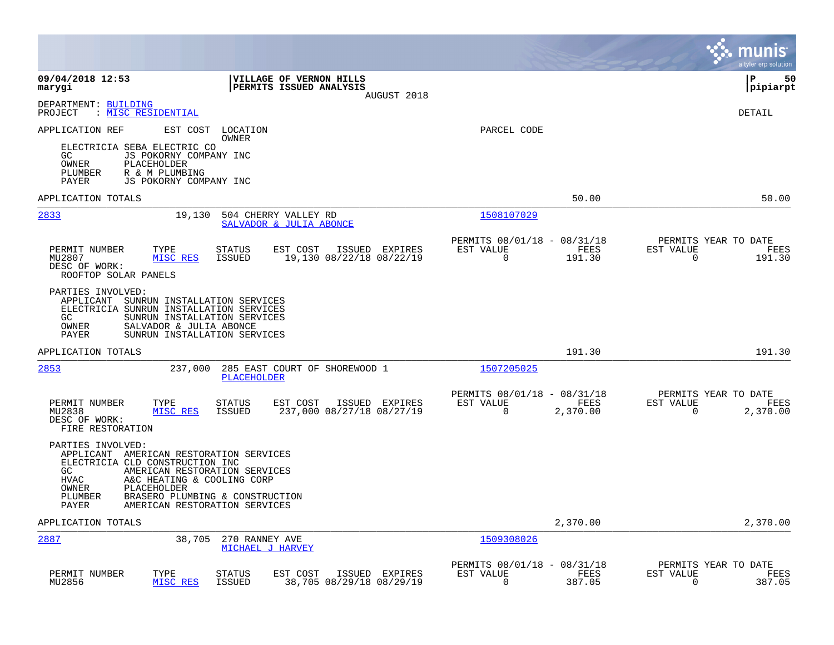|                                                                                                                                                                                                                                                                                                             |                                                                   |                                                         |                       |                                                  | munis<br>a tyler erp solution |
|-------------------------------------------------------------------------------------------------------------------------------------------------------------------------------------------------------------------------------------------------------------------------------------------------------------|-------------------------------------------------------------------|---------------------------------------------------------|-----------------------|--------------------------------------------------|-------------------------------|
| 09/04/2018 12:53<br>marygi                                                                                                                                                                                                                                                                                  | VILLAGE OF VERNON HILLS<br>PERMITS ISSUED ANALYSIS<br>AUGUST 2018 |                                                         |                       |                                                  | l P<br>50<br> pipiarpt        |
| DEPARTMENT: BUILDING<br>PROJECT<br>: MISC RESIDENTIAL                                                                                                                                                                                                                                                       |                                                                   |                                                         |                       |                                                  | <b>DETAIL</b>                 |
| APPLICATION REF<br>EST COST<br>LOCATION<br>OWNER<br>ELECTRICIA SEBA ELECTRIC CO<br>JS POKORNY COMPANY INC<br>GC.<br><b>OWNER</b><br>PLACEHOLDER<br>PLUMBER<br>R & M PLUMBING                                                                                                                                |                                                                   | PARCEL CODE                                             |                       |                                                  |                               |
| JS POKORNY COMPANY INC<br>PAYER<br>APPLICATION TOTALS                                                                                                                                                                                                                                                       |                                                                   |                                                         | 50.00                 |                                                  | 50.00                         |
| 2833<br>19,130<br>504 CHERRY VALLEY RD                                                                                                                                                                                                                                                                      | SALVADOR & JULIA ABONCE                                           | 1508107029                                              |                       |                                                  |                               |
| PERMIT NUMBER<br>TYPE<br>STATUS<br>MU2807<br>MISC RES<br>ISSUED<br>DESC OF WORK:<br>ROOFTOP SOLAR PANELS                                                                                                                                                                                                    | EST COST<br>ISSUED EXPIRES<br>19,130 08/22/18 08/22/19            | PERMITS 08/01/18 - 08/31/18<br>EST VALUE<br>$\Omega$    | FEES<br>191.30        | PERMITS YEAR TO DATE<br>EST VALUE<br>$\Omega$    | FEES<br>191.30                |
| PARTIES INVOLVED:<br>APPLICANT SUNRUN INSTALLATION SERVICES<br>ELECTRICIA SUNRUN INSTALLATION SERVICES<br>GC<br>SUNRUN INSTALLATION SERVICES<br>OWNER<br>SALVADOR & JULIA ABONCE<br>SUNRUN INSTALLATION SERVICES<br><b>PAYER</b>                                                                            |                                                                   |                                                         |                       |                                                  |                               |
| APPLICATION TOTALS                                                                                                                                                                                                                                                                                          |                                                                   |                                                         | 191.30                |                                                  | 191.30                        |
| 2853<br>237,000<br><b>PLACEHOLDER</b>                                                                                                                                                                                                                                                                       | 285 EAST COURT OF SHOREWOOD 1                                     | 1507205025                                              |                       |                                                  |                               |
| PERMIT NUMBER<br>TYPE<br>STATUS<br>MU2838<br>MISC RES<br>ISSUED<br>DESC OF WORK:<br>FIRE RESTORATION                                                                                                                                                                                                        | EST COST<br>ISSUED EXPIRES<br>237,000 08/27/18 08/27/19           | PERMITS 08/01/18 - 08/31/18<br>EST VALUE<br>$\mathbf 0$ | FEES<br>2,370.00      | PERMITS YEAR TO DATE<br>EST VALUE<br>$\mathbf 0$ | FEES<br>2,370.00              |
| PARTIES INVOLVED:<br>APPLICANT AMERICAN RESTORATION SERVICES<br>ELECTRICIA CLD CONSTRUCTION INC<br>GC.<br>AMERICAN RESTORATION SERVICES<br><b>HVAC</b><br>A&C HEATING & COOLING CORP<br>PLACEHOLDER<br>OWNER<br>PLUMBER<br>BRASERO PLUMBING & CONSTRUCTION<br><b>PAYER</b><br>AMERICAN RESTORATION SERVICES |                                                                   |                                                         |                       |                                                  |                               |
| APPLICATION TOTALS                                                                                                                                                                                                                                                                                          |                                                                   |                                                         | 2,370.00              |                                                  | 2,370.00                      |
| 2887<br>38,705<br>270 RANNEY AVE<br>MICHAEL J HARVEY                                                                                                                                                                                                                                                        |                                                                   | 1509308026                                              |                       |                                                  |                               |
| PERMIT NUMBER<br>TYPE<br>STATUS<br>MISC RES<br>MU2856<br><b>ISSUED</b>                                                                                                                                                                                                                                      | EST COST<br>ISSUED EXPIRES<br>38,705 08/29/18 08/29/19            | PERMITS 08/01/18 - 08/31/18<br>EST VALUE<br>$\Omega$    | <b>FEES</b><br>387.05 | PERMITS YEAR TO DATE<br>EST VALUE<br>$\Omega$    | FEES<br>387.05                |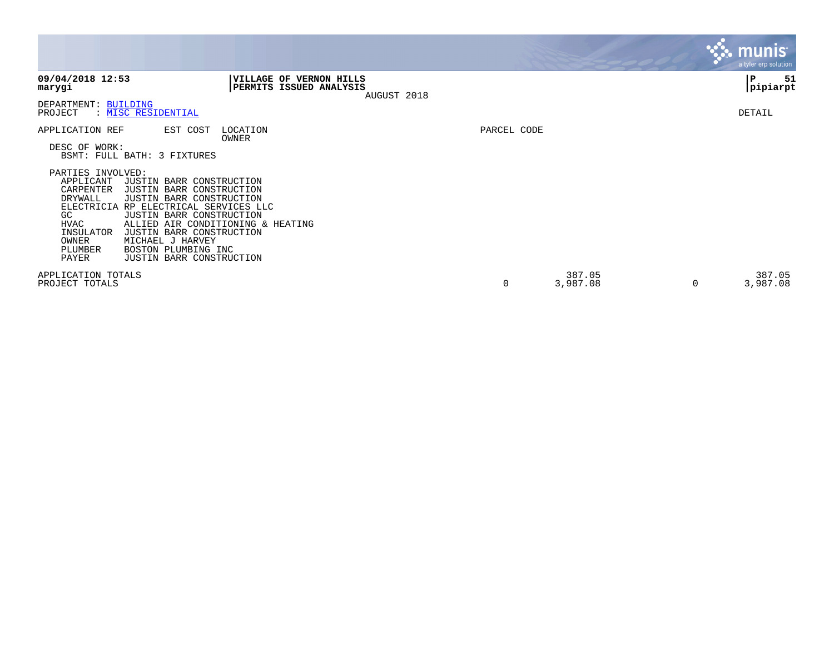|                                                                                                                                                                                                                                                                                                                                                                                                                                                                      |                                                                          |             |                         | <b>A. munis</b><br>a tyler erp solution |
|----------------------------------------------------------------------------------------------------------------------------------------------------------------------------------------------------------------------------------------------------------------------------------------------------------------------------------------------------------------------------------------------------------------------------------------------------------------------|--------------------------------------------------------------------------|-------------|-------------------------|-----------------------------------------|
| 09/04/2018 12:53<br>marygi                                                                                                                                                                                                                                                                                                                                                                                                                                           | <b>VILLAGE OF VERNON HILLS</b><br>PERMITS ISSUED ANALYSIS<br>AUGUST 2018 |             |                         | 51<br>P<br> pipiarpt                    |
| DEPARTMENT: BUILDING<br>PROJECT<br>: MISC RESIDENTIAL                                                                                                                                                                                                                                                                                                                                                                                                                |                                                                          |             |                         | DETAIL                                  |
| APPLICATION REF<br>EST COST<br>DESC OF WORK:<br>BSMT: FULL BATH: 3 FIXTURES<br>PARTIES INVOLVED:<br>APPLICANT<br>JUSTIN BARR CONSTRUCTION<br>CARPENTER<br>JUSTIN BARR CONSTRUCTION<br>DRYWALL<br>JUSTIN BARR CONSTRUCTION<br><b>ELECTRICIA</b><br>RP ELECTRICAL SERVICES LLC<br>JUSTIN BARR CONSTRUCTION<br>GC.<br>HVAC<br>INSULATOR<br>JUSTIN BARR CONSTRUCTION<br>OWNER<br>MICHAEL J HARVEY<br>PLUMBER<br>BOSTON PLUMBING INC<br>JUSTIN BARR CONSTRUCTION<br>PAYER | LOCATION<br>OWNER<br>ALLIED AIR CONDITIONING & HEATING                   | PARCEL CODE |                         |                                         |
| APPLICATION TOTALS<br>PROJECT TOTALS                                                                                                                                                                                                                                                                                                                                                                                                                                 |                                                                          | 0           | 387.05<br>3,987.08<br>0 | 387.05<br>3,987.08                      |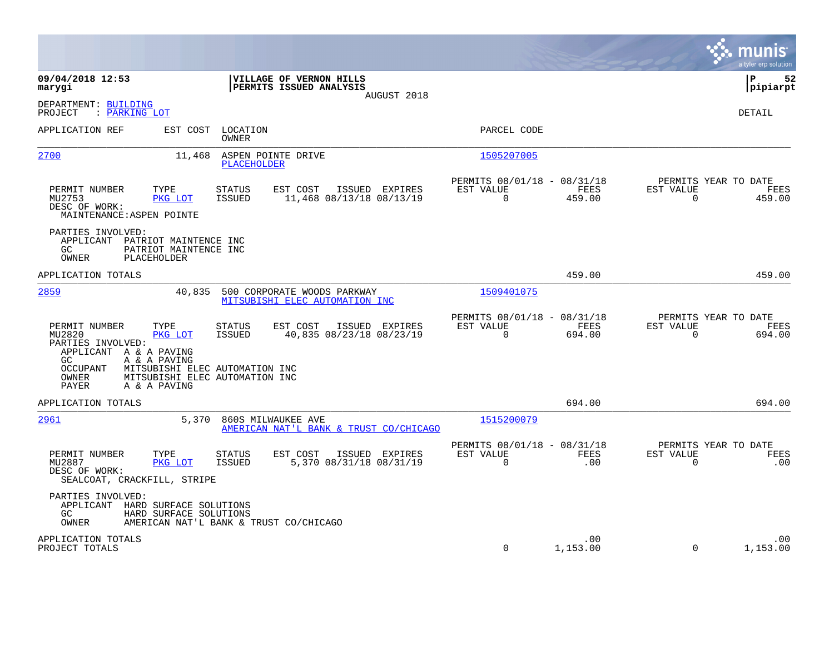|                                                                                                                                                                                                                                          |                                                                                   |                                                      |                    | munis<br>a tyler erp solution                                   |
|------------------------------------------------------------------------------------------------------------------------------------------------------------------------------------------------------------------------------------------|-----------------------------------------------------------------------------------|------------------------------------------------------|--------------------|-----------------------------------------------------------------|
| 09/04/2018 12:53<br>marygi                                                                                                                                                                                                               | VILLAGE OF VERNON HILLS<br>PERMITS ISSUED ANALYSIS<br>AUGUST 2018                 |                                                      |                    | 52<br>l P<br> pipiarpt                                          |
| DEPARTMENT: BUILDING<br>PROJECT<br>: PARKING LOT                                                                                                                                                                                         |                                                                                   |                                                      |                    | <b>DETAIL</b>                                                   |
| APPLICATION REF<br>EST COST                                                                                                                                                                                                              | LOCATION<br>OWNER                                                                 | PARCEL CODE                                          |                    |                                                                 |
| 2700<br>11,468                                                                                                                                                                                                                           | ASPEN POINTE DRIVE<br><b>PLACEHOLDER</b>                                          | 1505207005                                           |                    |                                                                 |
| PERMIT NUMBER<br>TYPE<br>MU2753<br>PKG LOT<br>DESC OF WORK:<br>MAINTENANCE: ASPEN POINTE                                                                                                                                                 | <b>STATUS</b><br>EST COST<br>ISSUED EXPIRES<br>ISSUED<br>11,468 08/13/18 08/13/19 | PERMITS 08/01/18 - 08/31/18<br>EST VALUE<br>$\Omega$ | FEES<br>459.00     | PERMITS YEAR TO DATE<br>EST VALUE<br>FEES<br>$\Omega$<br>459.00 |
| PARTIES INVOLVED:<br>APPLICANT PATRIOT MAINTENCE INC<br>GC.<br>PATRIOT MAINTENCE INC<br>OWNER<br>PLACEHOLDER                                                                                                                             |                                                                                   |                                                      |                    |                                                                 |
| APPLICATION TOTALS                                                                                                                                                                                                                       |                                                                                   |                                                      | 459.00             | 459.00                                                          |
| 2859<br>40,835                                                                                                                                                                                                                           | 500 CORPORATE WOODS PARKWAY<br>MITSUBISHI ELEC AUTOMATION INC                     | 1509401075                                           |                    |                                                                 |
| PERMIT NUMBER<br>TYPE<br>MU2820<br>PKG LOT<br>PARTIES INVOLVED:<br>APPLICANT A & A PAVING<br>GC<br>A & A PAVING<br><b>OCCUPANT</b><br>MITSUBISHI ELEC AUTOMATION INC<br>OWNER<br>MITSUBISHI ELEC AUTOMATION INC<br>PAYER<br>A & A PAVING | STATUS<br>EST COST<br>ISSUED EXPIRES<br><b>ISSUED</b><br>40,835 08/23/18 08/23/19 | PERMITS 08/01/18 - 08/31/18<br>EST VALUE<br>$\Omega$ | FEES<br>694.00     | PERMITS YEAR TO DATE<br>EST VALUE<br>FEES<br>$\Omega$<br>694.00 |
| APPLICATION TOTALS                                                                                                                                                                                                                       |                                                                                   |                                                      | 694.00             | 694.00                                                          |
| 2961<br>5,370                                                                                                                                                                                                                            | 860S MILWAUKEE AVE<br>AMERICAN NAT'L BANK & TRUST CO/CHICAGO                      | 1515200079                                           |                    |                                                                 |
| PERMIT NUMBER<br>TYPE<br>MU2887<br>PKG LOT<br>DESC OF WORK:<br>SEALCOAT, CRACKFILL, STRIPE                                                                                                                                               | <b>STATUS</b><br>EST COST<br>ISSUED EXPIRES<br>ISSUED<br>5,370 08/31/18 08/31/19  | PERMITS 08/01/18 - 08/31/18<br>EST VALUE<br>$\Omega$ | <b>FEES</b><br>.00 | PERMITS YEAR TO DATE<br>EST VALUE<br>FEES<br>$\mathbf 0$<br>.00 |
| PARTIES INVOLVED:<br>APPLICANT<br>HARD SURFACE SOLUTIONS<br>GC<br>HARD SURFACE SOLUTIONS<br>OWNER                                                                                                                                        | AMERICAN NAT'L BANK & TRUST CO/CHICAGO                                            |                                                      |                    |                                                                 |
| APPLICATION TOTALS<br>PROJECT TOTALS                                                                                                                                                                                                     |                                                                                   | $\Omega$                                             | .00<br>1,153.00    | .00<br>1,153.00<br>$\Omega$                                     |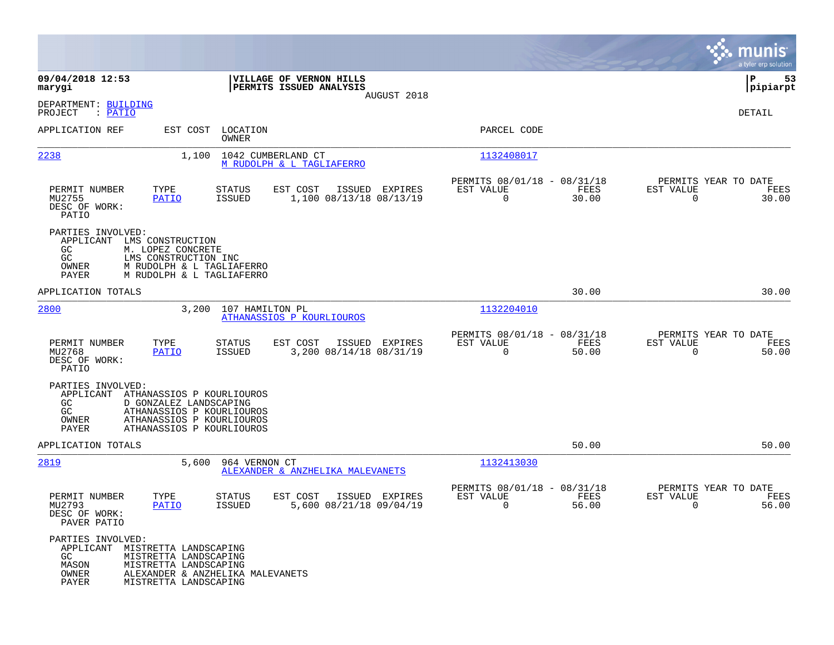|                                                                                                                                                                                                            |                                                 |                                                                   |                      |                                                             |                          | munis<br>a tyler erp solution         |
|------------------------------------------------------------------------------------------------------------------------------------------------------------------------------------------------------------|-------------------------------------------------|-------------------------------------------------------------------|----------------------|-------------------------------------------------------------|--------------------------|---------------------------------------|
| 09/04/2018 12:53<br>marygi                                                                                                                                                                                 |                                                 | VILLAGE OF VERNON HILLS<br>PERMITS ISSUED ANALYSIS<br>AUGUST 2018 |                      |                                                             |                          | ∣P<br>53<br> pipiarpt                 |
| DEPARTMENT: BUILDING<br>PROJECT<br>: PATIO                                                                                                                                                                 |                                                 |                                                                   |                      |                                                             |                          | DETAIL                                |
| APPLICATION REF<br>EST COST                                                                                                                                                                                | LOCATION<br>OWNER                               |                                                                   |                      | PARCEL CODE                                                 |                          |                                       |
| 2238<br>1,100                                                                                                                                                                                              | 1042 CUMBERLAND CT<br>M RUDOLPH & L TAGLIAFERRO |                                                                   |                      | 1132408017                                                  |                          |                                       |
| PERMIT NUMBER<br>TYPE<br>MU2755<br>PATIO<br>DESC OF WORK:<br>PATIO                                                                                                                                         | STATUS<br>ISSUED                                | EST COST<br>ISSUED<br>1,100 08/13/18 08/13/19                     | EXPIRES<br>EST VALUE | PERMITS 08/01/18 - 08/31/18<br>FEES<br>$\mathbf 0$<br>30.00 | EST VALUE<br>$\mathbf 0$ | PERMITS YEAR TO DATE<br>FEES<br>30.00 |
| PARTIES INVOLVED:<br>APPLICANT<br>LMS CONSTRUCTION<br>M. LOPEZ CONCRETE<br>GC.<br>GC<br>LMS CONSTRUCTION INC<br>OWNER<br>M RUDOLPH & L TAGLIAFERRO<br>M RUDOLPH & L TAGLIAFERRO<br>PAYER                   |                                                 |                                                                   |                      |                                                             |                          |                                       |
| APPLICATION TOTALS                                                                                                                                                                                         |                                                 |                                                                   |                      | 30.00                                                       |                          | 30.00                                 |
| 2800<br>3,200                                                                                                                                                                                              | 107 HAMILTON PL<br>ATHANASSIOS P KOURLIOUROS    |                                                                   |                      | 1132204010                                                  |                          |                                       |
| TYPE<br>PERMIT NUMBER<br>MU2768<br><b>PATIO</b><br>DESC OF WORK:<br>PATIO                                                                                                                                  | STATUS<br>ISSUED                                | EST COST<br>ISSUED EXPIRES<br>3,200 08/14/18 08/31/19             | EST VALUE            | PERMITS 08/01/18 - 08/31/18<br>FEES<br>$\mathbf 0$<br>50.00 | EST VALUE<br>$\mathbf 0$ | PERMITS YEAR TO DATE<br>FEES<br>50.00 |
| PARTIES INVOLVED:<br>APPLICANT<br>ATHANASSIOS P KOURLIOUROS<br>D GONZALEZ LANDSCAPING<br>GC<br>GC<br>ATHANASSIOS P KOURLIOUROS<br>OWNER<br>ATHANASSIOS P KOURLIOUROS<br>PAYER<br>ATHANASSIOS P KOURLIOUROS |                                                 |                                                                   |                      |                                                             |                          |                                       |
| APPLICATION TOTALS                                                                                                                                                                                         |                                                 |                                                                   |                      | 50.00                                                       |                          | 50.00                                 |
| 2819<br>5,600                                                                                                                                                                                              | 964 VERNON CT                                   | ALEXANDER & ANZHELIKA MALEVANETS                                  |                      | 1132413030                                                  |                          |                                       |
| PERMIT NUMBER<br>TYPE<br>MU2793<br><b>PATIO</b><br>DESC OF WORK:<br>PAVER PATIO                                                                                                                            | STATUS<br><b>ISSUED</b>                         | EST COST<br>ISSUED EXPIRES<br>5,600 08/21/18 09/04/19             | EST VALUE            | PERMITS 08/01/18 - 08/31/18<br>FEES<br>0<br>56.00           | EST VALUE<br>0           | PERMITS YEAR TO DATE<br>FEES<br>56.00 |
| PARTIES INVOLVED:<br>APPLICANT MISTRETTA LANDSCAPING<br>GC<br>MISTRETTA LANDSCAPING<br>MASON<br>MISTRETTA LANDSCAPING<br>OWNER<br>PAYER<br>MISTRETTA LANDSCAPING                                           | ALEXANDER & ANZHELIKA MALEVANETS                |                                                                   |                      |                                                             |                          |                                       |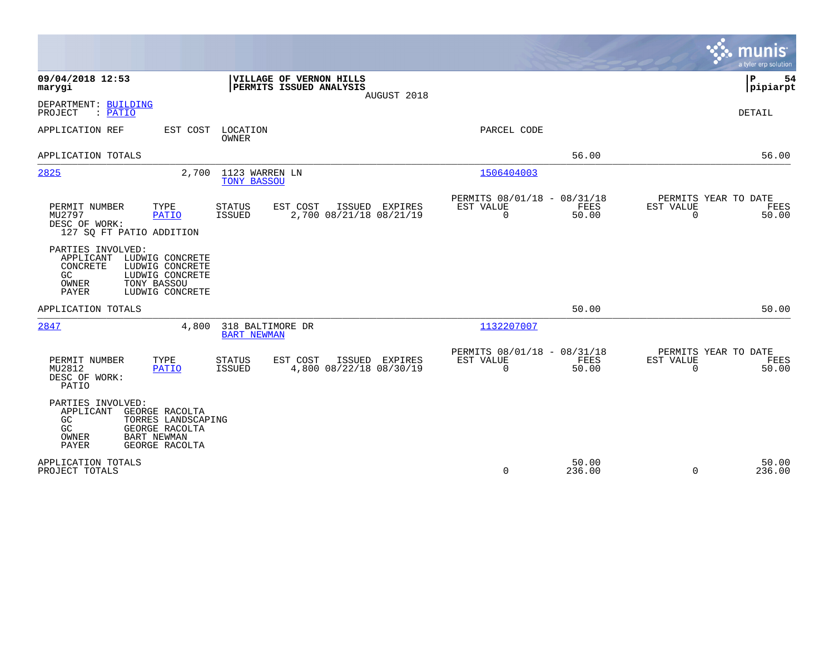|                                                                                                                                                                                         | a tyler erp solution                                                                                                                           |
|-----------------------------------------------------------------------------------------------------------------------------------------------------------------------------------------|------------------------------------------------------------------------------------------------------------------------------------------------|
| 09/04/2018 12:53<br>VILLAGE OF VERNON HILLS<br>PERMITS ISSUED ANALYSIS<br>marygi<br>AUGUST 2018                                                                                         | P<br>54<br> pipiarpt                                                                                                                           |
| DEPARTMENT: BUILDING<br>PROJECT<br>: PATIO                                                                                                                                              | <b>DETAIL</b>                                                                                                                                  |
| APPLICATION REF<br>EST COST<br>LOCATION<br><b>OWNER</b>                                                                                                                                 | PARCEL CODE                                                                                                                                    |
| APPLICATION TOTALS                                                                                                                                                                      | 56.00<br>56.00                                                                                                                                 |
| 2825<br>1123 WARREN LN<br>2,700<br>TONY BASSOU                                                                                                                                          | 1506404003                                                                                                                                     |
| PERMIT NUMBER<br>TYPE<br><b>STATUS</b><br>EST COST<br>ISSUED EXPIRES<br>2,700 08/21/18 08/21/19<br>MU2797<br><b>PATIO</b><br><b>ISSUED</b><br>DESC OF WORK:<br>127 SQ FT PATIO ADDITION | PERMITS 08/01/18 - 08/31/18<br>PERMITS YEAR TO DATE<br>FEES<br>EST VALUE<br>FEES<br>EST VALUE<br>$\mathbf 0$<br>50.00<br>$\mathbf 0$<br>50.00  |
| PARTIES INVOLVED:<br>APPLICANT<br>LUDWIG CONCRETE<br>CONCRETE<br>LUDWIG CONCRETE<br>GC<br>LUDWIG CONCRETE<br>TONY BASSOU<br>OWNER<br><b>PAYER</b><br>LUDWIG CONCRETE                    |                                                                                                                                                |
| APPLICATION TOTALS                                                                                                                                                                      | 50.00<br>50.00                                                                                                                                 |
| 318 BALTIMORE DR<br>2847<br>4,800<br><b>BART NEWMAN</b>                                                                                                                                 | 1132207007                                                                                                                                     |
| TYPE<br>EST COST<br>PERMIT NUMBER<br><b>STATUS</b><br>ISSUED EXPIRES<br>MU2812<br>4,800 08/22/18 08/30/19<br><b>PATIO</b><br><b>ISSUED</b><br>DESC OF WORK:<br>PATIO                    | PERMITS 08/01/18 - 08/31/18<br>PERMITS YEAR TO DATE<br><b>FEES</b><br>EST VALUE<br>EST VALUE<br>FEES<br>$\Omega$<br>50.00<br>$\Omega$<br>50.00 |
| PARTIES INVOLVED:<br>APPLICANT<br>GEORGE RACOLTA<br>TORRES LANDSCAPING<br>GC<br>GC<br>GEORGE RACOLTA<br><b>BART NEWMAN</b><br>OWNER<br><b>PAYER</b><br>GEORGE RACOLTA                   |                                                                                                                                                |
| APPLICATION TOTALS<br>PROJECT TOTALS                                                                                                                                                    | 50.00<br>50.00<br>$\Omega$<br>236.00<br>$\Omega$<br>236.00                                                                                     |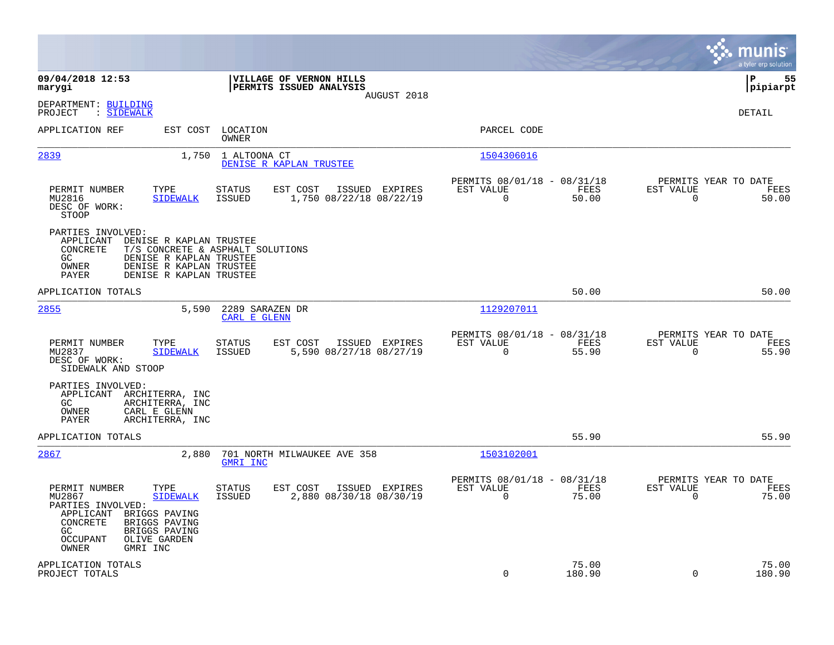|                                                                                                                                                                                                                   |                                                                                         |                                                                             | munis<br>a tyler erp solution                                     |
|-------------------------------------------------------------------------------------------------------------------------------------------------------------------------------------------------------------------|-----------------------------------------------------------------------------------------|-----------------------------------------------------------------------------|-------------------------------------------------------------------|
| 09/04/2018 12:53<br>marygi                                                                                                                                                                                        | VILLAGE OF VERNON HILLS<br>PERMITS ISSUED ANALYSIS<br>AUGUST 2018                       |                                                                             | 55<br> P<br> pipiarpt                                             |
| DEPARTMENT: BUILDING<br>: SIDEWALK<br>PROJECT                                                                                                                                                                     |                                                                                         |                                                                             | DETAIL                                                            |
| APPLICATION REF<br>EST COST                                                                                                                                                                                       | LOCATION<br>OWNER                                                                       | PARCEL CODE                                                                 |                                                                   |
| 2839<br>1,750                                                                                                                                                                                                     | 1 ALTOONA CT<br>DENISE R KAPLAN TRUSTEE                                                 | 1504306016                                                                  |                                                                   |
| PERMIT NUMBER<br>TYPE<br>MU2816<br><b>SIDEWALK</b><br>DESC OF WORK:<br><b>STOOP</b>                                                                                                                               | <b>STATUS</b><br>EST COST<br>ISSUED EXPIRES<br><b>ISSUED</b><br>1,750 08/22/18 08/22/19 | PERMITS 08/01/18 - 08/31/18<br>EST VALUE<br>FEES<br>$\Omega$<br>50.00       | PERMITS YEAR TO DATE<br>EST VALUE<br>FEES<br>$\Omega$<br>50.00    |
| PARTIES INVOLVED:<br>APPLICANT<br>DENISE R KAPLAN TRUSTEE<br>CONCRETE<br>GC.<br>DENISE R KAPLAN TRUSTEE<br>DENISE R KAPLAN TRUSTEE<br>OWNER<br>DENISE R KAPLAN TRUSTEE<br>PAYER                                   | T/S CONCRETE & ASPHALT SOLUTIONS                                                        |                                                                             |                                                                   |
| APPLICATION TOTALS                                                                                                                                                                                                |                                                                                         | 50.00                                                                       | 50.00                                                             |
| 2855<br>5,590                                                                                                                                                                                                     | 2289 SARAZEN DR<br><b>CARL E GLENN</b>                                                  | 1129207011                                                                  |                                                                   |
| TYPE<br>PERMIT NUMBER<br>MU2837<br><b>SIDEWALK</b><br>DESC OF WORK:<br>SIDEWALK AND STOOP                                                                                                                         | STATUS<br>EST COST<br>ISSUED EXPIRES<br>5,590 08/27/18 08/27/19<br><b>ISSUED</b>        | PERMITS 08/01/18 - 08/31/18<br>EST VALUE<br>FEES<br>$\Omega$<br>55.90       | PERMITS YEAR TO DATE<br>EST VALUE<br>FEES<br>$\Omega$<br>55.90    |
| PARTIES INVOLVED:<br>APPLICANT<br>ARCHITERRA, INC<br>GC<br>ARCHITERRA, INC<br>CARL E GLENN<br>OWNER<br>ARCHITERRA, INC<br>PAYER                                                                                   |                                                                                         |                                                                             |                                                                   |
| APPLICATION TOTALS                                                                                                                                                                                                |                                                                                         | 55.90                                                                       | 55.90                                                             |
| 2867<br>2,880                                                                                                                                                                                                     | 701 NORTH MILWAUKEE AVE 358<br>GMRI INC                                                 | 1503102001                                                                  |                                                                   |
| PERMIT NUMBER<br>TYPE<br>MU2867<br><b>SIDEWALK</b><br>PARTIES INVOLVED:<br>APPLICANT<br>BRIGGS PAVING<br>CONCRETE<br>BRIGGS PAVING<br>GC<br>BRIGGS PAVING<br><b>OCCUPANT</b><br>OLIVE GARDEN<br>OWNER<br>GMRI INC | STATUS<br>EST COST<br>ISSUED EXPIRES<br><b>ISSUED</b><br>2,880 08/30/18 08/30/19        | PERMITS 08/01/18 - 08/31/18<br>FEES<br>EST VALUE<br>$\overline{0}$<br>75.00 | PERMITS YEAR TO DATE<br>EST VALUE<br>FEES<br>$\mathbf 0$<br>75.00 |
| APPLICATION TOTALS<br>PROJECT TOTALS                                                                                                                                                                              |                                                                                         | 75.00<br>$\Omega$<br>180.90                                                 | 75.00<br>$\Omega$<br>180.90                                       |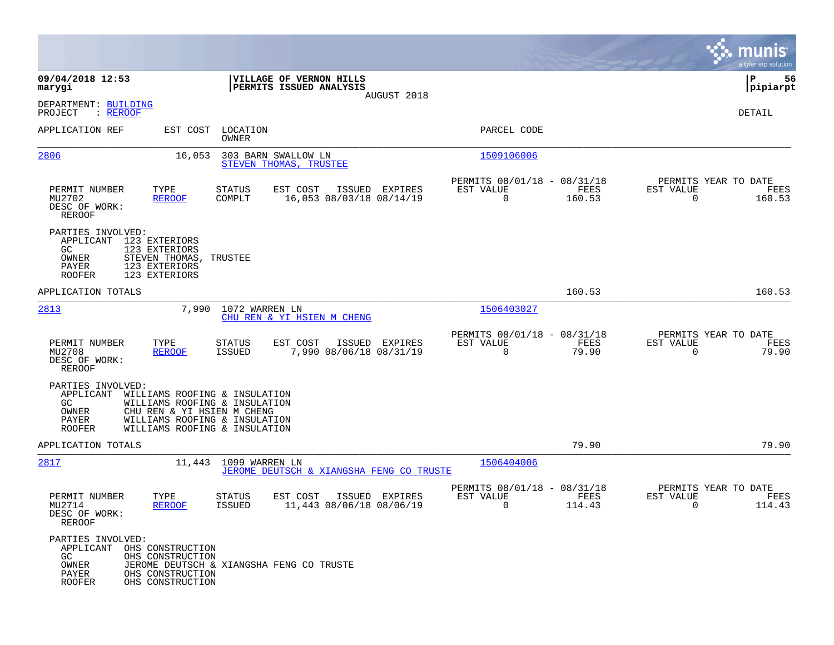|                                                                                   |                                                                                                                                                                |                                   |                                                    |                |                                                            |                |                                                     | munis<br>a tyler erp solution |
|-----------------------------------------------------------------------------------|----------------------------------------------------------------------------------------------------------------------------------------------------------------|-----------------------------------|----------------------------------------------------|----------------|------------------------------------------------------------|----------------|-----------------------------------------------------|-------------------------------|
| 09/04/2018 12:53<br>marygi                                                        |                                                                                                                                                                |                                   | VILLAGE OF VERNON HILLS<br>PERMITS ISSUED ANALYSIS |                |                                                            |                |                                                     | 56<br>IΡ<br> pipiarpt         |
| DEPARTMENT: BUILDING<br>PROJECT<br>: <u>REROOF</u>                                |                                                                                                                                                                |                                   |                                                    | AUGUST 2018    |                                                            |                |                                                     | DETAIL                        |
| APPLICATION REF                                                                   |                                                                                                                                                                | EST COST LOCATION<br><b>OWNER</b> |                                                    |                | PARCEL CODE                                                |                |                                                     |                               |
| 2806                                                                              | 16,053                                                                                                                                                         |                                   | 303 BARN SWALLOW LN<br>STEVEN THOMAS, TRUSTEE      |                | 1509106006                                                 |                |                                                     |                               |
| PERMIT NUMBER<br>MU2702<br>DESC OF WORK:<br><b>REROOF</b>                         | TYPE<br><b>REROOF</b>                                                                                                                                          | STATUS<br>COMPLT                  | EST COST<br>16,053 08/03/18 08/14/19               | ISSUED EXPIRES | PERMITS 08/01/18 - 08/31/18<br>EST VALUE<br>$\overline{0}$ | FEES<br>160.53 | PERMITS YEAR TO DATE<br>EST VALUE<br>$\overline{0}$ | FEES<br>160.53                |
| PARTIES INVOLVED:<br>APPLICANT<br>GC.<br>OWNER<br>PAYER<br><b>ROOFER</b>          | 123 EXTERIORS<br>123 EXTERIORS<br>STEVEN THOMAS, TRUSTEE<br>123 EXTERIORS<br>123 EXTERIORS                                                                     |                                   |                                                    |                |                                                            |                |                                                     |                               |
| APPLICATION TOTALS                                                                |                                                                                                                                                                |                                   |                                                    |                |                                                            | 160.53         |                                                     | 160.53                        |
| 2813                                                                              | 7,990                                                                                                                                                          | 1072 WARREN LN                    | CHU REN & YI HSIEN M CHENG                         |                | 1506403027                                                 |                |                                                     |                               |
| PERMIT NUMBER<br>MU2708<br>DESC OF WORK:<br><b>REROOF</b>                         | TYPE<br><b>REROOF</b>                                                                                                                                          | STATUS<br>ISSUED                  | EST COST<br>7,990 08/06/18 08/31/19                | ISSUED EXPIRES | PERMITS 08/01/18 - 08/31/18<br>EST VALUE<br>$\mathbf 0$    | FEES<br>79.90  | PERMITS YEAR TO DATE<br>EST VALUE<br>$\Omega$       | FEES<br>79.90                 |
| PARTIES INVOLVED:<br>APPLICANT<br>GC<br>OWNER<br>PAYER<br><b>ROOFER</b>           | WILLIAMS ROOFING & INSULATION<br>WILLIAMS ROOFING & INSULATION<br>CHU REN & YI HSIEN M CHENG<br>WILLIAMS ROOFING & INSULATION<br>WILLIAMS ROOFING & INSULATION |                                   |                                                    |                |                                                            |                |                                                     |                               |
| APPLICATION TOTALS                                                                |                                                                                                                                                                |                                   |                                                    |                |                                                            | 79.90          |                                                     | 79.90                         |
| 2817                                                                              |                                                                                                                                                                | 11,443 1099 WARREN LN             | JEROME DEUTSCH & XIANGSHA FENG CO TRUSTE           |                | 1506404006                                                 |                |                                                     |                               |
| PERMIT NUMBER<br>MU2714<br>DESC OF WORK:<br>REROOF                                | TYPE<br><b>REROOF</b>                                                                                                                                          | <b>STATUS</b><br><b>ISSUED</b>    | EST COST<br>11,443 08/06/18 08/06/19               | ISSUED EXPIRES | PERMITS 08/01/18 - 08/31/18<br>EST VALUE<br>0              | FEES<br>114.43 | PERMITS YEAR TO DATE<br>EST VALUE<br>0              | FEES<br>114.43                |
| PARTIES INVOLVED:<br>APPLICANT OHS CONSTRUCTION<br>GC<br>OWNER<br>PAYER<br>ROOFER | OHS CONSTRUCTION<br>OHS CONSTRUCTION<br>OHS CONSTRUCTION                                                                                                       |                                   | JEROME DEUTSCH & XIANGSHA FENG CO TRUSTE           |                |                                                            |                |                                                     |                               |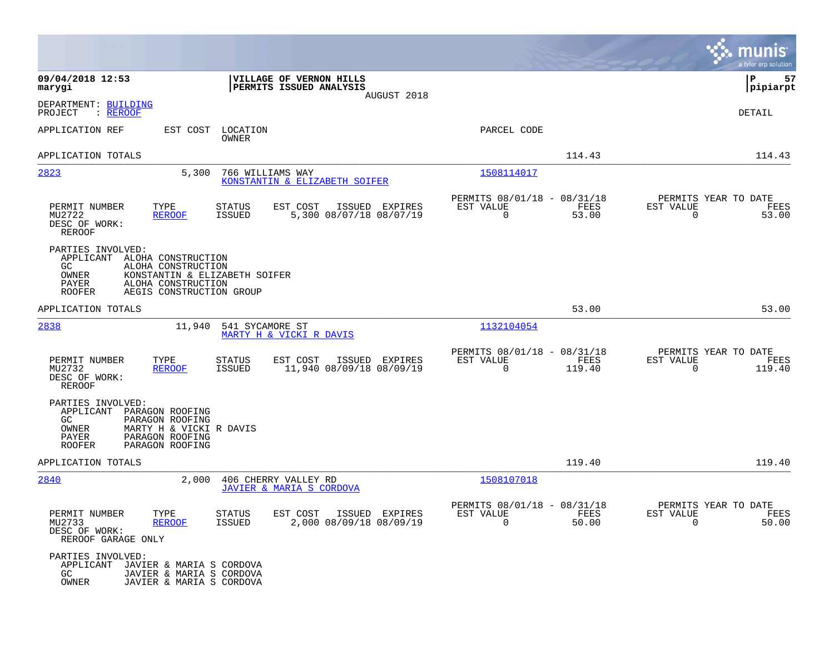|                                                                                                                                                                                |                                                                                         |                                                                           | munis<br>a tyler erp solution                                         |
|--------------------------------------------------------------------------------------------------------------------------------------------------------------------------------|-----------------------------------------------------------------------------------------|---------------------------------------------------------------------------|-----------------------------------------------------------------------|
| 09/04/2018 12:53<br>marygi                                                                                                                                                     | VILLAGE OF VERNON HILLS<br>PERMITS ISSUED ANALYSIS<br>AUGUST 2018                       |                                                                           | P<br>57<br> pipiarpt                                                  |
| DEPARTMENT: BUILDING<br>PROJECT<br>: <u>REROOF</u>                                                                                                                             |                                                                                         |                                                                           | DETAIL                                                                |
| APPLICATION REF<br>EST COST                                                                                                                                                    | LOCATION<br>OWNER                                                                       | PARCEL CODE                                                               |                                                                       |
| APPLICATION TOTALS                                                                                                                                                             |                                                                                         | 114.43                                                                    | 114.43                                                                |
| 2823<br>5,300                                                                                                                                                                  | 766 WILLIAMS WAY<br>KONSTANTIN & ELIZABETH SOIFER                                       | 1508114017                                                                |                                                                       |
| PERMIT NUMBER<br>TYPE<br>MU2722<br><b>REROOF</b><br>DESC OF WORK:<br><b>REROOF</b>                                                                                             | <b>STATUS</b><br>EST COST<br>ISSUED EXPIRES<br><b>ISSUED</b><br>5,300 08/07/18 08/07/19 | PERMITS 08/01/18 - 08/31/18<br>EST VALUE<br>FEES<br>$\mathbf 0$<br>53.00  | PERMITS YEAR TO DATE<br>EST VALUE<br>FEES<br>$\mathbf 0$<br>53.00     |
| PARTIES INVOLVED:<br>APPLICANT<br>ALOHA CONSTRUCTION<br>GC.<br>ALOHA CONSTRUCTION<br>OWNER<br>PAYER<br>ALOHA CONSTRUCTION<br>AEGIS CONSTRUCTION GROUP<br><b>ROOFER</b>         | KONSTANTIN & ELIZABETH SOIFER                                                           |                                                                           |                                                                       |
| APPLICATION TOTALS                                                                                                                                                             |                                                                                         | 53.00                                                                     | 53.00                                                                 |
| 2838<br>11,940                                                                                                                                                                 | 541 SYCAMORE ST<br>MARTY H & VICKI R DAVIS                                              | 1132104054                                                                |                                                                       |
| PERMIT NUMBER<br>TYPE<br>MU2732<br><b>REROOF</b><br>DESC OF WORK:<br><b>REROOF</b>                                                                                             | <b>STATUS</b><br>EST COST<br>ISSUED EXPIRES<br>11,940 08/09/18 08/09/19<br>ISSUED       | PERMITS 08/01/18 - 08/31/18<br>FEES<br>EST VALUE<br>$\mathbf 0$<br>119.40 | PERMITS YEAR TO DATE<br>EST VALUE<br>FEES<br>$\overline{0}$<br>119.40 |
| PARTIES INVOLVED:<br>APPLICANT<br>PARAGON ROOFING<br>GC<br>PARAGON ROOFING<br>OWNER<br>MARTY H & VICKI R DAVIS<br>PAYER<br>PARAGON ROOFING<br><b>ROOFER</b><br>PARAGON ROOFING |                                                                                         |                                                                           |                                                                       |
| APPLICATION TOTALS                                                                                                                                                             |                                                                                         | 119.40                                                                    | 119.40                                                                |
| 2840<br>2,000                                                                                                                                                                  | 406 CHERRY VALLEY RD<br><b>JAVIER &amp; MARIA S CORDOVA</b>                             | 1508107018                                                                |                                                                       |
| PERMIT NUMBER<br>TYPE<br>MU2733<br>REROOF<br>DESC OF WORK:<br>REROOF GARAGE ONLY                                                                                               | STATUS<br>EST COST ISSUED EXPIRES<br>2,000 08/09/18 08/09/19<br>ISSUED                  | PERMITS 08/01/18 - 08/31/18<br>EST VALUE<br>FEES<br>$\Omega$<br>50.00     | PERMITS YEAR TO DATE<br>EST VALUE<br>FEES<br>$\Omega$<br>50.00        |
| PARTIES INVOLVED:<br>APPLICANT<br>JAVIER & MARIA S CORDOVA<br>GC<br>JAVIER & MARIA S CORDOVA<br>OWNER<br>JAVIER & MARIA S CORDOVA                                              |                                                                                         |                                                                           |                                                                       |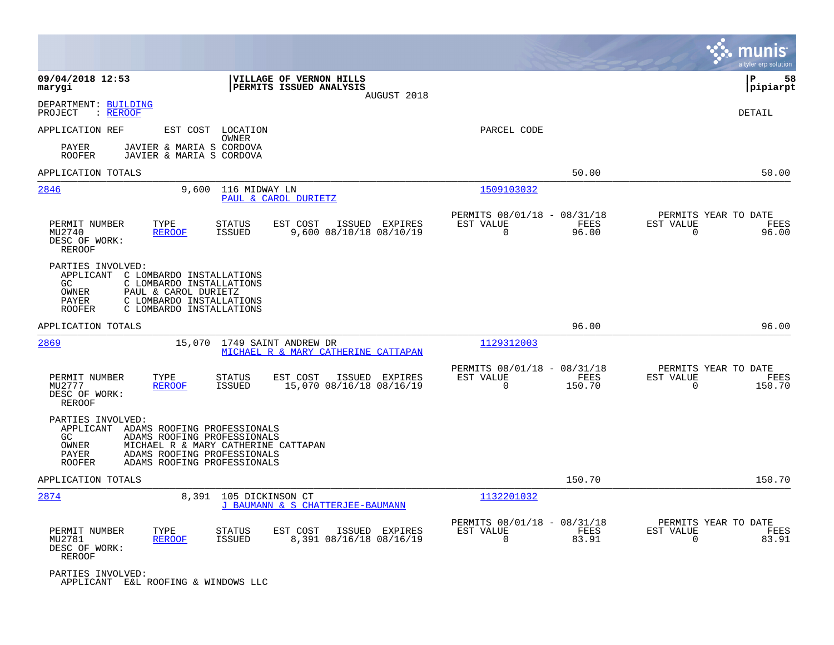|                                                                                                 |                                                                                                                                                                 |                                                                          | munis<br>a tyler erp solution                                     |
|-------------------------------------------------------------------------------------------------|-----------------------------------------------------------------------------------------------------------------------------------------------------------------|--------------------------------------------------------------------------|-------------------------------------------------------------------|
| 09/04/2018 12:53<br>marygi                                                                      | VILLAGE OF VERNON HILLS<br>PERMITS ISSUED ANALYSIS<br>AUGUST 2018                                                                                               |                                                                          | 58<br>ΙP<br> pipiarpt                                             |
| DEPARTMENT: BUILDING<br>PROJECT<br>: <u>REROOF</u>                                              |                                                                                                                                                                 |                                                                          | DETAIL                                                            |
| APPLICATION REF                                                                                 | EST COST<br>LOCATION                                                                                                                                            | PARCEL CODE                                                              |                                                                   |
| PAYER<br><b>ROOFER</b>                                                                          | OWNER<br>JAVIER & MARIA S CORDOVA<br>JAVIER & MARIA S CORDOVA                                                                                                   |                                                                          |                                                                   |
| APPLICATION TOTALS                                                                              |                                                                                                                                                                 | 50.00                                                                    | 50.00                                                             |
| 2846                                                                                            | 9,600<br>116 MIDWAY LN<br>PAUL & CAROL DURIETZ                                                                                                                  | 1509103032                                                               |                                                                   |
| PERMIT NUMBER<br>TYPE<br>MU2740<br><b>REROOF</b><br>DESC OF WORK:<br><b>REROOF</b>              | <b>STATUS</b><br>EST COST<br>ISSUED EXPIRES<br>9,600 08/10/18 08/10/19<br><b>ISSUED</b>                                                                         | PERMITS 08/01/18 - 08/31/18<br>FEES<br>EST VALUE<br>$\mathbf 0$<br>96.00 | PERMITS YEAR TO DATE<br>EST VALUE<br>FEES<br>$\mathbf 0$<br>96.00 |
| PARTIES INVOLVED:<br>APPLICANT<br>GC<br>OWNER<br>PAUL & CAROL DURIETZ<br>PAYER<br><b>ROOFER</b> | C LOMBARDO INSTALLATIONS<br>C LOMBARDO INSTALLATIONS<br>C LOMBARDO INSTALLATIONS<br>C LOMBARDO INSTALLATIONS                                                    |                                                                          |                                                                   |
| APPLICATION TOTALS                                                                              |                                                                                                                                                                 | 96.00                                                                    | 96.00                                                             |
| 2869                                                                                            | 15,070 1749 SAINT ANDREW DR<br>MICHAEL R & MARY CATHERINE CATTAPAN                                                                                              | 1129312003                                                               |                                                                   |
| PERMIT NUMBER<br>TYPE<br>MU2777<br><b>REROOF</b><br>DESC OF WORK:<br><b>REROOF</b>              | <b>STATUS</b><br>EST COST<br>ISSUED EXPIRES<br>15,070 08/16/18 08/16/19<br><b>ISSUED</b>                                                                        | PERMITS 08/01/18 - 08/31/18<br>EST VALUE<br>FEES<br>$\Omega$<br>150.70   | PERMITS YEAR TO DATE<br>EST VALUE<br>FEES<br>$\Omega$<br>150.70   |
| PARTIES INVOLVED:<br>APPLICANT<br>GC.<br>OWNER<br>PAYER<br><b>ROOFER</b>                        | ADAMS ROOFING PROFESSIONALS<br>ADAMS ROOFING PROFESSIONALS<br>MICHAEL R & MARY CATHERINE CATTAPAN<br>ADAMS ROOFING PROFESSIONALS<br>ADAMS ROOFING PROFESSIONALS |                                                                          |                                                                   |
| APPLICATION TOTALS                                                                              |                                                                                                                                                                 | 150.70                                                                   | 150.70                                                            |
| 2874                                                                                            | 8,391<br>105 DICKINSON CT<br>J BAUMANN & S CHATTERJEE-BAUMANN                                                                                                   | 1132201032                                                               |                                                                   |
| PERMIT NUMBER<br>TYPE<br><b>REROOF</b><br>MU2781<br>DESC OF WORK:<br>REROOF                     | EST COST<br><b>STATUS</b><br>ISSUED EXPIRES<br><b>ISSUED</b><br>8,391 08/16/18 08/16/19                                                                         | PERMITS 08/01/18 - 08/31/18<br>EST VALUE<br>FEES<br>$\Omega$<br>83.91    | PERMITS YEAR TO DATE<br>EST VALUE<br>FEES<br>$\Omega$<br>83.91    |
| PARTIES INVOLVED:<br>APPLICANT E&L ROOFING & WINDOWS LLC                                        |                                                                                                                                                                 |                                                                          |                                                                   |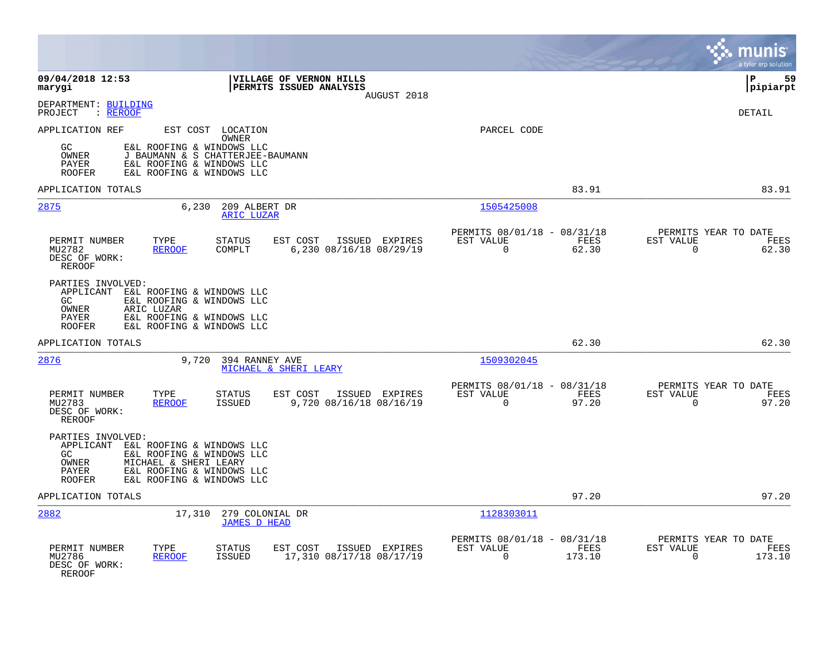|                                                                                                                                                                                                                   |                                                                          | munis<br>a tyler erp solution                                     |
|-------------------------------------------------------------------------------------------------------------------------------------------------------------------------------------------------------------------|--------------------------------------------------------------------------|-------------------------------------------------------------------|
| 09/04/2018 12:53<br>VILLAGE OF VERNON HILLS<br>PERMITS ISSUED ANALYSIS<br>marygi<br>AUGUST 2018                                                                                                                   |                                                                          | 59<br>l P<br> pipiarpt                                            |
| DEPARTMENT: BUILDING<br>: REROOF<br>PROJECT                                                                                                                                                                       |                                                                          | <b>DETAIL</b>                                                     |
| APPLICATION REF<br>EST COST LOCATION<br>OWNER<br>GC<br>E&L ROOFING & WINDOWS LLC<br>OWNER<br>J BAUMANN & S CHATTERJEE-BAUMANN<br>PAYER<br>E&L ROOFING & WINDOWS LLC<br>E&L ROOFING & WINDOWS LLC<br><b>ROOFER</b> | PARCEL CODE                                                              |                                                                   |
| APPLICATION TOTALS                                                                                                                                                                                                | 83.91                                                                    | 83.91                                                             |
| 2875<br>6,230<br>209 ALBERT DR<br>ARIC LUZAR                                                                                                                                                                      | 1505425008                                                               |                                                                   |
| PERMIT NUMBER<br>TYPE<br><b>STATUS</b><br>EST COST<br>ISSUED EXPIRES<br>MU2782<br><b>REROOF</b><br>COMPLT<br>6,230 08/16/18 08/29/19<br>DESC OF WORK:<br><b>REROOF</b>                                            | PERMITS 08/01/18 - 08/31/18<br>EST VALUE<br>FEES<br>$\mathbf 0$<br>62.30 | PERMITS YEAR TO DATE<br>EST VALUE<br>FEES<br>62.30<br>$\mathbf 0$ |
| PARTIES INVOLVED:<br>APPLICANT<br>E&L ROOFING & WINDOWS LLC<br>E&L ROOFING & WINDOWS LLC<br>GC<br><b>OWNER</b><br>ARIC LUZAR<br>E&L ROOFING & WINDOWS LLC<br>PAYER<br>E&L ROOFING & WINDOWS LLC<br><b>ROOFER</b>  |                                                                          |                                                                   |
| APPLICATION TOTALS                                                                                                                                                                                                | 62.30                                                                    | 62.30                                                             |
| 2876<br>9,720<br>394 RANNEY AVE<br>MICHAEL & SHERI LEARY                                                                                                                                                          | 1509302045                                                               |                                                                   |
| PERMIT NUMBER<br>TYPE<br><b>STATUS</b><br>EST COST<br>ISSUED EXPIRES<br><b>REROOF</b><br><b>ISSUED</b><br>9,720 08/16/18 08/16/19<br>MU2783<br>DESC OF WORK:<br>REROOF                                            | PERMITS 08/01/18 - 08/31/18<br>EST VALUE<br>FEES<br>$\mathbf 0$<br>97.20 | PERMITS YEAR TO DATE<br>EST VALUE<br>FEES<br>97.20<br>$\mathbf 0$ |
| PARTIES INVOLVED:<br>APPLICANT E&L ROOFING & WINDOWS LLC<br>GC<br>E&L ROOFING & WINDOWS LLC<br>OWNER<br>MICHAEL & SHERI LEARY<br>E&L ROOFING & WINDOWS LLC<br>PAYER<br><b>ROOFER</b><br>E&L ROOFING & WINDOWS LLC |                                                                          |                                                                   |
| APPLICATION TOTALS                                                                                                                                                                                                | 97.20                                                                    | 97.20                                                             |
| 2882<br>17,310 279 COLONIAL DR<br><b>JAMES D HEAD</b>                                                                                                                                                             | 1128303011                                                               |                                                                   |
| PERMIT NUMBER<br>TYPE<br><b>STATUS</b><br>EST COST<br>ISSUED EXPIRES<br>MU2786<br>17,310 08/17/18 08/17/19<br><b>REROOF</b><br><b>ISSUED</b><br>DESC OF WORK:<br>REROOF                                           | PERMITS 08/01/18 - 08/31/18<br>EST VALUE<br>FEES<br>$\Omega$<br>173.10   | PERMITS YEAR TO DATE<br>EST VALUE<br>FEES<br>173.10<br>$\Omega$   |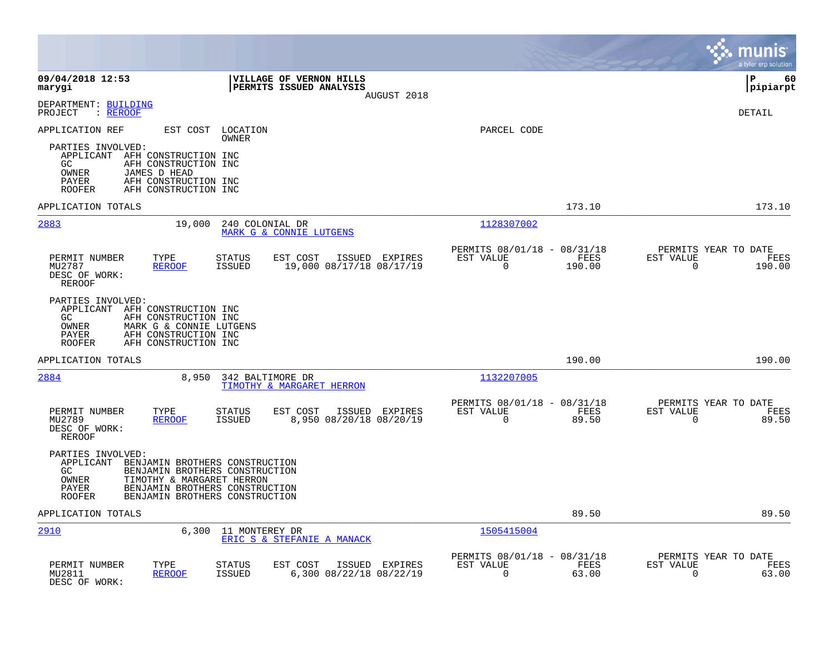|                                                                                                                                                                                                                                               |                                                                          | munis<br>a tyler erp solution                                      |
|-----------------------------------------------------------------------------------------------------------------------------------------------------------------------------------------------------------------------------------------------|--------------------------------------------------------------------------|--------------------------------------------------------------------|
| 09/04/2018 12:53<br><b>VILLAGE OF VERNON HILLS</b><br><b>PERMITS ISSUED ANALYSIS</b><br>marygi<br>AUGUST 2018                                                                                                                                 |                                                                          | l P<br>60<br> pipiarpt                                             |
| DEPARTMENT: BUILDING<br>: REROOF<br>PROJECT                                                                                                                                                                                                   |                                                                          | DETAIL                                                             |
| APPLICATION REF<br>EST COST<br>LOCATION<br>OWNER                                                                                                                                                                                              | PARCEL CODE                                                              |                                                                    |
| PARTIES INVOLVED:<br>APPLICANT AFH CONSTRUCTION INC<br>GC<br>AFH CONSTRUCTION INC<br>OWNER<br>JAMES D HEAD<br>PAYER<br>AFH CONSTRUCTION INC<br><b>ROOFER</b><br>AFH CONSTRUCTION INC                                                          |                                                                          |                                                                    |
| APPLICATION TOTALS                                                                                                                                                                                                                            | 173.10                                                                   | 173.10                                                             |
| 2883<br>19,000<br>240 COLONIAL DR<br>MARK G & CONNIE LUTGENS                                                                                                                                                                                  | 1128307002                                                               |                                                                    |
| TYPE<br>PERMIT NUMBER<br><b>STATUS</b><br>EST COST<br>ISSUED EXPIRES<br>MU2787<br><b>REROOF</b><br><b>ISSUED</b><br>19,000 08/17/18 08/17/19<br>DESC OF WORK:<br><b>REROOF</b>                                                                | PERMITS 08/01/18 - 08/31/18<br>EST VALUE<br>FEES<br>0<br>190.00          | PERMITS YEAR TO DATE<br>EST VALUE<br>FEES<br>$\mathbf 0$<br>190.00 |
| PARTIES INVOLVED:<br>APPLICANT AFH CONSTRUCTION INC<br>GC.<br>AFH CONSTRUCTION INC<br>OWNER<br>MARK G & CONNIE LUTGENS<br>AFH CONSTRUCTION INC<br>PAYER<br><b>ROOFER</b><br>AFH CONSTRUCTION INC                                              |                                                                          |                                                                    |
| APPLICATION TOTALS                                                                                                                                                                                                                            | 190.00                                                                   | 190.00                                                             |
| 2884<br>8,950<br>342 BALTIMORE DR<br>TIMOTHY & MARGARET HERRON                                                                                                                                                                                | 1132207005                                                               |                                                                    |
| PERMIT NUMBER<br>TYPE<br><b>STATUS</b><br>EST COST<br>ISSUED EXPIRES<br>8,950 08/20/18 08/20/19<br>MU2789<br><b>ISSUED</b><br><b>REROOF</b><br>DESC OF WORK:<br><b>REROOF</b>                                                                 | PERMITS 08/01/18 - 08/31/18<br>EST VALUE<br>FEES<br>$\mathbf 0$<br>89.50 | PERMITS YEAR TO DATE<br>EST VALUE<br>FEES<br>$\mathbf 0$<br>89.50  |
| PARTIES INVOLVED:<br>APPLICANT<br>BENJAMIN BROTHERS CONSTRUCTION<br>GC.<br>BENJAMIN BROTHERS CONSTRUCTION<br>OWNER<br>TIMOTHY & MARGARET HERRON<br>BENJAMIN BROTHERS CONSTRUCTION<br>PAYER<br>BENJAMIN BROTHERS CONSTRUCTION<br><b>ROOFER</b> |                                                                          |                                                                    |
| APPLICATION TOTALS                                                                                                                                                                                                                            | 89.50                                                                    | 89.50                                                              |
| 2910<br>6,300<br>11 MONTEREY DR<br>ERIC S & STEFANIE A MANACK                                                                                                                                                                                 | 1505415004                                                               |                                                                    |
| PERMIT NUMBER<br>TYPE<br><b>STATUS</b><br>EST COST<br>ISSUED EXPIRES<br>MU2811<br><b>REROOF</b><br><b>ISSUED</b><br>6,300 08/22/18 08/22/19<br>DESC OF WORK:                                                                                  | PERMITS 08/01/18 - 08/31/18<br>EST VALUE<br>FEES<br>0<br>63.00           | PERMITS YEAR TO DATE<br>EST VALUE<br>FEES<br>$\mathbf 0$<br>63.00  |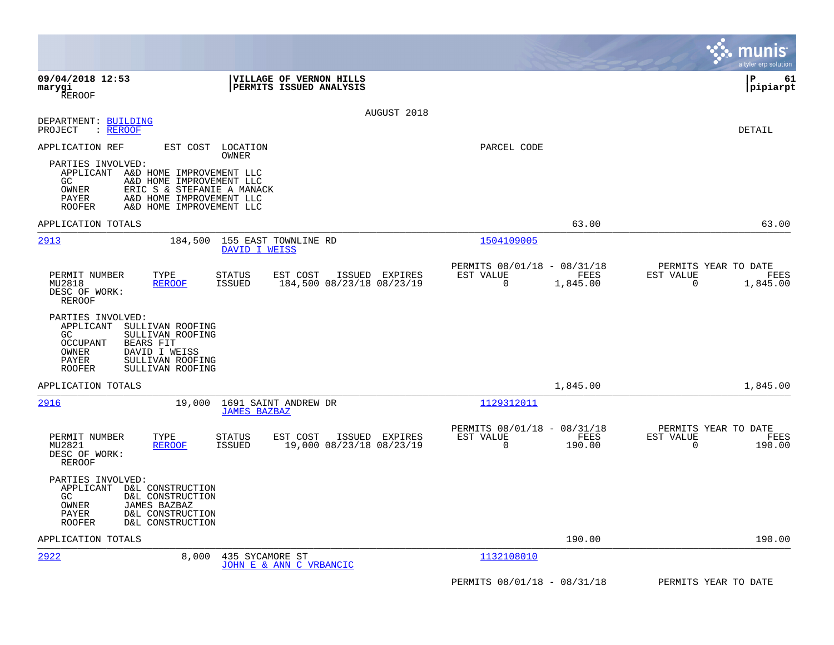|                                                                                                                                                                                                                                                                                    |                                                         |                                                         |                                    | munis<br>a tyler erp solution                 |
|------------------------------------------------------------------------------------------------------------------------------------------------------------------------------------------------------------------------------------------------------------------------------------|---------------------------------------------------------|---------------------------------------------------------|------------------------------------|-----------------------------------------------|
| 09/04/2018 12:53<br>marygi<br><b>REROOF</b>                                                                                                                                                                                                                                        | VILLAGE OF VERNON HILLS<br>PERMITS ISSUED ANALYSIS      |                                                         |                                    | l P<br>61<br> pipiarpt                        |
| DEPARTMENT: BUILDING<br>PROJECT<br>: <u>RERO</u> OF                                                                                                                                                                                                                                | AUGUST 2018                                             |                                                         |                                    | DETAIL                                        |
| APPLICATION REF<br>EST COST LOCATION<br><b>OWNER</b><br>PARTIES INVOLVED:<br>APPLICANT A&D HOME IMPROVEMENT LLC<br>GC.<br>A&D HOME IMPROVEMENT LLC<br>OWNER<br>ERIC S & STEFANIE A MANACK<br><b>PAYER</b><br>A&D HOME IMPROVEMENT LLC<br><b>ROOFER</b><br>A&D HOME IMPROVEMENT LLC |                                                         | PARCEL CODE                                             |                                    |                                               |
| APPLICATION TOTALS                                                                                                                                                                                                                                                                 |                                                         |                                                         | 63.00                              | 63.00                                         |
| 2913<br>184,500                                                                                                                                                                                                                                                                    | 155 EAST TOWNLINE RD<br>DAVID I WEISS                   | 1504109005                                              |                                    |                                               |
| PERMIT NUMBER<br>TYPE<br><b>STATUS</b><br>MU2818<br><b>REROOF</b><br>ISSUED<br>DESC OF WORK:<br><b>REROOF</b>                                                                                                                                                                      | ISSUED EXPIRES<br>EST COST<br>184,500 08/23/18 08/23/19 | PERMITS 08/01/18 - 08/31/18<br>EST VALUE<br>$\mathbf 0$ | EST VALUE<br>FEES<br>1,845.00      | PERMITS YEAR TO DATE<br>FEES<br>0<br>1,845.00 |
| PARTIES INVOLVED:<br>APPLICANT<br>SULLIVAN ROOFING<br>GC.<br>SULLIVAN ROOFING<br><b>OCCUPANT</b><br><b>BEARS FIT</b><br>OWNER<br>DAVID I WEISS<br>PAYER<br>SULLIVAN ROOFING<br><b>ROOFER</b><br>SULLIVAN ROOFING                                                                   |                                                         |                                                         |                                    |                                               |
| APPLICATION TOTALS                                                                                                                                                                                                                                                                 |                                                         |                                                         | 1,845.00                           | 1,845.00                                      |
| 2916<br>19,000                                                                                                                                                                                                                                                                     | 1691 SAINT ANDREW DR<br><b>JAMES BAZBAZ</b>             | 1129312011                                              |                                    |                                               |
| PERMIT NUMBER<br>TYPE<br><b>STATUS</b><br>MU2821<br><b>REROOF</b><br>ISSUED<br>DESC OF WORK:<br><b>REROOF</b>                                                                                                                                                                      | ISSUED EXPIRES<br>EST COST<br>19,000 08/23/18 08/23/19  | PERMITS 08/01/18 - 08/31/18<br>EST VALUE<br>$\mathbf 0$ | FEES<br><b>EST VALUE</b><br>190.00 | PERMITS YEAR TO DATE<br>FEES<br>0<br>190.00   |
| PARTIES INVOLVED:<br>APPLICANT<br>D&L CONSTRUCTION<br>GC<br>D&L CONSTRUCTION<br>OWNER<br>JAMES BAZBAZ<br>D&L CONSTRUCTION<br>PAYER<br>D&L CONSTRUCTION<br><b>ROOFER</b>                                                                                                            |                                                         |                                                         |                                    |                                               |
| APPLICATION TOTALS                                                                                                                                                                                                                                                                 |                                                         |                                                         | 190.00                             | 190.00                                        |
| 2922<br>8.000                                                                                                                                                                                                                                                                      | 435 SYCAMORE ST<br>JOHN E & ANN C VRBANCIC              | 1132108010                                              |                                    |                                               |
|                                                                                                                                                                                                                                                                                    |                                                         | PERMITS 08/01/18 - 08/31/18                             |                                    | PERMITS YEAR TO DATE                          |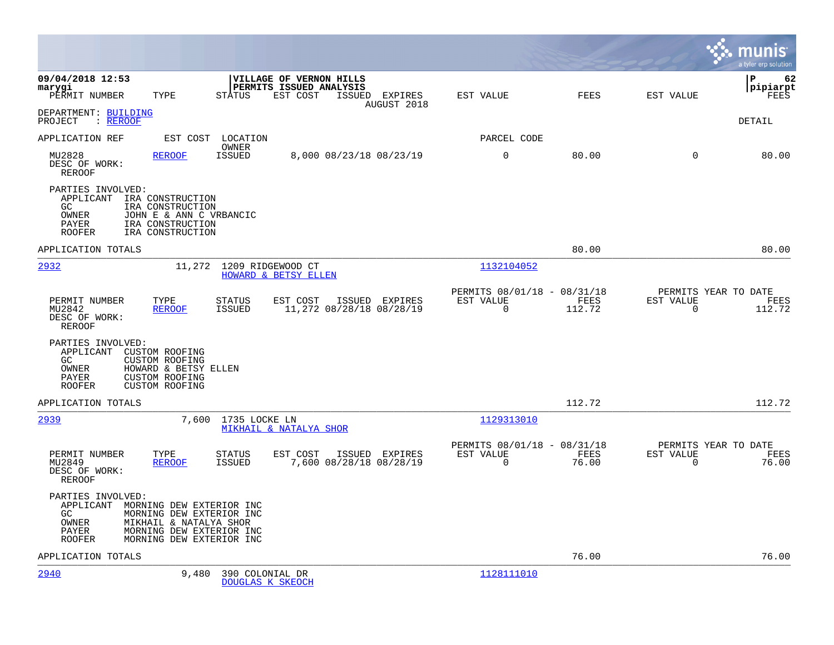|                                                                                                                                                                                                                | munis<br>a tyler erp solution                                                                                                         |
|----------------------------------------------------------------------------------------------------------------------------------------------------------------------------------------------------------------|---------------------------------------------------------------------------------------------------------------------------------------|
| 09/04/2018 12:53<br>VILLAGE OF VERNON HILLS<br>PERMITS ISSUED ANALYSIS<br>marygi<br>PERMIT NUMBER<br>TYPE<br>STATUS<br>EST COST<br>ISSUED EXPIRES<br>AUGUST 2018                                               | 62<br>IΡ<br> pipiarpt<br>EST VALUE<br><b>FEES</b><br>EST VALUE<br>FEES                                                                |
| DEPARTMENT: BUILDING<br>PROJECT<br>$:$ REROOF                                                                                                                                                                  | DETAIL                                                                                                                                |
| APPLICATION REF<br>EST COST<br>LOCATION                                                                                                                                                                        | PARCEL CODE                                                                                                                           |
| OWNER<br>MU2828<br><b>ISSUED</b><br><b>REROOF</b><br>8,000 08/23/18 08/23/19<br>DESC OF WORK:<br><b>REROOF</b>                                                                                                 | $\mathbf 0$<br>80.00<br>$\mathbf 0$<br>80.00                                                                                          |
| PARTIES INVOLVED:<br>APPLICANT<br>IRA CONSTRUCTION<br>GC<br>IRA CONSTRUCTION<br>JOHN E & ANN C VRBANCIC<br>OWNER<br>PAYER<br>IRA CONSTRUCTION<br>IRA CONSTRUCTION<br><b>ROOFER</b>                             |                                                                                                                                       |
| APPLICATION TOTALS                                                                                                                                                                                             | 80.00<br>80.00                                                                                                                        |
| <u>2932</u><br>11,272<br>1209 RIDGEWOOD CT<br>HOWARD & BETSY ELLEN                                                                                                                                             | 1132104052                                                                                                                            |
| PERMIT NUMBER<br>TYPE<br><b>STATUS</b><br>EST COST<br>ISSUED EXPIRES<br>11,272 08/28/18 08/28/19<br>MU2842<br><b>REROOF</b><br>ISSUED<br>DESC OF WORK:<br><b>REROOF</b>                                        | PERMITS YEAR TO DATE<br>PERMITS 08/01/18 - 08/31/18<br>EST VALUE<br>FEES<br>EST VALUE<br>FEES<br>0<br>112.72<br>$\mathbf 0$<br>112.72 |
| PARTIES INVOLVED:<br>APPLICANT<br><b>CUSTOM ROOFING</b><br>GC.<br><b>CUSTOM ROOFING</b><br>HOWARD & BETSY ELLEN<br>OWNER<br><b>CUSTOM ROOFING</b><br>PAYER<br><b>ROOFER</b><br><b>CUSTOM ROOFING</b>           |                                                                                                                                       |
| APPLICATION TOTALS                                                                                                                                                                                             | 112.72<br>112.72                                                                                                                      |
| 2939<br>7,600<br>1735 LOCKE LN<br>MIKHAIL & NATALYA SHOR                                                                                                                                                       | 1129313010                                                                                                                            |
| PERMIT NUMBER<br>TYPE<br><b>STATUS</b><br>EST COST<br>ISSUED EXPIRES<br>MU2849<br><b>ISSUED</b><br>7,600 08/28/18 08/28/19<br><b>REROOF</b><br>DESC OF WORK:<br><b>REROOF</b>                                  | PERMITS 08/01/18 - 08/31/18<br>PERMITS YEAR TO DATE<br>FEES<br>EST VALUE<br>EST VALUE<br>FEES<br>0<br>76.00<br>$\mathbf 0$<br>76.00   |
| PARTIES INVOLVED:<br>APPLICANT MORNING DEW EXTERIOR INC<br>GC<br>MORNING DEW EXTERIOR INC<br>OWNER<br>MIKHAIL & NATALYA SHOR<br>MORNING DEW EXTERIOR INC<br>PAYER<br><b>ROOFER</b><br>MORNING DEW EXTERIOR INC |                                                                                                                                       |
| APPLICATION TOTALS                                                                                                                                                                                             | 76.00<br>76.00                                                                                                                        |
| 2940<br>9,480<br>390 COLONIAL DR<br>DOUGLAS K SKEOCH                                                                                                                                                           | 1128111010                                                                                                                            |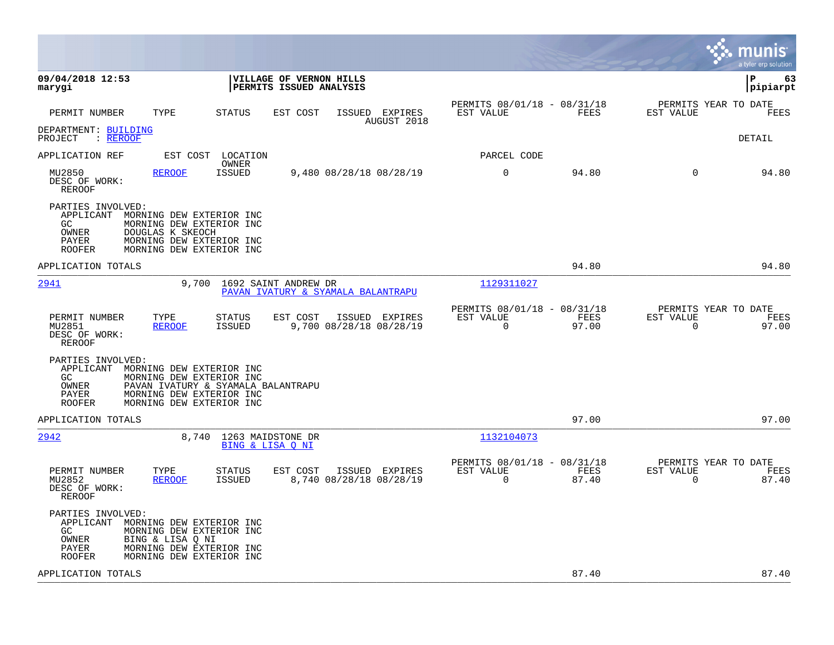|                                                                                                                                                                                                              |                                                                                         |                                                                          | munis<br>a tyler erp solution                                     |
|--------------------------------------------------------------------------------------------------------------------------------------------------------------------------------------------------------------|-----------------------------------------------------------------------------------------|--------------------------------------------------------------------------|-------------------------------------------------------------------|
| 09/04/2018 12:53<br>marygi                                                                                                                                                                                   | VILLAGE OF VERNON HILLS<br>PERMITS ISSUED ANALYSIS                                      |                                                                          | lР<br>63<br> pipiarpt                                             |
| TYPE<br>PERMIT NUMBER                                                                                                                                                                                        | STATUS<br>EST COST<br>ISSUED EXPIRES<br>AUGUST 2018                                     | PERMITS 08/01/18 - 08/31/18<br>FEES<br>EST VALUE                         | PERMITS YEAR TO DATE<br>EST VALUE<br>FEES                         |
| DEPARTMENT: BUILDING<br>PROJECT<br>: REROOF                                                                                                                                                                  |                                                                                         |                                                                          | DETAIL                                                            |
| APPLICATION REF                                                                                                                                                                                              | EST COST LOCATION<br>OWNER                                                              | PARCEL CODE                                                              |                                                                   |
| MU2850<br><b>REROOF</b><br>DESC OF WORK:<br><b>REROOF</b>                                                                                                                                                    | 9,480 08/28/18 08/28/19<br><b>ISSUED</b>                                                | $\mathbf 0$<br>94.80                                                     | $\Omega$<br>94.80                                                 |
| PARTIES INVOLVED:<br>APPLICANT<br>MORNING DEW EXTERIOR INC<br>GC.<br>MORNING DEW EXTERIOR INC<br>OWNER<br>DOUGLAS K SKEOCH<br>MORNING DEW EXTERIOR INC<br>PAYER<br><b>ROOFER</b><br>MORNING DEW EXTERIOR INC |                                                                                         |                                                                          |                                                                   |
| APPLICATION TOTALS                                                                                                                                                                                           |                                                                                         | 94.80                                                                    | 94.80                                                             |
| 2941<br>9,700                                                                                                                                                                                                | 1692 SAINT ANDREW DR<br>PAVAN IVATURY & SYAMALA BALANTRAPU                              | 1129311027                                                               |                                                                   |
| TYPE<br>PERMIT NUMBER<br><b>REROOF</b><br>MU2851<br>DESC OF WORK:<br>REROOF                                                                                                                                  | <b>STATUS</b><br>EST COST<br>ISSUED EXPIRES<br>9,700 08/28/18 08/28/19<br>ISSUED        | PERMITS 08/01/18 - 08/31/18<br>EST VALUE<br>FEES<br>$\mathbf 0$<br>97.00 | PERMITS YEAR TO DATE<br>EST VALUE<br>FEES<br>$\mathbf 0$<br>97.00 |
| PARTIES INVOLVED:<br>MORNING DEW EXTERIOR INC<br>APPLICANT<br>GC<br>MORNING DEW EXTERIOR INC<br>OWNER<br>PAYER<br>MORNING DEW EXTERIOR INC<br>MORNING DEW EXTERIOR INC<br><b>ROOFER</b>                      | PAVAN IVATURY & SYAMALA BALANTRAPU                                                      |                                                                          |                                                                   |
| APPLICATION TOTALS                                                                                                                                                                                           |                                                                                         | 97.00                                                                    | 97.00                                                             |
| 2942<br>8,740                                                                                                                                                                                                | 1263 MAIDSTONE DR<br>BING & LISA O NI                                                   | 1132104073                                                               |                                                                   |
| PERMIT NUMBER<br>TYPE<br>MU2852<br><b>REROOF</b><br>DESC OF WORK:<br>REROOF                                                                                                                                  | <b>STATUS</b><br>EST COST<br>ISSUED EXPIRES<br>8,740 08/28/18 08/28/19<br><b>ISSUED</b> | PERMITS 08/01/18 - 08/31/18<br>EST VALUE<br>FEES<br>$\Omega$<br>87.40    | PERMITS YEAR TO DATE<br>EST VALUE<br>FEES<br>$\Omega$<br>87.40    |
| PARTIES INVOLVED:<br>APPLICANT<br>MORNING DEW EXTERIOR INC<br>GC<br>MORNING DEW EXTERIOR INC<br>OWNER<br>BING & LISA Q NI<br>MORNING DEW EXTERIOR INC<br>PAYER<br>MORNING DEW EXTERIOR INC<br>ROOFER         |                                                                                         |                                                                          |                                                                   |
| APPLICATION TOTALS                                                                                                                                                                                           |                                                                                         | 87.40                                                                    | 87.40                                                             |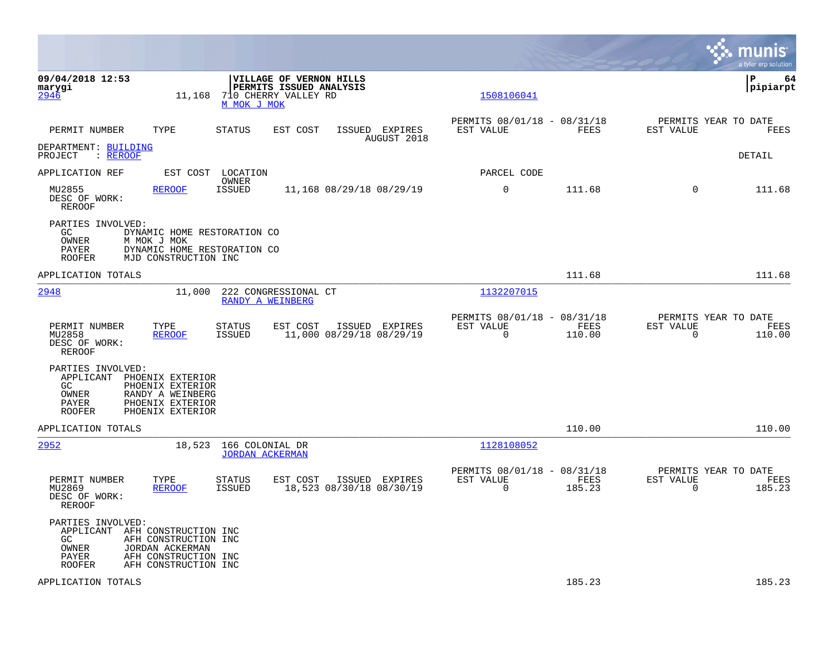|                                                                                       |                                                                                                   |                                           |                                                                            |                                            |                          |                                               |                          | munis<br>a tyler erp solution          |
|---------------------------------------------------------------------------------------|---------------------------------------------------------------------------------------------------|-------------------------------------------|----------------------------------------------------------------------------|--------------------------------------------|--------------------------|-----------------------------------------------|--------------------------|----------------------------------------|
| 09/04/2018 12:53<br>marygi<br>2946                                                    | 11,168                                                                                            | M MOK J MOK                               | VILLAGE OF VERNON HILLS<br>PERMITS ISSUED ANALYSIS<br>710 CHERRY VALLEY RD |                                            | 1508106041               |                                               |                          | ΙP<br>64<br> pipiarpt                  |
| PERMIT NUMBER                                                                         | TYPE                                                                                              | <b>STATUS</b>                             | EST COST                                                                   | ISSUED EXPIRES<br>AUGUST 2018              | EST VALUE                | PERMITS 08/01/18 - 08/31/18<br>FEES           | EST VALUE                | PERMITS YEAR TO DATE<br>FEES           |
| DEPARTMENT: BUILDING<br>: REROOF<br>PROJECT                                           |                                                                                                   |                                           |                                                                            |                                            |                          |                                               |                          | DETAIL                                 |
| APPLICATION REF                                                                       | EST COST                                                                                          | LOCATION<br>OWNER                         |                                                                            |                                            | PARCEL CODE              |                                               |                          |                                        |
| MU2855<br>DESC OF WORK:<br>REROOF                                                     | <b>REROOF</b>                                                                                     | <b>ISSUED</b>                             |                                                                            | 11,168 08/29/18 08/29/19                   | 0                        | 111.68                                        | $\Omega$                 | 111.68                                 |
| PARTIES INVOLVED:<br>GC<br>OWNER<br>PAYER<br>ROOFER                                   | DYNAMIC HOME RESTORATION CO<br>M MOK J MOK<br>DYNAMIC HOME RESTORATION CO<br>MJD CONSTRUCTION INC |                                           |                                                                            |                                            |                          |                                               |                          |                                        |
| APPLICATION TOTALS                                                                    |                                                                                                   |                                           |                                                                            |                                            |                          | 111.68                                        |                          | 111.68                                 |
| 2948                                                                                  | 11,000                                                                                            | RANDY A WEINBERG                          | 222 CONGRESSIONAL CT                                                       |                                            | 1132207015               |                                               |                          |                                        |
| PERMIT NUMBER<br>MU2858<br>DESC OF WORK:<br>REROOF                                    | TYPE<br><b>REROOF</b>                                                                             | <b>STATUS</b><br><b>ISSUED</b>            | EST COST                                                                   | ISSUED EXPIRES<br>11,000 08/29/18 08/29/19 | EST VALUE<br>$\mathbf 0$ | PERMITS 08/01/18 - 08/31/18<br>FEES<br>110.00 | EST VALUE<br>$\mathbf 0$ | PERMITS YEAR TO DATE<br>FEES<br>110.00 |
| PARTIES INVOLVED:<br>APPLICANT<br>GC<br>OWNER<br>PAYER<br><b>ROOFER</b>               | PHOENIX EXTERIOR<br>PHOENIX EXTERIOR<br>RANDY A WEINBERG<br>PHOENIX EXTERIOR<br>PHOENIX EXTERIOR  |                                           |                                                                            |                                            |                          |                                               |                          |                                        |
| APPLICATION TOTALS                                                                    |                                                                                                   |                                           |                                                                            |                                            |                          | 110.00                                        |                          | 110.00                                 |
| 2952                                                                                  | 18,523                                                                                            | 166 COLONIAL DR<br><b>JORDAN ACKERMAN</b> |                                                                            |                                            | 1128108052               |                                               |                          |                                        |
| PERMIT NUMBER<br>MU2869<br>DESC OF WORK:<br>REROOF                                    | TYPE<br><b>REROOF</b>                                                                             | <b>STATUS</b><br><b>ISSUED</b>            | EST COST                                                                   | ISSUED EXPIRES<br>18,523 08/30/18 08/30/19 | EST VALUE<br>$\Omega$    | PERMITS 08/01/18 - 08/31/18<br>FEES<br>185.23 | EST VALUE<br>$\Omega$    | PERMITS YEAR TO DATE<br>FEES<br>185.23 |
| PARTIES INVOLVED:<br>APPLICANT AFH CONSTRUCTION INC<br>GC<br>OWNER<br>PAYER<br>ROOFER | AFH CONSTRUCTION INC<br>JORDAN ACKERMAN<br>AFH CONSTRUCTION INC<br>AFH CONSTRUCTION INC           |                                           |                                                                            |                                            |                          |                                               |                          |                                        |
| APPLICATION TOTALS                                                                    |                                                                                                   |                                           |                                                                            |                                            |                          | 185.23                                        |                          | 185.23                                 |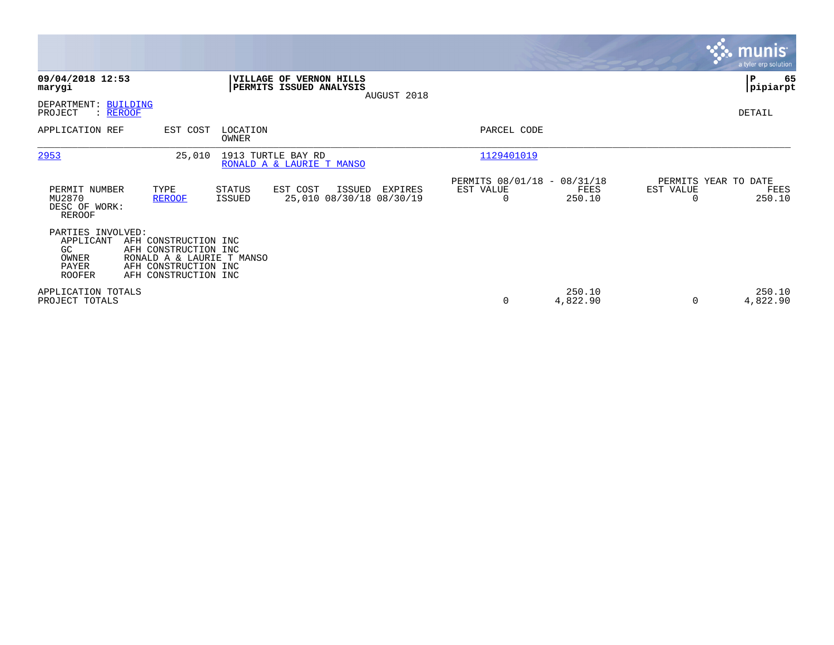|                                                                         |                                                                                                                           |                          |                                                    |             |                                                      |                    |                                   | <b>munis</b><br>a tyler erp solution |
|-------------------------------------------------------------------------|---------------------------------------------------------------------------------------------------------------------------|--------------------------|----------------------------------------------------|-------------|------------------------------------------------------|--------------------|-----------------------------------|--------------------------------------|
| 09/04/2018 12:53<br>marygi                                              |                                                                                                                           |                          | VILLAGE OF VERNON HILLS<br>PERMITS ISSUED ANALYSIS |             |                                                      |                    |                                   | ΙP<br>65<br> pipiarpt                |
| DEPARTMENT: BUILDING<br>PROJECT<br>: REROOF                             |                                                                                                                           |                          |                                                    | AUGUST 2018 |                                                      |                    |                                   | DETAIL                               |
| APPLICATION REF                                                         | EST COST                                                                                                                  | LOCATION<br><b>OWNER</b> |                                                    |             | PARCEL CODE                                          |                    |                                   |                                      |
| 2953                                                                    | 25,010                                                                                                                    |                          | 1913 TURTLE BAY RD<br>RONALD A & LAURIE T MANSO    |             | 1129401019                                           |                    |                                   |                                      |
| PERMIT NUMBER<br>MU2870<br>DESC OF WORK:<br>REROOF                      | TYPE<br><b>REROOF</b>                                                                                                     | STATUS<br>ISSUED         | EST COST<br>ISSUED<br>25,010 08/30/18 08/30/19     | EXPIRES     | PERMITS 08/01/18 - 08/31/18<br>EST VALUE<br>$\Omega$ | FEES<br>250.10     | PERMITS YEAR TO DATE<br>EST VALUE | FEES<br>250.10                       |
| PARTIES INVOLVED:<br>APPLICANT<br>GC<br>OWNER<br>PAYER<br><b>ROOFER</b> | AFH CONSTRUCTION INC<br>AFH CONSTRUCTION INC<br>RONALD A & LAURIE T MANSO<br>AFH CONSTRUCTION INC<br>AFH CONSTRUCTION INC |                          |                                                    |             |                                                      |                    |                                   |                                      |
| APPLICATION TOTALS<br>PROJECT TOTALS                                    |                                                                                                                           |                          |                                                    |             | 0                                                    | 250.10<br>4,822.90 | $\Omega$                          | 250.10<br>4,822.90                   |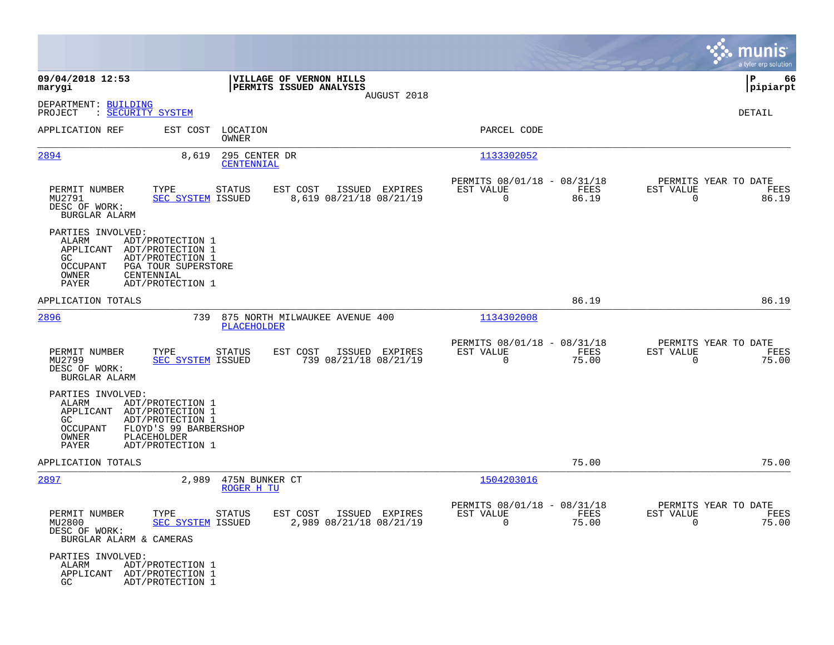|                                                                                                                                                                                                   |                                                                                  |                                                                           |               | munis<br>a tyler erp solution                                     |
|---------------------------------------------------------------------------------------------------------------------------------------------------------------------------------------------------|----------------------------------------------------------------------------------|---------------------------------------------------------------------------|---------------|-------------------------------------------------------------------|
| 09/04/2018 12:53<br>marygi                                                                                                                                                                        | VILLAGE OF VERNON HILLS<br>PERMITS ISSUED ANALYSIS                               |                                                                           |               | ∣P<br>66<br>pipiarpt                                              |
| DEPARTMENT: BUILDING<br>PROJECT<br>: SECURITY SYSTEM                                                                                                                                              |                                                                                  | AUGUST 2018                                                               |               | DETAIL                                                            |
| APPLICATION REF                                                                                                                                                                                   | EST COST<br>LOCATION<br>OWNER                                                    | PARCEL CODE                                                               |               |                                                                   |
| 2894                                                                                                                                                                                              | 295 CENTER DR<br>8,619<br>CENTENNIAL                                             | 1133302052                                                                |               |                                                                   |
| PERMIT NUMBER<br>TYPE<br>MU2791<br>DESC OF WORK:<br>BURGLAR ALARM                                                                                                                                 | EST COST<br>STATUS<br><b>SEC SYSTEM ISSUED</b><br>8,619 08/21/18 08/21/19        | PERMITS 08/01/18 - 08/31/18<br>ISSUED EXPIRES<br>EST VALUE<br>$\mathbf 0$ | FEES<br>86.19 | PERMITS YEAR TO DATE<br>EST VALUE<br>FEES<br>$\mathbf 0$<br>86.19 |
| PARTIES INVOLVED:<br>ALARM<br>ADT/PROTECTION 1<br>APPLICANT<br>ADT/PROTECTION 1<br>GC.<br>ADT/PROTECTION 1<br>OCCUPANT<br>PGA TOUR SUPERSTORE<br>CENTENNIAL<br>OWNER<br>PAYER<br>ADT/PROTECTION 1 |                                                                                  |                                                                           |               |                                                                   |
| APPLICATION TOTALS                                                                                                                                                                                |                                                                                  |                                                                           | 86.19         | 86.19                                                             |
| 2896                                                                                                                                                                                              | 739<br>875 NORTH MILWAUKEE AVENUE 400<br><b>PLACEHOLDER</b>                      | 1134302008                                                                |               |                                                                   |
| PERMIT NUMBER<br>TYPE<br>MU2799<br>DESC OF WORK:<br>BURGLAR ALARM                                                                                                                                 | EST COST<br><b>STATUS</b><br><b>SEC SYSTEM ISSUED</b><br>739 08/21/18 08/21/19   | PERMITS 08/01/18 - 08/31/18<br>ISSUED EXPIRES<br>EST VALUE<br>$\Omega$    | FEES<br>75.00 | PERMITS YEAR TO DATE<br>EST VALUE<br>FEES<br>$\Omega$<br>75.00    |
| PARTIES INVOLVED:<br>ALARM<br>ADT/PROTECTION 1<br>ADT/PROTECTION 1<br>APPLICANT<br>GC<br>ADT/PROTECTION 1<br><b>OCCUPANT</b><br>PLACEHOLDER<br>OWNER<br>PAYER<br>ADT/PROTECTION 1                 | FLOYD'S 99 BARBERSHOP                                                            |                                                                           |               |                                                                   |
| APPLICATION TOTALS                                                                                                                                                                                |                                                                                  |                                                                           | 75.00         | 75.00                                                             |
| <u> 2897</u>                                                                                                                                                                                      | 2,989<br>475N BUNKER CT<br>ROGER H TU                                            | 1504203016                                                                |               |                                                                   |
| PERMIT NUMBER<br>TYPE<br>MU2800<br>DESC OF WORK:<br>BURGLAR ALARM & CAMERAS                                                                                                                       | <b>STATUS</b><br>EST COST<br><b>SEC SYSTEM ISSUED</b><br>2,989 08/21/18 08/21/19 | PERMITS 08/01/18 - 08/31/18<br>EST VALUE<br>ISSUED EXPIRES<br>0           | FEES<br>75.00 | PERMITS YEAR TO DATE<br>EST VALUE<br>FEES<br>$\mathbf 0$<br>75.00 |
| PARTIES INVOLVED:<br>ALARM<br>ADT/PROTECTION 1<br>APPLICANT ADT/PROTECTION 1<br>GC.<br>ADT/PROTECTION 1                                                                                           |                                                                                  |                                                                           |               |                                                                   |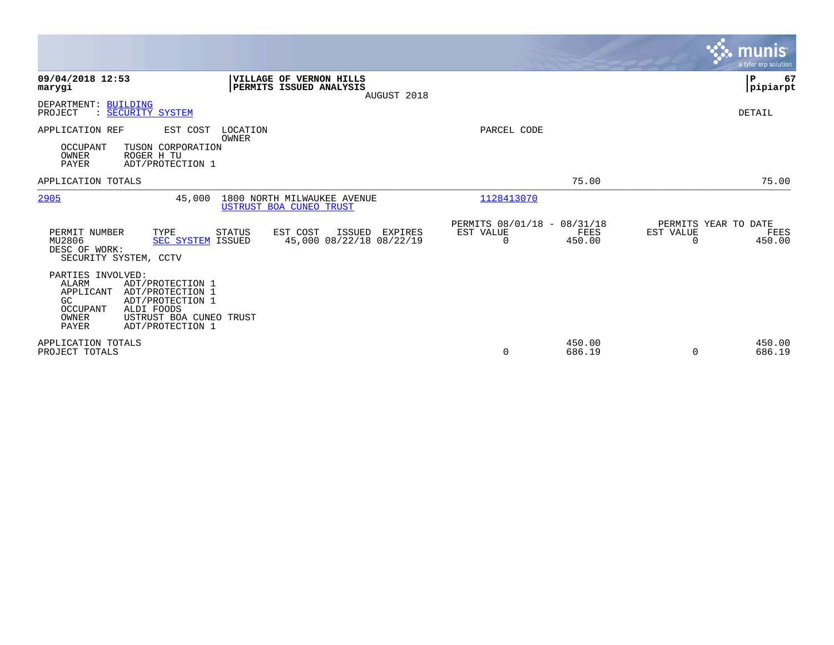|                                                                                                                                                                                                             |                                                                   |                                                      |                  |                                               | munis<br>a tyler erp solution |
|-------------------------------------------------------------------------------------------------------------------------------------------------------------------------------------------------------------|-------------------------------------------------------------------|------------------------------------------------------|------------------|-----------------------------------------------|-------------------------------|
| 09/04/2018 12:53<br>marygi                                                                                                                                                                                  | VILLAGE OF VERNON HILLS<br>PERMITS ISSUED ANALYSIS<br>AUGUST 2018 |                                                      |                  |                                               | P<br>67<br> pipiarpt          |
| DEPARTMENT: BUILDING<br>: SECURITY SYSTEM<br>PROJECT                                                                                                                                                        |                                                                   |                                                      |                  |                                               | DETAIL                        |
| APPLICATION REF<br>EST COST<br>LOCATION<br>OWNER<br><b>OCCUPANT</b><br>TUSON CORPORATION<br>ROGER H TU<br>OWNER<br><b>PAYER</b><br>ADT/PROTECTION 1                                                         |                                                                   | PARCEL CODE                                          |                  |                                               |                               |
| APPLICATION TOTALS                                                                                                                                                                                          |                                                                   |                                                      | 75.00            |                                               | 75.00                         |
| 2905<br>45,000                                                                                                                                                                                              | 1800 NORTH MILWAUKEE AVENUE<br>USTRUST BOA CUNEO TRUST            | 1128413070                                           |                  |                                               |                               |
| PERMIT NUMBER<br>TYPE<br>STATUS<br>MU2806<br>SEC SYSTEM ISSUED<br>DESC OF WORK:<br>SECURITY SYSTEM, CCTV                                                                                                    | EST COST<br>EXPIRES<br>ISSUED<br>45,000 08/22/18 08/22/19         | PERMITS 08/01/18 - 08/31/18<br>EST VALUE<br>$\Omega$ | FEES<br>450.00   | PERMITS YEAR TO DATE<br>EST VALUE<br>$\Omega$ | FEES<br>450.00                |
| PARTIES INVOLVED:<br>ALARM<br>ADT/PROTECTION 1<br>APPLICANT<br>ADT/PROTECTION 1<br>GC<br>ADT/PROTECTION 1<br><b>OCCUPANT</b><br>ALDI FOODS<br>OWNER<br>USTRUST BOA CUNEO TRUST<br>PAYER<br>ADT/PROTECTION 1 |                                                                   |                                                      |                  |                                               |                               |
| APPLICATION TOTALS<br>PROJECT TOTALS                                                                                                                                                                        |                                                                   | 0                                                    | 450.00<br>686.19 | $\Omega$                                      | 450.00<br>686.19              |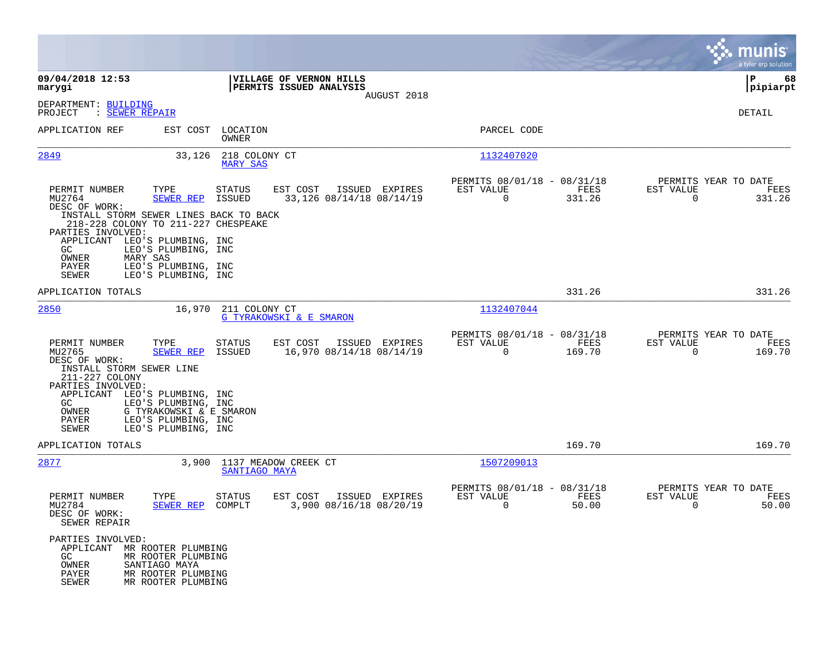|                                                                                                                                            |                                                                                              |                                                                   |                                                                           | munis<br>a tyler erp solution                                   |
|--------------------------------------------------------------------------------------------------------------------------------------------|----------------------------------------------------------------------------------------------|-------------------------------------------------------------------|---------------------------------------------------------------------------|-----------------------------------------------------------------|
| 09/04/2018 12:53<br>marygi                                                                                                                 |                                                                                              | VILLAGE OF VERNON HILLS<br>PERMITS ISSUED ANALYSIS<br>AUGUST 2018 |                                                                           | ΙP<br>68<br> pipiarpt                                           |
| DEPARTMENT: BUILDING<br>PROJECT<br>: SEWER REPAIR                                                                                          |                                                                                              |                                                                   |                                                                           | DETAIL                                                          |
| APPLICATION REF                                                                                                                            | EST COST LOCATION<br>OWNER                                                                   |                                                                   | PARCEL CODE                                                               |                                                                 |
| <u>2849</u>                                                                                                                                | 33,126 218 COLONY CT<br><b>MARY SAS</b>                                                      |                                                                   | 1132407020                                                                |                                                                 |
| PERMIT NUMBER<br>TYPE<br>MU2764<br>DESC OF WORK:                                                                                           | <b>STATUS</b><br><b>SEWER REP ISSUED</b>                                                     | EST COST<br>ISSUED EXPIRES<br>33,126 08/14/18 08/14/19            | PERMITS 08/01/18 - 08/31/18<br>EST VALUE<br>FEES<br>$\mathbf 0$<br>331.26 | PERMITS YEAR TO DATE<br>EST VALUE<br>FEES<br>0<br>331.26        |
| INSTALL STORM SEWER LINES BACK TO BACK<br>218-228 COLONY TO 211-227 CHESPEAKE<br>PARTIES INVOLVED:<br>APPLICANT LEO'S PLUMBING, INC<br>GC. | LEO'S PLUMBING, INC                                                                          |                                                                   |                                                                           |                                                                 |
| MARY SAS<br>OWNER<br>PAYER<br><b>SEWER</b>                                                                                                 | LEO'S PLUMBING, INC<br>LEO'S PLUMBING, INC                                                   |                                                                   |                                                                           |                                                                 |
| APPLICATION TOTALS                                                                                                                         |                                                                                              |                                                                   | 331.26                                                                    | 331.26                                                          |
| 2850                                                                                                                                       | 16,970 211 COLONY CT                                                                         | <b>G TYRAKOWSKI &amp; E SMARON</b>                                | 1132407044                                                                |                                                                 |
| PERMIT NUMBER<br>TYPE<br>MU2765<br>DESC OF WORK:<br>INSTALL STORM SEWER LINE<br>211-227 COLONY                                             | STATUS<br><b>SEWER REP</b><br>ISSUED                                                         | EST COST<br>ISSUED EXPIRES<br>16,970 08/14/18 08/14/19            | PERMITS 08/01/18 - 08/31/18<br>EST VALUE<br>FEES<br>$\Omega$<br>169.70    | PERMITS YEAR TO DATE<br>EST VALUE<br>FEES<br>$\Omega$<br>169.70 |
| PARTIES INVOLVED:<br>APPLICANT LEO'S PLUMBING, INC<br>GC.<br>OWNER<br>PAYER<br><b>SEWER</b>                                                | LEO'S PLUMBING, INC<br>G TYRAKOWSKI & E SMARON<br>LEO'S PLUMBING, INC<br>LEO'S PLUMBING, INC |                                                                   |                                                                           |                                                                 |
| APPLICATION TOTALS                                                                                                                         |                                                                                              |                                                                   | 169.70                                                                    | 169.70                                                          |
| 2877                                                                                                                                       | 3,900 1137 MEADOW CREEK CT<br>SANTIAGO MAYA                                                  |                                                                   | 1507209013                                                                |                                                                 |
| PERMIT NUMBER<br>TYPE<br>MU2784<br>DESC OF WORK:<br>SEWER REPAIR                                                                           | STATUS<br>SEWER REP<br>COMPLT                                                                | EST COST<br>ISSUED EXPIRES<br>3,900 08/16/18 08/20/19             | PERMITS 08/01/18 - 08/31/18<br>EST VALUE<br>FEES<br>$\mathbf 0$<br>50.00  | PERMITS YEAR TO DATE<br>EST VALUE<br>FEES<br>50.00<br>0         |
| PARTIES INVOLVED:<br>APPLICANT MR ROOTER PLUMBING<br>GC<br>OWNER<br>SANTIAGO MAYA<br>PAYER<br>SEWER                                        | MR ROOTER PLUMBING<br>MR ROOTER PLUMBING<br>MR ROOTER PLUMBING                               |                                                                   |                                                                           |                                                                 |

**College**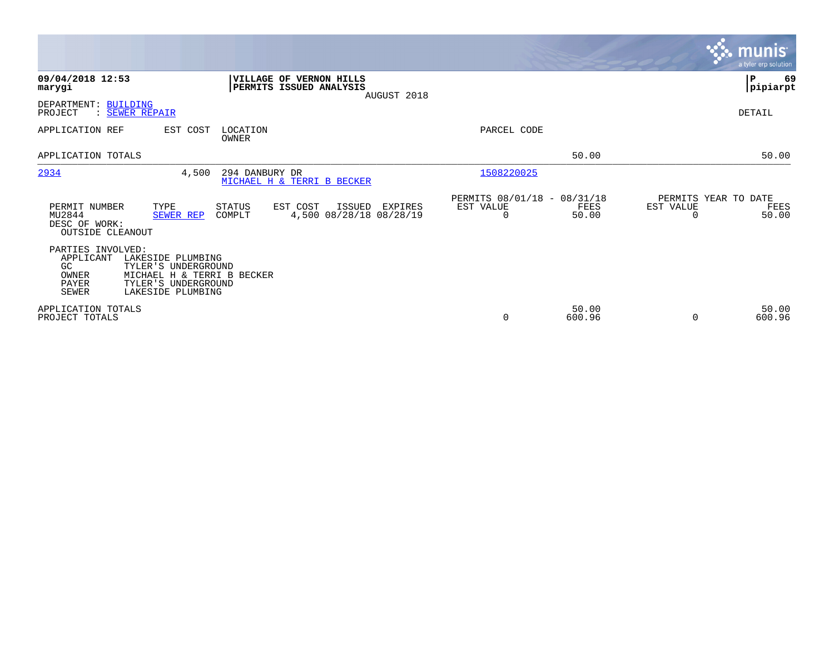|                                                                                                                                                                                                      |                                               |                 | <b>munis</b>                                  | a tyler erp solution |
|------------------------------------------------------------------------------------------------------------------------------------------------------------------------------------------------------|-----------------------------------------------|-----------------|-----------------------------------------------|----------------------|
| 09/04/2018 12:53<br>VILLAGE OF VERNON HILLS<br>PERMITS ISSUED ANALYSIS<br>marygi<br>AUGUST 2018                                                                                                      |                                               |                 | ∣P                                            | 69<br> pipiarpt      |
| DEPARTMENT: BUILDING<br>PROJECT<br>: SEWER REPAIR                                                                                                                                                    |                                               |                 | DETAIL                                        |                      |
| EST COST<br>LOCATION<br>APPLICATION REF<br>OWNER                                                                                                                                                     | PARCEL CODE                                   |                 |                                               |                      |
| APPLICATION TOTALS                                                                                                                                                                                   |                                               | 50.00           |                                               | 50.00                |
| 2934<br>294 DANBURY DR<br>4,500<br>MICHAEL H & TERRI B BECKER                                                                                                                                        | 1508220025                                    |                 |                                               |                      |
| PERMIT NUMBER<br>TYPE<br>STATUS<br>EST COST<br>ISSUED<br>EXPIRES<br>MU2844<br>4,500 08/28/18 08/28/19<br><b>SEWER REP</b><br>COMPLT<br>DESC OF WORK:<br><b>OUTSIDE CLEANOUT</b>                      | PERMITS 08/01/18 - 08/31/18<br>EST VALUE<br>0 | FEES<br>50.00   | PERMITS YEAR TO DATE<br>EST VALUE<br>$\Omega$ | FEES<br>50.00        |
| PARTIES INVOLVED:<br>APPLICANT<br>LAKESIDE PLUMBING<br>TYLER'S UNDERGROUND<br>GC.<br>OWNER<br>MICHAEL H & TERRI B BECKER<br><b>PAYER</b><br>TYLER'S UNDERGROUND<br><b>SEWER</b><br>LAKESIDE PLUMBING |                                               |                 |                                               |                      |
| APPLICATION TOTALS<br>PROJECT TOTALS                                                                                                                                                                 | 0                                             | 50.00<br>600.96 | $\Omega$                                      | 50.00<br>600.96      |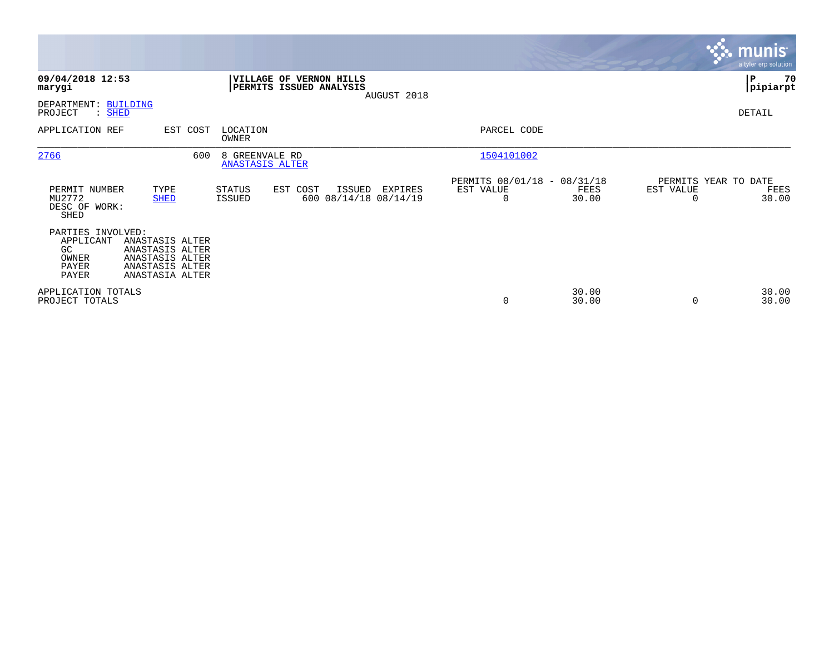|                                                                         |                                                                                             |          |                                          |                                                    |        |                                  |                                                      |                |                       | <b>munis</b><br>a tyler erp solution  |
|-------------------------------------------------------------------------|---------------------------------------------------------------------------------------------|----------|------------------------------------------|----------------------------------------------------|--------|----------------------------------|------------------------------------------------------|----------------|-----------------------|---------------------------------------|
| 09/04/2018 12:53<br>marygi                                              |                                                                                             |          |                                          | VILLAGE OF VERNON HILLS<br>PERMITS ISSUED ANALYSIS |        |                                  |                                                      |                |                       | $\mathbf P$<br>70<br> pipiarpt        |
| DEPARTMENT: BUILDING<br>PROJECT<br>: SHED                               |                                                                                             |          |                                          |                                                    |        | AUGUST 2018                      |                                                      |                |                       | DETAIL                                |
| APPLICATION REF                                                         |                                                                                             | EST COST | LOCATION<br>OWNER                        |                                                    |        |                                  | PARCEL CODE                                          |                |                       |                                       |
| 2766                                                                    |                                                                                             | 600      | 8 GREENVALE RD<br><b>ANASTASIS ALTER</b> |                                                    |        |                                  | 1504101002                                           |                |                       |                                       |
| PERMIT NUMBER<br>MU2772<br>DESC OF WORK:<br>SHED                        | TYPE<br><b>SHED</b>                                                                         |          | STATUS<br>ISSUED                         | EST COST                                           | ISSUED | EXPIRES<br>600 08/14/18 08/14/19 | PERMITS 08/01/18 - 08/31/18<br>EST VALUE<br>$\Omega$ | FEES<br>30.00  | EST VALUE<br>$\Omega$ | PERMITS YEAR TO DATE<br>FEES<br>30.00 |
| PARTIES INVOLVED:<br>APPLICANT<br>GC.<br>OWNER<br>PAYER<br><b>PAYER</b> | ANASTASIS ALTER<br>ANASTASIS ALTER<br>ANASTASIS ALTER<br>ANASTASIS ALTER<br>ANASTASIA ALTER |          |                                          |                                                    |        |                                  |                                                      |                |                       |                                       |
| APPLICATION TOTALS<br>PROJECT TOTALS                                    |                                                                                             |          |                                          |                                                    |        |                                  | $\mathbf 0$                                          | 30.00<br>30.00 | 0                     | 30.00<br>30.00                        |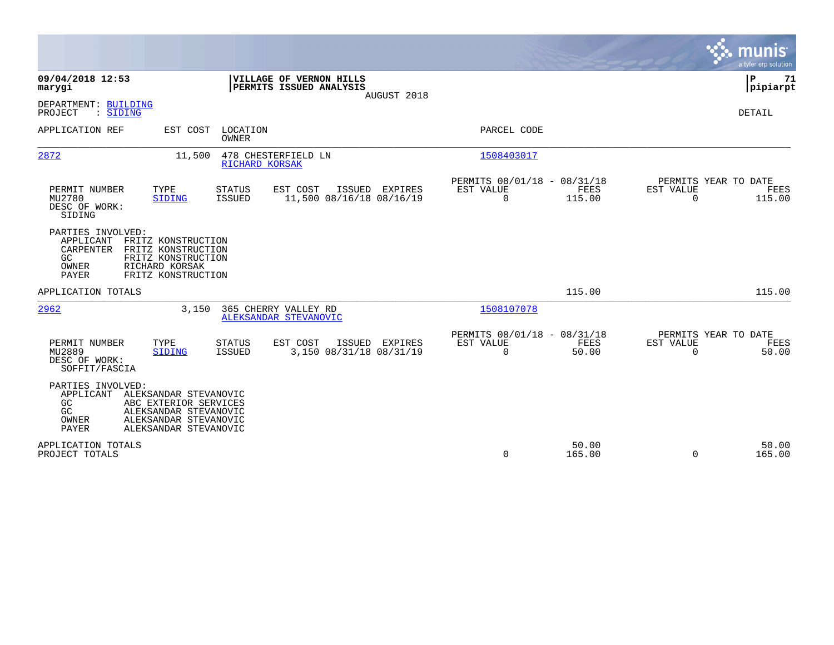|                                                                     |                                                                                                                           |                                |                                                    |                |                                                         |                 |                          | munis<br>a tyler erp solution          |
|---------------------------------------------------------------------|---------------------------------------------------------------------------------------------------------------------------|--------------------------------|----------------------------------------------------|----------------|---------------------------------------------------------|-----------------|--------------------------|----------------------------------------|
| 09/04/2018 12:53<br>marygi                                          |                                                                                                                           |                                | VILLAGE OF VERNON HILLS<br>PERMITS ISSUED ANALYSIS | AUGUST 2018    |                                                         |                 |                          | P<br>71<br> pipiarpt                   |
| DEPARTMENT: BUILDING<br>: SIDING<br>PROJECT                         |                                                                                                                           |                                |                                                    |                |                                                         |                 |                          | DETAIL                                 |
| APPLICATION REF                                                     | EST COST                                                                                                                  | LOCATION<br><b>OWNER</b>       |                                                    |                | PARCEL CODE                                             |                 |                          |                                        |
| 2872                                                                | 11,500                                                                                                                    | RICHARD KORSAK                 | 478 CHESTERFIELD LN                                |                | 1508403017                                              |                 |                          |                                        |
| PERMIT NUMBER<br>MU2780<br>DESC OF WORK:<br>SIDING                  | TYPE<br><b>SIDING</b>                                                                                                     | <b>STATUS</b><br><b>ISSUED</b> | EST COST<br>11,500 08/16/18 08/16/19               | ISSUED EXPIRES | PERMITS 08/01/18 - 08/31/18<br>EST VALUE<br>$\mathbf 0$ | FEES<br>115.00  | EST VALUE<br>$\mathbf 0$ | PERMITS YEAR TO DATE<br>FEES<br>115.00 |
| PARTIES INVOLVED:<br>APPLICANT<br>CARPENTER<br>GC<br>OWNER<br>PAYER | FRITZ KONSTRUCTION<br>FRITZ KONSTRUCTION<br>FRITZ KONSTRUCTION<br>RICHARD KORSAK<br>FRITZ KONSTRUCTION                    |                                |                                                    |                |                                                         |                 |                          |                                        |
| APPLICATION TOTALS                                                  |                                                                                                                           |                                |                                                    |                |                                                         | 115.00          |                          | 115.00                                 |
| 2962                                                                | 3.150                                                                                                                     |                                | 365 CHERRY VALLEY RD<br>ALEKSANDAR STEVANOVIC      |                | 1508107078                                              |                 |                          |                                        |
| PERMIT NUMBER<br>MU2889<br>DESC OF WORK:<br>SOFFIT/FASCIA           | TYPE<br>SIDING                                                                                                            | <b>STATUS</b><br><b>ISSUED</b> | EST COST<br>3,150 08/31/18 08/31/19                | ISSUED EXPIRES | PERMITS 08/01/18 - 08/31/18<br>EST VALUE<br>$\mathbf 0$ | FEES<br>50.00   | EST VALUE<br>$\Omega$    | PERMITS YEAR TO DATE<br>FEES<br>50.00  |
| PARTIES INVOLVED:<br>APPLICANT<br>GC<br>GC<br>OWNER<br><b>PAYER</b> | ALEKSANDAR STEVANOVIC<br>ABC EXTERIOR SERVICES<br>ALEKSANDAR STEVANOVIC<br>ALEKSANDAR STEVANOVIC<br>ALEKSANDAR STEVANOVIC |                                |                                                    |                |                                                         |                 |                          |                                        |
| APPLICATION TOTALS<br>PROJECT TOTALS                                |                                                                                                                           |                                |                                                    |                | 0                                                       | 50.00<br>165.00 | $\Omega$                 | 50.00<br>165.00                        |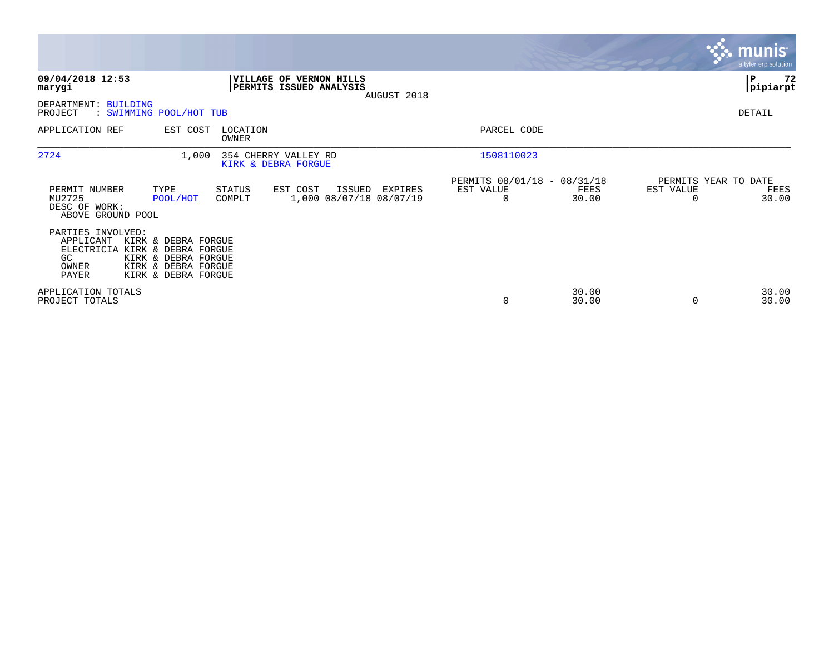|                                                                                                                                                                                      |                                                                              |                                                                | <b>munis</b><br>a tyler erp solution.                          |
|--------------------------------------------------------------------------------------------------------------------------------------------------------------------------------------|------------------------------------------------------------------------------|----------------------------------------------------------------|----------------------------------------------------------------|
| 09/04/2018 12:53<br>marygi                                                                                                                                                           | VILLAGE OF VERNON HILLS<br>PERMITS ISSUED ANALYSIS<br>AUGUST 2018            |                                                                | 72<br>P<br> pipiarpt                                           |
| <b>BUILDING</b><br>DEPARTMENT:<br>PROJECT<br>: SWIMMING POOL/HOT TUB                                                                                                                 |                                                                              |                                                                | DETAIL                                                         |
| APPLICATION REF<br>EST COST                                                                                                                                                          | LOCATION<br>OWNER                                                            | PARCEL CODE                                                    |                                                                |
| 2724                                                                                                                                                                                 | 1,000<br>354 CHERRY VALLEY RD<br>KIRK & DEBRA FORGUE                         | 1508110023                                                     |                                                                |
| PERMIT NUMBER<br>TYPE<br>MU2725<br>POOL/HOT<br>DESC OF WORK:<br>ABOVE GROUND POOL                                                                                                    | STATUS<br>EST COST<br>ISSUED<br>EXPIRES<br>1,000 08/07/18 08/07/19<br>COMPLT | PERMITS 08/01/18 - 08/31/18<br>EST VALUE<br>FEES<br>30.00<br>0 | PERMITS YEAR TO DATE<br>EST VALUE<br>FEES<br>30.00<br>$\Omega$ |
| PARTIES INVOLVED:<br>APPLICANT<br>KIRK & DEBRA FORGUE<br>ELECTRICIA KIRK & DEBRA FORGUE<br>GC<br>KIRK & DEBRA FORGUE<br>KIRK & DEBRA FORGUE<br>OWNER<br>PAYER<br>KIRK & DEBRA FORGUE |                                                                              |                                                                |                                                                |
| APPLICATION TOTALS<br>PROJECT TOTALS                                                                                                                                                 |                                                                              | 30.00<br>30.00<br>0                                            | 30.00<br>30.00<br>0                                            |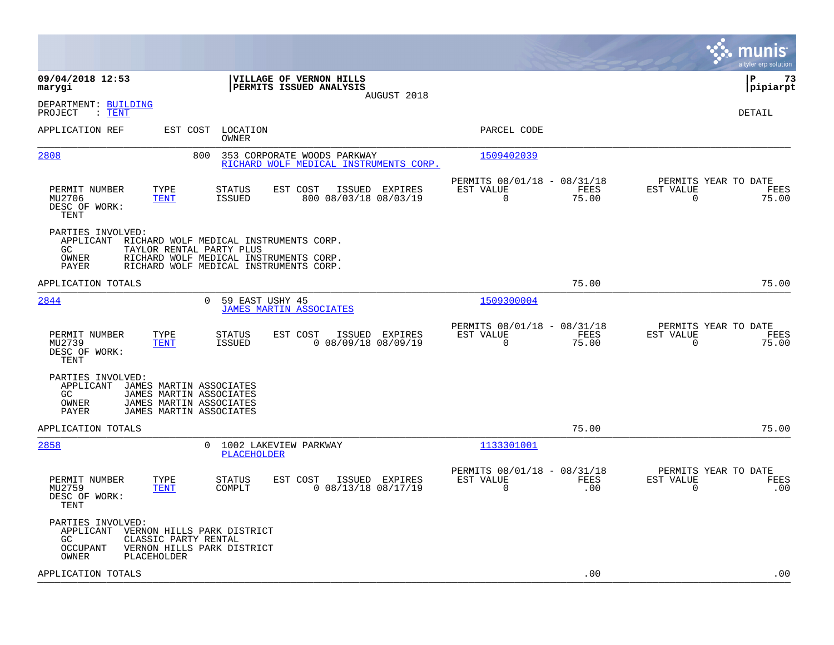|                                                                                                                                                                                                                   |                                                                       | munis<br>a tyler erp solution                                   |
|-------------------------------------------------------------------------------------------------------------------------------------------------------------------------------------------------------------------|-----------------------------------------------------------------------|-----------------------------------------------------------------|
| 09/04/2018 12:53<br>VILLAGE OF VERNON HILLS<br>PERMITS ISSUED ANALYSIS<br>marygi<br>AUGUST 2018                                                                                                                   |                                                                       | l P<br>73<br> pipiarpt                                          |
| DEPARTMENT: BUILDING<br>: TENT<br>PROJECT                                                                                                                                                                         |                                                                       | DETAIL                                                          |
| APPLICATION REF<br>LOCATION<br>EST COST<br>OWNER                                                                                                                                                                  | PARCEL CODE                                                           |                                                                 |
| 2808<br>800<br>353 CORPORATE WOODS PARKWAY<br>RICHARD WOLF MEDICAL INSTRUMENTS CORP.                                                                                                                              | 1509402039                                                            |                                                                 |
| PERMIT NUMBER<br>TYPE<br>EST COST<br>ISSUED EXPIRES<br>STATUS<br>MU2706<br>800 08/03/18 08/03/19<br>TENT<br><b>ISSUED</b><br>DESC OF WORK:<br><b>TENT</b>                                                         | PERMITS 08/01/18 - 08/31/18<br>EST VALUE<br>FEES<br>$\Omega$<br>75.00 | PERMITS YEAR TO DATE<br>EST VALUE<br>FEES<br>$\Omega$<br>75.00  |
| PARTIES INVOLVED:<br>APPLICANT<br>RICHARD WOLF MEDICAL INSTRUMENTS CORP.<br>GC.<br>TAYLOR RENTAL PARTY PLUS<br>OWNER<br>RICHARD WOLF MEDICAL INSTRUMENTS CORP.<br>PAYER<br>RICHARD WOLF MEDICAL INSTRUMENTS CORP. |                                                                       |                                                                 |
| APPLICATION TOTALS                                                                                                                                                                                                | 75.00                                                                 | 75.00                                                           |
| 2844<br>$\Omega$<br>59 EAST USHY 45<br><b>JAMES MARTIN ASSOCIATES</b>                                                                                                                                             | 1509300004                                                            |                                                                 |
| TYPE<br>EST COST<br>ISSUED EXPIRES<br>PERMIT NUMBER<br>STATUS<br>MU2739<br><b>TENT</b><br><b>ISSUED</b><br>$0$ 08/09/18 08/09/19<br>DESC OF WORK:<br>TENT                                                         | PERMITS 08/01/18 - 08/31/18<br>EST VALUE<br>FEES<br>0<br>75.00        | PERMITS YEAR TO DATE<br>EST VALUE<br>FEES<br>75.00<br>0         |
| PARTIES INVOLVED:<br>APPLICANT<br>JAMES MARTIN ASSOCIATES<br>GC<br>JAMES MARTIN ASSOCIATES<br>JAMES MARTIN ASSOCIATES<br>OWNER<br>PAYER<br>JAMES MARTIN ASSOCIATES                                                |                                                                       |                                                                 |
| APPLICATION TOTALS                                                                                                                                                                                                | 75.00                                                                 | 75.00                                                           |
| 2858<br>1002 LAKEVIEW PARKWAY<br>$\mathbf{0}$<br>PLACEHOLDER                                                                                                                                                      | 1133301001                                                            |                                                                 |
| PERMIT NUMBER<br>TYPE<br><b>STATUS</b><br>EST COST<br>ISSUED EXPIRES<br>$0$ 08/13/18 08/17/19<br>MU2759<br><b>TENT</b><br>COMPLT<br>DESC OF WORK:<br>TENT                                                         | PERMITS 08/01/18 - 08/31/18<br>EST VALUE<br>FEES<br>0<br>.00          | PERMITS YEAR TO DATE<br>EST VALUE<br>FEES<br>$\mathbf 0$<br>.00 |
| PARTIES INVOLVED:<br>APPLICANT<br>VERNON HILLS PARK DISTRICT<br>GC<br>CLASSIC PARTY RENTAL<br>VERNON HILLS PARK DISTRICT<br>OCCUPANT<br><b>PLACEHOLDER</b><br>OWNER                                               |                                                                       |                                                                 |
| APPLICATION TOTALS                                                                                                                                                                                                | .00                                                                   | .00                                                             |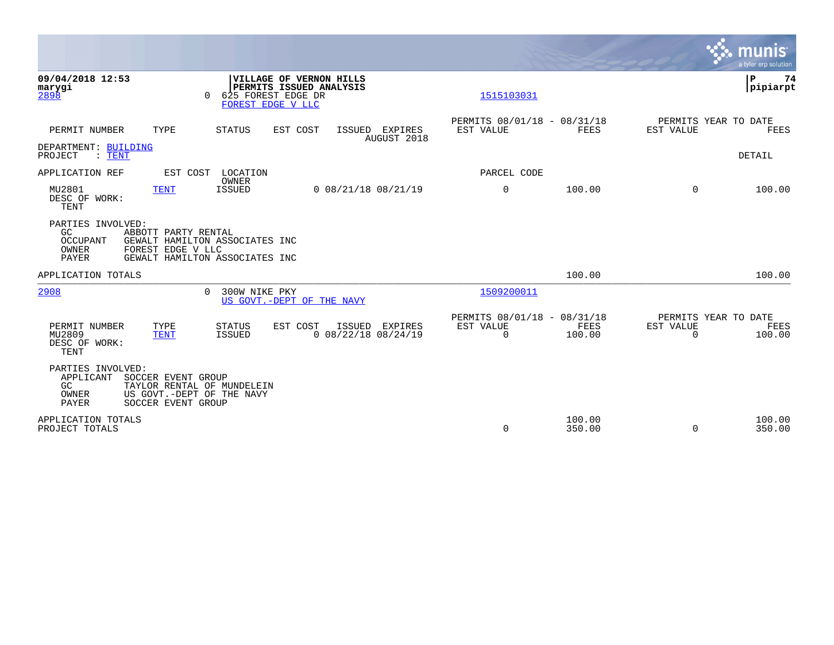|                                                                                                                                                                            |                                                                           | <b>munis</b><br>a tyler erp solution                            |
|----------------------------------------------------------------------------------------------------------------------------------------------------------------------------|---------------------------------------------------------------------------|-----------------------------------------------------------------|
| 09/04/2018 12:53<br>VILLAGE OF VERNON HILLS<br>PERMITS ISSUED ANALYSIS<br>marygi<br>2898<br>625 FOREST EDGE DR<br>FOREST EDGE V LLC                                        | 1515103031                                                                | P<br>74<br>pipiarpt                                             |
| PERMIT NUMBER<br>TYPE<br><b>STATUS</b><br>EST COST<br>ISSUED EXPIRES<br>AUGUST 2018                                                                                        | PERMITS 08/01/18 - 08/31/18<br>EST VALUE<br><b>FEES</b>                   | PERMITS YEAR TO DATE<br><b>EST VALUE</b><br>FEES                |
| DEPARTMENT: BUILDING<br>PROJECT<br>$\colon$ TENT                                                                                                                           |                                                                           | DETAIL                                                          |
| APPLICATION REF<br>EST COST<br>LOCATION                                                                                                                                    | PARCEL CODE                                                               |                                                                 |
| OWNER<br>MU2801<br><b>TENT</b><br><b>ISSUED</b><br>$0$ 08/21/18 08/21/19<br>DESC OF WORK:<br>TENT                                                                          | $\mathbf 0$<br>100.00                                                     | 100.00<br>$\Omega$                                              |
| PARTIES INVOLVED:<br>GC<br>ABBOTT PARTY RENTAL<br>OCCUPANT<br>GEWALT HAMILTON ASSOCIATES INC<br>OWNER<br>FOREST EDGE V LLC<br>PAYER<br>GEWALT HAMILTON ASSOCIATES INC      |                                                                           |                                                                 |
| APPLICATION TOTALS                                                                                                                                                         | 100.00                                                                    | 100.00                                                          |
| 2908<br>$\cap$<br>300W NIKE PKY<br>US GOVT. - DEPT OF THE NAVY                                                                                                             | 1509200011                                                                |                                                                 |
| EST COST<br>PERMIT NUMBER<br>TYPE<br><b>STATUS</b><br>ISSUED<br>EXPIRES<br>$0$ 08/22/18 08/24/19<br>MU2809<br><b>TENT</b><br><b>ISSUED</b><br>DESC OF WORK:<br><b>TENT</b> | PERMITS 08/01/18 - 08/31/18<br>EST VALUE<br>FEES<br>$\mathbf 0$<br>100.00 | PERMITS YEAR TO DATE<br>EST VALUE<br>FEES<br>$\Omega$<br>100.00 |
| PARTIES INVOLVED:<br>APPLICANT<br>SOCCER EVENT GROUP<br>GC<br>TAYLOR RENTAL OF MUNDELEIN<br>US GOVT.-DEPT OF THE NAVY<br>OWNER<br>PAYER<br>SOCCER EVENT GROUP              |                                                                           |                                                                 |
| APPLICATION TOTALS<br>PROJECT TOTALS                                                                                                                                       | 100.00<br>$\Omega$<br>350.00                                              | 100.00<br>$\Omega$<br>350.00                                    |

 $\mathcal{L}^{\text{max}}$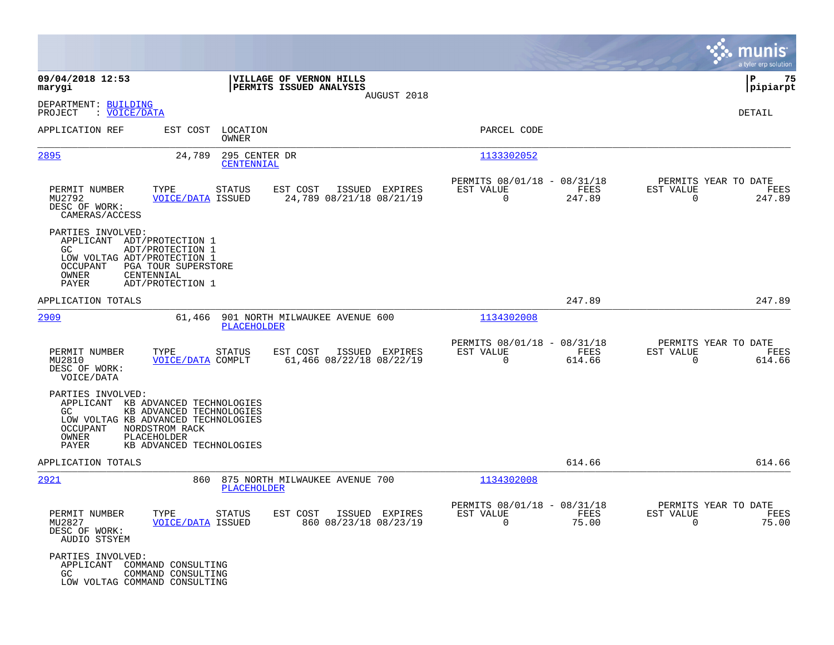|                                                                                                                                                                                                                                                     |                                                                                                                                                                    |                                                              |                                                                           | munis<br>a tyler erp solution                                           |
|-----------------------------------------------------------------------------------------------------------------------------------------------------------------------------------------------------------------------------------------------------|--------------------------------------------------------------------------------------------------------------------------------------------------------------------|--------------------------------------------------------------|---------------------------------------------------------------------------|-------------------------------------------------------------------------|
| 09/04/2018 12:53<br>marygi                                                                                                                                                                                                                          |                                                                                                                                                                    | VILLAGE OF VERNON HILLS<br>PERMITS ISSUED ANALYSIS           |                                                                           | 75<br>ΙP<br> pipiarpt                                                   |
| DEPARTMENT: BUILDING<br>: VOICE/DATA<br>PROJECT                                                                                                                                                                                                     |                                                                                                                                                                    | AUGUST 2018                                                  |                                                                           | DETAIL                                                                  |
| APPLICATION REF                                                                                                                                                                                                                                     | EST COST LOCATION<br>OWNER                                                                                                                                         |                                                              | PARCEL CODE                                                               |                                                                         |
| 2895                                                                                                                                                                                                                                                | 295 CENTER DR<br>24,789<br>CENTENNIAL                                                                                                                              |                                                              | 1133302052                                                                |                                                                         |
| PERMIT NUMBER<br>MU2792<br>DESC OF WORK:<br>CAMERAS/ACCESS                                                                                                                                                                                          | TYPE<br>STATUS<br><b>VOICE/DATA ISSUED</b>                                                                                                                         | EST COST<br>ISSUED EXPIRES<br>24,789 08/21/18 08/21/19       | PERMITS 08/01/18 - 08/31/18<br>EST VALUE<br>FEES<br>$\mathbf 0$<br>247.89 | PERMITS YEAR TO DATE<br>EST VALUE<br>FEES<br>247.89<br>$\Omega$         |
| PARTIES INVOLVED:<br>APPLICANT ADT/PROTECTION 1<br>GC.<br>LOW VOLTAG ADT/PROTECTION 1<br>OCCUPANT<br>OWNER<br>PAYER                                                                                                                                 | ADT/PROTECTION 1<br>PGA TOUR SUPERSTORE<br>CENTENNIAL<br>ADT/PROTECTION 1                                                                                          |                                                              |                                                                           |                                                                         |
| APPLICATION TOTALS                                                                                                                                                                                                                                  |                                                                                                                                                                    |                                                              | 247.89                                                                    | 247.89                                                                  |
| <u>2909</u>                                                                                                                                                                                                                                         | 61,466<br>PLACEHOLDER                                                                                                                                              | 901 NORTH MILWAUKEE AVENUE 600                               | 1134302008                                                                |                                                                         |
| PERMIT NUMBER<br>MU2810<br>DESC OF WORK:<br>VOICE/DATA                                                                                                                                                                                              | TYPE<br>STATUS<br>VOICE/DATA COMPLT                                                                                                                                | EST COST<br>ISSUED EXPIRES<br>61,466 08/22/18 08/22/19       | PERMITS 08/01/18 - 08/31/18<br>EST VALUE<br>FEES<br>$\Omega$<br>614.66    | PERMITS YEAR TO DATE<br>EST VALUE<br>FEES<br>0<br>614.66                |
| PARTIES INVOLVED:<br><b>GC</b><br>OCCUPANT<br>OWNER<br>PAYER                                                                                                                                                                                        | APPLICANT KB ADVANCED TECHNOLOGIES<br>KB ADVANCED TECHNOLOGIES<br>LOW VOLTAG KB ADVANCED TECHNOLOGIES<br>NORDSTROM RACK<br>PLACEHOLDER<br>KB ADVANCED TECHNOLOGIES |                                                              |                                                                           |                                                                         |
| APPLICATION TOTALS                                                                                                                                                                                                                                  |                                                                                                                                                                    |                                                              | 614.66                                                                    | 614.66                                                                  |
| <u> 2921</u>                                                                                                                                                                                                                                        | 860<br>PLACEHOLDER                                                                                                                                                 | 875 NORTH MILWAUKEE AVENUE 700                               | 1134302008                                                                |                                                                         |
| PERMIT NUMBER<br>MU2827<br>DESC OF WORK:<br>AUDIO STSYEM                                                                                                                                                                                            | <b>VOICE/DATA ISSUED</b>                                                                                                                                           | TYPE STATUS EST COST ISSUED EXPIRES<br>860 08/23/18 08/23/19 | PERMITS 08/01/18 - 08/31/18<br>EST VALUE<br>FEES<br>$\Omega$              | PERMITS YEAR TO DATE<br>EST VALUE<br>FEES<br>75.00<br>$\Omega$<br>75.00 |
| PARTIES INVOLVED:<br>GC and the set of the set of the set of the set of the set of the set of the set of the set of the set of the set of the set of the set of the set of the set of the set of the set of the set of the set of the set of the se | APPLICANT COMMAND CONSULTING<br>COMMAND CONSULTING<br>LOW VOLTAG COMMAND CONSULTING                                                                                |                                                              |                                                                           |                                                                         |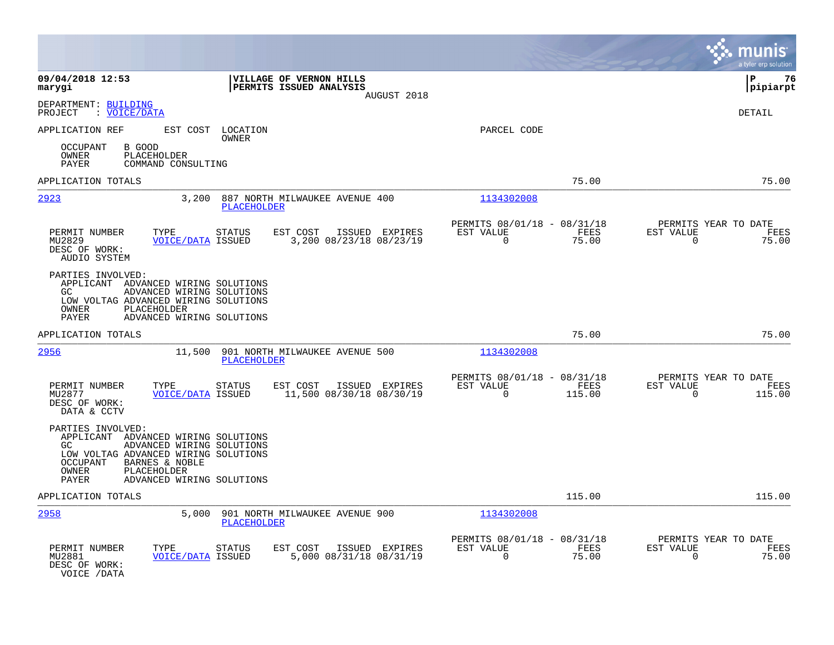|                                                                                                                                                                                                                                  |                                                                         |                                                                       | munis<br>a tyler erp solution                                      |
|----------------------------------------------------------------------------------------------------------------------------------------------------------------------------------------------------------------------------------|-------------------------------------------------------------------------|-----------------------------------------------------------------------|--------------------------------------------------------------------|
| 09/04/2018 12:53<br>marygi                                                                                                                                                                                                       | VILLAGE OF VERNON HILLS<br>PERMITS ISSUED ANALYSIS<br>AUGUST 2018       |                                                                       | l P<br>76<br> pipiarpt                                             |
| DEPARTMENT: BUILDING<br>: VOICE/DATA<br>PROJECT                                                                                                                                                                                  |                                                                         |                                                                       | <b>DETAIL</b>                                                      |
| APPLICATION REF<br>EST COST                                                                                                                                                                                                      | LOCATION<br>OWNER                                                       | PARCEL CODE                                                           |                                                                    |
| <b>OCCUPANT</b><br>B GOOD<br>OWNER<br>PLACEHOLDER<br>PAYER<br>COMMAND CONSULTING                                                                                                                                                 |                                                                         |                                                                       |                                                                    |
| APPLICATION TOTALS                                                                                                                                                                                                               |                                                                         | 75.00                                                                 | 75.00                                                              |
| 2923<br>3,200                                                                                                                                                                                                                    | 887 NORTH MILWAUKEE AVENUE 400<br><b>PLACEHOLDER</b>                    | 1134302008                                                            |                                                                    |
| PERMIT NUMBER<br>TYPE<br>MU2829<br><b>VOICE/DATA ISSUED</b><br>DESC OF WORK:<br>AUDIO SYSTEM                                                                                                                                     | EST COST<br><b>STATUS</b><br>ISSUED EXPIRES<br>3,200 08/23/18 08/23/19  | PERMITS 08/01/18 - 08/31/18<br>FEES<br>EST VALUE<br>$\Omega$<br>75.00 | PERMITS YEAR TO DATE<br>EST VALUE<br>FEES<br>$\Omega$<br>75.00     |
| PARTIES INVOLVED:<br>APPLICANT ADVANCED WIRING SOLUTIONS<br>ADVANCED WIRING SOLUTIONS<br>GC.<br>LOW VOLTAG ADVANCED WIRING SOLUTIONS<br>OWNER<br>PLACEHOLDER<br>PAYER<br>ADVANCED WIRING SOLUTIONS                               |                                                                         |                                                                       |                                                                    |
| APPLICATION TOTALS                                                                                                                                                                                                               |                                                                         | 75.00                                                                 | 75.00                                                              |
| 2956<br>11,500                                                                                                                                                                                                                   | 901 NORTH MILWAUKEE AVENUE 500<br>PLACEHOLDER                           | 1134302008                                                            |                                                                    |
| PERMIT NUMBER<br>TYPE<br>MU2877<br><b>VOICE/DATA ISSUED</b><br>DESC OF WORK:<br>DATA & CCTV                                                                                                                                      | <b>STATUS</b><br>EST COST<br>ISSUED EXPIRES<br>11,500 08/30/18 08/30/19 | PERMITS 08/01/18 - 08/31/18<br>EST VALUE<br>FEES<br>115.00<br>0       | PERMITS YEAR TO DATE<br>EST VALUE<br>FEES<br>$\mathbf 0$<br>115.00 |
| PARTIES INVOLVED:<br>APPLICANT ADVANCED WIRING SOLUTIONS<br>ADVANCED WIRING SOLUTIONS<br>GC.<br>LOW VOLTAG ADVANCED WIRING SOLUTIONS<br>BARNES & NOBLE<br>OCCUPANT<br>PLACEHOLDER<br>OWNER<br>PAYER<br>ADVANCED WIRING SOLUTIONS |                                                                         |                                                                       |                                                                    |
| APPLICATION TOTALS                                                                                                                                                                                                               |                                                                         | 115.00                                                                | 115.00                                                             |
| 2958<br>5,000                                                                                                                                                                                                                    | 901 NORTH MILWAUKEE AVENUE 900<br><b>PLACEHOLDER</b>                    | 1134302008                                                            |                                                                    |
| PERMIT NUMBER<br>TYPE<br>MU2881<br><b>VOICE/DATA ISSUED</b><br>DESC OF WORK:<br>VOICE / DATA                                                                                                                                     | EST COST<br><b>STATUS</b><br>ISSUED EXPIRES<br>5,000 08/31/18 08/31/19  | PERMITS 08/01/18 - 08/31/18<br>EST VALUE<br>FEES<br>$\Omega$<br>75.00 | PERMITS YEAR TO DATE<br>EST VALUE<br>FEES<br>75.00<br>0            |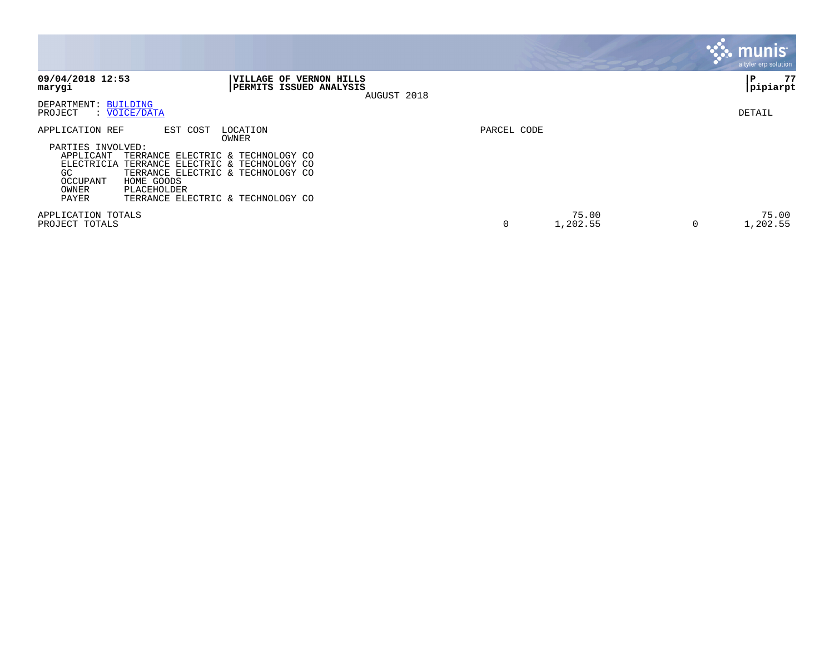|                                                                                                                                                                                                                                                                                                                        |             |                   |   | munis'<br>a tyler erp solution |
|------------------------------------------------------------------------------------------------------------------------------------------------------------------------------------------------------------------------------------------------------------------------------------------------------------------------|-------------|-------------------|---|--------------------------------|
| 09/04/2018 12:53<br>VILLAGE OF VERNON HILLS<br>PERMITS ISSUED ANALYSIS<br>marygi                                                                                                                                                                                                                                       | AUGUST 2018 |                   |   | 77<br>P<br> pipiarpt           |
| DEPARTMENT: BUILDING<br>: VOICE/DATA<br>PROJECT                                                                                                                                                                                                                                                                        |             |                   |   | DETAIL                         |
| APPLICATION REF<br>EST COST<br>LOCATION<br>OWNER<br>PARTIES INVOLVED:<br>APPLICANT<br>TERRANCE ELECTRIC & TECHNOLOGY CO<br>ELECTRICIA<br>TERRANCE ELECTRIC & TECHNOLOGY CO<br>GC.<br>TERRANCE ELECTRIC & TECHNOLOGY CO<br>HOME GOODS<br>OCCUPANT<br>OWNER<br>PLACEHOLDER<br>PAYER<br>TERRANCE ELECTRIC & TECHNOLOGY CO | PARCEL CODE |                   |   |                                |
| APPLICATION TOTALS<br>PROJECT TOTALS                                                                                                                                                                                                                                                                                   | 0           | 75.00<br>1,202.55 | 0 | 75.00<br>1,202.55              |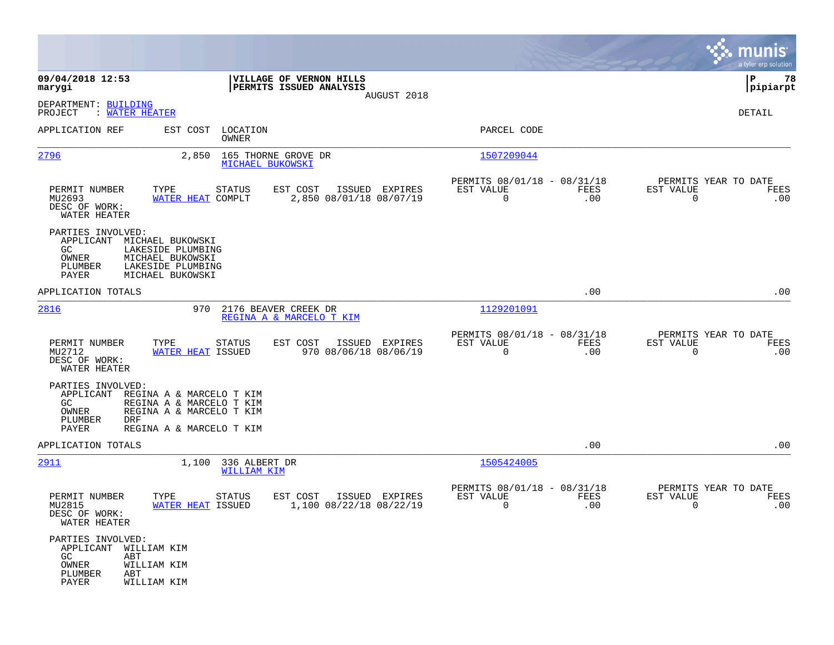|                                                                                    |                                                                                                              |                                                                   |                                                            |                    | munis                                               | a tyler erp solution |
|------------------------------------------------------------------------------------|--------------------------------------------------------------------------------------------------------------|-------------------------------------------------------------------|------------------------------------------------------------|--------------------|-----------------------------------------------------|----------------------|
| 09/04/2018 12:53<br>marygi                                                         |                                                                                                              | VILLAGE OF VERNON HILLS<br>PERMITS ISSUED ANALYSIS<br>AUGUST 2018 |                                                            |                    | IΡ                                                  | 78<br> pipiarpt      |
| DEPARTMENT: BUILDING<br>: WATER HEATER<br>PROJECT                                  |                                                                                                              |                                                                   |                                                            |                    | DETAIL                                              |                      |
| APPLICATION REF                                                                    | EST COST LOCATION<br>OWNER                                                                                   |                                                                   | PARCEL CODE                                                |                    |                                                     |                      |
| 2796                                                                               | 2,850<br>MICHAEL BUKOWSKI                                                                                    | 165 THORNE GROVE DR                                               | 1507209044                                                 |                    |                                                     |                      |
| PERMIT NUMBER<br>MU2693<br>DESC OF WORK:<br>WATER HEATER                           | TYPE<br><b>STATUS</b><br>WATER HEAT COMPLT                                                                   | ISSUED EXPIRES<br>EST COST<br>2,850 08/01/18 08/07/19             | PERMITS 08/01/18 - 08/31/18<br>EST VALUE<br>$\overline{0}$ | FEES<br>.00        | PERMITS YEAR TO DATE<br>EST VALUE<br>$\overline{0}$ | FEES<br>.00          |
| PARTIES INVOLVED:<br>APPLICANT MICHAEL BUKOWSKI<br>GC<br>OWNER<br>PLUMBER<br>PAYER | LAKESIDE PLUMBING<br>MICHAEL BUKOWSKI<br>LAKESIDE PLUMBING<br>MICHAEL BUKOWSKI                               |                                                                   |                                                            |                    |                                                     |                      |
| APPLICATION TOTALS                                                                 |                                                                                                              |                                                                   |                                                            | .00                |                                                     | .00                  |
| 2816                                                                               | 970 2176 BEAVER CREEK DR                                                                                     | REGINA A & MARCELO T KIM                                          | 1129201091                                                 |                    |                                                     |                      |
| PERMIT NUMBER<br>MU2712<br>DESC OF WORK:<br>WATER HEATER                           | TYPE<br>STATUS<br><b>WATER HEAT ISSUED</b>                                                                   | EST COST<br>ISSUED EXPIRES<br>970 08/06/18 08/06/19               | PERMITS 08/01/18 - 08/31/18<br>EST VALUE<br>$\Omega$       | FEES<br>.00        | PERMITS YEAR TO DATE<br>EST VALUE<br>$\Omega$       | FEES<br>.00          |
| PARTIES INVOLVED:<br>APPLICANT<br>GC<br>OWNER<br>PLUMBER<br>DRF<br>PAYER           | REGINA A & MARCELO T KIM<br>REGINA A & MARCELO T KIM<br>REGINA A & MARCELO T KIM<br>REGINA A & MARCELO T KIM |                                                                   |                                                            |                    |                                                     |                      |
| APPLICATION TOTALS                                                                 |                                                                                                              |                                                                   |                                                            | .00                |                                                     | .00                  |
| 2911                                                                               | 1,100 336 ALBERT DR<br>WILLIAM KIM                                                                           |                                                                   | 1505424005                                                 |                    |                                                     |                      |
| PERMIT NUMBER<br>MU2815<br>DESC OF WORK:<br>WATER HEATER                           | TYPE<br><b>STATUS</b><br>WATER HEAT ISSUED                                                                   | EST COST<br>ISSUED EXPIRES<br>1,100 08/22/18 08/22/19             | PERMITS 08/01/18 - 08/31/18<br>EST VALUE<br>0              | <b>FEES</b><br>.00 | PERMITS YEAR TO DATE<br>EST VALUE<br>0              | FEES<br>.00          |
| PARTIES INVOLVED:<br>APPLICANT<br>GC<br>ABT<br>OWNER<br>PLUMBER<br>ABT<br>PAYER    | WILLIAM KIM<br>WILLIAM KIM<br>WILLIAM KIM                                                                    |                                                                   |                                                            |                    |                                                     |                      |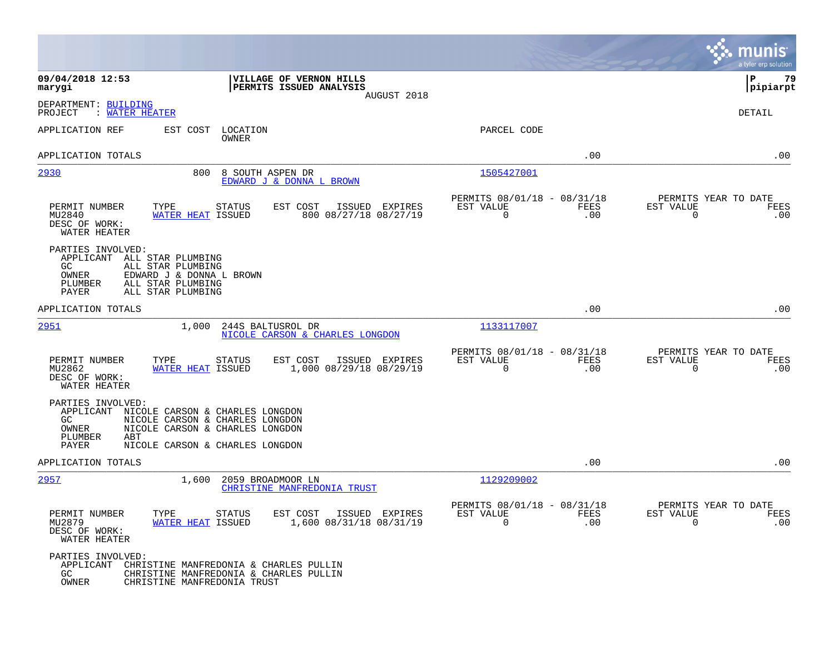|                                                                                                                                                                                                                       |                                                                               | munis<br>a tyler erp solution                                   |
|-----------------------------------------------------------------------------------------------------------------------------------------------------------------------------------------------------------------------|-------------------------------------------------------------------------------|-----------------------------------------------------------------|
| VILLAGE OF VERNON HILLS<br>09/04/2018 12:53<br>PERMITS ISSUED ANALYSIS<br>marygi<br>AUGUST 2018                                                                                                                       |                                                                               | ΙP<br>79<br> pipiarpt                                           |
| DEPARTMENT: BUILDING<br>: WATER HEATER<br>PROJECT                                                                                                                                                                     |                                                                               | DETAIL                                                          |
| EST COST<br>LOCATION<br>APPLICATION REF<br><b>OWNER</b>                                                                                                                                                               | PARCEL CODE                                                                   |                                                                 |
| APPLICATION TOTALS                                                                                                                                                                                                    | .00                                                                           | .00                                                             |
| 2930<br>800<br>8 SOUTH ASPEN DR<br>EDWARD J & DONNA L BROWN                                                                                                                                                           | 1505427001                                                                    |                                                                 |
| PERMIT NUMBER<br>TYPE<br><b>STATUS</b><br>EST COST<br>ISSUED EXPIRES<br>800 08/27/18 08/27/19<br>MU2840<br>WATER HEAT ISSUED<br>DESC OF WORK:<br>WATER HEATER                                                         | PERMITS 08/01/18 - 08/31/18<br>EST VALUE<br>FEES<br>0<br>.00                  | PERMITS YEAR TO DATE<br>EST VALUE<br>FEES<br>$\mathbf 0$<br>.00 |
| PARTIES INVOLVED:<br>APPLICANT ALL STAR PLUMBING<br>ALL STAR PLUMBING<br>GC<br>EDWARD J & DONNA L BROWN<br>OWNER<br>PLUMBER<br>ALL STAR PLUMBING<br>PAYER<br>ALL STAR PLUMBING                                        |                                                                               |                                                                 |
| APPLICATION TOTALS                                                                                                                                                                                                    | .00                                                                           | .00                                                             |
| 2951<br>1,000<br>244S BALTUSROL DR<br>NICOLE CARSON & CHARLES LONGDON                                                                                                                                                 | 1133117007                                                                    |                                                                 |
| PERMIT NUMBER<br>TYPE<br>EST COST<br>ISSUED EXPIRES<br><b>STATUS</b><br>1,000 08/29/18 08/29/19<br>MU2862<br>WATER HEAT ISSUED<br>DESC OF WORK:<br>WATER HEATER                                                       | PERMITS 08/01/18 - 08/31/18<br><b>FEES</b><br>EST VALUE<br>$\mathbf 0$<br>.00 | PERMITS YEAR TO DATE<br>EST VALUE<br>FEES<br>.00<br>0           |
| PARTIES INVOLVED:<br>APPLICANT<br>NICOLE CARSON & CHARLES LONGDON<br>GC.<br>NICOLE CARSON & CHARLES LONGDON<br>OWNER<br>NICOLE CARSON & CHARLES LONGDON<br>PLUMBER<br>ABT<br>PAYER<br>NICOLE CARSON & CHARLES LONGDON |                                                                               |                                                                 |
| APPLICATION TOTALS                                                                                                                                                                                                    | .00                                                                           | .00                                                             |
| <u>2957</u><br>1,600<br>2059 BROADMOOR LN<br>CHRISTINE MANFREDONIA TRUST                                                                                                                                              | 1129209002                                                                    |                                                                 |
| EST COST<br>PERMIT NUMBER<br>TYPE<br><b>STATUS</b><br>ISSUED EXPIRES<br>1,600 08/31/18 08/31/19<br>MU2879<br><b>WATER HEAT ISSUED</b><br>DESC OF WORK:<br>WATER HEATER                                                | PERMITS 08/01/18 - 08/31/18<br>EST VALUE<br><b>FEES</b><br>$\Omega$<br>.00    | PERMITS YEAR TO DATE<br>EST VALUE<br>FEES<br>$\mathbf 0$<br>.00 |
| PARTIES INVOLVED:<br>CHRISTINE MANFREDONIA & CHARLES PULLIN<br>APPLICANT<br>GC<br>CHRISTINE MANFREDONIA & CHARLES PULLIN<br>OWNER<br>CHRISTINE MANFREDONIA TRUST                                                      |                                                                               |                                                                 |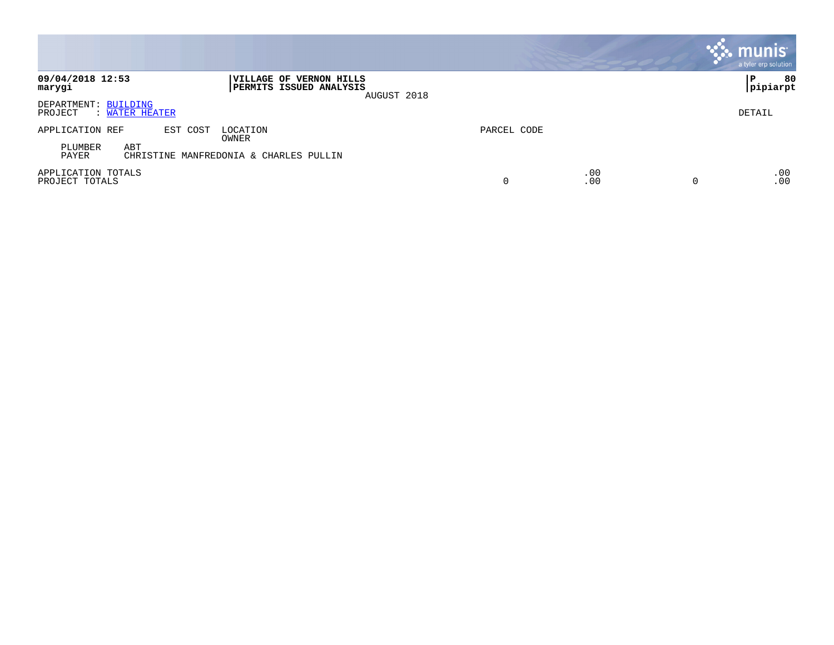|                                                   |                                                                   |             |            | <b>munis</b><br>a tyler erp solution |
|---------------------------------------------------|-------------------------------------------------------------------|-------------|------------|--------------------------------------|
| 09/04/2018 12:53<br>marygi                        | VILLAGE OF VERNON HILLS<br>PERMITS ISSUED ANALYSIS<br>AUGUST 2018 |             |            | 80<br>P<br> pipiarpt                 |
| DEPARTMENT: BUILDING<br>PROJECT<br>: WATER HEATER |                                                                   |             |            | DETAIL                               |
| APPLICATION REF<br>EST COST<br>ABT<br>PLUMBER     | LOCATION<br>OWNER                                                 | PARCEL CODE |            |                                      |
| PAYER                                             | CHRISTINE MANFREDONIA & CHARLES PULLIN                            |             |            |                                      |
| APPLICATION TOTALS<br>PROJECT TOTALS              |                                                                   | 0           | .00<br>.00 | .00<br>.00<br>0                      |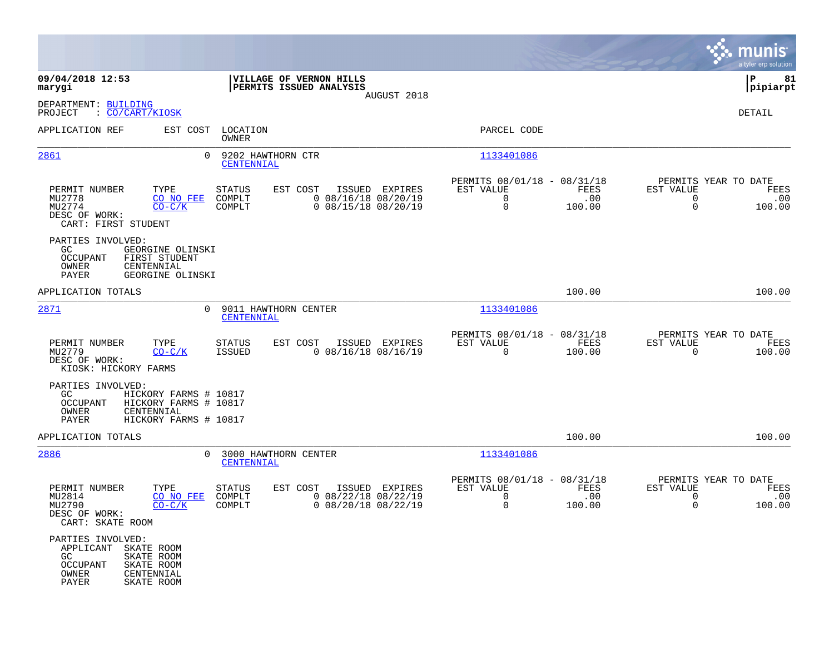|                                                                               |                                                                                       |                                 |                                                            |                |                                                                        |                       |                                                                 | munis<br>a tyler erp solution |
|-------------------------------------------------------------------------------|---------------------------------------------------------------------------------------|---------------------------------|------------------------------------------------------------|----------------|------------------------------------------------------------------------|-----------------------|-----------------------------------------------------------------|-------------------------------|
| 09/04/2018 12:53<br>marygi                                                    |                                                                                       |                                 | VILLAGE OF VERNON HILLS<br>PERMITS ISSUED ANALYSIS         | AUGUST 2018    |                                                                        |                       |                                                                 | 81<br>P<br> pipiarpt          |
| DEPARTMENT: BUILDING<br>PROJECT<br>: CO/CART/KIOSK                            |                                                                                       |                                 |                                                            |                |                                                                        |                       |                                                                 | <b>DETAIL</b>                 |
| APPLICATION REF                                                               | EST COST                                                                              | LOCATION<br>OWNER               |                                                            |                | PARCEL CODE                                                            |                       |                                                                 |                               |
| 2861                                                                          | $\Omega$                                                                              | 9202 HAWTHORN CTR<br>CENTENNIAL |                                                            |                | 1133401086                                                             |                       |                                                                 |                               |
| PERMIT NUMBER<br>MU2778<br>MU2774<br>DESC OF WORK:<br>CART: FIRST STUDENT     | TYPE<br>CO NO FEE<br>$CO-C/K$                                                         | STATUS<br>COMPLT<br>COMPLT      | EST COST<br>$0$ 08/16/18 08/20/19<br>$0$ 08/15/18 08/20/19 | ISSUED EXPIRES | PERMITS 08/01/18 - 08/31/18<br>EST VALUE<br>$\mathbf 0$<br>$\mathbf 0$ | FEES<br>.00<br>100.00 | PERMITS YEAR TO DATE<br>EST VALUE<br>$\mathbf 0$<br>$\mathbf 0$ | FEES<br>.00<br>100.00         |
| PARTIES INVOLVED:<br>GC<br><b>OCCUPANT</b><br>OWNER<br>PAYER                  | GEORGINE OLINSKI<br>FIRST STUDENT<br>CENTENNIAL<br>GEORGINE OLINSKI                   |                                 |                                                            |                |                                                                        |                       |                                                                 |                               |
| APPLICATION TOTALS                                                            |                                                                                       |                                 |                                                            |                |                                                                        | 100.00                |                                                                 | 100.00                        |
| 2871                                                                          | $\Omega$                                                                              | CENTENNIAL                      | 9011 HAWTHORN CENTER                                       |                | 1133401086                                                             |                       |                                                                 |                               |
| PERMIT NUMBER<br>MU2779<br>DESC OF WORK:<br>KIOSK: HICKORY FARMS              | TYPE<br>$CO-C/K$                                                                      | <b>STATUS</b><br><b>ISSUED</b>  | EST COST<br>$0$ 08/16/18 08/16/19                          | ISSUED EXPIRES | PERMITS 08/01/18 - 08/31/18<br>EST VALUE<br>$\mathbf 0$                | FEES<br>100.00        | PERMITS YEAR TO DATE<br>EST VALUE<br>$\mathbf 0$                | FEES<br>100.00                |
| PARTIES INVOLVED:<br>GC<br>OCCUPANT<br>OWNER<br>PAYER                         | HICKORY FARMS # 10817<br>HICKORY FARMS # 10817<br>CENTENNIAL<br>HICKORY FARMS # 10817 |                                 |                                                            |                |                                                                        |                       |                                                                 |                               |
| APPLICATION TOTALS                                                            |                                                                                       |                                 |                                                            |                |                                                                        | 100.00                |                                                                 | 100.00                        |
| 2886                                                                          | $\Omega$                                                                              | CENTENNIAL                      | 3000 HAWTHORN CENTER                                       |                | 1133401086                                                             |                       |                                                                 |                               |
| PERMIT NUMBER<br>MU2814<br>MU2790<br>DESC OF WORK:<br>CART: SKATE ROOM        | TYPE<br>CO NO FEE<br>$CO-C/K$                                                         | STATUS<br>COMPLT<br>COMPLT      | EST COST<br>$0$ 08/22/18 08/22/19<br>$0$ 08/20/18 08/22/19 | ISSUED EXPIRES | PERMITS 08/01/18 - 08/31/18<br>EST VALUE<br>0<br>0                     | FEES<br>.00<br>100.00 | PERMITS YEAR TO DATE<br>EST VALUE<br>0<br>$\mathbf 0$           | FEES<br>.00<br>100.00         |
| PARTIES INVOLVED:<br>APPLICANT SKATE ROOM<br>GC<br>OCCUPANT<br>OWNER<br>PAYER | SKATE ROOM<br>SKATE ROOM<br>CENTENNIAL<br>SKATE ROOM                                  |                                 |                                                            |                |                                                                        |                       |                                                                 |                               |

 $\mathcal{L}^{\text{max}}$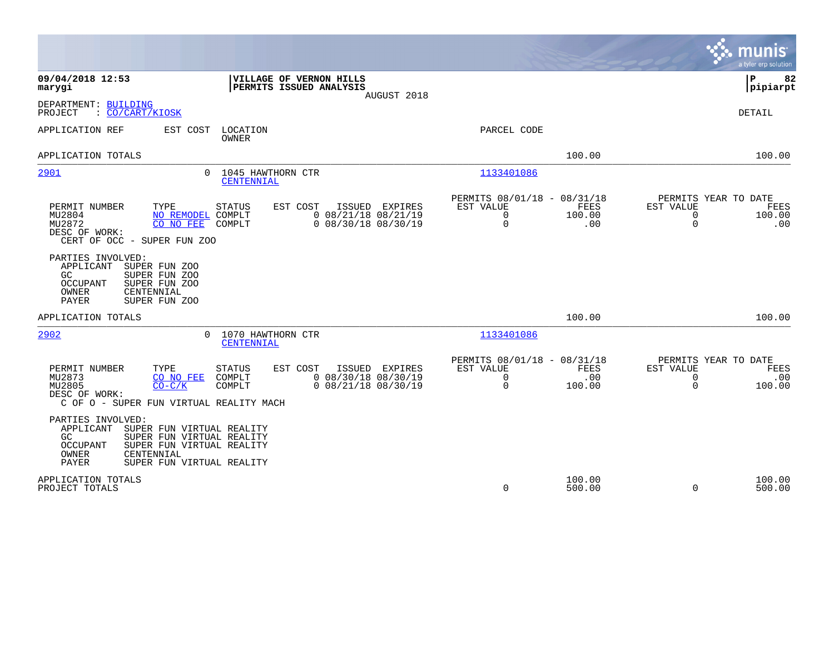|                                                                                                                                                                                                                                                     |                                                                                                        | munis<br>a tyler erp solution                                                                   |
|-----------------------------------------------------------------------------------------------------------------------------------------------------------------------------------------------------------------------------------------------------|--------------------------------------------------------------------------------------------------------|-------------------------------------------------------------------------------------------------|
| VILLAGE OF VERNON HILLS<br>09/04/2018 12:53<br>PERMITS ISSUED ANALYSIS<br>marygi<br>AUGUST 2018                                                                                                                                                     |                                                                                                        | 82<br>P<br> pipiarpt                                                                            |
| DEPARTMENT: BUILDING<br>PROJECT<br>: CO/CART/KIOSK                                                                                                                                                                                                  |                                                                                                        | DETAIL                                                                                          |
| APPLICATION REF<br>EST COST<br>LOCATION<br>OWNER                                                                                                                                                                                                    | PARCEL CODE                                                                                            |                                                                                                 |
| APPLICATION TOTALS                                                                                                                                                                                                                                  | 100.00                                                                                                 | 100.00                                                                                          |
| 2901<br>1045 HAWTHORN CTR<br>$\Omega$<br>CENTENNIAL                                                                                                                                                                                                 | 1133401086                                                                                             |                                                                                                 |
| PERMIT NUMBER<br>TYPE<br>STATUS<br>EST COST<br>ISSUED<br>EXPIRES<br>$0$ 08/21/18 08/21/19<br>MU2804<br>NO REMODEL COMPLT<br>MU2872<br>CO NO FEE<br>$0$ 08/30/18 08/30/19<br>COMPLT<br>DESC OF WORK:<br>CERT OF OCC - SUPER FUN ZOO                  | PERMITS 08/01/18 - 08/31/18<br>EST VALUE<br><b>FEES</b><br>$\mathbf 0$<br>100.00<br>$\mathbf 0$<br>.00 | PERMITS YEAR TO DATE<br>EST VALUE<br><b>FEES</b><br>$\mathbf 0$<br>100.00<br>$\mathbf 0$<br>.00 |
| PARTIES INVOLVED:<br>APPLICANT<br>SUPER FUN ZOO<br>SUPER FUN ZOO<br>GC.<br>SUPER FUN ZOO<br><b>OCCUPANT</b><br>OWNER<br>CENTENNIAL<br><b>PAYER</b><br>SUPER FUN ZOO                                                                                 |                                                                                                        |                                                                                                 |
| APPLICATION TOTALS                                                                                                                                                                                                                                  | 100.00                                                                                                 | 100.00                                                                                          |
| 2902<br>1070 HAWTHORN CTR<br>$\Omega$<br>CENTENNIAL                                                                                                                                                                                                 | 1133401086                                                                                             |                                                                                                 |
| TYPE<br>PERMIT NUMBER<br><b>STATUS</b><br>EST COST<br>ISSUED EXPIRES<br>$0$ 08/30/18 08/30/19<br>MU2873<br>CO NO FEE<br>COMPLT<br>MU2805<br>$0$ 08/21/18 08/30/19<br>$CO-C/K$<br>COMPLT<br>DESC OF WORK:<br>C OF O - SUPER FUN VIRTUAL REALITY MACH | PERMITS 08/01/18 - 08/31/18<br>EST VALUE<br><b>FEES</b><br>$\mathbf 0$<br>.00<br>0<br>100.00           | PERMITS YEAR TO DATE<br>EST VALUE<br>FEES<br>$\mathbf 0$<br>.00<br>$\Omega$<br>100.00           |
| PARTIES INVOLVED:<br>APPLICANT<br>SUPER FUN VIRTUAL REALITY<br>SUPER FUN VIRTUAL REALITY<br>GC.<br>SUPER FUN VIRTUAL REALITY<br><b>OCCUPANT</b><br>OWNER<br>CENTENNIAL<br>PAYER<br>SUPER FUN VIRTUAL REALITY                                        |                                                                                                        |                                                                                                 |
| APPLICATION TOTALS<br>PROJECT TOTALS                                                                                                                                                                                                                | 100.00<br>0<br>500.00                                                                                  | 100.00<br>$\Omega$<br>500.00                                                                    |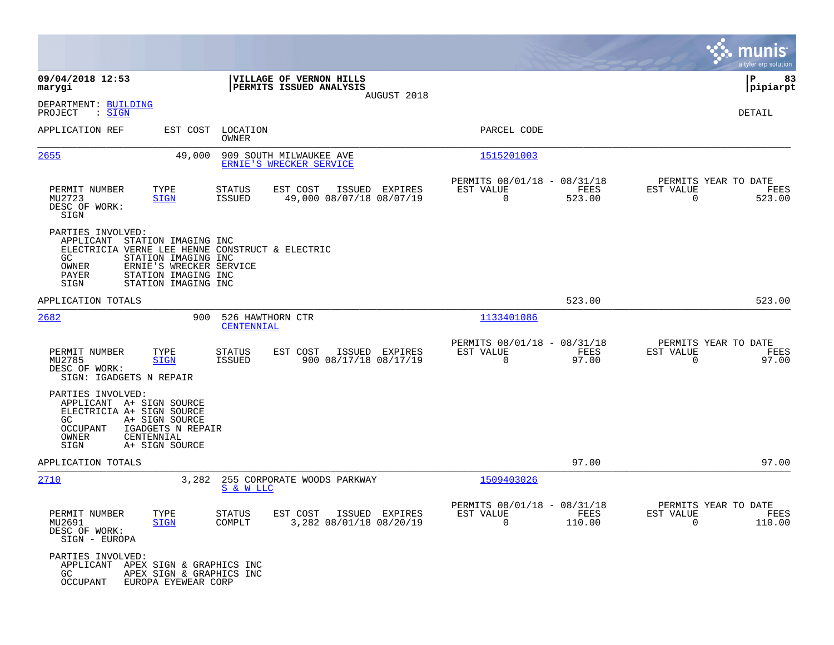|                                                                                                                                                                                                                                          |                                                                                          |                                                                        | munis<br>a tyler erp solution                                        |
|------------------------------------------------------------------------------------------------------------------------------------------------------------------------------------------------------------------------------------------|------------------------------------------------------------------------------------------|------------------------------------------------------------------------|----------------------------------------------------------------------|
| 09/04/2018 12:53<br>marygi                                                                                                                                                                                                               | VILLAGE OF VERNON HILLS<br><b>PERMITS ISSUED ANALYSIS</b>                                |                                                                        | 83<br>IΡ<br> pipiarpt                                                |
| DEPARTMENT: BUILDING<br>PROJECT<br>$\mathrel{\mathop:} \mathrel{\mathsf{SIGN}}$                                                                                                                                                          | AUGUST 2018                                                                              |                                                                        | DETAIL                                                               |
| APPLICATION REF                                                                                                                                                                                                                          | EST COST LOCATION<br>OWNER                                                               | PARCEL CODE                                                            |                                                                      |
| 2655<br>49,000                                                                                                                                                                                                                           | 909 SOUTH MILWAUKEE AVE<br>ERNIE'S WRECKER SERVICE                                       | 1515201003                                                             |                                                                      |
| TYPE<br>PERMIT NUMBER<br>MU2723<br><b>SIGN</b><br>DESC OF WORK:<br>SIGN                                                                                                                                                                  | <b>STATUS</b><br>EST COST<br>ISSUED EXPIRES<br><b>ISSUED</b><br>49,000 08/07/18 08/07/19 | PERMITS 08/01/18 - 08/31/18<br>FEES<br>EST VALUE<br>$\Omega$<br>523.00 | PERMITS YEAR TO DATE<br>EST VALUE<br>FEES<br>$\Omega$<br>523.00      |
| PARTIES INVOLVED:<br>APPLICANT<br>STATION IMAGING INC<br>ELECTRICIA VERNE LEE HENNE CONSTRUCT & ELECTRIC<br>GC<br>STATION IMAGING INC<br>ERNIE'S WRECKER SERVICE<br>OWNER<br>PAYER<br>STATION IMAGING INC<br>STATION IMAGING INC<br>SIGN |                                                                                          |                                                                        |                                                                      |
| APPLICATION TOTALS                                                                                                                                                                                                                       |                                                                                          | 523.00                                                                 | 523.00                                                               |
| 2682<br>900                                                                                                                                                                                                                              | 526 HAWTHORN CTR<br>CENTENNIAL                                                           | 1133401086                                                             |                                                                      |
| PERMIT NUMBER<br>TYPE<br>MU2785<br>SIGN<br>DESC OF WORK:<br>SIGN: IGADGETS N REPAIR                                                                                                                                                      | <b>STATUS</b><br>EST COST<br>ISSUED EXPIRES<br>900 08/17/18 08/17/19<br>ISSUED           | PERMITS 08/01/18 - 08/31/18<br>EST VALUE<br>FEES<br>$\Omega$<br>97.00  | PERMITS YEAR TO DATE<br>EST VALUE<br>FEES<br>97.00<br>$\overline{0}$ |
| PARTIES INVOLVED:<br>APPLICANT A+ SIGN SOURCE<br>ELECTRICIA A+ SIGN SOURCE<br>GC<br>A+ SIGN SOURCE<br>IGADGETS N REPAIR<br><b>OCCUPANT</b><br>OWNER<br>CENTENNIAL<br>SIGN<br>A+ SIGN SOURCE                                              |                                                                                          |                                                                        |                                                                      |
| APPLICATION TOTALS                                                                                                                                                                                                                       |                                                                                          | 97.00                                                                  | 97.00                                                                |
| 2710<br>3,282                                                                                                                                                                                                                            | 255 CORPORATE WOODS PARKWAY<br>S & W LLC                                                 | 1509403026                                                             |                                                                      |
| PERMIT NUMBER<br>TYPE<br>MU2691<br><b>SIGN</b><br>DESC OF WORK:<br>SIGN - EUROPA                                                                                                                                                         | STATUS<br>EST COST ISSUED EXPIRES<br>3,282 08/01/18 08/20/19<br>COMPLT                   | PERMITS 08/01/18 - 08/31/18<br>EST VALUE<br>FEES<br>$\Omega$<br>110.00 | PERMITS YEAR TO DATE<br>EST VALUE<br>FEES<br>$\Omega$<br>110.00      |
| PARTIES INVOLVED:<br>APPLICANT APEX SIGN & GRAPHICS INC<br>GC<br>APEX SIGN & GRAPHICS INC<br><b>OCCUPANT</b><br>EUROPA EYEWEAR CORP                                                                                                      |                                                                                          |                                                                        |                                                                      |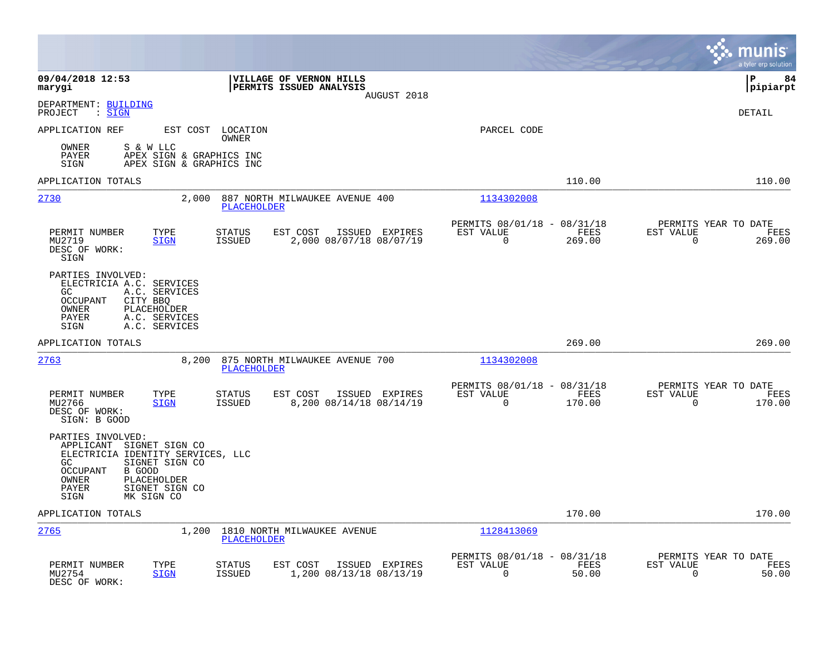|                                                                                                                                                                                                            |                                                                                         |                                                                           | munis<br>a tyler erp solution                                      |
|------------------------------------------------------------------------------------------------------------------------------------------------------------------------------------------------------------|-----------------------------------------------------------------------------------------|---------------------------------------------------------------------------|--------------------------------------------------------------------|
| 09/04/2018 12:53<br>marygi                                                                                                                                                                                 | VILLAGE OF VERNON HILLS<br>PERMITS ISSUED ANALYSIS<br>AUGUST 2018                       |                                                                           | ΙP<br>84<br> pipiarpt                                              |
| DEPARTMENT: BUILDING<br>PROJECT<br>$:$ SIGN                                                                                                                                                                |                                                                                         |                                                                           | <b>DETAIL</b>                                                      |
| APPLICATION REF<br>EST COST                                                                                                                                                                                | LOCATION<br>OWNER                                                                       | PARCEL CODE                                                               |                                                                    |
| OWNER<br>S & W LLC<br>APEX SIGN & GRAPHICS INC<br>PAYER<br>APEX SIGN & GRAPHICS INC<br>SIGN                                                                                                                |                                                                                         |                                                                           |                                                                    |
| APPLICATION TOTALS                                                                                                                                                                                         |                                                                                         | 110.00                                                                    | 110.00                                                             |
| 2730<br>2,000                                                                                                                                                                                              | 887 NORTH MILWAUKEE AVENUE 400<br>PLACEHOLDER                                           | 1134302008                                                                |                                                                    |
| PERMIT NUMBER<br>TYPE<br>MU2719<br>SIGN<br>DESC OF WORK:<br>SIGN                                                                                                                                           | <b>STATUS</b><br>EST COST<br>ISSUED EXPIRES<br><b>ISSUED</b><br>2,000 08/07/18 08/07/19 | PERMITS 08/01/18 - 08/31/18<br>EST VALUE<br>FEES<br>$\mathbf 0$<br>269.00 | PERMITS YEAR TO DATE<br>EST VALUE<br>FEES<br>$\mathbf 0$<br>269.00 |
| PARTIES INVOLVED:<br>ELECTRICIA A.C. SERVICES<br>GC<br>A.C. SERVICES<br>OCCUPANT<br>CITY BBQ<br>OWNER<br>PLACEHOLDER<br>PAYER<br>A.C. SERVICES<br>SIGN<br>A.C. SERVICES                                    |                                                                                         |                                                                           |                                                                    |
| APPLICATION TOTALS                                                                                                                                                                                         |                                                                                         | 269.00                                                                    | 269.00                                                             |
| 2763<br>8,200                                                                                                                                                                                              | 875 NORTH MILWAUKEE AVENUE 700<br><b>PLACEHOLDER</b>                                    | 1134302008                                                                |                                                                    |
| PERMIT NUMBER<br>TYPE<br>MU2766<br><b>SIGN</b><br>DESC OF WORK:<br>SIGN: B GOOD                                                                                                                            | EST COST<br>ISSUED EXPIRES<br><b>STATUS</b><br><b>ISSUED</b><br>8,200 08/14/18 08/14/19 | PERMITS 08/01/18 - 08/31/18<br>EST VALUE<br><b>FEES</b><br>0<br>170.00    | PERMITS YEAR TO DATE<br>EST VALUE<br>FEES<br>$\mathbf 0$<br>170.00 |
| PARTIES INVOLVED:<br>APPLICANT SIGNET SIGN CO<br>ELECTRICIA IDENTITY SERVICES, LLC<br>SIGNET SIGN CO<br>GC.<br>OCCUPANT<br>B GOOD<br>OWNER<br>PLACEHOLDER<br>SIGNET SIGN CO<br>PAYER<br>MK SIGN CO<br>SIGN |                                                                                         |                                                                           |                                                                    |
| APPLICATION TOTALS                                                                                                                                                                                         |                                                                                         | 170.00                                                                    | 170.00                                                             |
| 2765<br>1,200                                                                                                                                                                                              | 1810 NORTH MILWAUKEE AVENUE<br><b>PLACEHOLDER</b>                                       | 1128413069                                                                |                                                                    |
| PERMIT NUMBER<br>TYPE<br>MU2754<br><b>SIGN</b><br>DESC OF WORK:                                                                                                                                            | STATUS<br>EST COST<br>ISSUED EXPIRES<br>1,200 08/13/18 08/13/19<br><b>ISSUED</b>        | PERMITS 08/01/18 - 08/31/18<br>EST VALUE<br>FEES<br>$\mathbf 0$<br>50.00  | PERMITS YEAR TO DATE<br>EST VALUE<br>FEES<br>50.00<br>0            |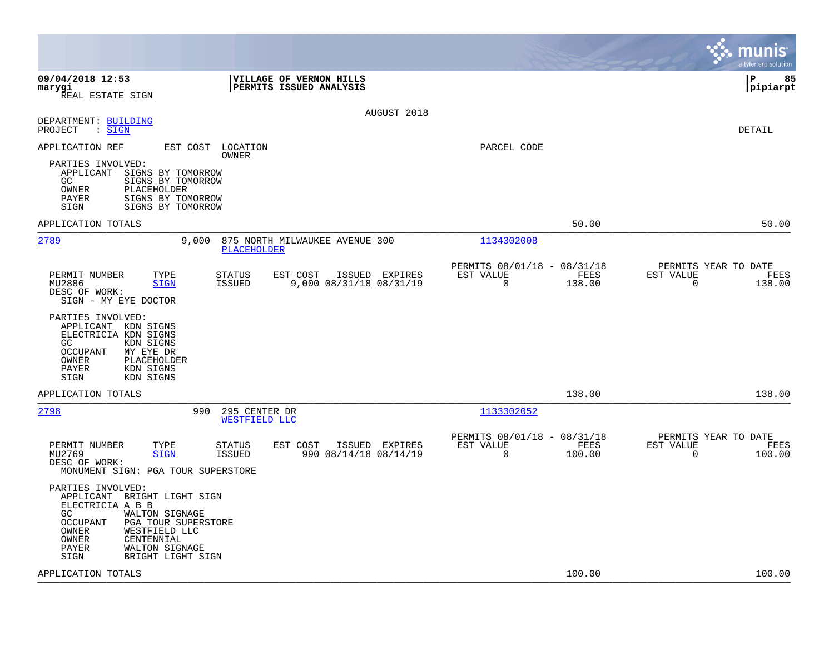|                                                                                                                                                                                                                                                  |                                                                           | munis<br>a tyler erp solution                                      |
|--------------------------------------------------------------------------------------------------------------------------------------------------------------------------------------------------------------------------------------------------|---------------------------------------------------------------------------|--------------------------------------------------------------------|
| 09/04/2018 12:53<br>VILLAGE OF VERNON HILLS<br>PERMITS ISSUED ANALYSIS<br>marygi<br>REAL ESTATE SIGN                                                                                                                                             |                                                                           | l P<br>85<br> pipiarpt                                             |
| AUGUST 2018<br>DEPARTMENT: BUILDING<br>PROJECT<br>$\mathrel{\mathop:} \mathsf{SIGN}$                                                                                                                                                             |                                                                           | DETAIL                                                             |
| APPLICATION REF<br>EST COST LOCATION<br>OWNER<br>PARTIES INVOLVED:<br>APPLICANT SIGNS BY TOMORROW<br>GC.<br>SIGNS BY TOMORROW<br>OWNER<br>PLACEHOLDER<br>SIGNS BY TOMORROW<br>PAYER<br>SIGNS BY TOMORROW<br>SIGN                                 | PARCEL CODE                                                               |                                                                    |
| APPLICATION TOTALS                                                                                                                                                                                                                               | 50.00                                                                     | 50.00                                                              |
| 2789<br>9,000<br>875 NORTH MILWAUKEE AVENUE 300<br>PLACEHOLDER                                                                                                                                                                                   | 1134302008                                                                |                                                                    |
| PERMIT NUMBER<br>TYPE<br><b>STATUS</b><br>EST COST<br>ISSUED EXPIRES<br>9,000 08/31/18 08/31/19<br>MU2886<br><b>SIGN</b><br><b>ISSUED</b><br>DESC OF WORK:<br>SIGN - MY EYE DOCTOR                                                               | PERMITS 08/01/18 - 08/31/18<br>EST VALUE<br>FEES<br>$\mathbf 0$<br>138.00 | PERMITS YEAR TO DATE<br>EST VALUE<br>FEES<br>$\mathbf 0$<br>138.00 |
| PARTIES INVOLVED:<br>APPLICANT KDN SIGNS<br>ELECTRICIA KDN SIGNS<br>GC<br>KDN SIGNS<br><b>OCCUPANT</b><br>MY EYE DR<br>OWNER<br>PLACEHOLDER<br>PAYER<br>KDN SIGNS<br>KDN SIGNS<br>SIGN                                                           |                                                                           |                                                                    |
| APPLICATION TOTALS                                                                                                                                                                                                                               | 138.00                                                                    | 138.00                                                             |
| 2798<br>990<br>295 CENTER DR<br>WESTFIELD LLC                                                                                                                                                                                                    | 1133302052                                                                |                                                                    |
| PERMIT NUMBER<br>TYPE<br><b>STATUS</b><br>EST COST<br>ISSUED EXPIRES<br>MU2769<br><b>SIGN</b><br><b>ISSUED</b><br>990 08/14/18 08/14/19<br>DESC OF WORK:<br>MONUMENT SIGN: PGA TOUR SUPERSTORE                                                   | PERMITS 08/01/18 - 08/31/18<br>EST VALUE<br>FEES<br>$\mathbf 0$<br>100.00 | PERMITS YEAR TO DATE<br>EST VALUE<br>FEES<br>$\Omega$<br>100.00    |
| PARTIES INVOLVED:<br>APPLICANT BRIGHT LIGHT SIGN<br>ELECTRICIA A B B<br>GC.<br>WALTON SIGNAGE<br><b>OCCUPANT</b><br>PGA TOUR SUPERSTORE<br>WESTFIELD LLC<br>OWNER<br>OWNER<br>CENTENNIAL<br>WALTON SIGNAGE<br>PAYER<br>BRIGHT LIGHT SIGN<br>SIGN |                                                                           |                                                                    |
| APPLICATION TOTALS                                                                                                                                                                                                                               | 100.00                                                                    | 100.00                                                             |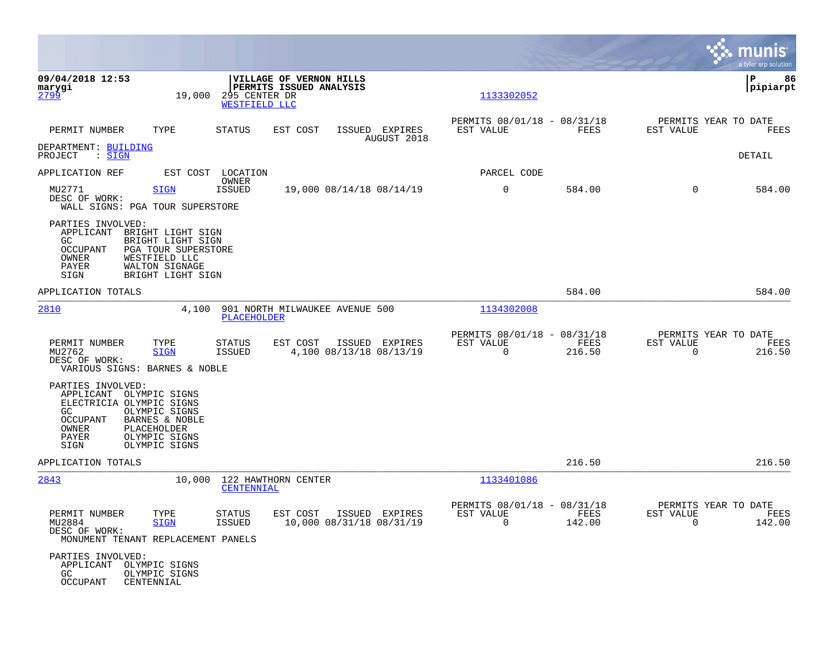|                                                                                                                      |                                                                                                                       |                                |                                                    |        |                                            |                                                         |                |                       | a tyler erp solution                   |
|----------------------------------------------------------------------------------------------------------------------|-----------------------------------------------------------------------------------------------------------------------|--------------------------------|----------------------------------------------------|--------|--------------------------------------------|---------------------------------------------------------|----------------|-----------------------|----------------------------------------|
| 09/04/2018 12:53<br>marygi<br>2799                                                                                   | 19,000                                                                                                                | 295 CENTER DR<br>WESTFIELD LLC | VILLAGE OF VERNON HILLS<br>PERMITS ISSUED ANALYSIS |        |                                            | 1133302052                                              |                |                       | ΙP<br>86<br> pipiarpt                  |
| PERMIT NUMBER                                                                                                        | TYPE                                                                                                                  | <b>STATUS</b>                  | EST COST                                           |        | ISSUED EXPIRES<br>AUGUST 2018              | PERMITS 08/01/18 - 08/31/18<br>EST VALUE                | FEES           | EST VALUE             | PERMITS YEAR TO DATE<br>FEES           |
| DEPARTMENT: BUILDING<br>: <u>SIGN</u><br>PROJECT                                                                     |                                                                                                                       |                                |                                                    |        |                                            |                                                         |                |                       | DETAIL                                 |
| APPLICATION REF                                                                                                      |                                                                                                                       | EST COST LOCATION<br>OWNER     |                                                    |        |                                            | PARCEL CODE                                             |                |                       |                                        |
| MU2771<br>DESC OF WORK:<br>WALL SIGNS: PGA TOUR SUPERSTORE                                                           | SIGN                                                                                                                  | ISSUED                         |                                                    |        | 19,000 08/14/18 08/14/19                   | $\mathbf 0$                                             | 584.00         | $\mathbf 0$           | 584.00                                 |
| PARTIES INVOLVED:<br>APPLICANT<br>GC.<br><b>OCCUPANT</b><br>OWNER<br>PAYER<br>SIGN                                   | BRIGHT LIGHT SIGN<br>BRIGHT LIGHT SIGN<br>PGA TOUR SUPERSTORE<br>WESTFIELD LLC<br>WALTON SIGNAGE<br>BRIGHT LIGHT SIGN |                                |                                                    |        |                                            |                                                         |                |                       |                                        |
| APPLICATION TOTALS                                                                                                   |                                                                                                                       |                                |                                                    |        |                                            |                                                         | 584.00         |                       | 584.00                                 |
| 2810                                                                                                                 | 4,100                                                                                                                 | PLACEHOLDER                    | 901 NORTH MILWAUKEE AVENUE 500                     |        |                                            | 1134302008                                              |                |                       |                                        |
| PERMIT NUMBER<br>MU2762<br>DESC OF WORK:<br>VARIOUS SIGNS: BARNES & NOBLE                                            | TYPE<br><b>SIGN</b>                                                                                                   | STATUS<br><b>ISSUED</b>        | EST COST                                           | ISSUED | EXPIRES<br>4,100 08/13/18 08/13/19         | PERMITS 08/01/18 - 08/31/18<br>EST VALUE<br>$\mathbf 0$ | FEES<br>216.50 | EST VALUE<br>0        | PERMITS YEAR TO DATE<br>FEES<br>216.50 |
| PARTIES INVOLVED:<br>APPLICANT OLYMPIC SIGNS<br>ELECTRICIA OLYMPIC SIGNS<br>GC<br>OCCUPANT<br>OWNER<br>PAYER<br>SIGN | OLYMPIC SIGNS<br>BARNES & NOBLE<br>PLACEHOLDER<br>OLYMPIC SIGNS<br>OLYMPIC SIGNS                                      |                                |                                                    |        |                                            |                                                         |                |                       |                                        |
| APPLICATION TOTALS                                                                                                   |                                                                                                                       |                                |                                                    |        |                                            |                                                         | 216.50         |                       | 216.50                                 |
| 2843                                                                                                                 | 10,000                                                                                                                | <b>CENTENNIAL</b>              | 122 HAWTHORN CENTER                                |        |                                            | 1133401086                                              |                |                       |                                        |
| PERMIT NUMBER<br>MU2884<br>DESC OF WORK:<br>MONUMENT TENANT REPLACEMENT PANELS                                       | TYPE<br><b>SIGN</b>                                                                                                   | STATUS<br>ISSUED               | EST COST                                           |        | ISSUED EXPIRES<br>10,000 08/31/18 08/31/19 | PERMITS 08/01/18 - 08/31/18<br>EST VALUE<br>$\Omega$    | FEES<br>142.00 | EST VALUE<br>$\Omega$ | PERMITS YEAR TO DATE<br>FEES<br>142.00 |
| PARTIES INVOLVED:<br>APPLICANT OLYMPIC SIGNS<br>GC<br>OCCUPANT                                                       | OLYMPIC SIGNS<br>CENTENNIAL                                                                                           |                                |                                                    |        |                                            |                                                         |                |                       |                                        |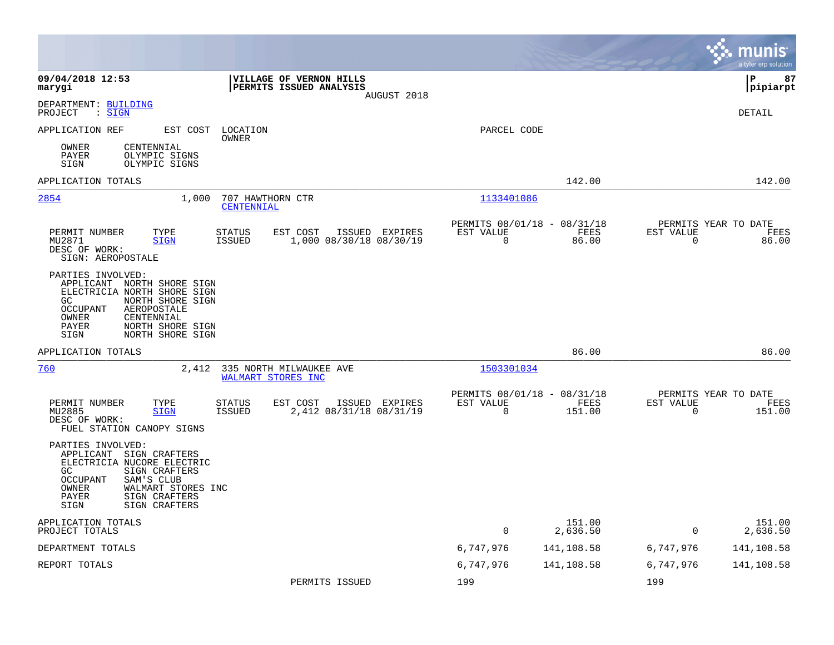|                                                                                                                                                                                                                             |                                                                                         |                          |                                               |                                                  | munis<br>a tyler erp solution |
|-----------------------------------------------------------------------------------------------------------------------------------------------------------------------------------------------------------------------------|-----------------------------------------------------------------------------------------|--------------------------|-----------------------------------------------|--------------------------------------------------|-------------------------------|
| 09/04/2018 12:53<br>marygi                                                                                                                                                                                                  | VILLAGE OF VERNON HILLS<br>PERMITS ISSUED ANALYSIS<br>AUGUST 2018                       |                          |                                               |                                                  | lР<br>87<br> pipiarpt         |
| DEPARTMENT: BUILDING<br>: SIGN<br>PROJECT                                                                                                                                                                                   |                                                                                         |                          |                                               |                                                  | <b>DETAIL</b>                 |
| APPLICATION REF<br>EST COST                                                                                                                                                                                                 | LOCATION<br>OWNER                                                                       | PARCEL CODE              |                                               |                                                  |                               |
| OWNER<br>CENTENNIAL<br>PAYER<br>OLYMPIC SIGNS<br>OLYMPIC SIGNS<br>SIGN                                                                                                                                                      |                                                                                         |                          |                                               |                                                  |                               |
| APPLICATION TOTALS                                                                                                                                                                                                          |                                                                                         |                          | 142.00                                        |                                                  | 142.00                        |
| 2854<br>1,000                                                                                                                                                                                                               | 707 HAWTHORN CTR<br>CENTENNIAL                                                          | 1133401086               |                                               |                                                  |                               |
| PERMIT NUMBER<br>TYPE<br>MU2871<br><b>SIGN</b><br>DESC OF WORK:<br>SIGN: AEROPOSTALE                                                                                                                                        | <b>STATUS</b><br>EST COST<br>ISSUED EXPIRES<br><b>ISSUED</b><br>1,000 08/30/18 08/30/19 | EST VALUE<br>$\Omega$    | PERMITS 08/01/18 - 08/31/18<br>FEES<br>86.00  | PERMITS YEAR TO DATE<br>EST VALUE<br>$\Omega$    | FEES<br>86.00                 |
| PARTIES INVOLVED:<br>APPLICANT NORTH SHORE SIGN<br>ELECTRICIA NORTH SHORE SIGN<br>GC<br>NORTH SHORE SIGN<br><b>OCCUPANT</b><br>AEROPOSTALE<br>CENTENNIAL<br>OWNER<br>NORTH SHORE SIGN<br>PAYER<br>NORTH SHORE SIGN<br>SIGN  |                                                                                         |                          |                                               |                                                  |                               |
| APPLICATION TOTALS                                                                                                                                                                                                          |                                                                                         |                          | 86.00                                         |                                                  | 86.00                         |
| 760<br>2,412                                                                                                                                                                                                                | 335 NORTH MILWAUKEE AVE<br>WALMART STORES INC                                           | 1503301034               |                                               |                                                  |                               |
| PERMIT NUMBER<br>TYPE<br>MU2885<br><b>SIGN</b><br>DESC OF WORK:<br>FUEL STATION CANOPY SIGNS                                                                                                                                | EST COST<br>ISSUED EXPIRES<br>STATUS<br>2,412 08/31/18 08/31/19<br><b>ISSUED</b>        | EST VALUE<br>$\mathbf 0$ | PERMITS 08/01/18 - 08/31/18<br>FEES<br>151.00 | PERMITS YEAR TO DATE<br>EST VALUE<br>$\mathbf 0$ | FEES<br>151.00                |
| PARTIES INVOLVED:<br>APPLICANT SIGN CRAFTERS<br>ELECTRICIA NUCORE ELECTRIC<br>GC<br>SIGN CRAFTERS<br><b>OCCUPANT</b><br>SAM'S CLUB<br>OWNER<br>WALMART STORES INC<br><b>PAYER</b><br>SIGN CRAFTERS<br>SIGN CRAFTERS<br>SIGN |                                                                                         |                          |                                               |                                                  |                               |
| APPLICATION TOTALS<br>PROJECT TOTALS                                                                                                                                                                                        |                                                                                         | $\Omega$                 | 151.00<br>2,636.50                            | $\Omega$                                         | 151.00<br>2,636.50            |
| DEPARTMENT TOTALS                                                                                                                                                                                                           |                                                                                         | 6,747,976                | 141,108.58                                    | 6,747,976                                        | 141,108.58                    |
| REPORT TOTALS                                                                                                                                                                                                               |                                                                                         | 6,747,976                | 141,108.58                                    | 6,747,976                                        | 141,108.58                    |
|                                                                                                                                                                                                                             | PERMITS ISSUED                                                                          | 199                      |                                               | 199                                              |                               |